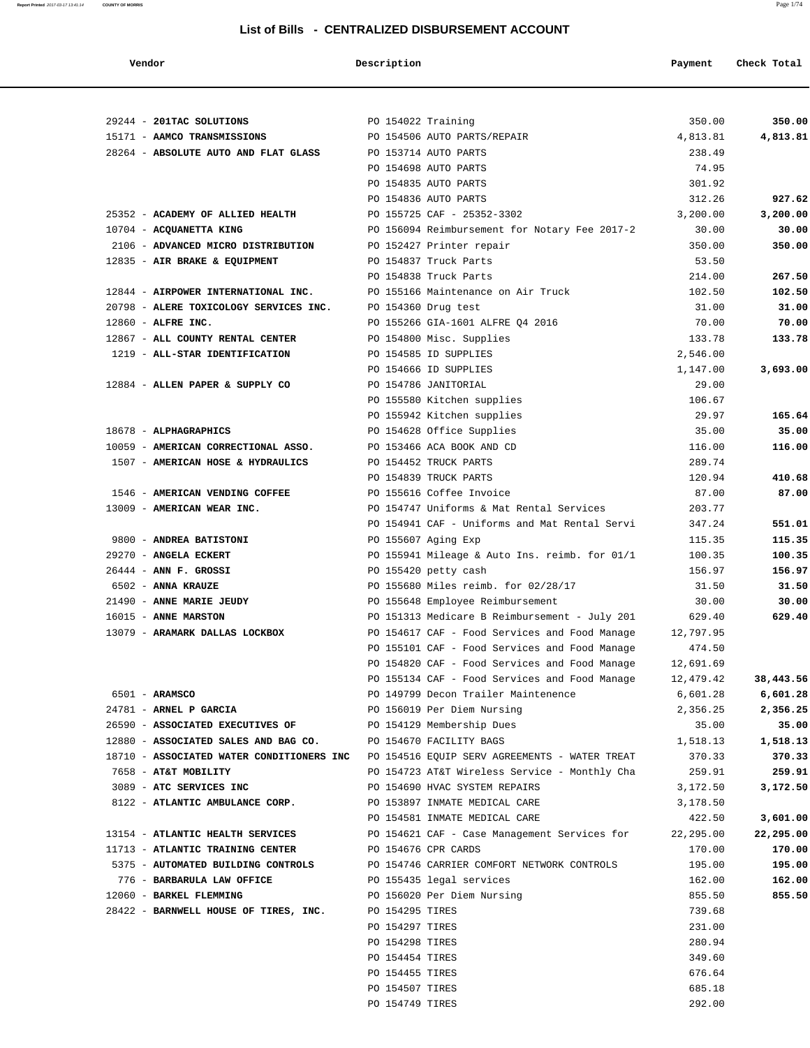**Report Printed** 2017-03-17 13:41:14 **COUNTY OF MORRIS** Page 1/74

#### **List of Bills - CENTRALIZED DISBURSEMENT ACCOUNT**

| Vendor                                                                                  | Description        |                                                                                   | Payment          | Check Total     |
|-----------------------------------------------------------------------------------------|--------------------|-----------------------------------------------------------------------------------|------------------|-----------------|
|                                                                                         |                    |                                                                                   |                  |                 |
| 29244 - 201TAC SOLUTIONS                                                                | PO 154022 Training |                                                                                   | 350.00           | 350.00          |
| 15171 - AAMCO TRANSMISSIONS                                                             |                    | PO 154506 AUTO PARTS/REPAIR                                                       | 4,813.81         | 4,813.81        |
| 28264 - ABSOLUTE AUTO AND FLAT GLASS                                                    |                    | PO 153714 AUTO PARTS                                                              | 238.49           |                 |
|                                                                                         |                    | PO 154698 AUTO PARTS                                                              | 74.95            |                 |
|                                                                                         |                    | PO 154835 AUTO PARTS                                                              | 301.92           |                 |
|                                                                                         |                    | PO 154836 AUTO PARTS                                                              | 312.26           | 927.62          |
| 25352 - ACADEMY OF ALLIED HEALTH                                                        |                    | PO 155725 CAF - 25352-3302                                                        | 3,200.00         | 3,200.00        |
| 10704 - ACQUANETTA KING                                                                 |                    | PO 156094 Reimbursement for Notary Fee 2017-2                                     | 30.00            | 30.00           |
| 2106 - ADVANCED MICRO DISTRIBUTION                                                      |                    | PO 152427 Printer repair                                                          | 350.00           | 350.00          |
| 12835 - AIR BRAKE & EQUIPMENT                                                           |                    | PO 154837 Truck Parts                                                             | 53.50            |                 |
| 12844 - AIRPOWER INTERNATIONAL INC.                                                     |                    | PO 154838 Truck Parts                                                             | 214.00           | 267.50          |
| 20798 - ALERE TOXICOLOGY SERVICES INC.                                                  |                    | PO 155166 Maintenance on Air Truck                                                | 102.50           | 102.50<br>31.00 |
| $12860$ - ALFRE INC.                                                                    |                    | PO 154360 Drug test<br>PO 155266 GIA-1601 ALFRE Q4 2016                           | 31.00<br>70.00   | 70.00           |
|                                                                                         |                    |                                                                                   | 133.78           | 133.78          |
| 12867 - ALL COUNTY RENTAL CENTER<br>1219 - ALL-STAR IDENTIFICATION                      |                    | PO 154800 Misc. Supplies<br>PO 154585 ID SUPPLIES                                 | 2,546.00         |                 |
|                                                                                         |                    | PO 154666 ID SUPPLIES                                                             | 1,147.00         | 3,693.00        |
| 12884 - ALLEN PAPER & SUPPLY CO                                                         |                    |                                                                                   |                  |                 |
|                                                                                         |                    | PO 154786 JANITORIAL                                                              | 29.00            |                 |
|                                                                                         |                    | PO 155580 Kitchen supplies                                                        | 106.67           |                 |
|                                                                                         |                    | PO 155942 Kitchen supplies                                                        | 29.97            | 165.64          |
| 18678 - ALPHAGRAPHICS                                                                   |                    | PO 154628 Office Supplies                                                         | 35.00            | 35.00           |
| 10059 - AMERICAN CORRECTIONAL ASSO.<br>1507 - AMERICAN HOSE & HYDRAULICS                |                    | PO 153466 ACA BOOK AND CD                                                         | 116.00<br>289.74 | 116.00          |
|                                                                                         |                    | PO 154452 TRUCK PARTS<br>PO 154839 TRUCK PARTS                                    | 120.94           | 410.68          |
| 1546 - AMERICAN VENDING COFFEE                                                          |                    | PO 155616 Coffee Invoice                                                          | 87.00            | 87.00           |
| 13009 - AMERICAN WEAR INC.                                                              |                    | PO 154747 Uniforms & Mat Rental Services                                          | 203.77           |                 |
|                                                                                         |                    | PO 154941 CAF - Uniforms and Mat Rental Servi                                     | 347.24           | 551.01          |
| 9800 - ANDREA BATISTONI                                                                 |                    |                                                                                   | 115.35           | 115.35          |
| 29270 - ANGELA ECKERT                                                                   |                    | PO 155607 Aging Exp                                                               | 100.35           | 100.35          |
| 26444 - ANN F. GROSSI                                                                   |                    | PO 155941 Mileage & Auto Ins. reimb. for 01/1                                     |                  |                 |
| 6502 - ANNA KRAUZE                                                                      |                    | PO 155420 petty cash                                                              | 156.97           | 156.97          |
| 21490 - ANNE MARIE JEUDY                                                                |                    | PO 155680 Miles reimb. for 02/28/17                                               | 31.50            | 31.50<br>30.00  |
| 16015 - ANNE MARSTON                                                                    |                    | PO 155648 Employee Reimbursement<br>PO 151313 Medicare B Reimbursement - July 201 | 30.00<br>629.40  | 629.40          |
| 13079 - ARAMARK DALLAS LOCKBOX                                                          |                    | PO 154617 CAF - Food Services and Food Manage                                     | 12,797.95        |                 |
|                                                                                         |                    | PO 155101 CAF - Food Services and Food Manage                                     | 474.50           |                 |
|                                                                                         |                    | PO 154820 CAF - Food Services and Food Manage                                     | 12,691.69        |                 |
|                                                                                         |                    | PO 155134 CAF - Food Services and Food Manage                                     | 12,479.42        | 38,443.56       |
| 6501 - ARAMSCO                                                                          |                    | PO 149799 Decon Trailer Maintenence                                               | 6,601.28         | 6,601.28        |
| 24781 - ARNEL P GARCIA                                                                  |                    | PO 156019 Per Diem Nursing                                                        | 2,356.25         | 2,356.25        |
| 26590 - ASSOCIATED EXECUTIVES OF                                                        |                    | PO 154129 Membership Dues                                                         | 35.00            | 35.00           |
| 12880 - ASSOCIATED SALES AND BAG CO.                                                    |                    | PO 154670 FACILITY BAGS                                                           | 1,518.13         | 1,518.13        |
| 18710 - ASSOCIATED WATER CONDITIONERS INC PO 154516 EQUIP SERV AGREEMENTS - WATER TREAT |                    |                                                                                   | 370.33           | 370.33          |
| 7658 - AT&T MOBILITY                                                                    |                    | PO 154723 AT&T Wireless Service - Monthly Cha                                     | 259.91           | 259.91          |
| 3089 - ATC SERVICES INC                                                                 |                    | PO 154690 HVAC SYSTEM REPAIRS                                                     | 3,172.50         | 3,172.50        |
| 8122 - ATLANTIC AMBULANCE CORP.                                                         |                    | PO 153897 INMATE MEDICAL CARE                                                     | 3,178.50         |                 |
|                                                                                         |                    | PO 154581 INMATE MEDICAL CARE                                                     | 422.50           | 3,601.00        |
| 13154 - ATLANTIC HEALTH SERVICES                                                        |                    | PO 154621 CAF - Case Management Services for                                      | 22,295.00        | 22,295.00       |
| 11713 - ATLANTIC TRAINING CENTER                                                        |                    | PO 154676 CPR CARDS                                                               | 170.00           | 170.00          |
| 5375 - AUTOMATED BUILDING CONTROLS                                                      |                    | PO 154746 CARRIER COMFORT NETWORK CONTROLS                                        | 195.00           | 195.00          |
| 776 - BARBARULA LAW OFFICE                                                              |                    | PO 155435 legal services                                                          | 162.00           | 162.00          |
| 12060 - BARKEL FLEMMING                                                                 |                    | PO 156020 Per Diem Nursing                                                        | 855.50           | 855.50          |
| 28422 - BARNWELL HOUSE OF TIRES, INC.                                                   | PO 154295 TIRES    |                                                                                   | 739.68           |                 |
|                                                                                         | PO 154297 TIRES    |                                                                                   | 231.00           |                 |
|                                                                                         | PO 154298 TIRES    |                                                                                   | 280.94           |                 |
|                                                                                         | PO 154454 TIRES    |                                                                                   | 349.60           |                 |
|                                                                                         | PO 154455 TIRES    |                                                                                   | 676.64           |                 |
|                                                                                         | PO 154507 TIRES    |                                                                                   | 685.18           |                 |
|                                                                                         | PO 154749 TIRES    |                                                                                   | 292.00           |                 |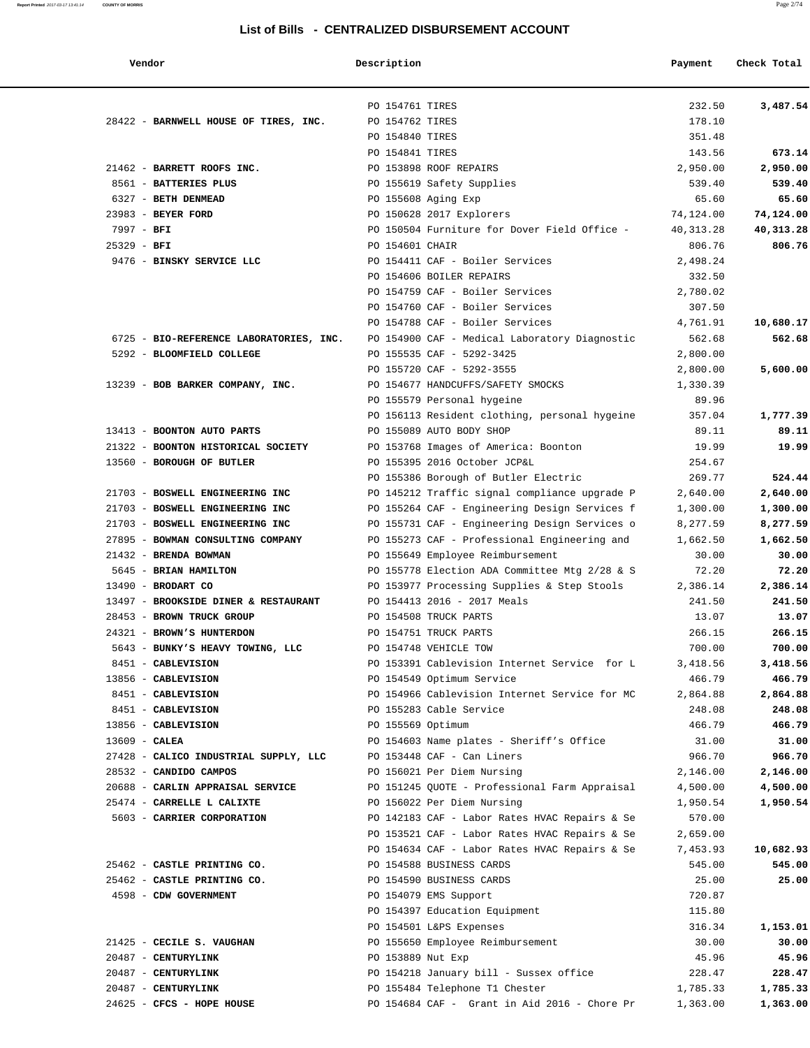#### **List of Bills - CENTRALIZED DISBURSEMENT ACCOUNT**

 **Vendor Description Payment Check Total** PO 154761 TIRES 232.50 **3,487.54** 28422 - **BARNWELL HOUSE OF TIRES, INC.** PO 154762 TIRES 178.10 PO 154840 TIRES 351.48 PO 154841 TIRES 143.56 **673.14** 21462 - **BARRETT ROOFS INC.** PO 153898 ROOF REPAIRS 2,950.00 **2,950.00** 8561 - **BATTERIES PLUS** PO 155619 Safety Supplies 539.40 **539.40** 6327 - **BETH DENMEAD** PO 155608 Aging Exp 65.60 **65.60** 23983 - **BEYER FORD** PO 150628 2017 Explorers 74,124.00 **74,124.00** 7997 - **BFI** PO 150504 Furniture for Dover Field Office - 40,313.28 **40,313.28** 25329 - **BFI** PO 154601 CHAIR 806.76 **806.76** 9476 - **BINSKY SERVICE LLC** PO 154411 CAF - Boiler Services 2,498.24 PO 154606 BOILER REPAIRS 332.50 PO 154759 CAF - Boiler Services 2,780.02 PO 154760 CAF - Boiler Services 307.50 PO 154788 CAF - Boiler Services 4,761.91 **10,680.17**  6725 - **BIO-REFERENCE LABORATORIES, INC.** PO 154900 CAF - Medical Laboratory Diagnostic 562.68 **562.68** 5292 - **BLOOMFIELD COLLEGE** PO 155535 CAF - 5292-3425 2,800.00 PO 155720 CAF - 5292-3555 2,800.00 **5,600.00** 13239 - **BOB BARKER COMPANY, INC.** <br>PO 154677 HANDCUFFS/SAFETY SMOCKS 1,330.39 PO 155579 Personal hygeine 89.96 PO 156113 Resident clothing, personal hygeine 357.04 **1,777.39** 13413 - **BOONTON AUTO PARTS** PO 155089 AUTO BODY SHOP 89.11 **89.11** 21322 - **BOONTON HISTORICAL SOCIETY** PO 153768 Images of America: Boonton 19.99 **19.99** 13560 - **BOROUGH OF BUTLER** PO 155395 2016 October JCP&L 254.67 PO 155386 Borough of Butler Electric 269.77 **524.44** 21703 - **BOSWELL ENGINEERING INC** PO 145212 Traffic signal compliance upgrade P 2,640.00 **2,640.00** 21703 - **BOSWELL ENGINEERING INC** PO 155264 CAF - Engineering Design Services f 1,300.00 **1,300.00** 21703 - **BOSWELL ENGINEERING INC** PO 155731 CAF - Engineering Design Services o 8,277.59 **8,277.59** 27895 - **BOWMAN CONSULTING COMPANY** PO 155273 CAF - Professional Engineering and 1,662.50 **1,662.50** 21432 - **BRENDA BOWMAN** PO 155649 Employee Reimbursement 30.00 **30.00** 5645 - **BRIAN HAMILTON** PO 155778 Election ADA Committee Mtg 2/28 & S 72.20 **72.20** 13490 - **BRODART CO** PO 153977 Processing Supplies & Step Stools 2,386.14 **2,386.14** 13497 - **BROOKSIDE DINER & RESTAURANT** PO 154413 2016 - 2017 Meals 241.50 **241.50** 28453 - **BROWN TRUCK GROUP** PO 154508 TRUCK PARTS 13.07 **13.07** 24321 **- BROWN'S HUNTERDON** PO 154751 TRUCK PARTS<br>266.15 266.15 266.15<br>260.00 200.00 200.00 PO 154748 VEHICLE TOW<br>2451 **- CABLEVISION** PO 153391 Cablevision Internet Service for L 3,418.56 3,418.56 5643 - **BUNKY'S HEAVY TOWING, LLC** PO 154748 VEHICLE TOW 8451 - **CABLEVISION PO 153391 Cablevision Internet Service for L**  13856 - **CABLEVISION** PO 154549 Optimum Service 466.79 **466.79** 8451 - **CABLEVISION** PO 154966 Cablevision Internet Service for MC 2,864.88 **2,864.88** 8451 - **CABLEVISION** PO 155283 Cable Service 248.08 **248.08** 13856 - **CABLEVISION** PO 155569 Optimum 466.79 **466.79** 13609 - **CALEA** PO 154603 Name plates - Sheriff's Office 31.00 **31.00** 27428 - **CALICO INDUSTRIAL SUPPLY, LLC** PO 153448 CAF - Can Liners 966.70 **966.70** 28532 - **CANDIDO CAMPOS** PO 156021 Per Diem Nursing 2,146.00 **2,146.00** 20688 - **CARLIN APPRAISAL SERVICE** PO 151245 QUOTE - Professional Farm Appraisal 4,500.00 **4,500.00** 25474 - **CARRELLE L CALIXTE** PO 156022 Per Diem Nursing 1,950.54 **1,950.54** 5603 - **CARRIER CORPORATION** PO 142183 CAF - Labor Rates HVAC Repairs & Se 570.00 PO 153521 CAF - Labor Rates HVAC Repairs & Se 2,659.00 PO 154634 CAF - Labor Rates HVAC Repairs & Se 7,453.93 **10,682.93** 25462 - **CASTLE PRINTING CO.** PO 154588 BUSINESS CARDS 545.00 **545.00** 25462 - **CASTLE PRINTING CO.** PO 154590 BUSINESS CARDS 25.00 **25.00** 4598 - **CDW GOVERNMENT** PO 154079 EMS Support 720.87 PO 154397 Education Equipment 115.80 PO 154501 L&PS Expenses 316.34 **1,153.01** 21425 - **CECILE S. VAUGHAN** PO 155650 Employee Reimbursement 30.00 **30.00** 20487 - **CENTURYLINK** PO 153889 Nut Exp 45.96 **45.96** 20487 - **CENTURYLINK** PO 154218 January bill - Sussex office 228.47 **228.47** 20487 - **CENTURYLINK** PO 155484 Telephone T1 Chester 1,785.33 **1,785.33** 24625 - **CFCS - HOPE HOUSE** PO 154684 CAF - Grant in Aid 2016 - Chore Pr 1,363.00 **1,363.00**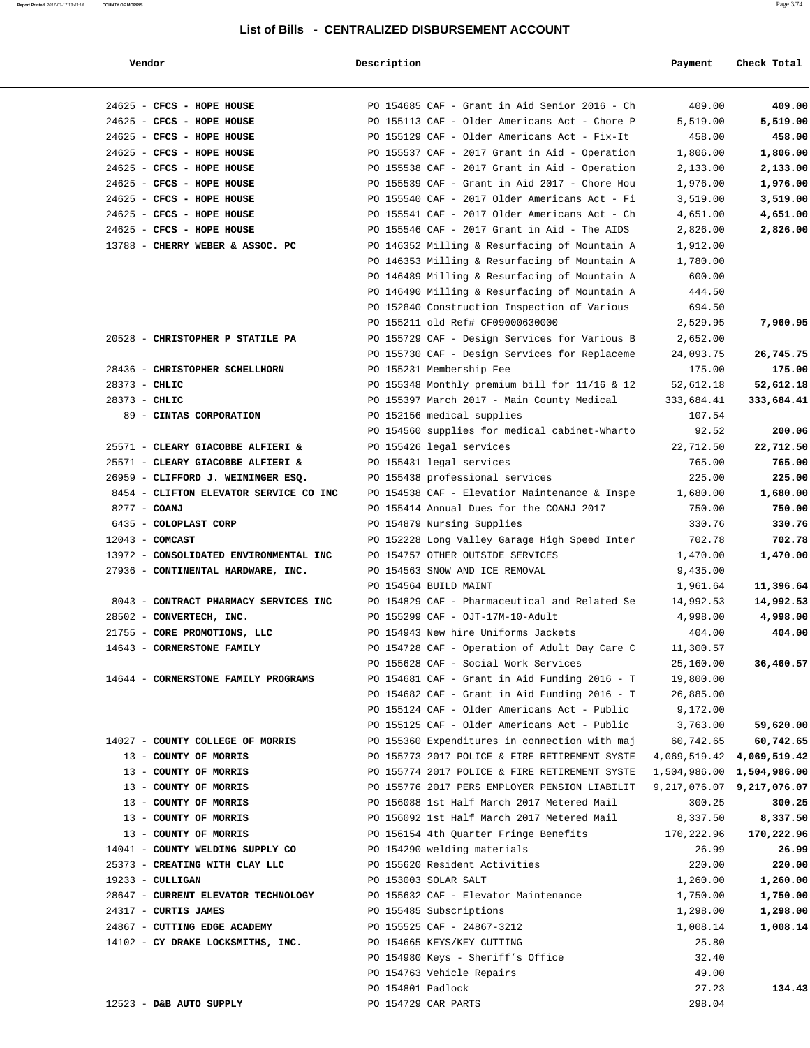#### **List of Bills - CENTRALIZED DISBURSEMENT ACCOUNT**

|--|

**Report Printed** 2017-03-17 13:41:14 **COUNTY OF MORRIS** Page 3/74

| Vendor                                            | Description                                     | Payment    | Check Total                   |
|---------------------------------------------------|-------------------------------------------------|------------|-------------------------------|
| 24625 - CFCS - HOPE HOUSE                         | PO 154685 CAF - Grant in Aid Senior 2016 - Ch   | 409.00     | 409.00                        |
| 24625 - CFCS - HOPE HOUSE                         | PO 155113 CAF - Older Americans Act - Chore P   | 5,519.00   | 5,519.00                      |
| 24625 - CFCS - HOPE HOUSE                         | PO 155129 CAF - Older Americans Act - Fix-It    | 458.00     | 458.00                        |
| 24625 - CFCS - HOPE HOUSE                         | PO 155537 CAF - 2017 Grant in Aid - Operation   | 1,806.00   | 1,806.00                      |
| 24625 - CFCS - HOPE HOUSE                         | PO 155538 CAF - 2017 Grant in Aid - Operation   | 2,133.00   | 2,133.00                      |
| 24625 - CFCS - HOPE HOUSE                         | PO 155539 CAF - Grant in Aid 2017 - Chore Hou   | 1,976.00   | 1,976.00                      |
| 24625 - CFCS - HOPE HOUSE                         | PO 155540 CAF - 2017 Older Americans Act - Fi   | 3,519.00   | 3,519.00                      |
| 24625 - CFCS - HOPE HOUSE                         | PO 155541 CAF - 2017 Older Americans Act - Ch   | 4,651.00   | 4,651.00                      |
| 24625 - CFCS - HOPE HOUSE                         | PO 155546 CAF - 2017 Grant in Aid - The AIDS    | 2,826.00   | 2,826.00                      |
| 13788 - CHERRY WEBER & ASSOC. PC                  | PO 146352 Milling & Resurfacing of Mountain A   | 1,912.00   |                               |
|                                                   | PO 146353 Milling & Resurfacing of Mountain A   | 1,780.00   |                               |
|                                                   | PO 146489 Milling & Resurfacing of Mountain A   | 600.00     |                               |
|                                                   | PO 146490 Milling & Resurfacing of Mountain A   | 444.50     |                               |
|                                                   | PO 152840 Construction Inspection of Various    | 694.50     |                               |
|                                                   | PO 155211 old Ref# CF09000630000                | 2,529.95   | 7,960.95                      |
| 20528 - CHRISTOPHER P STATILE PA                  | PO 155729 CAF - Design Services for Various B   | 2,652.00   |                               |
|                                                   |                                                 |            |                               |
|                                                   | PO 155730 CAF - Design Services for Replaceme   | 24,093.75  | 26,745.75                     |
| 28436 - CHRISTOPHER SCHELLHORN<br>$28373 - CHLIC$ | PO 155231 Membership Fee                        | 175.00     | 175.00                        |
|                                                   | PO 155348 Monthly premium bill for $11/16$ & 12 | 52,612.18  | 52,612.18                     |
| 28373 - CHLIC                                     | PO 155397 March 2017 - Main County Medical      | 333,684.41 | 333,684.41                    |
| 89 - CINTAS CORPORATION                           | PO 152156 medical supplies                      | 107.54     |                               |
|                                                   | PO 154560 supplies for medical cabinet-Wharto   | 92.52      | 200.06                        |
| 25571 - CLEARY GIACOBBE ALFIERI &                 | PO 155426 legal services                        | 22,712.50  | 22,712.50                     |
| 25571 - CLEARY GIACOBBE ALFIERI &                 | PO 155431 legal services                        | 765.00     | 765.00                        |
| 26959 - CLIFFORD J. WEININGER ESQ.                | PO 155438 professional services                 | 225.00     | 225.00                        |
| 8454 - CLIFTON ELEVATOR SERVICE CO INC            | PO 154538 CAF - Elevatior Maintenance & Inspe   | 1,680.00   | 1,680.00                      |
| 8277 - COANJ                                      | PO 155414 Annual Dues for the COANJ 2017        | 750.00     | 750.00                        |
| 6435 - COLOPLAST CORP                             | PO 154879 Nursing Supplies                      | 330.76     | 330.76                        |
| $12043$ - COMCAST                                 | PO 152228 Long Valley Garage High Speed Inter   | 702.78     | 702.78                        |
| 13972 - CONSOLIDATED ENVIRONMENTAL INC            | PO 154757 OTHER OUTSIDE SERVICES                | 1,470.00   | 1,470.00                      |
| 27936 - CONTINENTAL HARDWARE, INC.                | PO 154563 SNOW AND ICE REMOVAL                  | 9,435.00   |                               |
|                                                   | PO 154564 BUILD MAINT                           | 1,961.64   | 11,396.64                     |
| 8043 - CONTRACT PHARMACY SERVICES INC             | PO 154829 CAF - Pharmaceutical and Related Se   | 14,992.53  | 14,992.53                     |
| 28502 - CONVERTECH, INC.                          | PO 155299 CAF - OJT-17M-10-Adult                | 4,998.00   | 4,998.00                      |
| 21755 - CORE PROMOTIONS, LLC                      | PO 154943 New hire Uniforms Jackets             | 404.00     | 404.00                        |
| 14643 - CORNERSTONE FAMILY                        | PO 154728 CAF - Operation of Adult Day Care C   | 11,300.57  |                               |
|                                                   | PO 155628 CAF - Social Work Services            | 25,160.00  | 36,460.57                     |
| 14644 - CORNERSTONE FAMILY PROGRAMS               | PO 154681 CAF - Grant in Aid Funding 2016 - T   | 19,800.00  |                               |
|                                                   | PO 154682 CAF - Grant in Aid Funding 2016 - T   | 26,885.00  |                               |
|                                                   | PO 155124 CAF - Older Americans Act - Public    | 9,172.00   |                               |
|                                                   | PO 155125 CAF - Older Americans Act - Public    | 3,763.00   | 59,620.00                     |
| 14027 - COUNTY COLLEGE OF MORRIS                  | PO 155360 Expenditures in connection with maj   | 60,742.65  | 60,742.65                     |
| 13 - COUNTY OF MORRIS                             | PO 155773 2017 POLICE & FIRE RETIREMENT SYSTE   |            | 4,069,519.42 4,069,519.42     |
| 13 - COUNTY OF MORRIS                             | PO 155774 2017 POLICE & FIRE RETIREMENT SYSTE   |            | 1,504,986.00 1,504,986.00     |
| 13 - COUNTY OF MORRIS                             | PO 155776 2017 PERS EMPLOYER PENSION LIABILIT   |            | 9, 217, 076.07 9, 217, 076.07 |
| 13 - COUNTY OF MORRIS                             | PO 156088 1st Half March 2017 Metered Mail      | 300.25     | 300.25                        |
| 13 - COUNTY OF MORRIS                             | PO 156092 1st Half March 2017 Metered Mail      | 8,337.50   | 8,337.50                      |
| 13 - COUNTY OF MORRIS                             |                                                 |            |                               |
|                                                   | PO 156154 4th Quarter Fringe Benefits           | 170,222.96 | 170,222.96                    |
| 14041 - COUNTY WELDING SUPPLY CO                  | PO 154290 welding materials                     | 26.99      | 26.99                         |
| 25373 - CREATING WITH CLAY LLC                    | PO 155620 Resident Activities                   | 220.00     | 220.00                        |
| $19233 - \text{CULLIGAN}$                         | PO 153003 SOLAR SALT                            | 1,260.00   | 1,260.00                      |
| 28647 - CURRENT ELEVATOR TECHNOLOGY               | PO 155632 CAF - Elevator Maintenance            | 1,750.00   | 1,750.00                      |
| 24317 - CURTIS JAMES                              | PO 155485 Subscriptions                         | 1,298.00   | 1,298.00                      |
| 24867 - CUTTING EDGE ACADEMY                      | PO 155525 CAF - 24867-3212                      | 1,008.14   | 1,008.14                      |
| 14102 - CY DRAKE LOCKSMITHS, INC.                 | PO 154665 KEYS/KEY CUTTING                      | 25.80      |                               |
|                                                   | PO 154980 Keys - Sheriff's Office               | 32.40      |                               |
|                                                   | PO 154763 Vehicle Repairs                       | 49.00      |                               |
|                                                   | PO 154801 Padlock                               | 27.23      | 134.43                        |
| 12523 - D&B AUTO SUPPLY                           | PO 154729 CAR PARTS                             | 298.04     |                               |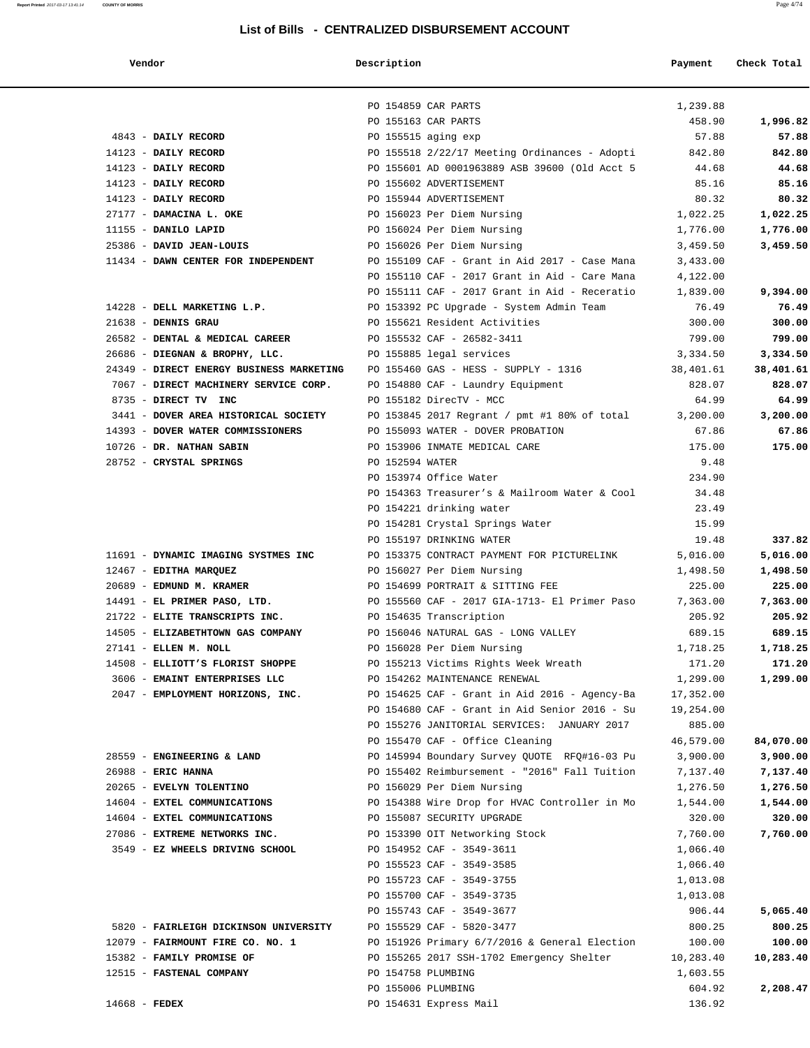| Renort Printed 2017-03-17 13:41:14 | <b>COUNTY OF MORRIS</b>                  |                 | List of Bills - CENTRALIZED DISBURSEMENT ACCOUNT |           | Page 4/74   |
|------------------------------------|------------------------------------------|-----------------|--------------------------------------------------|-----------|-------------|
|                                    | Vendor                                   | Description     |                                                  | Payment   | Check Total |
|                                    |                                          |                 | PO 154859 CAR PARTS                              | 1,239.88  |             |
|                                    |                                          |                 | PO 155163 CAR PARTS                              | 458.90    | 1,996.82    |
|                                    | 4843 - DAILY RECORD                      |                 | PO 155515 aging exp                              | 57.88     | 57.88       |
|                                    | 14123 - DAILY RECORD                     |                 | PO 155518 2/22/17 Meeting Ordinances - Adopti    | 842.80    | 842.80      |
|                                    | 14123 - DAILY RECORD                     |                 | PO 155601 AD 0001963889 ASB 39600 (Old Acct 5    | 44.68     | 44.68       |
|                                    | 14123 - DAILY RECORD                     |                 | PO 155602 ADVERTISEMENT                          | 85.16     | 85.16       |
|                                    | 14123 - DAILY RECORD                     |                 | PO 155944 ADVERTISEMENT                          | 80.32     | 80.32       |
|                                    | 27177 - DAMACINA L. OKE                  |                 | PO 156023 Per Diem Nursing                       | 1,022.25  | 1,022.25    |
|                                    | 11155 - DANILO LAPID                     |                 | PO 156024 Per Diem Nursing                       | 1,776.00  | 1,776.00    |
|                                    | 25386 - DAVID JEAN-LOUIS                 |                 | PO 156026 Per Diem Nursing                       | 3,459.50  | 3,459.50    |
|                                    | 11434 - DAWN CENTER FOR INDEPENDENT      |                 | PO 155109 CAF - Grant in Aid 2017 - Case Mana    | 3,433.00  |             |
|                                    |                                          |                 | PO 155110 CAF - 2017 Grant in Aid - Care Mana    | 4,122.00  |             |
|                                    |                                          |                 | PO 155111 CAF - 2017 Grant in Aid - Receratio    | 1,839.00  | 9,394.00    |
|                                    | 14228 - DELL MARKETING L.P.              |                 | PO 153392 PC Upgrade - System Admin Team         | 76.49     | 76.49       |
|                                    | $21638$ - DENNIS GRAU                    |                 | PO 155621 Resident Activities                    | 300.00    | 300.00      |
|                                    | 26582 - DENTAL & MEDICAL CAREER          |                 | PO 155532 CAF - 26582-3411                       | 799.00    | 799.00      |
|                                    | 26686 - DIEGNAN & BROPHY, LLC.           |                 | PO 155885 legal services                         | 3,334.50  | 3,334.50    |
|                                    | 24349 - DIRECT ENERGY BUSINESS MARKETING |                 | PO 155460 GAS - HESS - SUPPLY - 1316             | 38,401.61 | 38,401.61   |
|                                    | 7067 - DIRECT MACHINERY SERVICE CORP.    |                 | PO 154880 CAF - Laundry Equipment                | 828.07    | 828.07      |
|                                    | 8735 - DIRECT TV INC                     |                 | PO 155182 DirecTV - MCC                          | 64.99     | 64.99       |
|                                    | 3441 - DOVER AREA HISTORICAL SOCIETY     |                 | PO 153845 2017 Regrant / pmt #1 80% of total     | 3,200.00  | 3,200.00    |
|                                    | 14393 - DOVER WATER COMMISSIONERS        |                 | PO 155093 WATER - DOVER PROBATION                | 67.86     | 67.86       |
|                                    | 10726 - DR. NATHAN SABIN                 |                 | PO 153906 INMATE MEDICAL CARE                    | 175.00    | 175.00      |
|                                    | 28752 - CRYSTAL SPRINGS                  | PO 152594 WATER |                                                  | 9.48      |             |
|                                    |                                          |                 | PO 153974 Office Water                           | 234.90    |             |
|                                    |                                          |                 | PO 154363 Treasurer's & Mailroom Water & Cool    | 34.48     |             |
|                                    |                                          |                 | PO 154221 drinking water                         | 23.49     |             |
|                                    |                                          |                 | PO 154281 Crystal Springs Water                  | 15.99     |             |
|                                    |                                          |                 | PO 155197 DRINKING WATER                         | 19.48     | 337.82      |
|                                    | 11691 - DYNAMIC IMAGING SYSTMES INC      |                 | PO 153375 CONTRACT PAYMENT FOR PICTURELINK       | 5,016.00  | 5,016.00    |
|                                    | 12467 - EDITHA MARQUEZ                   |                 | PO 156027 Per Diem Nursing                       | 1,498.50  | 1,498.50    |
|                                    | 20689 - EDMUND M. KRAMER                 |                 | PO 154699 PORTRAIT & SITTING FEE                 | 225.00    | 225.00      |
|                                    | 14491 - EL PRIMER PASO, LTD.             |                 | PO 155560 CAF - 2017 GIA-1713- El Primer Paso    | 7,363.00  | 7,363.00    |
|                                    | 21722 - ELITE TRANSCRIPTS INC.           |                 | PO 154635 Transcription                          | 205.92    | 205.92      |
|                                    | 14505 - ELIZABETHTOWN GAS COMPANY        |                 | PO 156046 NATURAL GAS - LONG VALLEY              | 689.15    | 689.15      |
|                                    | 27141 - ELLEN M. NOLL                    |                 | PO 156028 Per Diem Nursing                       | 1,718.25  | 1,718.25    |
|                                    | 14508 - ELLIOTT'S FLORIST SHOPPE         |                 | PO 155213 Victims Rights Week Wreath             | 171.20    | 171.20      |
|                                    | 3606 - EMAINT ENTERPRISES LLC            |                 | PO 154262 MAINTENANCE RENEWAL                    | 1,299.00  | 1,299.00    |
|                                    | 2047 - EMPLOYMENT HORIZONS, INC.         |                 | PO 154625 CAF - Grant in Aid 2016 - Agency-Ba    | 17,352.00 |             |
|                                    |                                          |                 | PO 154680 CAF - Grant in Aid Senior 2016 - Su    | 19,254.00 |             |
|                                    |                                          |                 | PO 155276 JANITORIAL SERVICES: JANUARY 2017      | 885.00    |             |
|                                    |                                          |                 | PO 155470 CAF - Office Cleaning                  | 46,579.00 | 84,070.00   |

 28559 - **ENGINEERING & LAND** PO 145994 Boundary Survey QUOTE RFQ#16-03 Pu 3,900.00 **3,900.00** 26988 - **ERIC HANNA** PO 155402 Reimbursement - "2016" Fall Tuition 7,137.40 **7,137.40** 20265 - **EVELYN TOLENTINO** PO 156029 Per Diem Nursing 1,276.50 **1,276.50** 14604 - **EXTEL COMMUNICATIONS** PO 154388 Wire Drop for HVAC Controller in Mo 1,544.00 **1,544.00** 14604 - **EXTEL COMMUNICATIONS** PO 155087 SECURITY UPGRADE 320.00 **320.00** 27086 - **EXTREME NETWORKS INC.** PO 153390 OIT Networking Stock 7,760.00 **7,760.00**

 PO 155743 CAF - 3549-3677 906.44 **5,065.40** 5820 - **FAIRLEIGH DICKINSON UNIVERSITY** PO 155529 CAF - 5820-3477 800.25 **800.25** 12079 - **FAIRMOUNT FIRE CO. NO. 1** PO 151926 Primary 6/7/2016 & General Election 100.00 **100.00** 15382 - **FAMILY PROMISE OF** PO 155265 2017 SSH-1702 Emergency Shelter 10,283.40 **10,283.40**

PO 155006 PLUMBING 604.92 **2,208.47**

PO 155523 CAF - 3549-3585 1,066.40 PO 155723 CAF - 3549-3755 1,013.08 PO 155700 CAF - 3549-3735 1,013.08

PO 154758 PLUMBING 1,603.55

|                                 | PO 155470 CAF - Office Cleaning               | 46,579.00 |
|---------------------------------|-----------------------------------------------|-----------|
| 28559 - ENGINEERING & LAND      | PO 145994 Boundary Survey OUOTE RFO#16-03 Pu  | 3,900.00  |
| $26988$ - ERIC HANNA            | PO 155402 Reimbursement - "2016" Fall Tuition | 7,137.40  |
| 20265 - EVELYN TOLENTINO        | PO 156029 Per Diem Nursing                    | 1,276.50  |
| 14604 - EXTEL COMMUNICATIONS    | PO 154388 Wire Drop for HVAC Controller in Mo | 1,544.00  |
| 14604 - EXTEL COMMUNICATIONS    | PO 155087 SECURITY UPGRADE                    | 320.00    |
| 27086 - EXTREME NETWORKS INC.   | PO 153390 OIT Networking Stock                | 7,760.00  |
| 3549 - EZ WHEELS DRIVING SCHOOL | PO 154952 CAF - 3549-3611                     | 1,066.40  |

|  | 5820 - FAIRLEIGH DICKINSON UNIVERSITY |
|--|---------------------------------------|
|  | 12079 - FAIRMOUNT FIRE CO. NO. 1      |
|  | 15382 - FAMILY PROMISE OF             |
|  | 12515 - FASTENAL COMPANY              |
|  |                                       |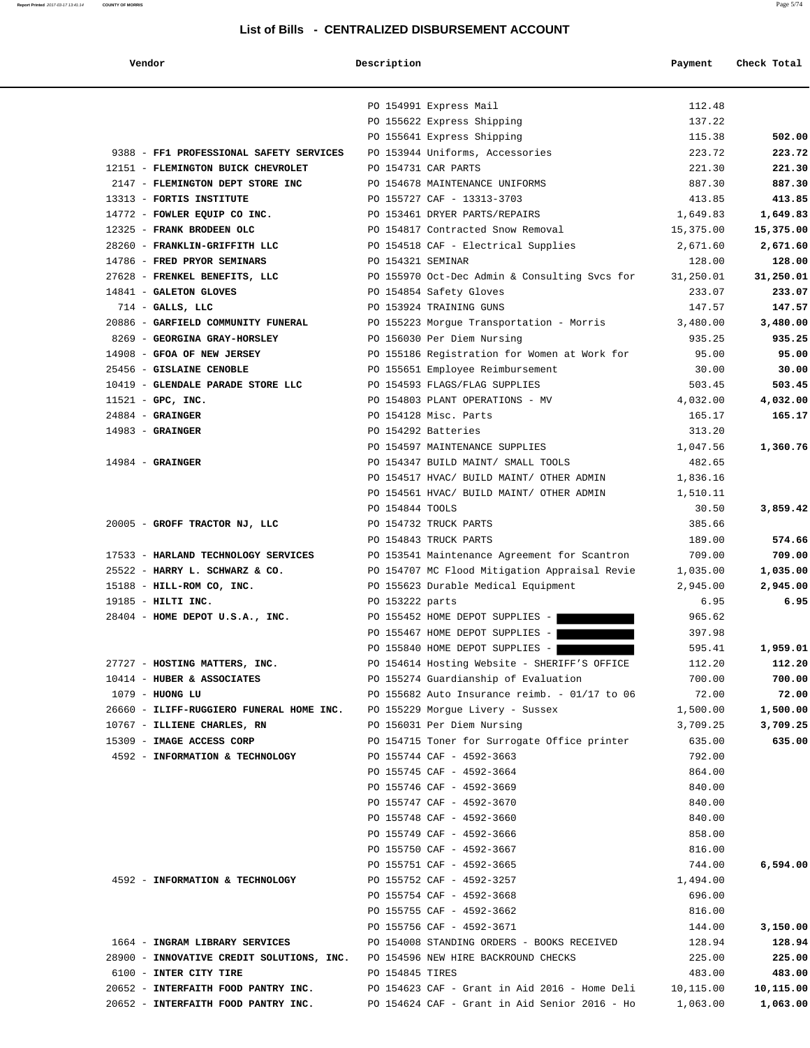#### **Report Printed** 2017-03-17 13:41:14 **COUNTY OF MORRIS** Page 5/74

#### **List of Bills - CENTRALIZED DISBURSEMENT ACCOUNT**

|                                          | PO 154991 Express Mail               |                                                 | 112.48             |           |
|------------------------------------------|--------------------------------------|-------------------------------------------------|--------------------|-----------|
|                                          | PO 155622 Express Shipping           |                                                 | 137.22             |           |
|                                          | PO 155641 Express Shipping           |                                                 | 115.38             | 502.00    |
| 9388 - FF1 PROFESSIONAL SAFETY SERVICES  | PO 153944 Uniforms, Accessories      |                                                 | 223.72             | 223.72    |
| 12151 - FLEMINGTON BUICK CHEVROLET       | PO 154731 CAR PARTS                  |                                                 | 221.30             | 221.30    |
| 2147 - FLEMINGTON DEPT STORE INC         | PO 154678 MAINTENANCE UNIFORMS       |                                                 | 887.30             | 887.30    |
| 13313 - FORTIS INSTITUTE                 | PO 155727 CAF - 13313-3703           |                                                 | 413.85             | 413.85    |
| 14772 - FOWLER EQUIP CO INC.             | PO 153461 DRYER PARTS/REPAIRS        |                                                 | 1,649.83           | 1,649.83  |
| 12325 - FRANK BRODEEN OLC                | PO 154817 Contracted Snow Removal    |                                                 | 15,375.00          | 15,375.00 |
| 28260 - FRANKLIN-GRIFFITH LLC            | PO 154518 CAF - Electrical Supplies  |                                                 | 2,671.60           | 2,671.60  |
| 14786 - FRED PRYOR SEMINARS              | PO 154321 SEMINAR                    |                                                 | 128.00             | 128.00    |
| 27628 - FRENKEL BENEFITS, LLC            |                                      | PO 155970 Oct-Dec Admin & Consulting Svcs for   | 31,250.01          | 31,250.01 |
| 14841 - GALETON GLOVES                   | PO 154854 Safety Gloves              |                                                 | 233.07             | 233.07    |
| $714$ - GALLS, LLC                       | PO 153924 TRAINING GUNS              |                                                 | 147.57             | 147.57    |
| 20886 - GARFIELD COMMUNITY FUNERAL       |                                      | PO 155223 Morgue Transportation - Morris        | 3,480.00           | 3,480.00  |
| 8269 - GEORGINA GRAY-HORSLEY             | PO 156030 Per Diem Nursing           |                                                 | 935.25             | 935.25    |
| 14908 - GFOA OF NEW JERSEY               |                                      | PO 155186 Registration for Women at Work for    | 95.00              | 95.00     |
| 25456 - GISLAINE CENOBLE                 | PO 155651 Employee Reimbursement     |                                                 | 30.00              | 30.00     |
| 10419 - GLENDALE PARADE STORE LLC        | PO 154593 FLAGS/FLAG SUPPLIES        |                                                 | 503.45             | 503.45    |
| $11521 - GPC$ , INC.                     | PO 154803 PLANT OPERATIONS - MV      |                                                 | 4,032.00           | 4,032.00  |
| $24884$ - GRAINGER                       | PO 154128 Misc. Parts                |                                                 | 165.17             | 165.17    |
| $14983$ - GRAINGER                       | PO 154292 Batteries                  |                                                 | 313.20             |           |
|                                          | PO 154597 MAINTENANCE SUPPLIES       |                                                 | 1,047.56           | 1,360.76  |
| $14984$ - GRAINGER                       | PO 154347 BUILD MAINT/ SMALL TOOLS   |                                                 | 482.65             |           |
|                                          |                                      | PO 154517 HVAC/ BUILD MAINT/ OTHER ADMIN        | 1,836.16           |           |
|                                          |                                      | PO 154561 HVAC/ BUILD MAINT/ OTHER ADMIN        | 1,510.11           |           |
|                                          | PO 154844 TOOLS                      |                                                 | 30.50              | 3,859.42  |
| 20005 - GROFF TRACTOR NJ, LLC            | PO 154732 TRUCK PARTS                |                                                 | 385.66             |           |
|                                          | PO 154843 TRUCK PARTS                |                                                 | 189.00             | 574.66    |
| 17533 - HARLAND TECHNOLOGY SERVICES      |                                      | PO 153541 Maintenance Agreement for Scantron    | 709.00             | 709.00    |
| 25522 - HARRY L. SCHWARZ & CO.           |                                      | PO 154707 MC Flood Mitigation Appraisal Revie   | 1,035.00           | 1,035.00  |
| $15188$ - HILL-ROM CO, INC.              | PO 155623 Durable Medical Equipment  |                                                 | 2,945.00           | 2,945.00  |
| 19185 - HILTI INC.                       | PO 153222 parts                      |                                                 | 6.95               | 6.95      |
| $28404$ - HOME DEPOT U.S.A., INC.        | PO 155452 HOME DEPOT SUPPLIES -      |                                                 | 965.62             |           |
|                                          | PO 155467 HOME DEPOT SUPPLIES -      |                                                 | 397.98             |           |
|                                          | PO 155840 HOME DEPOT SUPPLIES -      |                                                 | 595.41             | 1,959.01  |
| 27727 - HOSTING MATTERS, INC.            |                                      | PO 154614 Hosting Website - SHERIFF'S OFFICE    | 112.20             | 112.20    |
| 10414 - HUBER & ASSOCIATES               | PO 155274 Guardianship of Evaluation |                                                 | 700.00             | 700.00    |
| $1079$ - HUONG LU                        |                                      | PO 155682 Auto Insurance reimb. - $01/17$ to 06 | 72.00              | 72.00     |
| 26660 - ILIFF-RUGGIERO FUNERAL HOME INC. | PO 155229 Morgue Livery - Sussex     |                                                 | 1,500.00           | 1,500.00  |
| 10767 - ILLIENE CHARLES, RN              | PO 156031 Per Diem Nursing           |                                                 | 3,709.25           | 3,709.25  |
| 15309 - IMAGE ACCESS CORP                |                                      | PO 154715 Toner for Surrogate Office printer    | 635.00             | 635.00    |
| 4592 - INFORMATION & TECHNOLOGY          | PO 155744 CAF - 4592-3663            |                                                 | 792.00             |           |
|                                          | PO 155745 CAF - 4592-3664            |                                                 | 864.00             |           |
|                                          | PO 155746 CAF - 4592-3669            |                                                 | 840.00             |           |
|                                          | PO 155747 CAF - 4592-3670            |                                                 | 840.00             |           |
|                                          | PO 155748 CAF - 4592-3660            |                                                 | 840.00             |           |
|                                          | PO 155749 CAF - 4592-3666            |                                                 | 858.00             |           |
|                                          | PO 155750 CAF - 4592-3667            |                                                 | 816.00             |           |
|                                          | PO 155751 CAF - 4592-3665            |                                                 | 744.00             | 6,594.00  |
| 4592 - INFORMATION & TECHNOLOGY          | PO 155752 CAF - 4592-3257            |                                                 |                    |           |
|                                          | PO 155754 CAF - 4592-3668            |                                                 | 1,494.00<br>696.00 |           |
|                                          | PO 155755 CAF - 4592-3662            |                                                 | 816.00             |           |
|                                          | PO 155756 CAF - 4592-3671            |                                                 | 144.00             | 3.150.00  |
|                                          |                                      |                                                 |                    |           |

|  | 1664 - INGRAM LIBRARY SERVICES            |
|--|-------------------------------------------|
|  | 28900 - INNOVATIVE CREDIT SOLUTIONS, INC. |
|  | 6100 - INTER CITY TIRE                    |
|  | 20652 - INTERFAITH FOOD PANTRY INC.       |
|  |                                           |

 $10. -01/17$  to 06 72.00 72.00 PO 155751 CAF - 4592-3665 744.00 **6,594.00** PO 155756 CAF - 4592-3671 144.00 **3,150.00** 1664 - **INGRAM LIBRARY SERVICES** PO 154008 STANDING ORDERS - BOOKS RECEIVED 128.94 **128.94** PO 154596 NEW HIRE BACKROUND CHECKS 225.00 225.00 6100 - **INTER CITY TIRE** PO 154845 TIRES 483.00 **483.00** 20652 - **INTERFAITH FOOD PANTRY INC.** PO 154623 CAF - Grant in Aid 2016 - Home Deli 10,115.00 **10,115.00** 20652 - **INTERFAITH FOOD PANTRY INC.** PO 154624 CAF - Grant in Aid Senior 2016 - Ho 1,063.00 **1,063.00**

#### **Vendor Description Payment Check Total**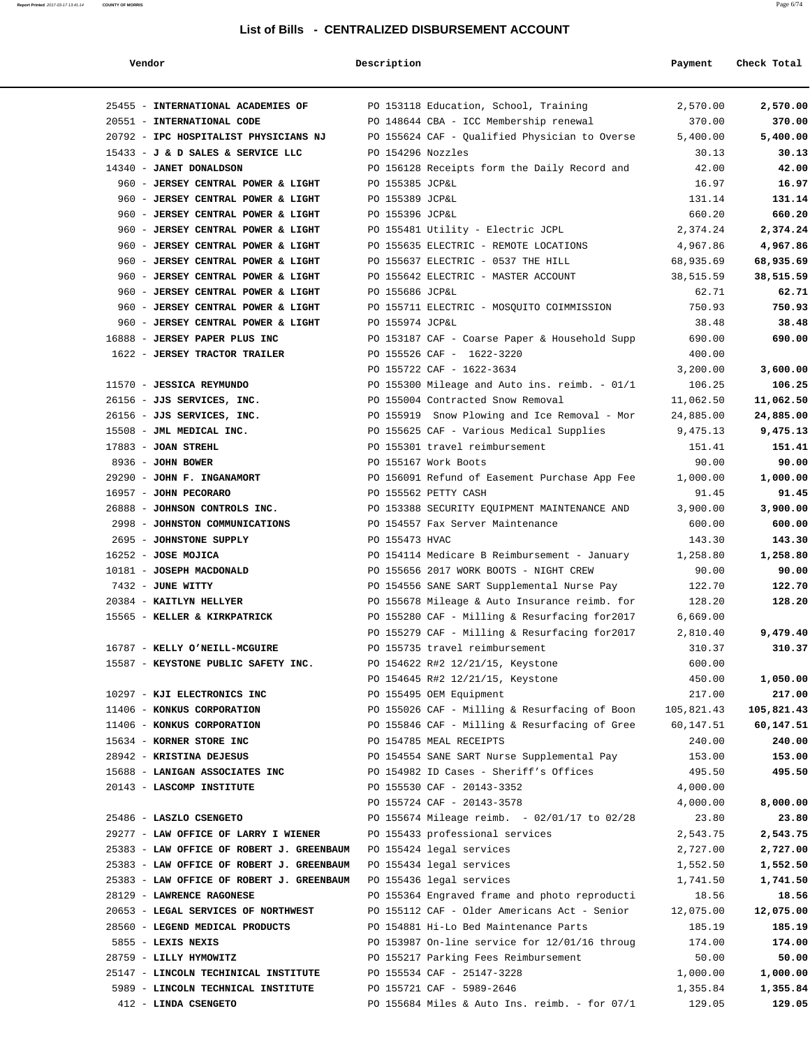#### **Report Printed** 2017-03-17 13:41:14 **COUNTY OF MORRIS** Page 6/74

#### **List of Bills - CENTRALIZED DISBURSEMENT ACCOUNT**

| Vendor                                                                 | Description                                                                              | Payment               | Check Total           |
|------------------------------------------------------------------------|------------------------------------------------------------------------------------------|-----------------------|-----------------------|
| 25455 - INTERNATIONAL ACADEMIES OF                                     | PO 153118 Education, School, Training                                                    | 2,570.00              | 2,570.00              |
| 20551 - INTERNATIONAL CODE                                             | PO 148644 CBA - ICC Membership renewal                                                   | 370.00                | 370.00                |
| 20792 - IPC HOSPITALIST PHYSICIANS NJ                                  | PO 155624 CAF - Qualified Physician to Overse                                            | 5,400.00              | 5,400.00              |
| 15433 - J & D SALES & SERVICE LLC                                      | PO 154296 Nozzles                                                                        | 30.13                 | 30.13                 |
| 14340 - JANET DONALDSON                                                | PO 156128 Receipts form the Daily Record and                                             | 42.00                 | 42.00                 |
| 960 - JERSEY CENTRAL POWER & LIGHT                                     | PO 155385 JCP&L                                                                          | 16.97                 | 16.97                 |
| 960 - JERSEY CENTRAL POWER & LIGHT                                     | PO 155389 JCP&L                                                                          | 131.14                | 131.14                |
| 960 - JERSEY CENTRAL POWER & LIGHT                                     | PO 155396 JCP&L                                                                          | 660.20                | 660.20                |
| 960 - JERSEY CENTRAL POWER & LIGHT                                     | PO 155481 Utility - Electric JCPL                                                        | 2,374.24              | 2,374.24              |
| 960 - JERSEY CENTRAL POWER & LIGHT                                     | PO 155635 ELECTRIC - REMOTE LOCATIONS                                                    | 4,967.86              | 4,967.86              |
| 960 - JERSEY CENTRAL POWER & LIGHT                                     | PO 155637 ELECTRIC - 0537 THE HILL                                                       | 68,935.69             | 68,935.69             |
| 960 - JERSEY CENTRAL POWER & LIGHT                                     | PO 155642 ELECTRIC - MASTER ACCOUNT                                                      | 38,515.59             | 38,515.59             |
| 960 - JERSEY CENTRAL POWER & LIGHT                                     | PO 155686 JCP&L                                                                          | 62.71                 | 62.71                 |
| 960 - JERSEY CENTRAL POWER & LIGHT                                     | PO 155711 ELECTRIC - MOSOUITO COIMMISSION                                                | 750.93                | 750.93                |
| 960 - JERSEY CENTRAL POWER & LIGHT                                     | PO 155974 JCP&L                                                                          | 38.48                 | 38.48                 |
| 16888 - JERSEY PAPER PLUS INC                                          | PO 153187 CAF - Coarse Paper & Household Supp                                            | 690.00                | 690.00                |
| 1622 - JERSEY TRACTOR TRAILER                                          | PO 155526 CAF - 1622-3220                                                                | 400.00                |                       |
|                                                                        | PO 155722 CAF - 1622-3634                                                                | 3,200.00              | 3,600.00              |
| 11570 - JESSICA REYMUNDO<br>26156 - JJS SERVICES, INC.                 | PO 155300 Mileage and Auto ins. reimb. - 01/1                                            | 106.25<br>11,062.50   | 106.25                |
| 26156 - JJS SERVICES, INC.                                             | PO 155004 Contracted Snow Removal                                                        |                       | 11,062.50             |
| 15508 - JML MEDICAL INC.                                               | PO 155919 Snow Plowing and Ice Removal - Mor<br>PO 155625 CAF - Various Medical Supplies | 24,885.00<br>9,475.13 | 24,885.00<br>9,475.13 |
| $17883$ - JOAN STREHL                                                  | PO 155301 travel reimbursement                                                           | 151.41                | 151.41                |
| 8936 - JOHN BOWER                                                      | PO 155167 Work Boots                                                                     | 90.00                 | 90.00                 |
| 29290 - JOHN F. INGANAMORT                                             | PO 156091 Refund of Easement Purchase App Fee                                            | 1,000.00              | 1,000.00              |
| 16957 - JOHN PECORARO                                                  | PO 155562 PETTY CASH                                                                     | 91.45                 | 91.45                 |
| 26888 - JOHNSON CONTROLS INC.                                          | PO 153388 SECURITY EQUIPMENT MAINTENANCE AND                                             | 3,900.00              | 3,900.00              |
| 2998 - JOHNSTON COMMUNICATIONS                                         | PO 154557 Fax Server Maintenance                                                         | 600.00                | 600.00                |
| 2695 - JOHNSTONE SUPPLY                                                | PO 155473 HVAC                                                                           | 143.30                | 143.30                |
| $16252 - JOSE MOJICA$                                                  | PO 154114 Medicare B Reimbursement - January                                             | 1,258.80              | 1,258.80              |
| 10181 - JOSEPH MACDONALD                                               | PO 155656 2017 WORK BOOTS - NIGHT CREW                                                   | 90.00                 | 90.00                 |
| 7432 - JUNE WITTY                                                      | PO 154556 SANE SART Supplemental Nurse Pay                                               | 122.70                | 122.70                |
| 20384 - KAITLYN HELLYER                                                | PO 155678 Mileage & Auto Insurance reimb. for                                            | 128.20                | 128.20                |
| 15565 - KELLER & KIRKPATRICK                                           | PO 155280 CAF - Milling & Resurfacing for2017                                            | 6,669.00              |                       |
|                                                                        | PO 155279 CAF - Milling & Resurfacing for 2017                                           | 2,810.40              | 9,479.40              |
| 16787 - KELLY O'NEILL-MCGUIRE                                          | PO 155735 travel reimbursement                                                           | 310.37                | 310.37                |
| 15587 - KEYSTONE PUBLIC SAFETY INC.                                    | PO 154622 R#2 12/21/15, Keystone                                                         | 600.00                |                       |
|                                                                        | PO 154645 R#2 12/21/15, Keystone                                                         | 450.00                | 1,050.00              |
| 10297 - KJI ELECTRONICS INC                                            | PO 155495 OEM Equipment                                                                  | 217.00                | 217.00                |
| 11406 - KONKUS CORPORATION                                             | PO 155026 CAF - Milling & Resurfacing of Boon                                            | 105,821.43            | 105,821.43            |
| 11406 - KONKUS CORPORATION                                             | PO 155846 CAF - Milling & Resurfacing of Gree                                            | 60,147.51             | 60,147.51             |
| 15634 - KORNER STORE INC                                               | PO 154785 MEAL RECEIPTS                                                                  | 240.00                | 240.00                |
| 28942 - KRISTINA DEJESUS                                               | PO 154554 SANE SART Nurse Supplemental Pay                                               | 153.00                | 153.00                |
| 15688 - LANIGAN ASSOCIATES INC                                         | PO 154982 ID Cases - Sheriff's Offices                                                   | 495.50                | 495.50                |
| 20143 - LASCOMP INSTITUTE                                              | PO 155530 CAF - 20143-3352                                                               | 4,000.00              |                       |
|                                                                        | PO 155724 CAF - 20143-3578                                                               | 4,000.00              | 8,000.00              |
| 25486 - LASZLO CSENGETO                                                | PO 155674 Mileage reimb. - 02/01/17 to 02/28                                             | 23.80                 | 23.80                 |
| 29277 - LAW OFFICE OF LARRY I WIENER                                   | PO 155433 professional services                                                          | 2,543.75              | 2,543.75              |
| 25383 - LAW OFFICE OF ROBERT J. GREENBAUM                              | PO 155424 legal services                                                                 | 2,727.00              | 2,727.00              |
| 25383 - LAW OFFICE OF ROBERT J. GREENBAUM                              | PO 155434 legal services                                                                 | 1,552.50              | 1,552.50              |
| 25383 - LAW OFFICE OF ROBERT J. GREENBAUM<br>28129 - LAWRENCE RAGONESE | PO 155436 legal services<br>PO 155364 Engraved frame and photo reproducti                | 1,741.50<br>18.56     | 1,741.50<br>18.56     |
| 20653 - LEGAL SERVICES OF NORTHWEST                                    | PO 155112 CAF - Older Americans Act - Senior                                             | 12,075.00             | 12,075.00             |
| 28560 - LEGEND MEDICAL PRODUCTS                                        | PO 154881 Hi-Lo Bed Maintenance Parts                                                    | 185.19                | 185.19                |
| 5855 - LEXIS NEXIS                                                     | PO 153987 On-line service for 12/01/16 throug                                            | 174.00                | 174.00                |
| 28759 - LILLY HYMOWITZ                                                 | PO 155217 Parking Fees Reimbursement                                                     | 50.00                 | 50.00                 |
| 25147 - LINCOLN TECHINICAL INSTITUTE                                   | PO 155534 CAF - 25147-3228                                                               | 1,000.00              | 1,000.00              |
| 5989 - LINCOLN TECHNICAL INSTITUTE                                     | PO 155721 CAF - 5989-2646                                                                | 1,355.84              | 1,355.84              |
| 412 - LINDA CSENGETO                                                   | PO 155684 Miles & Auto Ins. reimb. - for $07/1$                                          | 129.05                | 129.05                |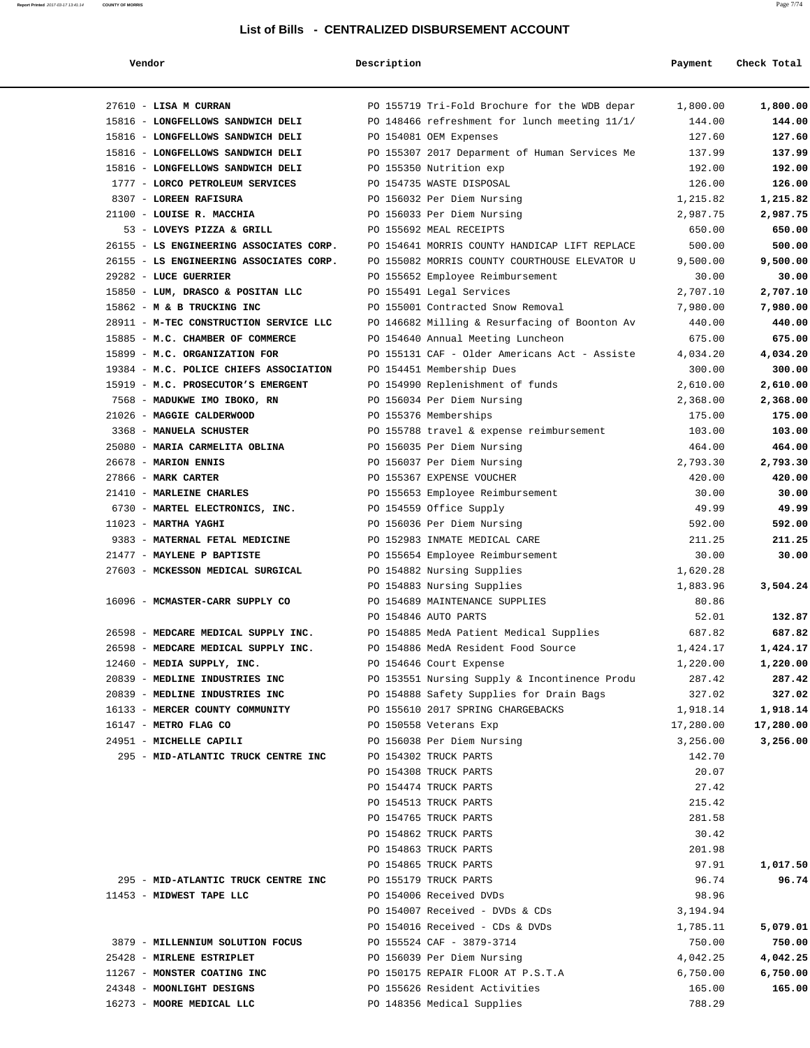#### **List of Bills - CENTRALIZED DISBURSEMENT ACCOUNT**

#### **Vendor Description Payment Check Total**

**Report Printed** 2017-03-17 13:41:14 **COUNTY OF MORRIS** Page 7/74

| 27610 - LISA M CURRAN                   | PO 155719 Tri-Fold Brochure for the WDB depar | 1,800.00  | 1,800.00  |
|-----------------------------------------|-----------------------------------------------|-----------|-----------|
| 15816 - LONGFELLOWS SANDWICH DELI       | PO 148466 refreshment for lunch meeting 11/1/ | 144.00    | 144.00    |
| 15816 - LONGFELLOWS SANDWICH DELI       | PO 154081 OEM Expenses                        | 127.60    | 127.60    |
| 15816 - LONGFELLOWS SANDWICH DELI       | PO 155307 2017 Deparment of Human Services Me | 137.99    | 137.99    |
| 15816 - LONGFELLOWS SANDWICH DELI       | PO 155350 Nutrition exp                       | 192.00    | 192.00    |
| 1777 - LORCO PETROLEUM SERVICES         | PO 154735 WASTE DISPOSAL                      | 126.00    | 126.00    |
| 8307 - LOREEN RAFISURA                  | PO 156032 Per Diem Nursing                    | 1,215.82  | 1,215.82  |
| 21100 - LOUISE R. MACCHIA               | PO 156033 Per Diem Nursing                    | 2,987.75  | 2,987.75  |
| 53 - LOVEYS PIZZA & GRILL               | PO 155692 MEAL RECEIPTS                       | 650.00    | 650.00    |
| 26155 - LS ENGINEERING ASSOCIATES CORP. | PO 154641 MORRIS COUNTY HANDICAP LIFT REPLACE | 500.00    | 500.00    |
| 26155 - LS ENGINEERING ASSOCIATES CORP. | PO 155082 MORRIS COUNTY COURTHOUSE ELEVATOR U | 9,500.00  | 9,500.00  |
| 29282 - LUCE GUERRIER                   | PO 155652 Employee Reimbursement              | 30.00     | 30.00     |
| 15850 - LUM, DRASCO & POSITAN LLC       | PO 155491 Legal Services                      | 2,707.10  | 2,707.10  |
| 15862 - M & B TRUCKING INC              | PO 155001 Contracted Snow Removal             | 7,980.00  | 7,980.00  |
| 28911 - M-TEC CONSTRUCTION SERVICE LLC  | PO 146682 Milling & Resurfacing of Boonton Av | 440.00    | 440.00    |
| 15885 - M.C. CHAMBER OF COMMERCE        | PO 154640 Annual Meeting Luncheon             | 675.00    | 675.00    |
| 15899 - M.C. ORGANIZATION FOR           | PO 155131 CAF - Older Americans Act - Assiste | 4,034.20  | 4,034.20  |
| 19384 - M.C. POLICE CHIEFS ASSOCIATION  | PO 154451 Membership Dues                     | 300.00    | 300.00    |
| 15919 - M.C. PROSECUTOR'S EMERGENT      | PO 154990 Replenishment of funds              | 2,610.00  | 2,610.00  |
| 7568 - MADUKWE IMO IBOKO, RN            | PO 156034 Per Diem Nursing                    | 2,368.00  | 2,368.00  |
| 21026 - MAGGIE CALDERWOOD               | PO 155376 Memberships                         | 175.00    | 175.00    |
| 3368 - MANUELA SCHUSTER                 | PO 155788 travel & expense reimbursement      | 103.00    | 103.00    |
| 25080 - MARIA CARMELITA OBLINA          | PO 156035 Per Diem Nursing                    | 464.00    | 464.00    |
| 26678 - MARION ENNIS                    | PO 156037 Per Diem Nursing                    | 2,793.30  | 2,793.30  |
| 27866 - MARK CARTER                     | PO 155367 EXPENSE VOUCHER                     | 420.00    | 420.00    |
| 21410 - MARLEINE CHARLES                | PO 155653 Employee Reimbursement              | 30.00     | 30.00     |
| 6730 - MARTEL ELECTRONICS, INC.         | PO 154559 Office Supply                       | 49.99     | 49.99     |
| $11023$ - MARTHA YAGHI                  | PO 156036 Per Diem Nursing                    | 592.00    | 592.00    |
| 9383 - MATERNAL FETAL MEDICINE          | PO 152983 INMATE MEDICAL CARE                 | 211.25    | 211.25    |
| 21477 - MAYLENE P BAPTISTE              | PO 155654 Employee Reimbursement              | 30.00     | 30.00     |
| 27603 - MCKESSON MEDICAL SURGICAL       | PO 154882 Nursing Supplies                    | 1,620.28  |           |
|                                         | PO 154883 Nursing Supplies                    | 1,883.96  | 3,504.24  |
| 16096 - MCMASTER-CARR SUPPLY CO         | PO 154689 MAINTENANCE SUPPLIES                | 80.86     |           |
|                                         | PO 154846 AUTO PARTS                          | 52.01     | 132.87    |
| 26598 - MEDCARE MEDICAL SUPPLY INC.     | PO 154885 MedA Patient Medical Supplies       | 687.82    | 687.82    |
| 26598 - MEDCARE MEDICAL SUPPLY INC.     | PO 154886 MedA Resident Food Source           | 1,424.17  | 1,424.17  |
| 12460 - MEDIA SUPPLY, INC.              | PO 154646 Court Expense                       | 1,220.00  | 1,220.00  |
| 20839 - MEDLINE INDUSTRIES INC          | PO 153551 Nursing Supply & Incontinence Produ | 287.42    | 287.42    |
| 20839 - MEDLINE INDUSTRIES INC          | PO 154888 Safety Supplies for Drain Bags      | 327.02    | 327.02    |
| 16133 - MERCER COUNTY COMMUNITY         | PO 155610 2017 SPRING CHARGEBACKS             | 1,918.14  | 1,918.14  |
| 16147 - METRO FLAG CO                   | PO 150558 Veterans Exp                        | 17,280.00 | 17,280.00 |
| 24951 - MICHELLE CAPILI                 | PO 156038 Per Diem Nursing                    | 3,256.00  | 3,256.00  |
| 295 - MID-ATLANTIC TRUCK CENTRE INC     | PO 154302 TRUCK PARTS                         | 142.70    |           |
|                                         | PO 154308 TRUCK PARTS                         | 20.07     |           |
|                                         | PO 154474 TRUCK PARTS                         | 27.42     |           |
|                                         | PO 154513 TRUCK PARTS                         | 215.42    |           |
|                                         | PO 154765 TRUCK PARTS                         | 281.58    |           |
|                                         | PO 154862 TRUCK PARTS                         | 30.42     |           |
|                                         | PO 154863 TRUCK PARTS                         | 201.98    |           |
|                                         | PO 154865 TRUCK PARTS                         | 97.91     | 1,017.50  |
| 295 - MID-ATLANTIC TRUCK CENTRE INC     | PO 155179 TRUCK PARTS                         | 96.74     | 96.74     |
| 11453 - MIDWEST TAPE LLC                | PO 154006 Received DVDs                       | 98.96     |           |
|                                         |                                               |           |           |
|                                         | PO 154007 Received - DVDs & CDs               | 3,194.94  |           |
|                                         | PO 154016 Received - CDs & DVDs               | 1,785.11  | 5,079.01  |
| 3879 - MILLENNIUM SOLUTION FOCUS        | PO 155524 CAF - 3879-3714                     | 750.00    | 750.00    |
| 25428 - MIRLENE ESTRIPLET               | PO 156039 Per Diem Nursing                    | 4,042.25  | 4,042.25  |
| 11267 - MONSTER COATING INC             | PO 150175 REPAIR FLOOR AT P.S.T.A             | 6,750.00  | 6,750.00  |
| 24348 - MOONLIGHT DESIGNS               | PO 155626 Resident Activities                 | 165.00    | 165.00    |
| 16273 - MOORE MEDICAL LLC               | PO 148356 Medical Supplies                    | 788.29    |           |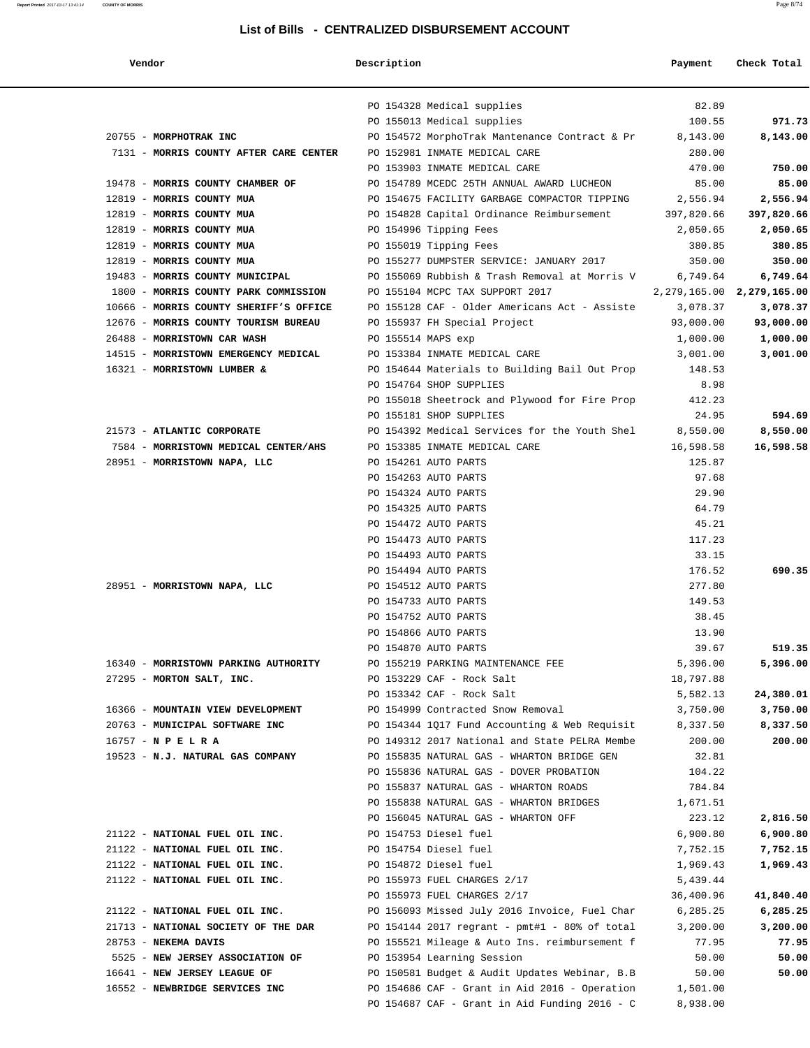#### **Report Printed** 2017-03-17 13:41:14 **COUNTY OF MORRIS** Page 8/74

#### **List of Bills - CENTRALIZED DISBURSEMENT ACCOUNT**

| Vendor                                 | Description        |                                                              | Payment              | Check Total                   |
|----------------------------------------|--------------------|--------------------------------------------------------------|----------------------|-------------------------------|
|                                        |                    | PO 154328 Medical supplies                                   | 82.89                |                               |
|                                        |                    | PO 155013 Medical supplies                                   | 100.55               | 971.73                        |
| 20755 - MORPHOTRAK INC                 |                    | PO 154572 MorphoTrak Mantenance Contract & Pr                | 8,143.00             | 8,143.00                      |
| 7131 - MORRIS COUNTY AFTER CARE CENTER |                    | PO 152981 INMATE MEDICAL CARE                                | 280.00               |                               |
|                                        |                    | PO 153903 INMATE MEDICAL CARE                                | 470.00               | 750.00                        |
| 19478 - MORRIS COUNTY CHAMBER OF       |                    | PO 154789 MCEDC 25TH ANNUAL AWARD LUCHEON                    | 85.00                | 85.00                         |
| 12819 - MORRIS COUNTY MUA              |                    | PO 154675 FACILITY GARBAGE COMPACTOR TIPPING                 | 2,556.94             | 2,556.94                      |
| 12819 - MORRIS COUNTY MUA              |                    | PO 154828 Capital Ordinance Reimbursement                    | 397,820.66           | 397,820.66                    |
| 12819 - MORRIS COUNTY MUA              |                    | PO 154996 Tipping Fees                                       | 2,050.65             | 2,050.65                      |
| 12819 - MORRIS COUNTY MUA              |                    | PO 155019 Tipping Fees                                       | 380.85               | 380.85                        |
| 12819 - MORRIS COUNTY MUA              |                    | PO 155277 DUMPSTER SERVICE: JANUARY 2017                     | 350.00               | 350.00                        |
| 19483 - MORRIS COUNTY MUNICIPAL        |                    | PO 155069 Rubbish & Trash Removal at Morris V                | 6,749.64             | 6,749.64                      |
| 1800 - MORRIS COUNTY PARK COMMISSION   |                    | PO 155104 MCPC TAX SUPPORT 2017                              |                      | 2, 279, 165.00 2, 279, 165.00 |
| 10666 - MORRIS COUNTY SHERIFF'S OFFICE |                    | PO 155128 CAF - Older Americans Act - Assiste                | 3,078.37             | 3,078.37                      |
| 12676 - MORRIS COUNTY TOURISM BUREAU   |                    | PO 155937 FH Special Project                                 | 93,000.00            | 93,000.00                     |
| 26488 - MORRISTOWN CAR WASH            | PO 155514 MAPS exp |                                                              | 1,000.00             | 1,000.00                      |
| 14515 - MORRISTOWN EMERGENCY MEDICAL   |                    | PO 153384 INMATE MEDICAL CARE                                | 3,001.00             | 3,001.00                      |
| 16321 - MORRISTOWN LUMBER &            |                    | PO 154644 Materials to Building Bail Out Prop                | 148.53               |                               |
|                                        |                    | PO 154764 SHOP SUPPLIES                                      | 8.98                 |                               |
|                                        |                    | PO 155018 Sheetrock and Plywood for Fire Prop                | 412.23               |                               |
|                                        |                    | PO 155181 SHOP SUPPLIES                                      | 24.95                | 594.69                        |
| 21573 - ATLANTIC CORPORATE             |                    | PO 154392 Medical Services for the Youth Shel                | 8,550.00             | 8,550.00                      |
| 7584 - MORRISTOWN MEDICAL CENTER/AHS   |                    | PO 153385 INMATE MEDICAL CARE                                | 16,598.58            | 16,598.58                     |
| 28951 - MORRISTOWN NAPA, LLC           |                    | PO 154261 AUTO PARTS                                         | 125.87               |                               |
|                                        |                    | PO 154263 AUTO PARTS                                         | 97.68                |                               |
|                                        |                    | PO 154324 AUTO PARTS                                         | 29.90                |                               |
|                                        |                    | PO 154325 AUTO PARTS                                         | 64.79                |                               |
|                                        |                    | PO 154472 AUTO PARTS                                         | 45.21                |                               |
|                                        |                    | PO 154473 AUTO PARTS                                         | 117.23               |                               |
|                                        |                    | PO 154493 AUTO PARTS                                         | 33.15                |                               |
|                                        |                    | PO 154494 AUTO PARTS                                         | 176.52               | 690.35                        |
| 28951 - MORRISTOWN NAPA, LLC           |                    | PO 154512 AUTO PARTS                                         | 277.80               |                               |
|                                        |                    | PO 154733 AUTO PARTS                                         | 149.53               |                               |
|                                        |                    | PO 154752 AUTO PARTS                                         | 38.45                |                               |
|                                        |                    | PO 154866 AUTO PARTS                                         | 13.90                |                               |
|                                        |                    | PO 154870 AUTO PARTS                                         | 39.67                | 519.35                        |
| 16340 - MORRISTOWN PARKING AUTHORITY   |                    | PO 155219 PARKING MAINTENANCE FEE                            | 5,396.00             | 5,396.00                      |
| 27295 - MORTON SALT, INC.              |                    | PO 153229 CAF - Rock Salt                                    | 18,797.88            |                               |
|                                        |                    | PO 153342 CAF - Rock Salt                                    | 5,582.13             | 24,380.01                     |
| 16366 - MOUNTAIN VIEW DEVELOPMENT      |                    | PO 154999 Contracted Snow Removal                            | 3,750.00             | 3,750.00                      |
| 20763 - MUNICIPAL SOFTWARE INC         |                    | PO 154344 1017 Fund Accounting & Web Requisit                | 8,337.50             | 8,337.50                      |
| $16757 - N$ P E L R A                  |                    | PO 149312 2017 National and State PELRA Membe                | 200.00               | 200.00                        |
| 19523 - N.J. NATURAL GAS COMPANY       |                    | PO 155835 NATURAL GAS - WHARTON BRIDGE GEN                   | 32.81                |                               |
|                                        |                    | PO 155836 NATURAL GAS - DOVER PROBATION                      | 104.22               |                               |
|                                        |                    | PO 155837 NATURAL GAS - WHARTON ROADS                        | 784.84               |                               |
|                                        |                    | PO 155838 NATURAL GAS - WHARTON BRIDGES                      | 1,671.51             |                               |
| 21122 - NATIONAL FUEL OIL INC.         |                    | PO 156045 NATURAL GAS - WHARTON OFF<br>PO 154753 Diesel fuel | 223.12<br>6,900.80   | 2,816.50<br>6,900.80          |
| 21122 - NATIONAL FUEL OIL INC.         |                    | PO 154754 Diesel fuel                                        |                      |                               |
| 21122 - NATIONAL FUEL OIL INC.         |                    | PO 154872 Diesel fuel                                        | 7,752.15<br>1,969.43 | 7,752.15<br>1,969.43          |
| 21122 - NATIONAL FUEL OIL INC.         |                    | PO 155973 FUEL CHARGES 2/17                                  | 5,439.44             |                               |
|                                        |                    | PO 155973 FUEL CHARGES 2/17                                  | 36,400.96            | 41,840.40                     |
| 21122 - NATIONAL FUEL OIL INC.         |                    | PO 156093 Missed July 2016 Invoice, Fuel Char                | 6,285.25             | 6,285.25                      |
| 21713 - NATIONAL SOCIETY OF THE DAR    |                    | PO 154144 2017 regrant - pmt#1 - 80% of total                | 3,200.00             | 3,200.00                      |
| 28753 - NEKEMA DAVIS                   |                    | PO 155521 Mileage & Auto Ins. reimbursement f                | 77.95                | 77.95                         |
| 5525 - NEW JERSEY ASSOCIATION OF       |                    | PO 153954 Learning Session                                   | 50.00                | 50.00                         |
| 16641 - NEW JERSEY LEAGUE OF           |                    | PO 150581 Budget & Audit Updates Webinar, B.B                | 50.00                | 50.00                         |
| 16552 - NEWBRIDGE SERVICES INC         |                    | PO 154686 CAF - Grant in Aid 2016 - Operation                | 1,501.00             |                               |
|                                        |                    | PO 154687 CAF - Grant in Aid Funding 2016 - C                | 8,938.00             |                               |
|                                        |                    |                                                              |                      |                               |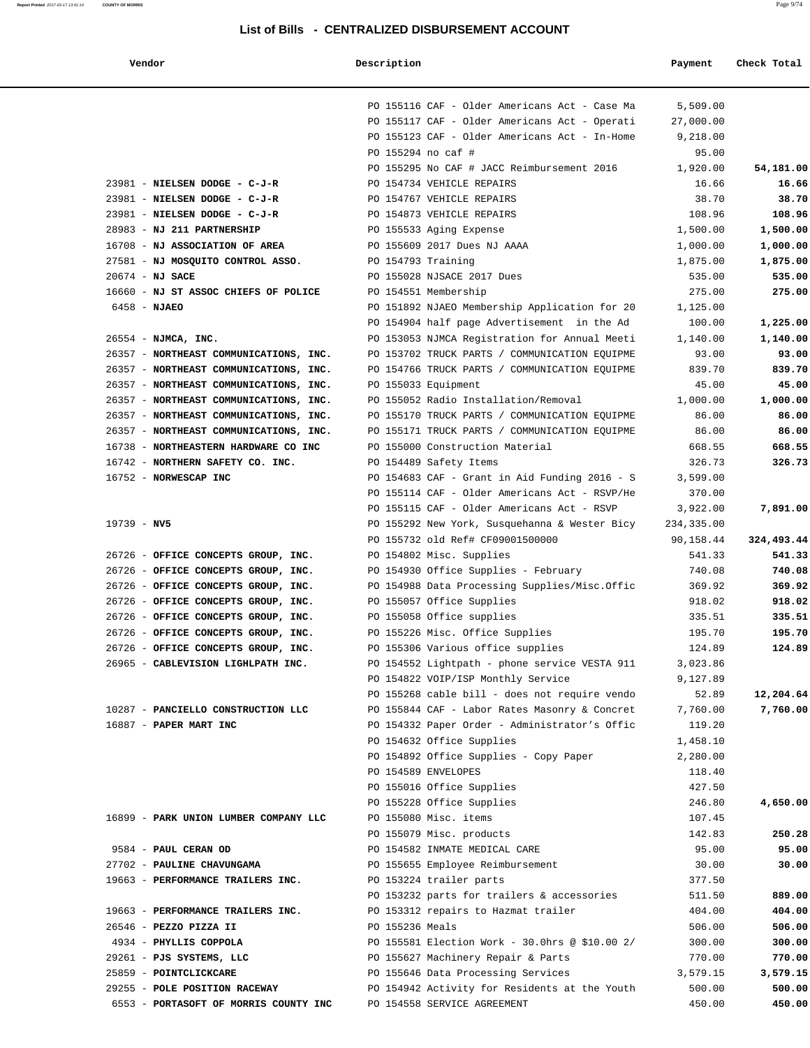**Report Printed** 2017-03-17 13:41:14 **COUNTY OF MORRIS** Page 9/74

#### **List of Bills - CENTRALIZED DISBURSEMENT ACCOUNT**

#### **Vendor Description Payment Check Total**

|                                        |                 | PO 155116 CAF - Older Americans Act - Case Ma                                     | 5,509.00                |            |
|----------------------------------------|-----------------|-----------------------------------------------------------------------------------|-------------------------|------------|
|                                        |                 | PO 155117 CAF - Older Americans Act - Operati                                     | 27,000.00               |            |
|                                        |                 | PO 155123 CAF - Older Americans Act - In-Home                                     | 9,218.00                |            |
|                                        |                 | PO 155294 no caf #                                                                | 95.00                   |            |
|                                        |                 | PO 155295 No CAF # JACC Reimbursement 2016                                        | 1,920.00                | 54,181.00  |
| 23981 - NIELSEN DODGE - C-J-R          |                 | PO 154734 VEHICLE REPAIRS                                                         | 16.66                   | 16.66      |
| 23981 - NIELSEN DODGE - C-J-R          |                 | PO 154767 VEHICLE REPAIRS                                                         | 38.70                   | 38.70      |
| 23981 - NIELSEN DODGE - C-J-R          |                 | PO 154873 VEHICLE REPAIRS                                                         | 108.96                  | 108.96     |
| 28983 - NJ 211 PARTNERSHIP             |                 | PO 155533 Aging Expense                                                           | 1,500.00                | 1,500.00   |
| 16708 - NJ ASSOCIATION OF AREA         |                 | PO 155609 2017 Dues NJ AAAA                                                       | 1,000.00                | 1,000.00   |
| 27581 - NJ MOSQUITO CONTROL ASSO.      |                 | PO 154793 Training                                                                | 1,875.00                | 1,875.00   |
| $20674$ - NJ SACE                      |                 | PO 155028 NJSACE 2017 Dues                                                        | 535.00                  | 535.00     |
| 16660 - NJ ST ASSOC CHIEFS OF POLICE   |                 | PO 154551 Membership                                                              | 275.00                  | 275.00     |
| $6458 - NJABO$                         |                 | PO 151892 NJAEO Membership Application for 20                                     | 1,125.00                |            |
|                                        |                 | PO 154904 half page Advertisement in the Ad                                       | 100.00                  | 1,225.00   |
| 26554 - NJMCA, INC.                    |                 | PO 153053 NJMCA Registration for Annual Meeti                                     | 1,140.00                | 1,140.00   |
| 26357 - NORTHEAST COMMUNICATIONS, INC. |                 | PO 153702 TRUCK PARTS / COMMUNICATION EQUIPME                                     | 93.00                   | 93.00      |
| 26357 - NORTHEAST COMMUNICATIONS, INC. |                 | PO 154766 TRUCK PARTS / COMMUNICATION EQUIPME                                     | 839.70                  | 839.70     |
| 26357 - NORTHEAST COMMUNICATIONS, INC. |                 | PO 155033 Equipment                                                               | 45.00                   | 45.00      |
| 26357 - NORTHEAST COMMUNICATIONS, INC. |                 | PO 155052 Radio Installation/Removal                                              | 1,000.00                | 1,000.00   |
| 26357 - NORTHEAST COMMUNICATIONS, INC. |                 | PO 155170 TRUCK PARTS / COMMUNICATION EQUIPME                                     | 86.00                   | 86.00      |
| 26357 - NORTHEAST COMMUNICATIONS, INC. |                 | PO 155171 TRUCK PARTS / COMMUNICATION EQUIPME                                     | 86.00                   | 86.00      |
| 16738 - NORTHEASTERN HARDWARE CO INC   |                 | PO 155000 Construction Material                                                   | 668.55                  | 668.55     |
| 16742 - NORTHERN SAFETY CO. INC.       |                 | PO 154489 Safety Items                                                            | 326.73                  | 326.73     |
| 16752 - NORWESCAP INC                  |                 | PO 154683 CAF - Grant in Aid Funding 2016 - S                                     | 3,599.00                |            |
|                                        |                 | PO 155114 CAF - Older Americans Act - RSVP/He                                     | 370.00                  |            |
| $19739 - NV5$                          |                 | PO 155115 CAF - Older Americans Act - RSVP                                        | 3,922.00                | 7,891.00   |
|                                        |                 | PO 155292 New York, Susquehanna & Wester Bicy<br>PO 155732 old Ref# CF09001500000 | 234,335.00<br>90,158.44 | 324,493.44 |
| 26726 - OFFICE CONCEPTS GROUP, INC.    |                 | PO 154802 Misc. Supplies                                                          | 541.33                  | 541.33     |
| 26726 - OFFICE CONCEPTS GROUP, INC.    |                 | PO 154930 Office Supplies - February                                              | 740.08                  | 740.08     |
| 26726 - OFFICE CONCEPTS GROUP, INC.    |                 | PO 154988 Data Processing Supplies/Misc.Offic                                     | 369.92                  | 369.92     |
| 26726 - OFFICE CONCEPTS GROUP, INC.    |                 | PO 155057 Office Supplies                                                         | 918.02                  | 918.02     |
| 26726 - OFFICE CONCEPTS GROUP, INC.    |                 | PO 155058 Office supplies                                                         | 335.51                  | 335.51     |
| 26726 - OFFICE CONCEPTS GROUP, INC.    |                 | PO 155226 Misc. Office Supplies                                                   | 195.70                  | 195.70     |
| 26726 - OFFICE CONCEPTS GROUP, INC.    |                 | PO 155306 Various office supplies                                                 | 124.89                  | 124.89     |
| 26965 - CABLEVISION LIGHLPATH INC.     |                 | PO 154552 Lightpath - phone service VESTA 911                                     | 3,023.86                |            |
|                                        |                 | PO 154822 VOIP/ISP Monthly Service                                                | 9,127.89                |            |
|                                        |                 | PO 155268 cable bill - does not require vendo                                     | 52.89                   | 12,204.64  |
| 10287 - PANCIELLO CONSTRUCTION LLC     |                 | PO 155844 CAF - Labor Rates Masonry & Concret                                     | 7,760.00                | 7,760.00   |
| 16887 - PAPER MART INC                 |                 | PO 154332 Paper Order - Administrator's Offic                                     | 119.20                  |            |
|                                        |                 | PO 154632 Office Supplies                                                         | 1,458.10                |            |
|                                        |                 | PO 154892 Office Supplies - Copy Paper                                            | 2,280.00                |            |
|                                        |                 | PO 154589 ENVELOPES                                                               | 118.40                  |            |
|                                        |                 | PO 155016 Office Supplies                                                         | 427.50                  |            |
|                                        |                 | PO 155228 Office Supplies                                                         | 246.80                  | 4,650.00   |
| 16899 - PARK UNION LUMBER COMPANY LLC  |                 | PO 155080 Misc. items                                                             | 107.45                  |            |
|                                        |                 | PO 155079 Misc. products                                                          | 142.83                  | 250.28     |
| 9584 - PAUL CERAN OD                   |                 | PO 154582 INMATE MEDICAL CARE                                                     | 95.00                   | 95.00      |
| 27702 - PAULINE CHAVUNGAMA             |                 | PO 155655 Employee Reimbursement                                                  | 30.00                   | 30.00      |
| 19663 - PERFORMANCE TRAILERS INC.      |                 | PO 153224 trailer parts                                                           | 377.50                  |            |
|                                        |                 | PO 153232 parts for trailers & accessories                                        | 511.50                  | 889.00     |
| 19663 - PERFORMANCE TRAILERS INC.      |                 | PO 153312 repairs to Hazmat trailer                                               | 404.00                  | 404.00     |
| 26546 - PEZZO PIZZA II                 | PO 155236 Meals |                                                                                   | 506.00                  | 506.00     |
| 4934 - PHYLLIS COPPOLA                 |                 | PO 155581 Election Work - 30.0hrs @ \$10.00 2/                                    | 300.00                  | 300.00     |
| 29261 - PJS SYSTEMS, LLC               |                 | PO 155627 Machinery Repair & Parts                                                | 770.00                  | 770.00     |
| 25859 - POINTCLICKCARE                 |                 | PO 155646 Data Processing Services                                                | 3,579.15                | 3,579.15   |
| 29255 - POLE POSITION RACEWAY          |                 | PO 154942 Activity for Residents at the Youth                                     | 500.00                  | 500.00     |
| 6553 - PORTASOFT OF MORRIS COUNTY INC  |                 | PO 154558 SERVICE AGREEMENT                                                       | 450.00                  | 450.00     |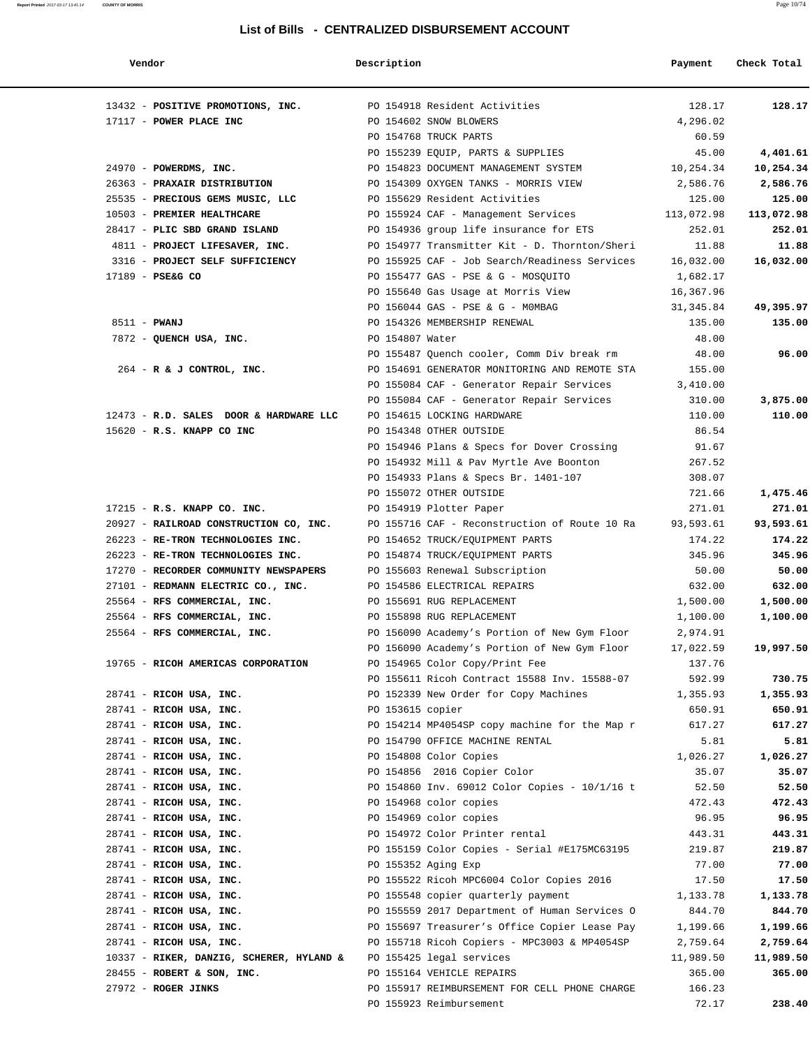#### **Report Printed** 2017-03-17 13:41:14 **COUNTY OF MORRIS** Page 10/74

#### **List of Bills - CENTRALIZED DISBURSEMENT ACCOUNT**

| Vendor                                                          | Description      |                                                                                             | Payment            | Check Total       |
|-----------------------------------------------------------------|------------------|---------------------------------------------------------------------------------------------|--------------------|-------------------|
| 13432 - POSITIVE PROMOTIONS, INC. PO 154918 Resident Activities |                  |                                                                                             | 128.17             | 128.17            |
| 17117 - POWER PLACE INC                                         |                  | PO 154602 SNOW BLOWERS                                                                      | 4,296.02           |                   |
|                                                                 |                  | PO 154768 TRUCK PARTS                                                                       | 60.59              |                   |
|                                                                 |                  | PO 155239 EQUIP, PARTS & SUPPLIES                                                           | 45.00              | 4,401.61          |
| 24970 - POWERDMS, INC.                                          |                  | PO 154823 DOCUMENT MANAGEMENT SYSTEM                                                        | 10,254.34          | 10,254.34         |
| 26363 - PRAXAIR DISTRIBUTION                                    |                  | PO 154309 OXYGEN TANKS - MORRIS VIEW                                                        | 2,586.76           | 2,586.76          |
| 25535 - PRECIOUS GEMS MUSIC, LLC                                |                  | PO 155629 Resident Activities                                                               | 125.00             | 125.00            |
| 10503 - PREMIER HEALTHCARE                                      |                  | PO 155924 CAF - Management Services                                                         | 113,072.98         | 113,072.98        |
| 28417 - PLIC SBD GRAND ISLAND                                   |                  | PO 154936 group life insurance for ETS                                                      | 252.01             | 252.01            |
| 4811 - PROJECT LIFESAVER, INC.                                  |                  | PO 154977 Transmitter Kit - D. Thornton/Sheri                                               | 11.88              | 11.88             |
| 3316 - PROJECT SELF SUFFICIENCY                                 |                  | PO 155925 CAF - Job Search/Readiness Services 16,032.00                                     |                    | 16,032.00         |
| 17189 - PSE&G CO                                                |                  | PO 155477 GAS - PSE & G - MOSQUITO                                                          | 1,682.17           |                   |
|                                                                 |                  | PO 155640 Gas Usage at Morris View                                                          | 16,367.96          |                   |
|                                                                 |                  | PO 156044 GAS - PSE & G - MOMBAG                                                            | 31,345.84          | 49,395.97         |
| 8511 - PWANJ                                                    |                  | PO 154326 MEMBERSHIP RENEWAL                                                                | 135.00             | 135.00            |
| 7872 - QUENCH USA, INC.                                         | PO 154807 Water  |                                                                                             | 48.00              |                   |
|                                                                 |                  | PO 155487 Ouench cooler, Comm Div break rm<br>PO 154691 GENERATOR MONITORING AND REMOTE STA | 48.00              | 96.00             |
| $264$ - R & J CONTROL, INC.                                     |                  |                                                                                             | 155.00             |                   |
|                                                                 |                  | PO 155084 CAF - Generator Repair Services<br>PO 155084 CAF - Generator Repair Services      | 3,410.00<br>310.00 | 3,875.00          |
| 12473 - R.D. SALES DOOR & HARDWARE LLC                          |                  | PO 154615 LOCKING HARDWARE                                                                  | 110.00             | 110.00            |
| 15620 - R.S. KNAPP CO INC                                       |                  | PO 154348 OTHER OUTSIDE                                                                     | 86.54              |                   |
|                                                                 |                  | PO 154946 Plans & Specs for Dover Crossing                                                  | 91.67              |                   |
|                                                                 |                  | PO 154932 Mill & Pav Myrtle Ave Boonton                                                     | 267.52             |                   |
|                                                                 |                  | PO 154933 Plans & Specs Br. 1401-107                                                        | 308.07             |                   |
|                                                                 |                  | PO 155072 OTHER OUTSIDE                                                                     | 721.66             | 1,475.46          |
| 17215 - R.S. KNAPP CO. INC.                                     |                  | PO 154919 Plotter Paper                                                                     | 271.01             | 271.01            |
| 20927 - RAILROAD CONSTRUCTION CO, INC.                          |                  | PO 155716 CAF - Reconstruction of Route 10 Ra                                               | 93,593.61          | 93,593.61         |
| 26223 - RE-TRON TECHNOLOGIES INC.                               |                  | PO 154652 TRUCK/EQUIPMENT PARTS                                                             | 174.22             | 174.22            |
| 26223 - RE-TRON TECHNOLOGIES INC.                               |                  | PO 154874 TRUCK/EQUIPMENT PARTS                                                             | 345.96             | 345.96            |
| 17270 - RECORDER COMMUNITY NEWSPAPERS                           |                  | PO 155603 Renewal Subscription                                                              | 50.00              | 50.00             |
| 27101 - REDMANN ELECTRIC CO., INC.                              |                  | PO 154586 ELECTRICAL REPAIRS                                                                | 632.00             | 632.00            |
| 25564 - RFS COMMERCIAL, INC.                                    |                  | PO 155691 RUG REPLACEMENT                                                                   | 1,500.00           | 1,500.00          |
| 25564 - RFS COMMERCIAL, INC. 622 PO 155898 RUG REPLACEMENT      |                  |                                                                                             | 1,100.00           | 1,100.00          |
| 25564 - RFS COMMERCIAL, INC.                                    |                  | PO 156090 Academy's Portion of New Gym Floor                                                | 2,974.91           |                   |
|                                                                 |                  | PO 156090 Academy's Portion of New Gym Floor                                                | 17,022.59          | 19,997.50         |
| 19765 - RICOH AMERICAS CORPORATION                              |                  | PO 154965 Color Copy/Print Fee                                                              | 137.76             |                   |
|                                                                 |                  | PO 155611 Ricoh Contract 15588 Inv. 15588-07                                                | 592.99             | 730.75            |
| 28741 - RICOH USA, INC.                                         |                  | PO 152339 New Order for Copy Machines                                                       | 1,355.93           | 1,355.93          |
| $28741$ - RICOH USA, INC.                                       | PO 153615 copier |                                                                                             | 650.91             | 650.91            |
| 28741 - RICOH USA, INC.                                         |                  | PO 154214 MP4054SP copy machine for the Map r                                               | 617.27             | 617.27            |
| 28741 - RICOH USA, INC.                                         |                  | PO 154790 OFFICE MACHINE RENTAL                                                             | 5.81               | 5.81              |
| $28741$ - RICOH USA, INC.                                       |                  | PO 154808 Color Copies                                                                      | 1,026.27           | 1,026.27          |
| 28741 - RICOH USA, INC.                                         |                  | PO 154856 2016 Copier Color                                                                 | 35.07              | 35.07             |
| $28741$ - RICOH USA, INC.                                       |                  | PO 154860 Inv. 69012 Color Copies - 10/1/16 t                                               | 52.50              | 52.50             |
| 28741 - RICOH USA, INC.                                         |                  | PO 154968 color copies                                                                      | 472.43             | 472.43            |
| 28741 - RICOH USA, INC.                                         |                  | PO 154969 color copies                                                                      | 96.95              | 96.95             |
| 28741 - RICOH USA, INC.                                         |                  | PO 154972 Color Printer rental                                                              | 443.31             | 443.31            |
| 28741 - RICOH USA, INC.                                         |                  | PO 155159 Color Copies - Serial #E175MC63195                                                | 219.87             | 219.87            |
| 28741 - RICOH USA, INC.                                         |                  | PO 155352 Aging Exp                                                                         | 77.00              | 77.00             |
| $28741$ - RICOH USA, INC.<br>$28741$ - RICOH USA, INC.          |                  | PO 155522 Ricoh MPC6004 Color Copies 2016<br>PO 155548 copier quarterly payment             | 17.50<br>1,133.78  | 17.50<br>1,133.78 |
| $28741$ - RICOH USA, INC.                                       |                  | PO 155559 2017 Department of Human Services O                                               | 844.70             | 844.70            |
| 28741 - RICOH USA, INC.                                         |                  | PO 155697 Treasurer's Office Copier Lease Pay                                               | 1,199.66           | 1,199.66          |
| 28741 - RICOH USA, INC.                                         |                  | PO 155718 Ricoh Copiers - MPC3003 & MP4054SP                                                | 2,759.64           | 2,759.64          |
| 10337 - RIKER, DANZIG, SCHERER, HYLAND &                        |                  | PO 155425 legal services                                                                    | 11,989.50          | 11,989.50         |
| $28455$ - ROBERT & SON, INC.                                    |                  | PO 155164 VEHICLE REPAIRS                                                                   | 365.00             | 365.00            |
| $27972$ - ROGER JINKS                                           |                  | PO 155917 REIMBURSEMENT FOR CELL PHONE CHARGE                                               | 166.23             |                   |
|                                                                 |                  | PO 155923 Reimbursement                                                                     | 72.17              | 238.40            |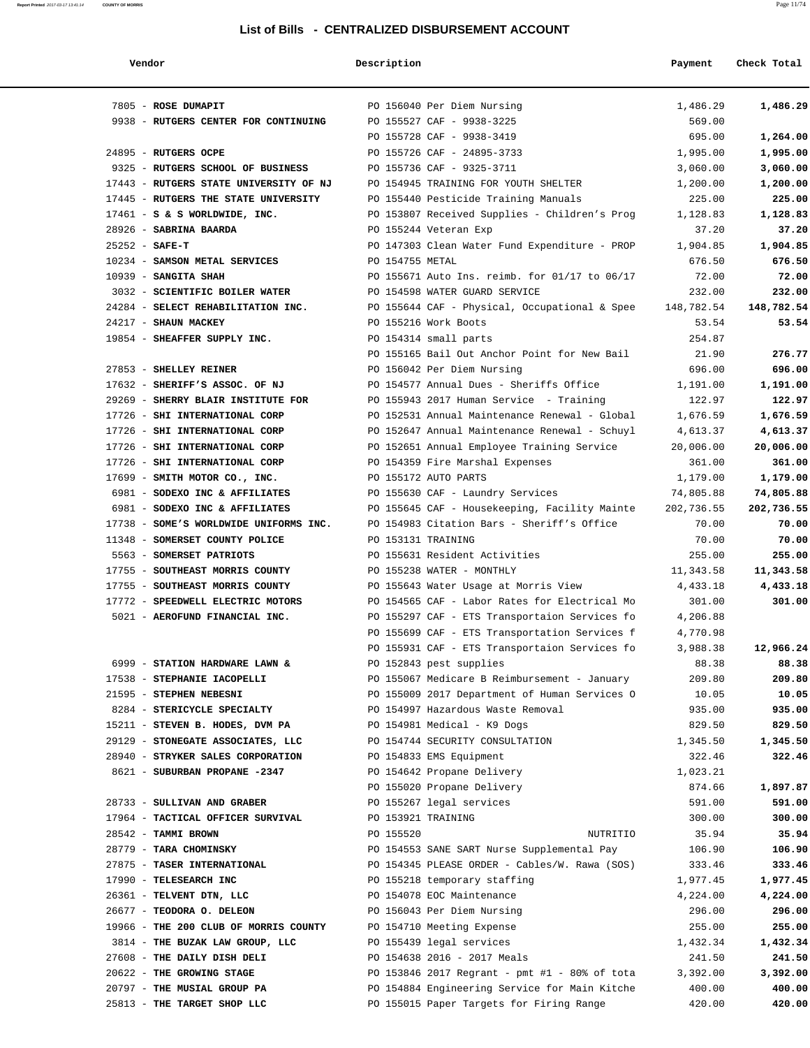#### **List of Bills - CENTRALIZED DISBURSEMENT ACCOUNT**

| Vendor                                                           | Description     |                                                                                             | Payment             | Check Total         |
|------------------------------------------------------------------|-----------------|---------------------------------------------------------------------------------------------|---------------------|---------------------|
| 7805 - ROSE DUMAPIT                                              |                 | PO 156040 Per Diem Nursing                                                                  | 1,486.29            | 1,486.29            |
| 9938 - RUTGERS CENTER FOR CONTINUING                             |                 | PO 155527 CAF - 9938-3225                                                                   | 569.00              |                     |
|                                                                  |                 | PO 155728 CAF - 9938-3419                                                                   | 695.00              | 1,264.00            |
| 24895 - RUTGERS OCPE                                             |                 | PO 155726 CAF - 24895-3733                                                                  | 1,995.00            | 1,995.00            |
| 9325 - RUTGERS SCHOOL OF BUSINESS                                |                 | PO 155736 CAF - 9325-3711                                                                   | 3,060.00            | 3,060.00            |
| 17443 - RUTGERS STATE UNIVERSITY OF NJ                           |                 | PO 154945 TRAINING FOR YOUTH SHELTER                                                        | 1,200.00            | 1,200.00            |
| 17445 - RUTGERS THE STATE UNIVERSITY                             |                 | PO 155440 Pesticide Training Manuals                                                        | 225.00              | 225.00              |
| $17461 - S$ & S WORLDWIDE, INC.                                  |                 | PO 153807 Received Supplies - Children's Prog                                               | 1,128.83            | 1,128.83            |
| 28926 - SABRINA BAARDA                                           |                 | PO 155244 Veteran Exp                                                                       | 37.20               | 37.20               |
| $25252 - SAFE-T$                                                 |                 | PO 147303 Clean Water Fund Expenditure - PROP                                               | 1,904.85            | 1,904.85            |
| 10234 - SAMSON METAL SERVICES                                    | PO 154755 METAL |                                                                                             | 676.50              | 676.50              |
| $10939$ - SANGITA SHAH                                           |                 | PO 155671 Auto Ins. reimb. for 01/17 to 06/17                                               | 72.00               | 72.00               |
| 3032 - SCIENTIFIC BOILER WATER                                   |                 | PO 154598 WATER GUARD SERVICE                                                               | 232.00              | 232.00              |
| 24284 - SELECT REHABILITATION INC.                               |                 | PO 155644 CAF - Physical, Occupational & Spee                                               | 148,782.54          | 148,782.54          |
| 24217 - SHAUN MACKEY                                             |                 | PO 155216 Work Boots                                                                        | 53.54               | 53.54               |
| 19854 - SHEAFFER SUPPLY INC.                                     |                 | PO 154314 small parts                                                                       | 254.87              |                     |
|                                                                  |                 | PO 155165 Bail Out Anchor Point for New Bail                                                | 21.90               | 276.77              |
| 27853 - SHELLEY REINER                                           |                 | PO 156042 Per Diem Nursing                                                                  | 696.00              | 696.00              |
| 17632 - SHERIFF'S ASSOC. OF NJ                                   |                 | PO 154577 Annual Dues - Sheriffs Office                                                     | 1,191.00            | 1,191.00            |
| 29269 - SHERRY BLAIR INSTITUTE FOR                               |                 | PO 155943 2017 Human Service - Training                                                     | 122.97              | 122.97              |
| 17726 - SHI INTERNATIONAL CORP                                   |                 | PO 152531 Annual Maintenance Renewal - Global                                               | 1,676.59            | 1,676.59            |
| 17726 - SHI INTERNATIONAL CORP                                   |                 | PO 152647 Annual Maintenance Renewal - Schuyl                                               | 4,613.37            | 4,613.37            |
| 17726 - SHI INTERNATIONAL CORP                                   |                 | PO 152651 Annual Employee Training Service                                                  | 20,006.00           | 20,006.00           |
| 17726 - SHI INTERNATIONAL CORP                                   |                 | PO 154359 Fire Marshal Expenses                                                             | 361.00              | 361.00              |
| 17699 - SMITH MOTOR CO., INC.                                    |                 | PO 155172 AUTO PARTS                                                                        | 1,179.00            | 1,179.00            |
| 6981 - SODEXO INC & AFFILIATES<br>6981 - SODEXO INC & AFFILIATES |                 | PO 155630 CAF - Laundry Services                                                            | 74,805.88           | 74,805.88           |
| 17738 - SOME'S WORLDWIDE UNIFORMS INC.                           |                 | PO 155645 CAF - Housekeeping, Facility Mainte<br>PO 154983 Citation Bars - Sheriff's Office | 202,736.55<br>70.00 | 202,736.55<br>70.00 |
| 11348 - SOMERSET COUNTY POLICE                                   |                 | PO 153131 TRAINING                                                                          | 70.00               | 70.00               |
| 5563 - SOMERSET PATRIOTS                                         |                 | PO 155631 Resident Activities                                                               | 255.00              | 255.00              |
| 17755 - SOUTHEAST MORRIS COUNTY                                  |                 | PO 155238 WATER - MONTHLY                                                                   | 11,343.58           | 11,343.58           |
| 17755 - SOUTHEAST MORRIS COUNTY                                  |                 | PO 155643 Water Usage at Morris View                                                        | 4,433.18            | 4,433.18            |
| 17772 - SPEEDWELL ELECTRIC MOTORS                                |                 | PO 154565 CAF - Labor Rates for Electrical Mo                                               | 301.00              | 301.00              |
| 5021 - AEROFUND FINANCIAL INC.                                   |                 | PO 155297 CAF - ETS Transportaion Services fo                                               | 4,206.88            |                     |
|                                                                  |                 | PO 155699 CAF - ETS Transportation Services f                                               | 4,770.98            |                     |
|                                                                  |                 | PO 155931 CAF - ETS Transportaion Services fo                                               | 3,988.38            | 12,966.24           |
| 6999 - STATION HARDWARE LAWN &                                   |                 | PO 152843 pest supplies                                                                     | 88.38               | 88.38               |
| 17538 - STEPHANIE IACOPELLI                                      |                 | PO 155067 Medicare B Reimbursement - January                                                | 209.80              | 209.80              |
| 21595 - STEPHEN NEBESNI                                          |                 | PO 155009 2017 Department of Human Services O                                               | 10.05               | 10.05               |
| 8284 - STERICYCLE SPECIALTY                                      |                 | PO 154997 Hazardous Waste Removal                                                           | 935.00              | 935.00              |
| 15211 - STEVEN B. HODES, DVM PA                                  |                 | PO 154981 Medical - K9 Dogs                                                                 | 829.50              | 829.50              |
| 29129 - STONEGATE ASSOCIATES, LLC                                |                 | PO 154744 SECURITY CONSULTATION                                                             | 1,345.50            | 1,345.50            |
| 28940 - STRYKER SALES CORPORATION                                |                 | PO 154833 EMS Equipment                                                                     | 322.46              | 322.46              |
| 8621 - SUBURBAN PROPANE -2347                                    |                 | PO 154642 Propane Delivery                                                                  | 1,023.21            |                     |
|                                                                  |                 | PO 155020 Propane Delivery                                                                  | 874.66              | 1,897.87            |
| 28733 - SULLIVAN AND GRABER                                      |                 | PO 155267 legal services                                                                    | 591.00              | 591.00              |
| 17964 - TACTICAL OFFICER SURVIVAL                                |                 | PO 153921 TRAINING                                                                          | 300.00              | 300.00              |
| 28542 - TAMMI BROWN                                              | PO 155520       | NUTRITIO                                                                                    | 35.94               | 35.94               |
| 28779 - TARA CHOMINSKY                                           |                 | PO 154553 SANE SART Nurse Supplemental Pay                                                  | 106.90              | 106.90              |
| 27875 - TASER INTERNATIONAL                                      |                 | PO 154345 PLEASE ORDER - Cables/W. Rawa (SOS)                                               | 333.46              | 333.46              |
| 17990 - TELESEARCH INC                                           |                 | PO 155218 temporary staffing                                                                | 1,977.45            | 1,977.45            |
| 26361 - TELVENT DTN, LLC                                         |                 | PO 154078 EOC Maintenance                                                                   | 4,224.00            | 4,224.00            |
| 26677 - TEODORA O. DELEON                                        |                 | PO 156043 Per Diem Nursing                                                                  | 296.00              | 296.00              |
| 19966 - THE 200 CLUB OF MORRIS COUNTY                            |                 | PO 154710 Meeting Expense                                                                   | 255.00              | 255.00              |
| 3814 - THE BUZAK LAW GROUP, LLC                                  |                 | PO 155439 legal services                                                                    | 1,432.34            | 1,432.34            |
| 27608 - THE DAILY DISH DELI<br>20622 - THE GROWING STAGE         |                 | PO 154638 2016 - 2017 Meals<br>PO 153846 2017 Regrant - pmt #1 - 80% of tota                | 241.50<br>3,392.00  | 241.50<br>3,392.00  |
| 20797 - THE MUSIAL GROUP PA                                      |                 | PO 154884 Engineering Service for Main Kitche                                               | 400.00              | 400.00              |
| 25813 - THE TARGET SHOP LLC                                      |                 | PO 155015 Paper Targets for Firing Range                                                    | 420.00              | 420.00              |
|                                                                  |                 |                                                                                             |                     |                     |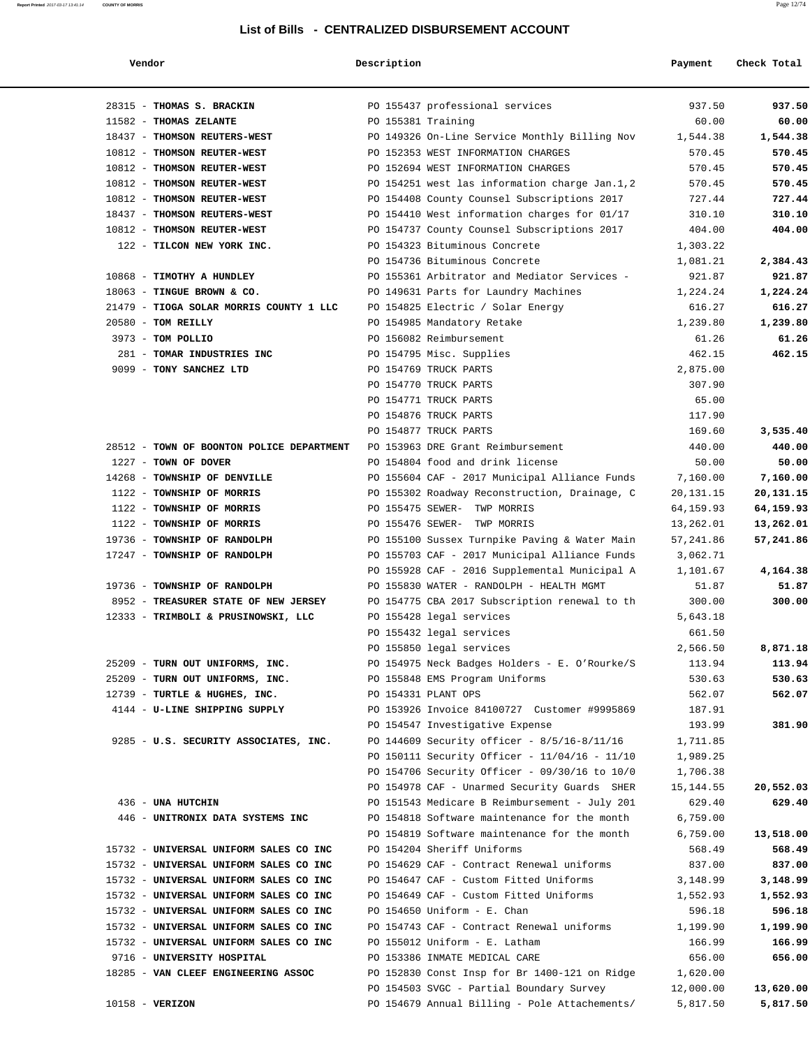#### **List of Bills - CENTRALIZED DISBURSEMENT ACCOUNT**

#### **Report Printed** 2017-03-17 13:41:14 **COUNTY OF MORRIS** Page 12/74

| Vendor                                                               | Description        |                                                                                           | Payment           | Check Total     |
|----------------------------------------------------------------------|--------------------|-------------------------------------------------------------------------------------------|-------------------|-----------------|
| 28315 - THOMAS S. BRACKIN                                            |                    | PO 155437 professional services                                                           | 937.50            | 937.50          |
| 11582 - THOMAS ZELANTE                                               | PO 155381 Training |                                                                                           | 60.00             | 60.00           |
| 18437 - THOMSON REUTERS-WEST                                         |                    | PO 149326 On-Line Service Monthly Billing Nov                                             | 1,544.38          | 1,544.38        |
| 10812 - THOMSON REUTER-WEST                                          |                    | PO 152353 WEST INFORMATION CHARGES                                                        | 570.45            | 570.45          |
| 10812 - THOMSON REUTER-WEST                                          |                    | PO 152694 WEST INFORMATION CHARGES                                                        | 570.45            | 570.45          |
| 10812 - THOMSON REUTER-WEST                                          |                    | PO 154251 west las information charge Jan.1,2                                             | 570.45            | 570.45          |
| 10812 - THOMSON REUTER-WEST                                          |                    | PO 154408 County Counsel Subscriptions 2017                                               | 727.44            | 727.44          |
| 18437 - THOMSON REUTERS-WEST                                         |                    | PO 154410 West information charges for 01/17                                              | 310.10            | 310.10          |
| 10812 - THOMSON REUTER-WEST                                          |                    | PO 154737 County Counsel Subscriptions 2017                                               | 404.00            | 404.00          |
| 122 - TILCON NEW YORK INC.                                           |                    | PO 154323 Bituminous Concrete                                                             | 1,303.22          |                 |
|                                                                      |                    | PO 154736 Bituminous Concrete                                                             | 1,081.21          | 2,384.43        |
| 10868 - TIMOTHY A HUNDLEY                                            |                    | PO 155361 Arbitrator and Mediator Services -                                              | 921.87            | 921.87          |
| 18063 - TINGUE BROWN & CO.                                           |                    | PO 149631 Parts for Laundry Machines                                                      | 1,224.24          | 1,224.24        |
| 21479 - TIOGA SOLAR MORRIS COUNTY 1 LLC                              |                    | PO 154825 Electric / Solar Energy                                                         | 616.27            | 616.27          |
| $20580$ - TOM REILLY                                                 |                    | PO 154985 Mandatory Retake                                                                | 1,239.80          | 1,239.80        |
| 3973 - TOM POLLIO                                                    |                    | PO 156082 Reimbursement                                                                   | 61.26             | 61.26           |
| 281 - TOMAR INDUSTRIES INC                                           |                    | PO 154795 Misc. Supplies                                                                  | 462.15            | 462.15          |
| 9099 - TONY SANCHEZ LTD                                              |                    | PO 154769 TRUCK PARTS                                                                     | 2,875.00          |                 |
|                                                                      |                    | PO 154770 TRUCK PARTS                                                                     | 307.90            |                 |
|                                                                      |                    | PO 154771 TRUCK PARTS                                                                     | 65.00             |                 |
|                                                                      |                    | PO 154876 TRUCK PARTS                                                                     | 117.90            |                 |
|                                                                      |                    | PO 154877 TRUCK PARTS                                                                     | 169.60            | 3,535.40        |
| 28512 - TOWN OF BOONTON POLICE DEPARTMENT                            |                    | PO 153963 DRE Grant Reimbursement                                                         | 440.00            | 440.00          |
| 1227 - TOWN OF DOVER                                                 |                    | PO 154804 food and drink license                                                          | 50.00             | 50.00           |
| 14268 - TOWNSHIP OF DENVILLE                                         |                    | PO 155604 CAF - 2017 Municipal Alliance Funds                                             | 7,160.00          | 7,160.00        |
| 1122 - TOWNSHIP OF MORRIS                                            |                    | PO 155302 Roadway Reconstruction, Drainage, C                                             | 20, 131. 15       | 20,131.15       |
| 1122 - TOWNSHIP OF MORRIS                                            |                    | PO 155475 SEWER- TWP MORRIS                                                               | 64, 159.93        | 64,159.93       |
| 1122 - TOWNSHIP OF MORRIS                                            |                    | PO 155476 SEWER- TWP MORRIS                                                               | 13,262.01         | 13,262.01       |
| 19736 - TOWNSHIP OF RANDOLPH                                         |                    | PO 155100 Sussex Turnpike Paving & Water Main                                             | 57,241.86         | 57,241.86       |
| 17247 - TOWNSHIP OF RANDOLPH                                         |                    | PO 155703 CAF - 2017 Municipal Alliance Funds                                             | 3,062.71          |                 |
|                                                                      |                    | PO 155928 CAF - 2016 Supplemental Municipal A<br>PO 155830 WATER - RANDOLPH - HEALTH MGMT | 1,101.67<br>51.87 | 4,164.38        |
| 19736 - TOWNSHIP OF RANDOLPH<br>8952 - TREASURER STATE OF NEW JERSEY |                    | PO 154775 CBA 2017 Subscription renewal to th                                             | 300.00            | 51.87<br>300.00 |
| 12333 - TRIMBOLI & PRUSINOWSKI, LLC                                  |                    | PO 155428 legal services                                                                  | 5,643.18          |                 |
|                                                                      |                    | PO 155432 legal services                                                                  | 661.50            |                 |
|                                                                      |                    | PO 155850 legal services                                                                  | 2,566.50          | 8,871.18        |
| 25209 - TURN OUT UNIFORMS, INC.                                      |                    | PO 154975 Neck Badges Holders - E. O'Rourke/S                                             | 113.94            | 113.94          |
| 25209 - TURN OUT UNIFORMS, INC.                                      |                    | PO 155848 EMS Program Uniforms                                                            | 530.63            | 530.63          |
| 12739 - TURTLE & HUGHES, INC.                                        |                    | PO 154331 PLANT OPS                                                                       | 562.07            | 562.07          |
| 4144 - U-LINE SHIPPING SUPPLY                                        |                    | PO 153926 Invoice 84100727 Customer #9995869                                              | 187.91            |                 |
|                                                                      |                    | PO 154547 Investigative Expense                                                           | 193.99            | 381.90          |
| 9285 - U.S. SECURITY ASSOCIATES, INC.                                |                    | PO 144609 Security officer - 8/5/16-8/11/16                                               | 1,711.85          |                 |
|                                                                      |                    | PO 150111 Security Officer - 11/04/16 - 11/10                                             | 1,989.25          |                 |
|                                                                      |                    | PO 154706 Security Officer - 09/30/16 to 10/0                                             | 1,706.38          |                 |
|                                                                      |                    | PO 154978 CAF - Unarmed Security Guards SHER                                              | 15,144.55         | 20,552.03       |
| 436 - UNA HUTCHIN                                                    |                    | PO 151543 Medicare B Reimbursement - July 201                                             | 629.40            | 629.40          |
| 446 - UNITRONIX DATA SYSTEMS INC                                     |                    | PO 154818 Software maintenance for the month                                              | 6,759.00          |                 |
|                                                                      |                    | PO 154819 Software maintenance for the month                                              | 6,759.00          | 13,518.00       |
| 15732 - UNIVERSAL UNIFORM SALES CO INC                               |                    | PO 154204 Sheriff Uniforms                                                                | 568.49            | 568.49          |
| 15732 - UNIVERSAL UNIFORM SALES CO INC                               |                    | PO 154629 CAF - Contract Renewal uniforms                                                 | 837.00            | 837.00          |
| 15732 - UNIVERSAL UNIFORM SALES CO INC                               |                    | PO 154647 CAF - Custom Fitted Uniforms                                                    | 3,148.99          | 3,148.99        |
| 15732 - UNIVERSAL UNIFORM SALES CO INC                               |                    | PO 154649 CAF - Custom Fitted Uniforms                                                    | 1,552.93          | 1,552.93        |
| 15732 - UNIVERSAL UNIFORM SALES CO INC                               |                    | PO 154650 Uniform - E. Chan                                                               | 596.18            | 596.18          |
| 15732 - UNIVERSAL UNIFORM SALES CO INC                               |                    | PO 154743 CAF - Contract Renewal uniforms                                                 | 1,199.90          | 1,199.90        |
| 15732 - UNIVERSAL UNIFORM SALES CO INC                               |                    | PO 155012 Uniform - E. Latham                                                             | 166.99            | 166.99          |
| 9716 - UNIVERSITY HOSPITAL                                           |                    | PO 153386 INMATE MEDICAL CARE                                                             | 656.00            | 656.00          |
| 18285 - VAN CLEEF ENGINEERING ASSOC                                  |                    | PO 152830 Const Insp for Br 1400-121 on Ridge                                             | 1,620.00          |                 |
|                                                                      |                    | PO 154503 SVGC - Partial Boundary Survey                                                  | 12,000.00         | 13,620.00       |
| 10158 - VERIZON                                                      |                    | PO 154679 Annual Billing - Pole Attachements/                                             | 5,817.50          | 5,817.50        |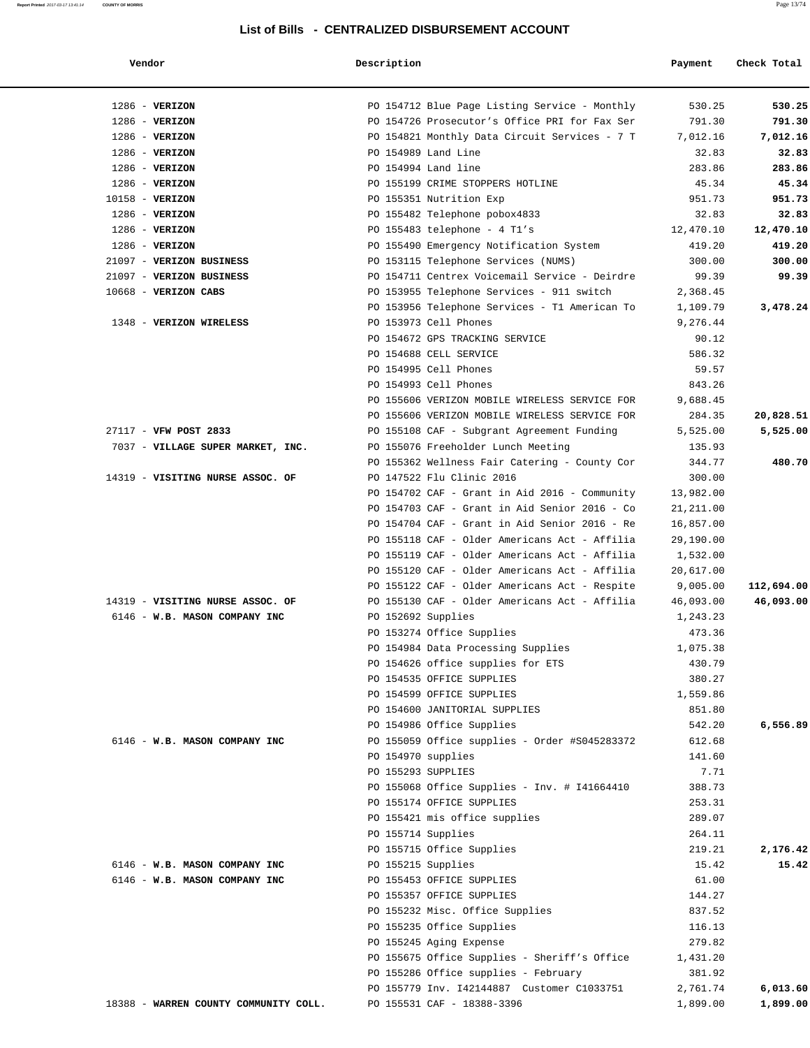# **Report Printed** 2017-03-17 13:41:14 **COUNTY OF MORRIS** Page 13/74

**List of Bills - CENTRALIZED DISBURSEMENT ACCOUNT**

| Vendoi |  |
|--------|--|
|        |  |

| Vendor                                | Description         |                                                                            | Payment          | Check Total |
|---------------------------------------|---------------------|----------------------------------------------------------------------------|------------------|-------------|
| $1286$ - VERIZON                      |                     | PO 154712 Blue Page Listing Service - Monthly                              | 530.25           | 530.25      |
| $1286$ - VERIZON                      |                     | PO 154726 Prosecutor's Office PRI for Fax Ser                              | 791.30           | 791.30      |
| $1286$ - VERIZON                      |                     | PO 154821 Monthly Data Circuit Services - 7 T                              | 7,012.16         | 7,012.16    |
| $1286$ - VERIZON                      | PO 154989 Land Line |                                                                            | 32.83            | 32.83       |
| $1286$ - VERIZON                      | PO 154994 Land line |                                                                            | 283.86           | 283.86      |
| $1286$ - VERIZON                      |                     | PO 155199 CRIME STOPPERS HOTLINE                                           | 45.34            | 45.34       |
| 10158 - VERIZON                       |                     | PO 155351 Nutrition Exp                                                    | 951.73           | 951.73      |
| $1286$ - VERIZON                      |                     | PO 155482 Telephone pobox4833                                              | 32.83            | 32.83       |
| $1286$ - VERIZON                      |                     | PO 155483 telephone - $4$ Tl's                                             | 12,470.10        | 12,470.10   |
| $1286$ - VERIZON                      |                     | PO 155490 Emergency Notification System                                    | 419.20           | 419.20      |
| 21097 - VERIZON BUSINESS              |                     | PO 153115 Telephone Services (NUMS)                                        | 300.00           | 300.00      |
| 21097 - VERIZON BUSINESS              |                     | PO 154711 Centrex Voicemail Service - Deirdre                              | 99.39            | 99.39       |
| $10668$ - VERIZON CABS                |                     | PO 153955 Telephone Services - 911 switch                                  | 2,368.45         |             |
|                                       |                     | PO 153956 Telephone Services - T1 American To                              | 1,109.79         | 3,478.24    |
| 1348 - VERIZON WIRELESS               |                     | PO 153973 Cell Phones                                                      | 9,276.44         |             |
|                                       |                     | PO 154672 GPS TRACKING SERVICE                                             | 90.12            |             |
|                                       |                     | PO 154688 CELL SERVICE                                                     | 586.32           |             |
|                                       |                     | PO 154995 Cell Phones                                                      | 59.57            |             |
|                                       |                     | PO 154993 Cell Phones                                                      | 843.26           |             |
|                                       |                     | PO 155606 VERIZON MOBILE WIRELESS SERVICE FOR                              | 9,688.45         |             |
|                                       |                     | PO 155606 VERIZON MOBILE WIRELESS SERVICE FOR                              | 284.35           | 20,828.51   |
| 27117 - VFW POST 2833                 |                     | PO 155108 CAF - Subgrant Agreement Funding                                 | 5,525.00         | 5,525.00    |
| 7037 - VILLAGE SUPER MARKET, INC.     |                     | PO 155076 Freeholder Lunch Meeting                                         | 135.93           |             |
| 14319 - VISITING NURSE ASSOC. OF      |                     | PO 155362 Wellness Fair Catering - County Cor<br>PO 147522 Flu Clinic 2016 | 344.77<br>300.00 | 480.70      |
|                                       |                     | PO 154702 CAF - Grant in Aid 2016 - Community                              | 13,982.00        |             |
|                                       |                     | PO 154703 CAF - Grant in Aid Senior 2016 - Co                              | 21, 211.00       |             |
|                                       |                     | PO 154704 CAF - Grant in Aid Senior 2016 - Re                              | 16,857.00        |             |
|                                       |                     | PO 155118 CAF - Older Americans Act - Affilia                              | 29,190.00        |             |
|                                       |                     | PO 155119 CAF - Older Americans Act - Affilia                              | 1,532.00         |             |
|                                       |                     | PO 155120 CAF - Older Americans Act - Affilia                              | 20,617.00        |             |
|                                       |                     | PO 155122 CAF - Older Americans Act - Respite                              | 9,005.00         | 112,694.00  |
| 14319 - VISITING NURSE ASSOC. OF      |                     | PO 155130 CAF - Older Americans Act - Affilia                              | 46,093.00        | 46,093.00   |
| 6146 - W.B. MASON COMPANY INC         | PO 152692 Supplies  |                                                                            | 1,243.23         |             |
|                                       |                     | PO 153274 Office Supplies                                                  | 473.36           |             |
|                                       |                     | PO 154984 Data Processing Supplies                                         | 1,075.38         |             |
|                                       |                     | PO 154626 office supplies for ETS                                          | 430.79           |             |
|                                       |                     | PO 154535 OFFICE SUPPLIES                                                  | 380.27           |             |
|                                       |                     | PO 154599 OFFICE SUPPLIES                                                  | 1,559.86         |             |
|                                       |                     | PO 154600 JANITORIAL SUPPLIES                                              | 851.80           |             |
|                                       |                     | PO 154986 Office Supplies                                                  | 542.20           | 6,556.89    |
| 6146 - W.B. MASON COMPANY INC         |                     | PO 155059 Office supplies - Order #S045283372                              | 612.68           |             |
|                                       | PO 154970 supplies  |                                                                            | 141.60           |             |
|                                       | PO 155293 SUPPLIES  |                                                                            | 7.71             |             |
|                                       |                     | PO 155068 Office Supplies - Inv. # I41664410                               | 388.73           |             |
|                                       |                     | PO 155174 OFFICE SUPPLIES                                                  | 253.31           |             |
|                                       |                     | PO 155421 mis office supplies                                              | 289.07           |             |
|                                       | PO 155714 Supplies  |                                                                            | 264.11           |             |
|                                       |                     | PO 155715 Office Supplies                                                  | 219.21           | 2,176.42    |
| 6146 - W.B. MASON COMPANY INC         | PO 155215 Supplies  |                                                                            | 15.42            | 15.42       |
| 6146 - W.B. MASON COMPANY INC         |                     | PO 155453 OFFICE SUPPLIES                                                  | 61.00            |             |
|                                       |                     | PO 155357 OFFICE SUPPLIES                                                  | 144.27           |             |
|                                       |                     | PO 155232 Misc. Office Supplies                                            | 837.52           |             |
|                                       |                     | PO 155235 Office Supplies                                                  | 116.13           |             |
|                                       |                     | PO 155245 Aging Expense                                                    | 279.82           |             |
|                                       |                     | PO 155675 Office Supplies - Sheriff's Office                               | 1,431.20         |             |
|                                       |                     | PO 155286 Office supplies - February                                       | 381.92           |             |
|                                       |                     | PO 155779 Inv. I42144887 Customer C1033751                                 | 2,761.74         | 6,013.60    |
| 18388 - WARREN COUNTY COMMUNITY COLL. |                     | PO 155531 CAF - 18388-3396                                                 | 1,899.00         | 1,899.00    |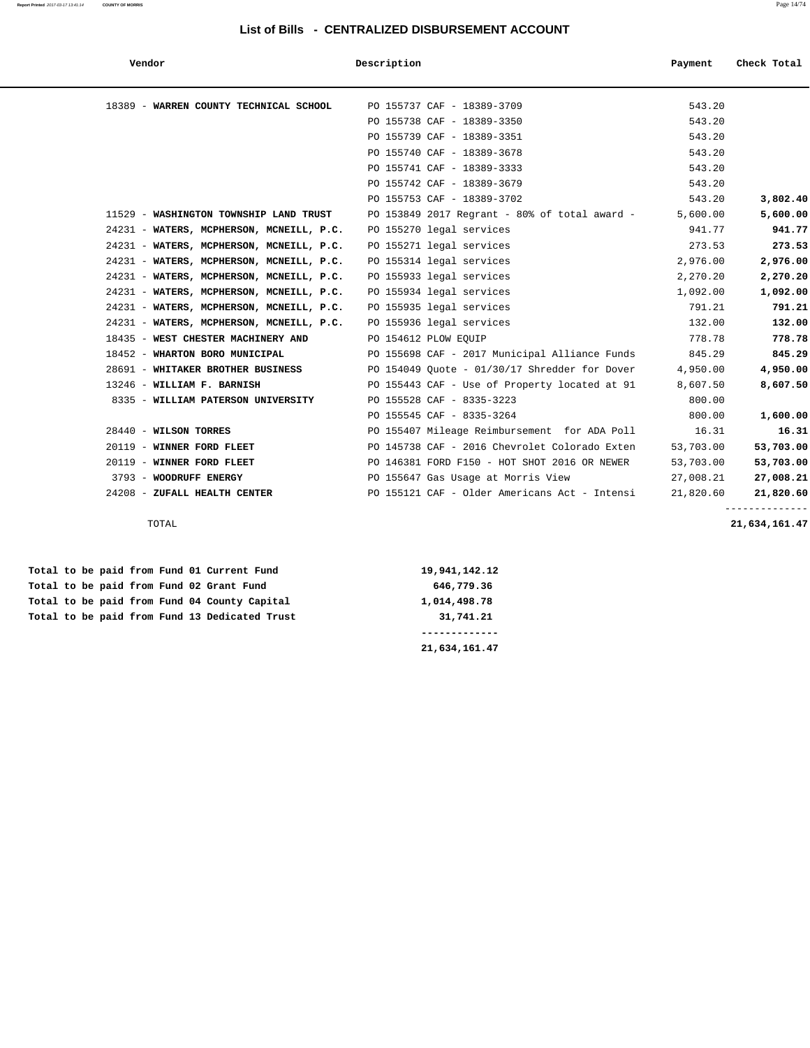#### **Report Printed** 2017-03-17 13:41:14 **COUNTY OF MORRIS** Page 14/74

#### **List of Bills - CENTRALIZED DISBURSEMENT ACCOUNT**

| Vendor                                   | Description                                       | Payment   | Check Total   |
|------------------------------------------|---------------------------------------------------|-----------|---------------|
| 18389 - WARREN COUNTY TECHNICAL SCHOOL   | PO 155737 CAF - 18389-3709                        | 543.20    |               |
|                                          | PO 155738 CAF - 18389-3350                        | 543.20    |               |
|                                          | PO 155739 CAF - 18389-3351                        | 543.20    |               |
|                                          | PO 155740 CAF - 18389-3678                        | 543.20    |               |
|                                          | PO 155741 CAF - 18389-3333                        | 543.20    |               |
|                                          | PO 155742 CAF - 18389-3679                        | 543.20    |               |
|                                          | PO 155753 CAF - 18389-3702                        | 543.20    | 3,802.40      |
| 11529 - WASHINGTON TOWNSHIP LAND TRUST   | PO 153849 2017 Regrant - 80% of total award -     | 5,600.00  | 5,600.00      |
| 24231 - WATERS, MCPHERSON, MCNEILL, P.C. | PO 155270 legal services                          | 941.77    | 941.77        |
| 24231 - WATERS, MCPHERSON, MCNEILL, P.C. | PO 155271 legal services                          | 273.53    | 273.53        |
| 24231 - WATERS, MCPHERSON, MCNEILL, P.C. | PO 155314 legal services                          | 2,976.00  | 2,976.00      |
| 24231 - WATERS, MCPHERSON, MCNEILL, P.C. | PO 155933 legal services                          | 2,270.20  | 2,270.20      |
| 24231 - WATERS, MCPHERSON, MCNEILL, P.C. | PO 155934 legal services                          | 1,092.00  | 1,092.00      |
| 24231 - WATERS, MCPHERSON, MCNEILL, P.C. | PO 155935 legal services                          | 791.21    | 791.21        |
| 24231 - WATERS, MCPHERSON, MCNEILL, P.C. | PO 155936 legal services                          | 132.00    | 132.00        |
| 18435 - WEST CHESTER MACHINERY AND       | PO 154612 PLOW EOUIP                              | 778.78    | 778.78        |
| 18452 - WHARTON BORO MUNICIPAL           | PO 155698 CAF - 2017 Municipal Alliance Funds     | 845.29    | 845.29        |
| 28691 - WHITAKER BROTHER BUSINESS        | PO $154049$ Quote - $01/30/17$ Shredder for Dover | 4,950.00  | 4,950.00      |
| 13246 - WILLIAM F. BARNISH               | PO 155443 CAF - Use of Property located at 91     | 8,607.50  | 8,607.50      |
| 8335 - WILLIAM PATERSON UNIVERSITY       | PO 155528 CAF - 8335-3223                         | 800.00    |               |
|                                          | PO 155545 CAF - 8335-3264                         | 800.00    | 1,600.00      |
| 28440 - WILSON TORRES                    | PO 155407 Mileage Reimbursement for ADA Poll      | 16.31     | 16.31         |
| 20119 - WINNER FORD FLEET                | PO 145738 CAF - 2016 Chevrolet Colorado Exten     | 53,703.00 | 53,703.00     |
| 20119 - WINNER FORD FLEET                | PO 146381 FORD F150 - HOT SHOT 2016 OR NEWER      | 53,703.00 | 53,703.00     |
| 3793 - WOODRUFF ENERGY                   | PO 155647 Gas Usage at Morris View                | 27,008.21 | 27,008.21     |
| 24208 - ZUFALL HEALTH CENTER             | PO 155121 CAF - Older Americans Act - Intensi     | 21,820.60 | 21,820.60     |
| TOTAL                                    |                                                   |           | 21,634,161.47 |

 **Total to be paid from Fund 01 Current Fund 19,941,142.12 Total to be paid from Fund 02 Grant Fund 646,779.36 Total to be paid from Fund 04 County Capital 1,014,498.78 Total to be paid from Fund 13 Dedicated Trust 31,741.21**

 **------------- 21,634,161.47**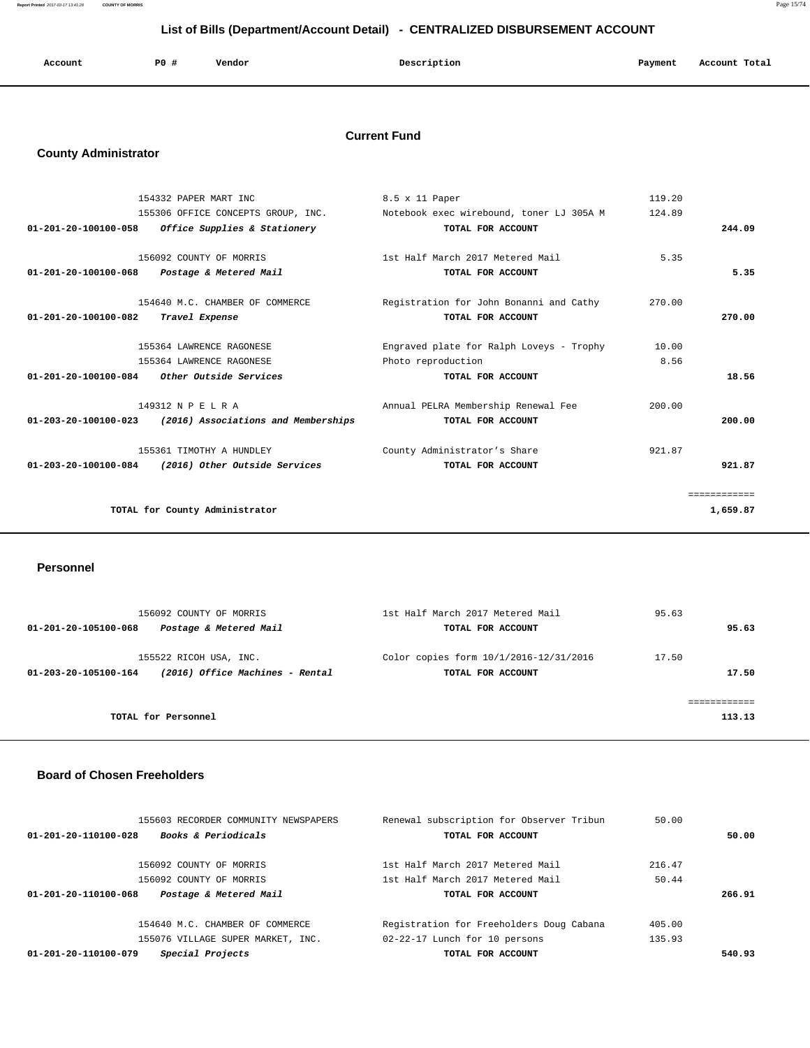**Report Printed** 2017-03-17 13:41:28 **COUNTY OF MORRIS** Page 15/74

## **List of Bills (Department/Account Detail) - CENTRALIZED DISBURSEMENT ACCOUNT**

| Account | <b>PO #</b> | Vendor | Description | Payment | Account Total |
|---------|-------------|--------|-------------|---------|---------------|
|         |             |        |             |         |               |

#### **Current Fund**

## **County Administrator**

|                      | 154332 PAPER MART INC                                              | 8.5 x 11 Paper                                                              | 119.20 |              |
|----------------------|--------------------------------------------------------------------|-----------------------------------------------------------------------------|--------|--------------|
|                      |                                                                    | 155306 OFFICE CONCEPTS GROUP, INC. Notebook exec wirebound, toner LJ 305A M | 124.89 |              |
| 01-201-20-100100-058 | Office Supplies & Stationery                                       | TOTAL FOR ACCOUNT                                                           |        | 244.09       |
|                      |                                                                    |                                                                             |        |              |
|                      | 156092 COUNTY OF MORRIS                                            | 1st Half March 2017 Metered Mail                                            | 5.35   |              |
| 01-201-20-100100-068 | Postage & Metered Mail                                             | TOTAL FOR ACCOUNT                                                           |        | 5.35         |
|                      |                                                                    |                                                                             |        |              |
|                      | 154640 M.C. CHAMBER OF COMMERCE                                    | Registration for John Bonanni and Cathy                                     | 270.00 |              |
| 01-201-20-100100-082 | Travel Expense                                                     | TOTAL FOR ACCOUNT                                                           |        | 270.00       |
|                      |                                                                    |                                                                             |        |              |
|                      | 155364 LAWRENCE RAGONESE                                           | Engraved plate for Ralph Loveys - Trophy                                    | 10.00  |              |
|                      | 155364 LAWRENCE RAGONESE                                           | Photo reproduction                                                          | 8.56   |              |
| 01-201-20-100100-084 | <i>Other Outside Services</i>                                      | TOTAL FOR ACCOUNT                                                           |        | 18.56        |
|                      |                                                                    |                                                                             |        |              |
|                      | 149312 N P E L R A                                                 | Annual PELRA Membership Renewal Fee                                         | 200.00 |              |
|                      | $01 - 203 - 20 - 100100 - 023$ (2016) Associations and Memberships | TOTAL FOR ACCOUNT                                                           |        | 200.00       |
|                      |                                                                    |                                                                             |        |              |
|                      | 155361 TIMOTHY A HUNDLEY                                           | County Administrator's Share                                                | 921.87 |              |
| 01-203-20-100100-084 | (2016) Other Outside Services                                      | TOTAL FOR ACCOUNT                                                           |        | 921.87       |
|                      |                                                                    |                                                                             |        | ============ |
|                      |                                                                    |                                                                             |        |              |
|                      | TOTAL for County Administrator                                     |                                                                             |        | 1,659.87     |
|                      |                                                                    |                                                                             |        |              |

#### **Personnel**

| 156092 COUNTY OF MORRIS<br>Postage & Metered Mail<br>01-201-20-105100-068         | 1st Half March 2017 Metered Mail<br>TOTAL FOR ACCOUNT           | 95.63<br>95.63 |
|-----------------------------------------------------------------------------------|-----------------------------------------------------------------|----------------|
| 155522 RICOH USA, INC.<br>(2016) Office Machines - Rental<br>01-203-20-105100-164 | Color copies form $10/1/2016 - 12/31/2016$<br>TOTAL FOR ACCOUNT | 17.50<br>17.50 |
| TOTAL for Personnel                                                               |                                                                 | 113.13         |

#### **Board of Chosen Freeholders**

| 155603 RECORDER COMMUNITY NEWSPAPERS                   | Renewal subscription for Observer Tribun | 50.00  |        |
|--------------------------------------------------------|------------------------------------------|--------|--------|
| <b>Books &amp; Periodicals</b><br>01-201-20-110100-028 | TOTAL FOR ACCOUNT                        |        | 50.00  |
| 156092 COUNTY OF MORRIS                                | 1st Half March 2017 Metered Mail         | 216.47 |        |
| 156092 COUNTY OF MORRIS                                | 1st Half March 2017 Metered Mail         | 50.44  |        |
| Postage & Metered Mail<br>01-201-20-110100-068         | TOTAL FOR ACCOUNT                        |        | 266.91 |
| 154640 M.C. CHAMBER OF COMMERCE                        | Registration for Freeholders Doug Cabana | 405.00 |        |
| 155076 VILLAGE SUPER MARKET, INC.                      | 02-22-17 Lunch for 10 persons            | 135.93 |        |
| Special Projects<br>01-201-20-110100-079               | TOTAL FOR ACCOUNT                        |        | 540.93 |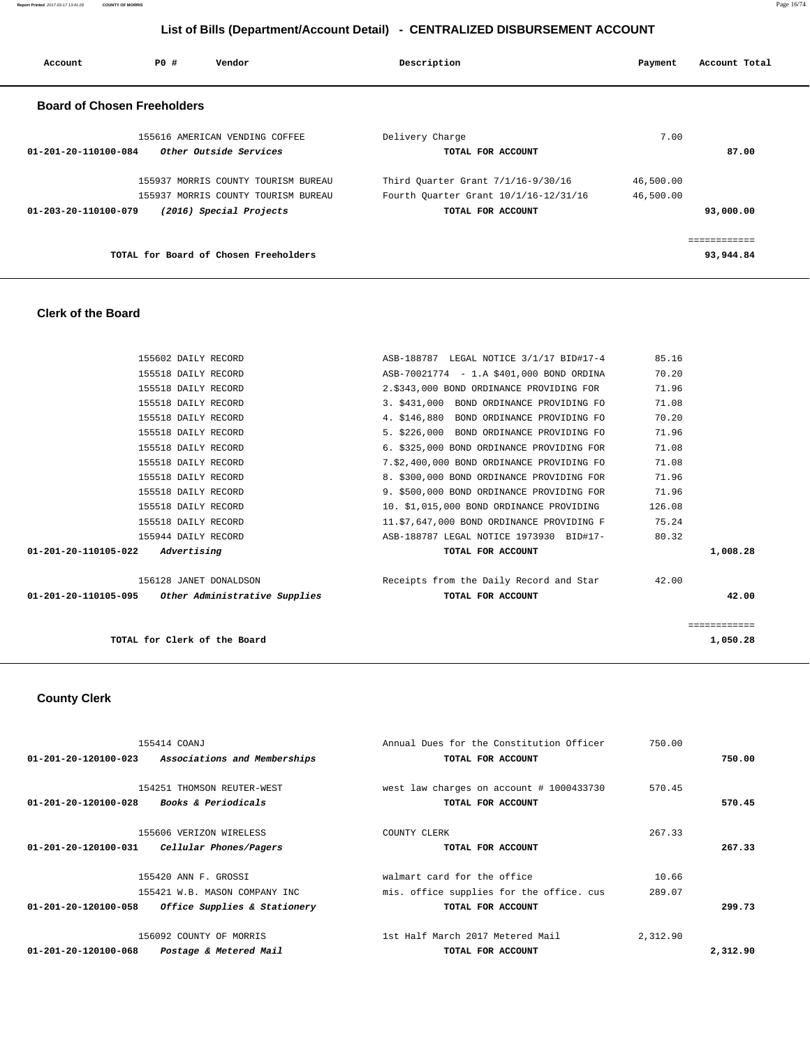**Report Printed** 2017-03-17 13:41:28 **COUNTY OF MORRIS** Page 16/74

## **List of Bills (Department/Account Detail) - CENTRALIZED DISBURSEMENT ACCOUNT**

| Account                            | PO# | Vendor                                | Description                           |                   | Payment   | Account Total           |
|------------------------------------|-----|---------------------------------------|---------------------------------------|-------------------|-----------|-------------------------|
| <b>Board of Chosen Freeholders</b> |     |                                       |                                       |                   |           |                         |
|                                    |     | 155616 AMERICAN VENDING COFFEE        | Delivery Charge                       |                   | 7.00      |                         |
| $01 - 201 - 20 - 110100 - 084$     |     | Other Outside Services                |                                       | TOTAL FOR ACCOUNT |           | 87.00                   |
|                                    |     | 155937 MORRIS COUNTY TOURISM BUREAU   | Third Ouarter Grant 7/1/16-9/30/16    |                   | 46,500.00 |                         |
|                                    |     | 155937 MORRIS COUNTY TOURISM BUREAU   | Fourth Quarter Grant 10/1/16-12/31/16 |                   | 46,500.00 |                         |
| $01 - 203 - 20 - 110100 - 079$     |     | (2016) Special Projects               |                                       | TOTAL FOR ACCOUNT |           | 93,000.00               |
|                                    |     |                                       |                                       |                   |           | . = = = = = = = = = = = |
|                                    |     | TOTAL for Board of Chosen Freeholders |                                       |                   |           | 93,944.84               |
|                                    |     |                                       |                                       |                   |           |                         |

#### **Clerk of the Board**

| TOTAL for Clerk of the Board                       |                                               | ===========<br>1,050.28 |
|----------------------------------------------------|-----------------------------------------------|-------------------------|
| 01-201-20-110105-095 Other Administrative Supplies | TOTAL FOR ACCOUNT                             | 42.00                   |
| 156128 JANET DONALDSON                             | Receipts from the Daily Record and Star 42.00 |                         |
| $01 - 201 - 20 - 110105 - 022$ Advertising         | TOTAL FOR ACCOUNT                             | 1,008.28                |
| 155944 DAILY RECORD                                | ASB-188787 LEGAL NOTICE 1973930 BID#17-       | 80.32                   |
| 155518 DAILY RECORD                                | 11.\$7,647,000 BOND ORDINANCE PROVIDING F     | 75.24                   |
| 155518 DAILY RECORD                                | 10. \$1,015,000 BOND ORDINANCE PROVIDING      | 126.08                  |
| 155518 DAILY RECORD                                | 9. \$500,000 BOND ORDINANCE PROVIDING FOR     | 71.96                   |
| 155518 DAILY RECORD                                | 8. \$300,000 BOND ORDINANCE PROVIDING FOR     | 71.96                   |
| 155518 DAILY RECORD                                | 7.\$2,400,000 BOND ORDINANCE PROVIDING FO     | 71.08                   |
| 155518 DAILY RECORD                                | 6. \$325,000 BOND ORDINANCE PROVIDING FOR     | 71.08                   |
| 155518 DAILY RECORD                                | 5. \$226,000 BOND ORDINANCE PROVIDING FO      | 71.96                   |
| 155518 DAILY RECORD                                | 4. \$146,880 BOND ORDINANCE PROVIDING FO      | 70.20                   |
| 155518 DAILY RECORD                                | 3. \$431,000 BOND ORDINANCE PROVIDING FO      | 71.08                   |
| 155518 DAILY RECORD                                | 2.\$343,000 BOND ORDINANCE PROVIDING FOR      | 71.96                   |
| 155518 DAILY RECORD                                | ASB-70021774 - 1.A \$401,000 BOND ORDINA      | 70.20                   |
| 155602 DAILY RECORD                                | ASB-188787 LEGAL NOTICE 3/1/17 BID#17-4       | 85.16                   |

## **County Clerk**

| 155414 COANJ                                                   | Annual Dues for the Constitution Officer | 750.00   |          |
|----------------------------------------------------------------|------------------------------------------|----------|----------|
| Associations and Memberships<br>$01 - 201 - 20 - 120100 - 023$ | TOTAL FOR ACCOUNT                        |          | 750.00   |
|                                                                |                                          |          |          |
| 154251 THOMSON REUTER-WEST                                     | west law charges on account # 1000433730 | 570.45   |          |
| <i>Books &amp; Periodicals</i><br>01-201-20-120100-028         | TOTAL FOR ACCOUNT                        |          | 570.45   |
|                                                                |                                          |          |          |
| 155606 VERIZON WIRELESS                                        | COUNTY CLERK                             | 267.33   |          |
| Cellular Phones/Pagers<br>01-201-20-120100-031                 | TOTAL FOR ACCOUNT                        |          | 267.33   |
| 155420 ANN F. GROSSI                                           | walmart card for the office              | 10.66    |          |
| 155421 W.B. MASON COMPANY INC                                  | mis, office supplies for the office, cus | 289.07   |          |
| 01-201-20-120100-058<br>Office Supplies & Stationery           | TOTAL FOR ACCOUNT                        |          | 299.73   |
| 156092 COUNTY OF MORRIS                                        | 1st Half March 2017 Metered Mail         | 2,312.90 |          |
| $01 - 201 - 20 - 120100 - 068$<br>Postage & Metered Mail       | TOTAL FOR ACCOUNT                        |          | 2,312.90 |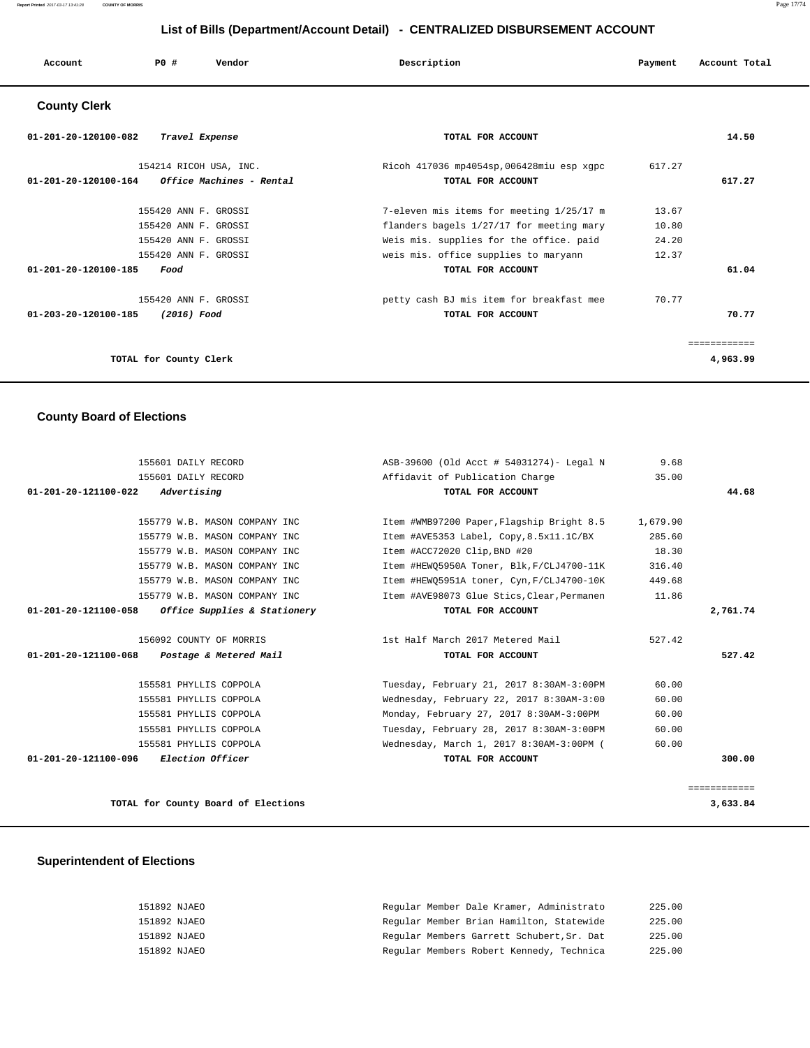| Account | P0 # | Vendor | Description<br>$\sim$ $\sim$ | Payment | Account Total |
|---------|------|--------|------------------------------|---------|---------------|
|         |      |        |                              |         |               |

#### **County Clerk**

| 01-201-20-120100-082<br>Travel Expense                                                      | TOTAL FOR ACCOUNT                                             |        | 14.50    |
|---------------------------------------------------------------------------------------------|---------------------------------------------------------------|--------|----------|
| 154214 RICOH USA, INC.<br>$01 - 201 - 20 - 120100 - 164$<br><i>Office Machines - Rental</i> | Ricoh 417036 mp4054sp,006428miu esp xqpc<br>TOTAL FOR ACCOUNT | 617.27 | 617.27   |
| 155420 ANN F. GROSSI                                                                        | 7-eleven mis items for meeting 1/25/17 m                      | 13.67  |          |
| 155420 ANN F. GROSSI                                                                        | flanders bagels 1/27/17 for meeting mary                      | 10.80  |          |
| 155420 ANN F. GROSSI                                                                        | Weis mis. supplies for the office. paid                       | 24.20  |          |
| 155420 ANN F. GROSSI                                                                        | weis mis. office supplies to maryann                          | 12.37  |          |
| 01-201-20-120100-185<br>Food                                                                | TOTAL FOR ACCOUNT                                             |        | 61.04    |
| 155420 ANN F. GROSSI                                                                        | petty cash BJ mis item for breakfast mee                      | 70.77  |          |
| 01-203-20-120100-185<br>(2016) Food                                                         | TOTAL FOR ACCOUNT                                             |        | 70.77    |
| TOTAL for County Clerk                                                                      |                                                               |        | 4,963.99 |

#### **County Board of Elections**

| 155601 DAILY RECORD                                      | ASB-39600 (Old Acct # 54031274)- Legal N   | 9.68     |              |
|----------------------------------------------------------|--------------------------------------------|----------|--------------|
| 155601 DAILY RECORD                                      | Affidavit of Publication Charge            | 35.00    |              |
| $01 - 201 - 20 - 121100 - 022$<br>Advertising            | TOTAL FOR ACCOUNT                          |          | 44.68        |
|                                                          |                                            |          |              |
| 155779 W.B. MASON COMPANY INC                            | Item #WMB97200 Paper, Flagship Bright 8.5  | 1,679.90 |              |
| 155779 W.B. MASON COMPANY INC                            | Item #AVE5353 Label, Copy,8.5x11.1C/BX     | 285.60   |              |
| 155779 W.B. MASON COMPANY INC                            | Item #ACC72020 Clip, BND #20               | 18.30    |              |
| 155779 W.B. MASON COMPANY INC                            | Item #HEWO5950A Toner, Blk, F/CLJ4700-11K  | 316.40   |              |
| 155779 W.B. MASON COMPANY INC                            | Item #HEW05951A toner, Cyn, F/CLJ4700-10K  | 449.68   |              |
| 155779 W.B. MASON COMPANY INC                            | Item #AVE98073 Glue Stics, Clear, Permanen | 11.86    |              |
| Office Supplies & Stationery<br>01-201-20-121100-058     | TOTAL FOR ACCOUNT                          |          | 2,761.74     |
|                                                          |                                            |          |              |
| 156092 COUNTY OF MORRIS                                  | 1st Half March 2017 Metered Mail           | 527.42   |              |
| $01 - 201 - 20 - 121100 - 068$<br>Postage & Metered Mail | TOTAL FOR ACCOUNT                          |          | 527.42       |
| 155581 PHYLLIS COPPOLA                                   | Tuesday, February 21, 2017 8:30AM-3:00PM   | 60.00    |              |
| 155581 PHYLLIS COPPOLA                                   | Wednesday, February 22, 2017 8:30AM-3:00   | 60.00    |              |
| 155581 PHYLLIS COPPOLA                                   | Monday, February 27, 2017 8:30AM-3:00PM    | 60.00    |              |
|                                                          |                                            |          |              |
| 155581 PHYLLIS COPPOLA                                   | Tuesday, February 28, 2017 8:30AM-3:00PM   | 60.00    |              |
| 155581 PHYLLIS COPPOLA                                   | Wednesday, March 1, 2017 8:30AM-3:00PM (   | 60.00    |              |
| 01-201-20-121100-096<br><i>Election Officer</i>          | TOTAL FOR ACCOUNT                          |          | 300.00       |
|                                                          |                                            |          |              |
|                                                          |                                            |          | ============ |
| TOTAL for County Board of Elections                      |                                            |          | 3,633.84     |

#### **Superintendent of Elections**

| 151892 NJAEO | Regular Member Dale Kramer, Administrato  | 225.00 |
|--------------|-------------------------------------------|--------|
| 151892 NJAEO | Regular Member Brian Hamilton, Statewide  | 225.00 |
| 151892 NJAEO | Regular Members Garrett Schubert, Sr. Dat | 225.00 |
| 151892 NJAEO | Regular Members Robert Kennedy, Technica  | 225.00 |
|              |                                           |        |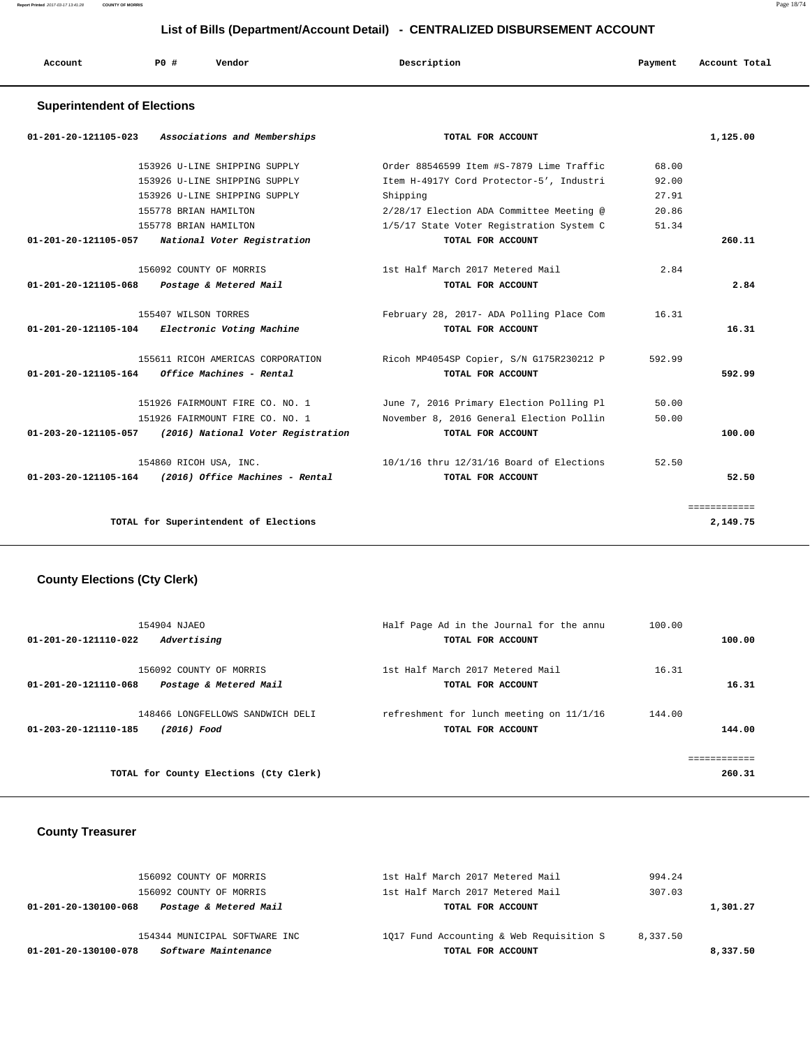| Account<br>. | P0 | Vendor<br>. | Description | Payment | Account Total |
|--------------|----|-------------|-------------|---------|---------------|
|              |    |             |             |         |               |

#### **Superintendent of Elections**

| 01-201-20-121105-023 Associations and Memberships       | TOTAL FOR ACCOUNT                        |        | 1,125.00     |
|---------------------------------------------------------|------------------------------------------|--------|--------------|
| 153926 U-LINE SHIPPING SUPPLY                           | Order 88546599 Item #S-7879 Lime Traffic | 68.00  |              |
| 153926 U-LINE SHIPPING SUPPLY                           | Item H-4917Y Cord Protector-5', Industri | 92.00  |              |
| 153926 U-LINE SHIPPING SUPPLY                           | Shipping                                 | 27.91  |              |
| 155778 BRIAN HAMILTON                                   | 2/28/17 Election ADA Committee Meeting @ | 20.86  |              |
| 155778 BRIAN HAMILTON                                   | 1/5/17 State Voter Registration System C | 51.34  |              |
| 01-201-20-121105-057 National Voter Registration        | TOTAL FOR ACCOUNT                        |        | 260.11       |
| 156092 COUNTY OF MORRIS                                 | 1st Half March 2017 Metered Mail         | 2.84   |              |
| 01-201-20-121105-068 Postage & Metered Mail             | TOTAL FOR ACCOUNT                        |        | 2.84         |
| 155407 WILSON TORRES                                    | February 28, 2017- ADA Polling Place Com | 16.31  |              |
| 01-201-20-121105-104 Electronic Voting Machine          | TOTAL FOR ACCOUNT                        |        | 16.31        |
| 155611 RICOH AMERICAS CORPORATION                       | Ricoh MP4054SP Copier, S/N G175R230212 P | 592.99 |              |
| $01-201-20-121105-164$ Office Machines - Rental         | TOTAL FOR ACCOUNT                        |        | 592.99       |
| 151926 FAIRMOUNT FIRE CO. NO. 1                         | June 7, 2016 Primary Election Polling Pl | 50.00  |              |
| 151926 FAIRMOUNT FIRE CO. NO. 1                         | November 8, 2016 General Election Pollin | 50.00  |              |
| 01-203-20-121105-057 (2016) National Voter Registration | TOTAL FOR ACCOUNT                        |        | 100.00       |
| 154860 RICOH USA, INC.                                  | 10/1/16 thru 12/31/16 Board of Elections | 52.50  |              |
| $01-203-20-121105-164$ (2016) Office Machines - Rental  | TOTAL FOR ACCOUNT                        |        | 52.50        |
|                                                         |                                          |        | ============ |
| TOTAL for Superintendent of Elections                   |                                          |        | 2,149.75     |

# **County Elections (Cty Clerk)**

| 154904 NJAEO                                                              | Half Page Ad in the Journal for the annu                      | 100.00                 |
|---------------------------------------------------------------------------|---------------------------------------------------------------|------------------------|
| 01-201-20-121110-022<br>Advertising                                       | TOTAL FOR ACCOUNT                                             | 100.00                 |
| 156092 COUNTY OF MORRIS<br>Postage & Metered Mail<br>01-201-20-121110-068 | 1st Half March 2017 Metered Mail<br>TOTAL FOR ACCOUNT         | 16.31<br>16.31         |
| 148466 LONGFELLOWS SANDWICH DELI<br>01-203-20-121110-185<br>(2016) Food   | refreshment for lunch meeting on 11/1/16<br>TOTAL FOR ACCOUNT | 144.00<br>144.00       |
| TOTAL for County Elections (Cty Clerk)                                    |                                                               | ============<br>260.31 |

#### **County Treasurer**

| Software Maintenance<br>01-201-20-130100-078   | TOTAL FOR ACCOUNT                        | 8,337.50 |
|------------------------------------------------|------------------------------------------|----------|
| 154344 MUNICIPAL SOFTWARE INC                  | 1017 Fund Accounting & Web Requisition S | 8,337.50 |
| Postage & Metered Mail<br>01-201-20-130100-068 | TOTAL FOR ACCOUNT                        | 1,301.27 |
| 156092 COUNTY OF MORRIS                        | 1st Half March 2017 Metered Mail         | 307.03   |
| 156092 COUNTY OF MORRIS                        | 1st Half March 2017 Metered Mail         | 994.24   |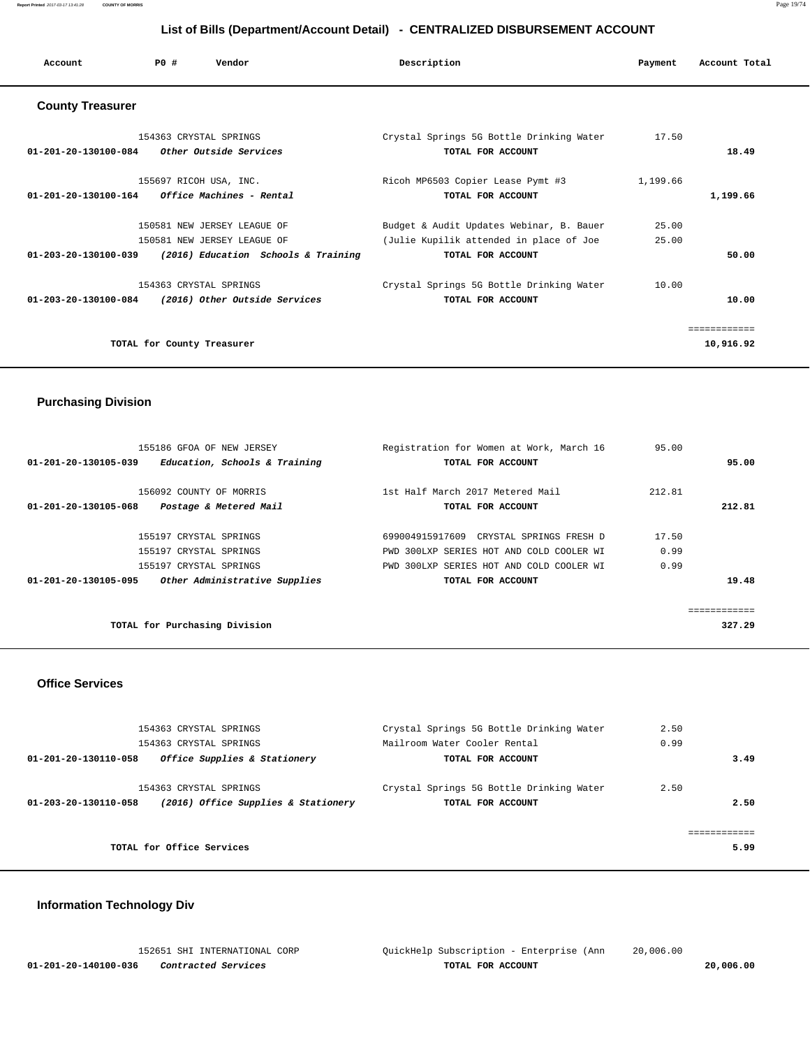| Account                                         | PO#                        | Vendor                                                   | Description                              | Payment  | Account Total |
|-------------------------------------------------|----------------------------|----------------------------------------------------------|------------------------------------------|----------|---------------|
| <b>County Treasurer</b>                         |                            |                                                          |                                          |          |               |
|                                                 | 154363 CRYSTAL SPRINGS     |                                                          | Crystal Springs 5G Bottle Drinking Water | 17.50    |               |
| 01-201-20-130100-084                            |                            | Other Outside Services                                   | TOTAL FOR ACCOUNT                        |          | 18.49         |
|                                                 | 155697 RICOH USA, INC.     |                                                          | Ricoh MP6503 Copier Lease Pymt #3        | 1,199.66 |               |
| $01-201-20-130100-164$ Office Machines - Rental |                            |                                                          | TOTAL FOR ACCOUNT                        |          | 1,199.66      |
|                                                 |                            | 150581 NEW JERSEY LEAGUE OF                              | Budget & Audit Updates Webinar, B. Bauer | 25.00    |               |
|                                                 |                            | 150581 NEW JERSEY LEAGUE OF                              | (Julie Kupilik attended in place of Joe  | 25.00    |               |
|                                                 |                            | 01-203-20-130100-039 (2016) Education Schools & Training | TOTAL FOR ACCOUNT                        |          | 50.00         |
|                                                 | 154363 CRYSTAL SPRINGS     |                                                          | Crystal Springs 5G Bottle Drinking Water | 10.00    |               |
| 01-203-20-130100-084                            |                            | (2016) Other Outside Services                            | TOTAL FOR ACCOUNT                        |          | 10.00         |
|                                                 |                            |                                                          |                                          |          | ============  |
|                                                 | TOTAL for County Treasurer |                                                          |                                          |          | 10,916.92     |

# **Purchasing Division**

| 155186 GFOA OF NEW JERSEY                             | Registration for Women at Work, March 16 | 95.00  |        |
|-------------------------------------------------------|------------------------------------------|--------|--------|
| Education, Schools & Training<br>01-201-20-130105-039 | TOTAL FOR ACCOUNT                        |        | 95.00  |
|                                                       |                                          |        |        |
| 156092 COUNTY OF MORRIS                               | 1st Half March 2017 Metered Mail         | 212.81 |        |
| 01-201-20-130105-068<br>Postage & Metered Mail        | TOTAL FOR ACCOUNT                        |        | 212.81 |
|                                                       |                                          |        |        |
| 155197 CRYSTAL SPRINGS                                | 699004915917609 CRYSTAL SPRINGS FRESH D  | 17.50  |        |
| 155197 CRYSTAL SPRINGS                                | PWD 300LXP SERIES HOT AND COLD COOLER WI | 0.99   |        |
| 155197 CRYSTAL SPRINGS                                | PWD 300LXP SERIES HOT AND COLD COOLER WI | 0.99   |        |
| Other Administrative Supplies<br>01-201-20-130105-095 | TOTAL FOR ACCOUNT                        |        | 19.48  |
|                                                       |                                          |        |        |
|                                                       |                                          |        |        |
| TOTAL for Purchasing Division                         |                                          |        | 327.29 |

#### **Office Services**

| 154363 CRYSTAL SPRINGS<br>154363 CRYSTAL SPRINGS                                      | Crystal Springs 5G Bottle Drinking Water<br>Mailroom Water Cooler Rental | 2.50<br>0.99 |
|---------------------------------------------------------------------------------------|--------------------------------------------------------------------------|--------------|
| Office Supplies & Stationery<br>01-201-20-130110-058                                  | TOTAL FOR ACCOUNT                                                        | 3.49         |
| 154363 CRYSTAL SPRINGS<br>(2016) Office Supplies & Stationery<br>01-203-20-130110-058 | Crystal Springs 5G Bottle Drinking Water<br>TOTAL FOR ACCOUNT            | 2.50<br>2.50 |
| TOTAL for Office Services                                                             |                                                                          | 5.99         |

# **Information Technology Div**

|                      | 152651 SHI INTERNATIONAL CORP | OuickHelp Subscription - Enterprise (Ann | 20,006.00 |  |
|----------------------|-------------------------------|------------------------------------------|-----------|--|
| 01-201-20-140100-036 | <i>Contracted Services</i>    | TOTAL FOR ACCOUNT                        | 20,006.00 |  |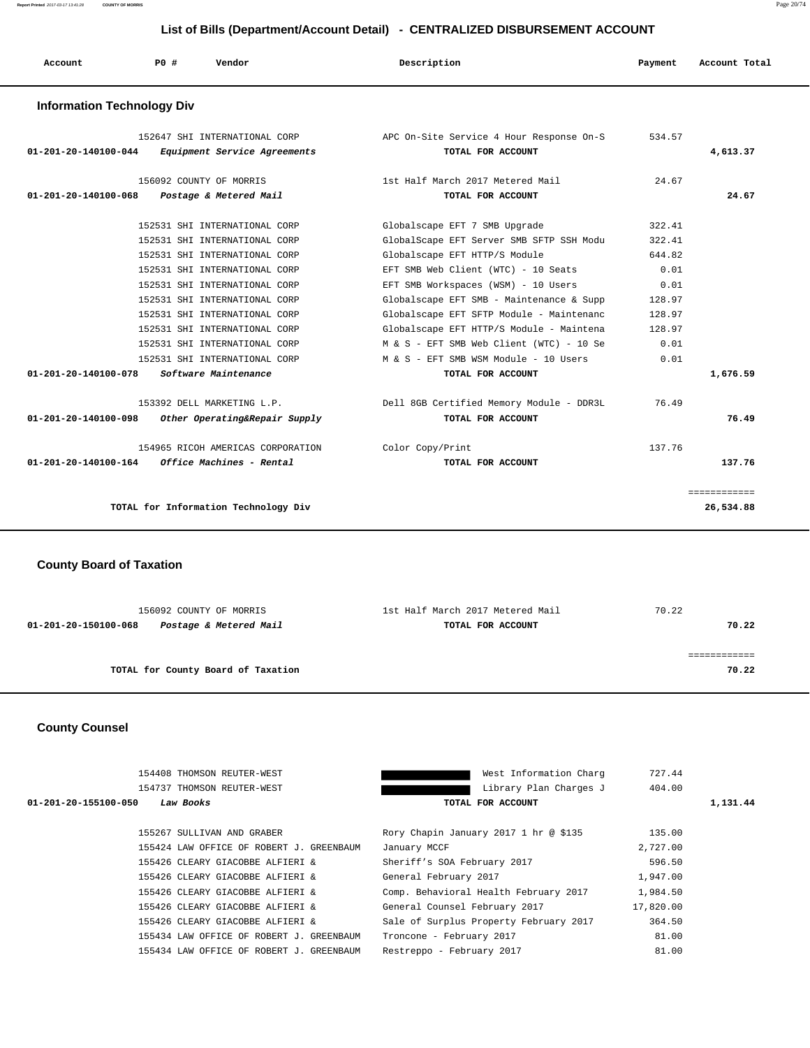**Report Printed** 2017-03-17 13:41:28 **COUNTY OF MORRIS** Page 20/74

#### **List of Bills (Department/Account Detail) - CENTRALIZED DISBURSEMENT ACCOUNT**

|                                             |     |                                                                                                                                                                                                                                     |             | LISTOI DIIIS (DEPARTIMENTACCOUNT DETAIL) - CENTRALIZED DISBORSEMENT ACCOUNT                                                                                                                                                                                                      |                                                                |               |  |
|---------------------------------------------|-----|-------------------------------------------------------------------------------------------------------------------------------------------------------------------------------------------------------------------------------------|-------------|----------------------------------------------------------------------------------------------------------------------------------------------------------------------------------------------------------------------------------------------------------------------------------|----------------------------------------------------------------|---------------|--|
| Account                                     | PO# | Vendor                                                                                                                                                                                                                              | Description |                                                                                                                                                                                                                                                                                  | Payment                                                        | Account Total |  |
| <b>Information Technology Div</b>           |     |                                                                                                                                                                                                                                     |             |                                                                                                                                                                                                                                                                                  |                                                                |               |  |
| 01-201-20-140100-044                        |     | 152647 SHI INTERNATIONAL CORP<br>Equipment Service Agreements                                                                                                                                                                       |             | APC On-Site Service 4 Hour Response On-S<br>TOTAL FOR ACCOUNT                                                                                                                                                                                                                    | 534.57                                                         | 4,613.37      |  |
| 01-201-20-140100-068 Postage & Metered Mail |     | 156092 COUNTY OF MORRIS                                                                                                                                                                                                             |             | 1st Half March 2017 Metered Mail<br>TOTAL FOR ACCOUNT                                                                                                                                                                                                                            | 24.67                                                          | 24.67         |  |
|                                             |     | 152531 SHI INTERNATIONAL CORP<br>152531 SHI INTERNATIONAL CORP<br>152531 SHI INTERNATIONAL CORP<br>152531 SHI INTERNATIONAL CORP<br>152531 SHI INTERNATIONAL CORP<br>152531 SHI INTERNATIONAL CORP<br>152531 SHI INTERNATIONAL CORP |             | Globalscape EFT 7 SMB Upgrade<br>GlobalScape EFT Server SMB SFTP SSH Modu<br>Globalscape EFT HTTP/S Module<br>EFT SMB Web Client (WTC) - 10 Seats<br>EFT SMB Workspaces (WSM) - 10 Users<br>Globalscape EFT SMB - Maintenance & Supp<br>Globalscape EFT SFTP Module - Maintenanc | 322.41<br>322.41<br>644.82<br>0.01<br>0.01<br>128.97<br>128.97 |               |  |
|                                             |     | 152531 SHI INTERNATIONAL CORP                                                                                                                                                                                                       |             | Globalscape EFT HTTP/S Module - Maintena                                                                                                                                                                                                                                         | 128.97                                                         |               |  |

| 153392 DELL MARKETING L.P.<br>Other Operating&Repair Supply<br>01-201-20-140100-098                 | Dell 8GB Certified Memory Module - DDR3L<br>TOTAL FOR ACCOUNT | 76.49<br>76.49   |
|-----------------------------------------------------------------------------------------------------|---------------------------------------------------------------|------------------|
| 154965 RICOH AMERICAS CORPORATION<br><i><b>Office Machines - Rental</b></i><br>01-201-20-140100-164 | Color Copy/Print<br>TOTAL FOR ACCOUNT                         | 137.76<br>137.76 |
| TOTAL for Information Technology Div                                                                |                                                               | 26,534.88        |

 **01-201-20-140100-078 Software Maintenance TOTAL FOR ACCOUNT 1,676.59**

 152531 SHI INTERNATIONAL CORP M & S - EFT SMB Web Client (WTC) - 10 Se 0.01 152531 SHI INTERNATIONAL CORP M & S - EFT SMB WSM Module - 10 Users 0.01

#### **County Board of Taxation**

| 156092 COUNTY OF MORRIS                        | 1st Half March 2017 Metered Mail | 70.22 |
|------------------------------------------------|----------------------------------|-------|
| Postage & Metered Mail<br>01-201-20-150100-068 | TOTAL FOR ACCOUNT                | 70.22 |
|                                                |                                  |       |
|                                                |                                  |       |
| TOTAL for County Board of Taxation             |                                  | 70.22 |

#### **County Counsel**

|                      | 154408 THOMSON REUTER-WEST               | West Information Charg                 | 727.44    |          |
|----------------------|------------------------------------------|----------------------------------------|-----------|----------|
|                      | 154737 THOMSON REUTER-WEST               | Library Plan Charges J                 | 404.00    |          |
| 01-201-20-155100-050 | Law Books                                | TOTAL FOR ACCOUNT                      |           | 1,131.44 |
|                      | 155267 SULLIVAN AND GRABER               | Rory Chapin January 2017 1 hr @ \$135  | 135.00    |          |
|                      | 155424 LAW OFFICE OF ROBERT J. GREENBAUM | January MCCF                           | 2,727.00  |          |
|                      | 155426 CLEARY GIACOBBE ALFIERI &         | Sheriff's SOA February 2017            | 596.50    |          |
|                      | 155426 CLEARY GIACOBBE ALFIERI &         | General February 2017                  | 1,947.00  |          |
|                      | 155426 CLEARY GIACOBBE ALFIERI &         | Comp. Behavioral Health February 2017  | 1,984.50  |          |
|                      | 155426 CLEARY GIACOBBE ALFIERI &         | General Counsel February 2017          | 17,820.00 |          |
|                      | 155426 CLEARY GIACOBBE ALFIERI &         | Sale of Surplus Property February 2017 | 364.50    |          |
|                      | 155434 LAW OFFICE OF ROBERT J. GREENBAUM | Troncone - February 2017               | 81.00     |          |
|                      | 155434 LAW OFFICE OF ROBERT J. GREENBAUM | Restreppo - February 2017              | 81.00     |          |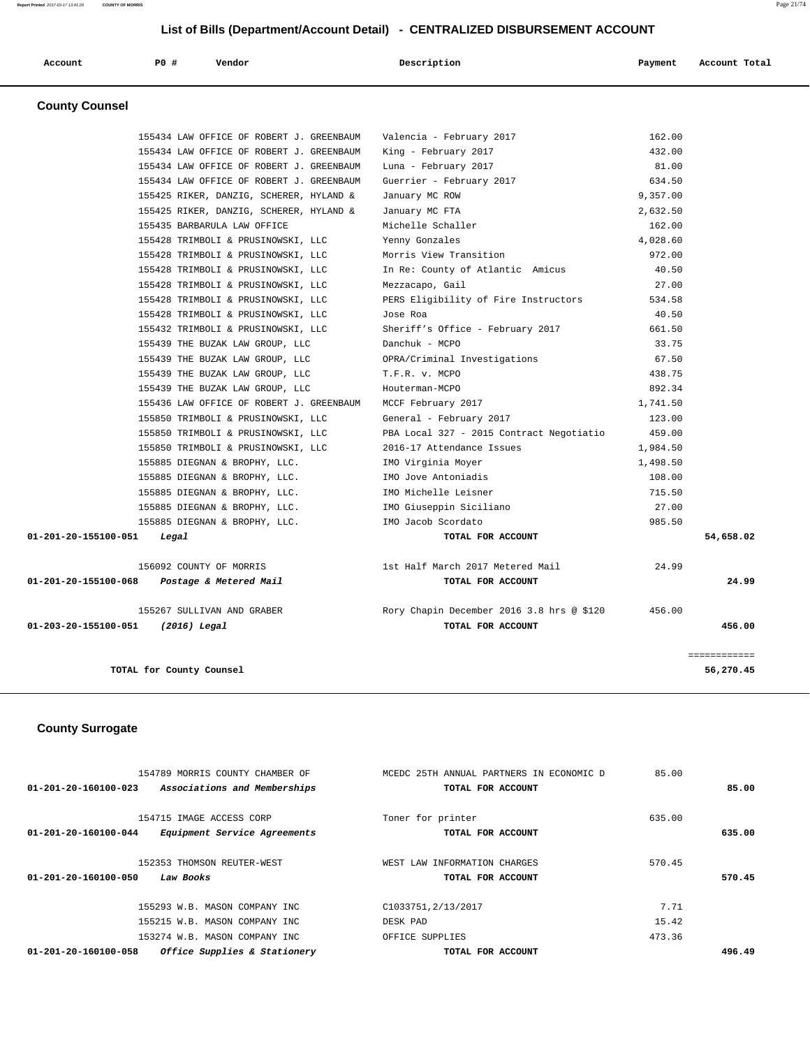| Account               | P0 # | Vendor | Description | Payment | Account Total |
|-----------------------|------|--------|-------------|---------|---------------|
| <b>County Counsel</b> |      |        |             |         |               |

|                                   | TOTAL for County Counsel                                                             |                                                  |                  | 56,270.45    |
|-----------------------------------|--------------------------------------------------------------------------------------|--------------------------------------------------|------------------|--------------|
|                                   |                                                                                      |                                                  |                  | ============ |
| 01-203-20-155100-051 (2016) Legal |                                                                                      | TOTAL FOR ACCOUNT                                |                  | 456.00       |
|                                   | 155267 SULLIVAN AND GRABER                                                           | Rory Chapin December 2016 3.8 hrs @ \$120 456.00 |                  |              |
|                                   |                                                                                      |                                                  |                  |              |
|                                   | 01-201-20-155100-068 Postage & Metered Mail                                          | TOTAL FOR ACCOUNT                                |                  | 24.99        |
|                                   | 156092 COUNTY OF MORRIS                                                              | 1st Half March 2017 Metered Mail                 | 24.99            |              |
| 01-201-20-155100-051 Legal        |                                                                                      | TOTAL FOR ACCOUNT                                |                  | 54,658.02    |
|                                   | 155885 DIEGNAN & BROPHY, LLC. TMO Jacob Scordato                                     |                                                  | 985.50           |              |
|                                   | 155885 DIEGNAN & BROPHY, LLC.                                                        | IMO Giuseppin Siciliano                          | 27.00            |              |
|                                   | 155885 DIEGNAN & BROPHY, LLC.                                                        | IMO Michelle Leisner                             | 715.50           |              |
|                                   | 155885 DIEGNAN & BROPHY, LLC.                                                        | IMO Jove Antoniadis                              | 108.00           |              |
|                                   | 155885 DIEGNAN & BROPHY, LLC.                                                        | IMO Virginia Moyer                               | 1,498.50         |              |
|                                   | 155850 TRIMBOLI & PRUSINOWSKI, LLC                                                   | 2016-17 Attendance Issues                        | 1,984.50         |              |
|                                   | 155850 TRIMBOLI & PRUSINOWSKI, LLC                                                   | PBA Local 327 - 2015 Contract Negotiatio         | 459.00           |              |
|                                   | 155850 TRIMBOLI & PRUSINOWSKI, LLC                                                   | General - February 2017                          | 123.00           |              |
|                                   | 155436 LAW OFFICE OF ROBERT J. GREENBAUM                                             | MCCF February 2017                               | 1,741.50         |              |
|                                   | 155439 THE BUZAK LAW GROUP, LLC                                                      | Houterman-MCPO                                   | 892.34           |              |
|                                   | 155439 THE BUZAK LAW GROUP, LLC                                                      | T.F.R. v. MCPO                                   | 438.75           |              |
|                                   | 155439 THE BUZAK LAW GROUP, LLC                                                      | OPRA/Criminal Investigations                     | 67.50            |              |
|                                   | 155439 THE BUZAK LAW GROUP, LLC                                                      | Danchuk - MCPO                                   | 33.75            |              |
|                                   | 155432 TRIMBOLI & PRUSINOWSKI, LLC                                                   | Sheriff's Office - February 2017                 | 661.50           |              |
|                                   | 155428 TRIMBOLI & PRUSINOWSKI, LLC                                                   | Jose Roa                                         | 40.50            |              |
|                                   | 155428 TRIMBOLI & PRUSINOWSKI, LLC                                                   | PERS Eligibility of Fire Instructors             | 534.58           |              |
|                                   | 155428 TRIMBOLI & PRUSINOWSKI, LLC                                                   | Mezzacapo, Gail                                  | 27.00            |              |
|                                   | 155428 TRIMBOLI & PRUSINOWSKI, LLC                                                   | In Re: County of Atlantic Amicus                 | 40.50            |              |
|                                   | 155428 TRIMBOLI & PRUSINOWSKI, LLC                                                   | Morris View Transition                           | 972.00           |              |
|                                   | 155428 TRIMBOLI & PRUSINOWSKI, LLC                                                   | Yenny Gonzales                                   | 4,028.60         |              |
|                                   | 155435 BARBARULA LAW OFFICE                                                          | Michelle Schaller                                | 162.00           |              |
|                                   | 155425 RIKER, DANZIG, SCHERER, HYLAND &                                              | January MC FTA                                   | 2,632.50         |              |
|                                   | 155425 RIKER, DANZIG, SCHERER, HYLAND &                                              | January MC ROW                                   | 9,357.00         |              |
|                                   | 155434 LAW OFFICE OF ROBERT J. GREENBAUM                                             | Guerrier - February 2017                         | 634.50           |              |
|                                   | 155434 LAW OFFICE OF ROBERT J. GREENBAUM                                             | Luna - February 2017                             | 81.00            |              |
|                                   | 155434 LAW OFFICE OF ROBERT J. GREENBAUM<br>155434 LAW OFFICE OF ROBERT J. GREENBAUM | Valencia - February 2017<br>King - February 2017 | 162.00<br>432.00 |              |
|                                   |                                                                                      |                                                  |                  |              |

#### **County Surrogate**

| 154789 MORRIS COUNTY CHAMBER OF                      | MCEDC 25TH ANNUAL PARTNERS IN ECONOMIC D | 85.00  |        |
|------------------------------------------------------|------------------------------------------|--------|--------|
| 01-201-20-160100-023<br>Associations and Memberships | TOTAL FOR ACCOUNT                        |        | 85.00  |
|                                                      |                                          |        |        |
| 154715 IMAGE ACCESS CORP                             | Toner for printer                        | 635.00 |        |
| Equipment Service Agreements<br>01-201-20-160100-044 | TOTAL FOR ACCOUNT                        |        | 635.00 |
| 152353 THOMSON REUTER-WEST                           | WEST LAW INFORMATION CHARGES             | 570.45 |        |
|                                                      |                                          |        |        |
| 01-201-20-160100-050<br>Law Books                    | TOTAL FOR ACCOUNT                        |        | 570.45 |
|                                                      |                                          |        |        |
| 155293 W.B. MASON COMPANY INC                        | C1033751, 2/13/2017                      | 7.71   |        |
| 155215 W.B. MASON COMPANY INC                        | DESK PAD                                 | 15.42  |        |
| 153274 W.B. MASON COMPANY INC                        | OFFICE SUPPLIES                          | 473.36 |        |
| Office Supplies & Stationery<br>01-201-20-160100-058 | TOTAL FOR ACCOUNT                        |        | 496.49 |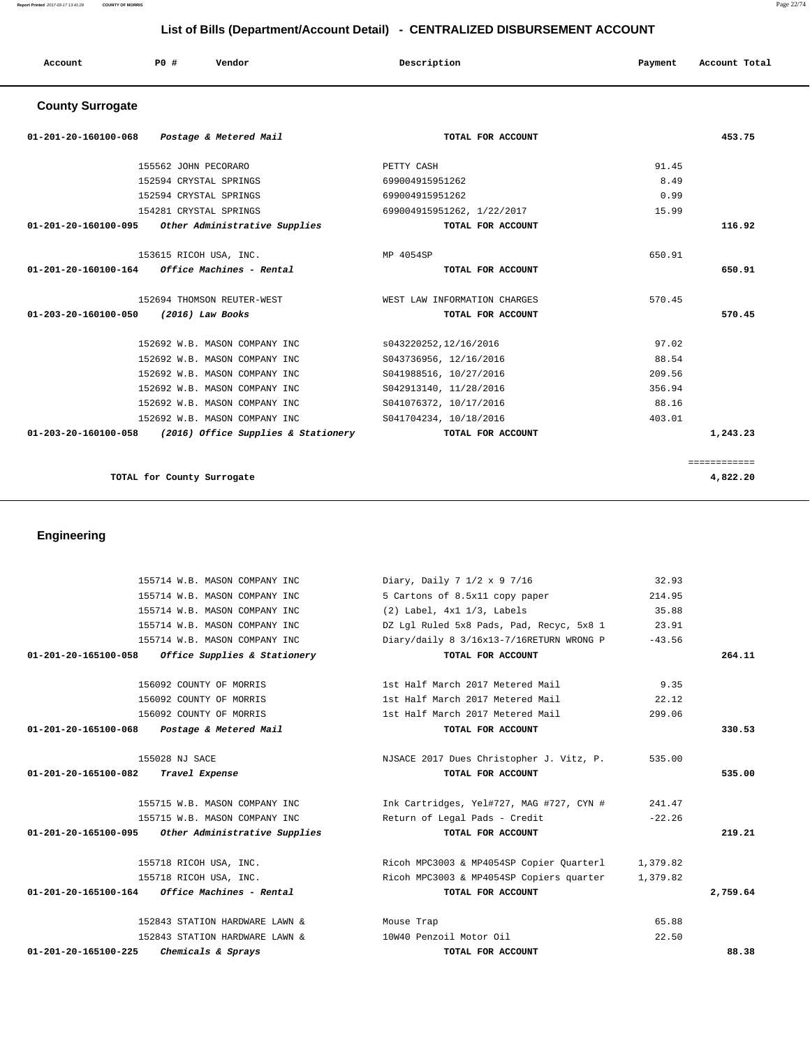**Report Printed** 2017-03-17 13:41:28 **COUNTY OF MORRIS** Page 22/74

# **List of Bills (Department/Account Detail) - CENTRALIZED DISBURSEMENT ACCOUNT**

| Account | P0 # | Vendor | Description | Payment | Account Total |
|---------|------|--------|-------------|---------|---------------|
|         |      |        |             |         |               |

# **County Surrogate**

| 01-201-20-160100-068<br>Postage & Metered Mail              | TOTAL FOR ACCOUNT            | 453.75       |  |
|-------------------------------------------------------------|------------------------------|--------------|--|
| 155562 JOHN PECORARO                                        | PETTY CASH                   | 91.45        |  |
| 152594 CRYSTAL SPRINGS                                      | 699004915951262              | 8.49         |  |
| 152594 CRYSTAL SPRINGS                                      | 699004915951262              | 0.99         |  |
| 154281 CRYSTAL SPRINGS                                      | 699004915951262, 1/22/2017   | 15.99        |  |
| Other Administrative Supplies<br>01-201-20-160100-095       | TOTAL FOR ACCOUNT            | 116.92       |  |
| 153615 RICOH USA, INC.                                      | MP 4054SP                    | 650.91       |  |
| $01 - 201 - 20 - 160100 - 164$ Office Machines - Rental     | TOTAL FOR ACCOUNT            | 650.91       |  |
| 152694 THOMSON REUTER-WEST                                  | WEST LAW INFORMATION CHARGES | 570.45       |  |
| 01-203-20-160100-050<br>(2016) Law Books                    | TOTAL FOR ACCOUNT            | 570.45       |  |
| 152692 W.B. MASON COMPANY INC                               | s043220252,12/16/2016        | 97.02        |  |
| 152692 W.B. MASON COMPANY INC                               | S043736956, 12/16/2016       | 88.54        |  |
| 152692 W.B. MASON COMPANY INC                               | S041988516, 10/27/2016       | 209.56       |  |
| 152692 W.B. MASON COMPANY INC                               | S042913140, 11/28/2016       | 356.94       |  |
| 152692 W.B. MASON COMPANY INC                               | S041076372, 10/17/2016       | 88.16        |  |
| 152692 W.B. MASON COMPANY INC                               | S041704234, 10/18/2016       | 403.01       |  |
| 01-203-20-160100-058<br>(2016) Office Supplies & Stationery | TOTAL FOR ACCOUNT            | 1,243.23     |  |
|                                                             |                              | ============ |  |
| TOTAL for County Surrogate                                  |                              | 4,822.20     |  |

 **Engineering** 

|                                                         | 155714 W.B. MASON COMPANY INC           | Diary, Daily 7 1/2 x 9 7/16              | 32.93    |          |
|---------------------------------------------------------|-----------------------------------------|------------------------------------------|----------|----------|
|                                                         | 155714 W.B. MASON COMPANY INC           | 5 Cartons of 8.5x11 copy paper           | 214.95   |          |
|                                                         | 155714 W.B. MASON COMPANY INC           | $(2)$ Label, $4x1$ $1/3$ , Labels        | 35.88    |          |
|                                                         | 155714 W.B. MASON COMPANY INC           | DZ Lgl Ruled 5x8 Pads, Pad, Recyc, 5x8 1 | 23.91    |          |
|                                                         | 155714 W.B. MASON COMPANY INC.          | Diary/daily 8 3/16x13-7/16RETURN WRONG P | $-43.56$ |          |
| 01-201-20-165100-058                                    | <i>Office Supplies &amp; Stationery</i> | TOTAL FOR ACCOUNT                        |          | 264.11   |
|                                                         | 156092 COUNTY OF MORRIS                 | 1st Half March 2017 Metered Mail         | 9.35     |          |
|                                                         | 156092 COUNTY OF MORRIS                 | 1st Half March 2017 Metered Mail         | 22.12    |          |
|                                                         | 156092 COUNTY OF MORRIS                 | 1st Half March 2017 Metered Mail         | 299.06   |          |
| 01-201-20-165100-068 Postage & Metered Mail             |                                         | TOTAL FOR ACCOUNT                        |          | 330.53   |
| 155028 NJ SACE                                          |                                         | NJSACE 2017 Dues Christopher J. Vitz, P. | 535.00   |          |
|                                                         |                                         |                                          |          |          |
| 01-201-20-165100-082<br>Travel Expense                  |                                         | TOTAL FOR ACCOUNT                        |          | 535.00   |
|                                                         | 155715 W.B. MASON COMPANY INC           | Ink Cartridges, Yel#727, MAG #727, CYN # | 241.47   |          |
|                                                         | 155715 W.B. MASON COMPANY INC           | Return of Legal Pads - Credit            | $-22.26$ |          |
| 01-201-20-165100-095 Other Administrative Supplies      |                                         | TOTAL FOR ACCOUNT                        |          | 219.21   |
|                                                         | 155718 RICOH USA, INC.                  | Ricoh MPC3003 & MP4054SP Copier Quarterl | 1,379.82 |          |
|                                                         | 155718 RICOH USA, INC.                  | Ricoh MPC3003 & MP4054SP Copiers quarter | 1,379.82 |          |
| $01 - 201 - 20 - 165100 - 164$ Office Machines - Rental |                                         | TOTAL FOR ACCOUNT                        |          | 2,759.64 |
|                                                         | 152843 STATION HARDWARE LAWN &          | Mouse Trap                               | 65.88    |          |
|                                                         | 152843 STATION HARDWARE LAWN &          | 10W40 Penzoil Motor Oil                  | 22.50    |          |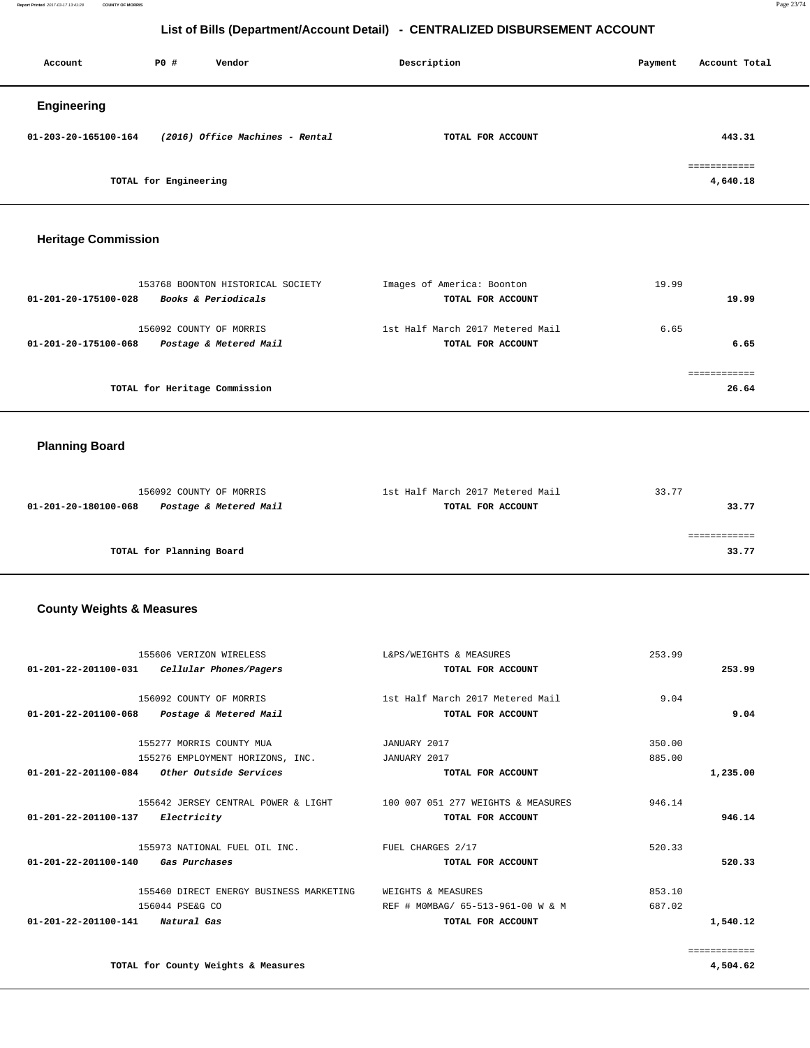**Report Printed** 2017-03-17 13:41:28 **COUNTY OF MORRIS** Page 23/74

## **List of Bills (Department/Account Detail) - CENTRALIZED DISBURSEMENT ACCOUNT**

| Account              | <b>PO #</b>                     | Vendor | Description       |  | Account Total            |
|----------------------|---------------------------------|--------|-------------------|--|--------------------------|
| <b>Engineering</b>   |                                 |        |                   |  |                          |
| 01-203-20-165100-164 | (2016) Office Machines - Rental |        | TOTAL FOR ACCOUNT |  | 443.31                   |
|                      | TOTAL for Engineering           |        |                   |  | ============<br>4,640.18 |

# **Heritage Commission**

| 153768 BOONTON HISTORICAL SOCIETY              | Images of America: Boonton       | 19.99 |
|------------------------------------------------|----------------------------------|-------|
| Books & Periodicals<br>01-201-20-175100-028    | TOTAL FOR ACCOUNT                | 19.99 |
| 156092 COUNTY OF MORRIS                        | 1st Half March 2017 Metered Mail | 6.65  |
| Postage & Metered Mail<br>01-201-20-175100-068 | TOTAL FOR ACCOUNT                | 6.65  |
|                                                |                                  |       |
| TOTAL for Heritage Commission                  |                                  | 26.64 |

# **Planning Board**

| 156092 COUNTY OF MORRIS                        | 1st Half March 2017 Metered Mail | 33.77 |
|------------------------------------------------|----------------------------------|-------|
| Postage & Metered Mail<br>01-201-20-180100-068 | TOTAL FOR ACCOUNT                | 33.77 |
|                                                |                                  |       |
|                                                |                                  |       |
| TOTAL for Planning Board                       |                                  | 33.77 |

#### **County Weights & Measures**

| 155606 VERIZON WIRELESS                                                | L&PS/WEIGHTS & MEASURES           | 253.99 |              |
|------------------------------------------------------------------------|-----------------------------------|--------|--------------|
| 01-201-22-201100-031 Cellular Phones/Pagers                            | TOTAL FOR ACCOUNT                 |        | 253.99       |
| 156092 COUNTY OF MORRIS                                                | 1st Half March 2017 Metered Mail  | 9.04   |              |
| 01-201-22-201100-068 Postage & Metered Mail                            | TOTAL FOR ACCOUNT                 |        | 9.04         |
| 155277 MORRIS COUNTY MUA                                               | JANUARY 2017                      | 350.00 |              |
| 155276 EMPLOYMENT HORIZONS, INC.                                       | JANUARY 2017                      | 885.00 |              |
| $01-201-22-201100-084$ Other Outside Services                          | TOTAL FOR ACCOUNT                 |        | 1,235.00     |
| 155642 JERSEY CENTRAL POWER & LIGHT 100 007 051 277 WEIGHTS & MEASURES |                                   | 946.14 |              |
| 01-201-22-201100-137 Electricity                                       | TOTAL FOR ACCOUNT                 |        | 946.14       |
| 155973 NATIONAL FUEL OIL INC.                                          | FUEL CHARGES 2/17                 | 520.33 |              |
| 01-201-22-201100-140<br>Gas Purchases                                  | TOTAL FOR ACCOUNT                 |        | 520.33       |
| 155460 DIRECT ENERGY BUSINESS MARKETING                                | WEIGHTS & MEASURES                | 853.10 |              |
| 156044 PSE&G CO                                                        | REF # MOMBAG/ 65-513-961-00 W & M | 687.02 |              |
| 01-201-22-201100-141<br>Natural Gas                                    | TOTAL FOR ACCOUNT                 |        | 1,540.12     |
|                                                                        |                                   |        | ============ |
| TOTAL for County Weights & Measures                                    |                                   |        | 4,504.62     |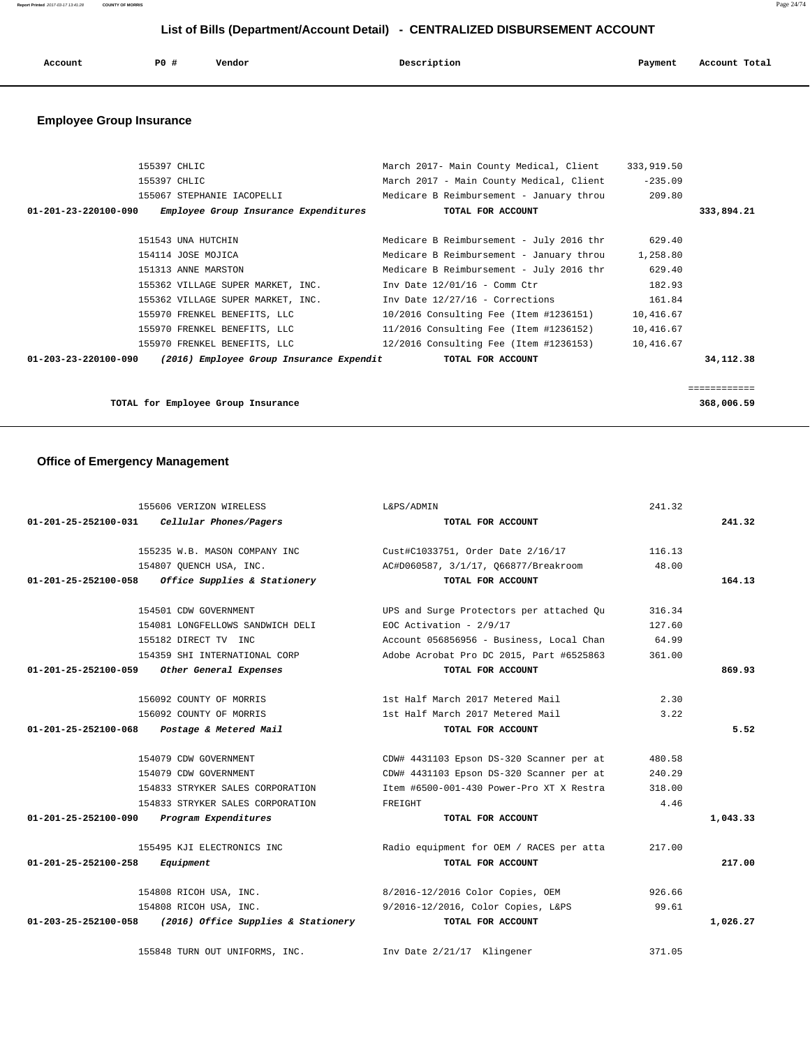**Report Printed** 2017-03-17 13:41:28 **COUNTY OF MORRIS** Page 24/74

## **List of Bills (Department/Account Detail) - CENTRALIZED DISBURSEMENT ACCOUNT**

| Account<br>. | <b>PO #</b> | Vendor | Description<br>$\sim$ $\sim$ | Payment | Account Total |
|--------------|-------------|--------|------------------------------|---------|---------------|
|              |             |        |                              |         |               |

# **Employee Group Insurance**

| 155397 CHLIC                                                               | March 2017- Main County Medical, Client  | 333,919.50 |             |
|----------------------------------------------------------------------------|------------------------------------------|------------|-------------|
| 155397 CHLIC                                                               | March 2017 - Main County Medical, Client | $-235.09$  |             |
| 155067 STEPHANIE IACOPELLI                                                 | Medicare B Reimbursement - January throu | 209.80     |             |
| $01 - 201 - 23 - 220100 - 090$<br>Employee Group Insurance Expenditures    | TOTAL FOR ACCOUNT                        |            | 333,894.21  |
|                                                                            |                                          |            |             |
| 151543 UNA HUTCHIN                                                         | Medicare B Reimbursement - July 2016 thr | 629.40     |             |
| 154114 JOSE MOJICA                                                         | Medicare B Reimbursement - January throu | 1,258.80   |             |
| 151313 ANNE MARSTON                                                        | Medicare B Reimbursement - July 2016 thr | 629.40     |             |
| 155362 VILLAGE SUPER MARKET, INC.                                          | Inv Date $12/01/16$ - Comm Ctr           | 182.93     |             |
| 155362 VILLAGE SUPER MARKET, INC.                                          | Inv Date 12/27/16 - Corrections          | 161.84     |             |
| 155970 FRENKEL BENEFITS, LLC                                               | 10/2016 Consulting Fee (Item #1236151)   | 10,416.67  |             |
| 155970 FRENKEL BENEFITS, LLC                                               | 11/2016 Consulting Fee (Item #1236152)   | 10,416.67  |             |
| 155970 FRENKEL BENEFITS, LLC                                               | 12/2016 Consulting Fee (Item #1236153)   | 10,416.67  |             |
| $01 - 203 - 23 - 220100 - 090$<br>(2016) Employee Group Insurance Expendit | TOTAL FOR ACCOUNT                        |            | 34, 112, 38 |
|                                                                            |                                          |            |             |
|                                                                            |                                          |            | =========== |
| TOTAL for Employee Group Insurance                                         |                                          |            | 368,006.59  |

# **Office of Emergency Management**

| 155606 VERIZON WIRELESS                                     | L&PS/ADMIN                               | 241.32 |          |
|-------------------------------------------------------------|------------------------------------------|--------|----------|
| 01-201-25-252100-031<br>Cellular Phones/Pagers              | TOTAL FOR ACCOUNT                        |        | 241.32   |
| 155235 W.B. MASON COMPANY INC                               | Cust#C1033751, Order Date 2/16/17        | 116.13 |          |
| 154807 OUENCH USA, INC.                                     | AC#D060587, 3/1/17, 066877/Breakroom     | 48.00  |          |
| Office Supplies & Stationery<br>01-201-25-252100-058        | TOTAL FOR ACCOUNT                        |        | 164.13   |
| 154501 CDW GOVERNMENT                                       | UPS and Surge Protectors per attached Ou | 316.34 |          |
| 154081 LONGFELLOWS SANDWICH DELI                            | EOC Activation - $2/9/17$                | 127.60 |          |
| 155182 DIRECT TV INC                                        | Account 056856956 - Business, Local Chan | 64.99  |          |
| 154359 SHI INTERNATIONAL CORP                               | Adobe Acrobat Pro DC 2015, Part #6525863 | 361.00 |          |
| 01-201-25-252100-059 Other General Expenses                 | TOTAL FOR ACCOUNT                        |        | 869.93   |
| 156092 COUNTY OF MORRIS                                     | 1st Half March 2017 Metered Mail         | 2.30   |          |
| 156092 COUNTY OF MORRIS                                     | 1st Half March 2017 Metered Mail         | 3.22   |          |
| 01-201-25-252100-068 Postage & Metered Mail                 | TOTAL FOR ACCOUNT                        |        | 5.52     |
| 154079 CDW GOVERNMENT                                       | CDW# 4431103 Epson DS-320 Scanner per at | 480.58 |          |
| 154079 CDW GOVERNMENT                                       | CDW# 4431103 Epson DS-320 Scanner per at | 240.29 |          |
| 154833 STRYKER SALES CORPORATION                            | Item #6500-001-430 Power-Pro XT X Restra | 318.00 |          |
| 154833 STRYKER SALES CORPORATION                            | FREIGHT                                  | 4.46   |          |
| 01-201-25-252100-090<br>Program Expenditures                | TOTAL FOR ACCOUNT                        |        | 1,043.33 |
| 155495 KJI ELECTRONICS INC                                  | Radio equipment for OEM / RACES per atta | 217.00 |          |
| 01-201-25-252100-258<br>Equipment                           | TOTAL FOR ACCOUNT                        |        | 217.00   |
| 154808 RICOH USA, INC.                                      | 8/2016-12/2016 Color Copies, OEM         | 926.66 |          |
| 154808 RICOH USA, INC.                                      | 9/2016-12/2016, Color Copies, L&PS       | 99.61  |          |
| 01-203-25-252100-058<br>(2016) Office Supplies & Stationery | TOTAL FOR ACCOUNT                        |        | 1,026.27 |
| 155848 TURN OUT UNIFORMS, INC.                              | Inv Date 2/21/17 Klingener               | 371.05 |          |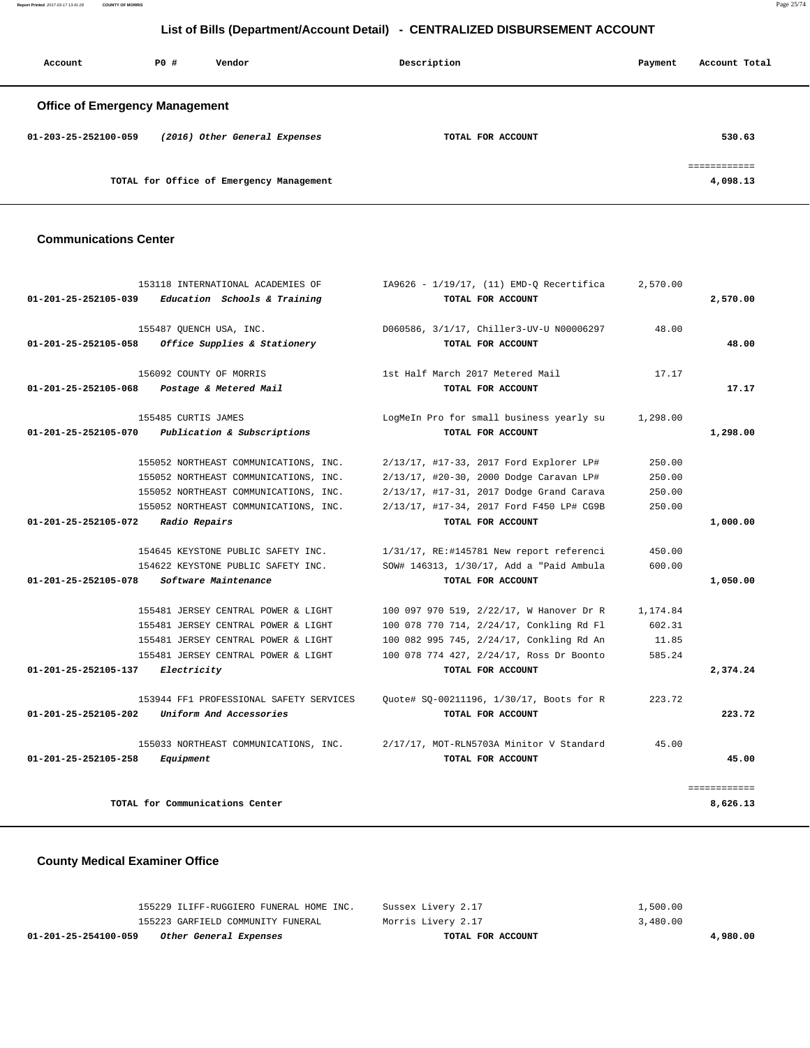**Report Printed** 2017-03-17 13:41:28 **COUNTY OF MORRIS** Page 25/74

## **List of Bills (Department/Account Detail) - CENTRALIZED DISBURSEMENT ACCOUNT**

| Account                               | PO# | Vendor                                   | Description       | Payment | Account Total            |
|---------------------------------------|-----|------------------------------------------|-------------------|---------|--------------------------|
| <b>Office of Emergency Management</b> |     |                                          |                   |         |                          |
| 01-203-25-252100-059                  |     | (2016) Other General Expenses            | TOTAL FOR ACCOUNT |         | 530.63                   |
|                                       |     | TOTAL for Office of Emergency Management |                   |         | eessessesses<br>4,098.13 |

#### **Communications Center**

|                                | 153118 INTERNATIONAL ACADEMIES OF       | IA9626 - 1/19/17, (11) EMD-Q Recertifica | 2,570.00 |              |
|--------------------------------|-----------------------------------------|------------------------------------------|----------|--------------|
| 01-201-25-252105-039           | Education Schools & Training            | TOTAL FOR ACCOUNT                        |          | 2,570.00     |
|                                | 155487 QUENCH USA, INC.                 | D060586, 3/1/17, Chiller3-UV-U N00006297 | 48.00    |              |
| $01 - 201 - 25 - 252105 - 058$ | Office Supplies & Stationery            | TOTAL FOR ACCOUNT                        |          | 48.00        |
|                                | 156092 COUNTY OF MORRIS                 | 1st Half March 2017 Metered Mail         | 17.17    |              |
| 01-201-25-252105-068           | Postage & Metered Mail                  | TOTAL FOR ACCOUNT                        |          | 17.17        |
|                                | 155485 CURTIS JAMES                     | LogMeIn Pro for small business yearly su | 1,298.00 |              |
| 01-201-25-252105-070           | Publication & Subscriptions             | TOTAL FOR ACCOUNT                        |          | 1,298.00     |
|                                | 155052 NORTHEAST COMMUNICATIONS, INC.   | 2/13/17, #17-33, 2017 Ford Explorer LP#  | 250.00   |              |
|                                | 155052 NORTHEAST COMMUNICATIONS, INC.   | 2/13/17, #20-30, 2000 Dodge Caravan LP#  | 250.00   |              |
|                                | 155052 NORTHEAST COMMUNICATIONS, INC.   | 2/13/17, #17-31, 2017 Dodge Grand Carava | 250.00   |              |
|                                | 155052 NORTHEAST COMMUNICATIONS, INC.   | 2/13/17, #17-34, 2017 Ford F450 LP# CG9B | 250.00   |              |
| 01-201-25-252105-072           | Radio Repairs                           | TOTAL FOR ACCOUNT                        |          | 1,000.00     |
|                                | 154645 KEYSTONE PUBLIC SAFETY INC.      | 1/31/17, RE:#145781 New report referenci | 450.00   |              |
|                                | 154622 KEYSTONE PUBLIC SAFETY INC.      | SOW# 146313, 1/30/17, Add a "Paid Ambula | 600.00   |              |
| 01-201-25-252105-078           | Software Maintenance                    | TOTAL FOR ACCOUNT                        |          | 1,050.00     |
|                                | 155481 JERSEY CENTRAL POWER & LIGHT     | 100 097 970 519, 2/22/17, W Hanover Dr R | 1,174.84 |              |
|                                | 155481 JERSEY CENTRAL POWER & LIGHT     | 100 078 770 714, 2/24/17, Conkling Rd Fl | 602.31   |              |
|                                | 155481 JERSEY CENTRAL POWER & LIGHT     | 100 082 995 745, 2/24/17, Conkling Rd An | 11.85    |              |
|                                | 155481 JERSEY CENTRAL POWER & LIGHT     | 100 078 774 427, 2/24/17, Ross Dr Boonto | 585.24   |              |
| 01-201-25-252105-137           | Electricity                             | TOTAL FOR ACCOUNT                        |          | 2,374.24     |
|                                | 153944 FF1 PROFESSIONAL SAFETY SERVICES | Quote# SQ-00211196, 1/30/17, Boots for R | 223.72   |              |
| 01-201-25-252105-202           | Uniform And Accessories                 | TOTAL FOR ACCOUNT                        |          | 223.72       |
|                                | 155033 NORTHEAST COMMUNICATIONS, INC.   | 2/17/17, MOT-RLN5703A Minitor V Standard | 45.00    |              |
| 01-201-25-252105-258           | Equipment                               | TOTAL FOR ACCOUNT                        |          | 45.00        |
|                                |                                         |                                          |          | ============ |
|                                | TOTAL for Communications Center         |                                          |          | 8,626.13     |

#### **County Medical Examiner Office**

| 01-201-25-254100-059 | Other General Expenses                  | TOTAL FOR ACCOUNT  | 4,980,00 |
|----------------------|-----------------------------------------|--------------------|----------|
|                      | 155223 GARFIELD COMMUNITY FUNERAL       | Morris Livery 2.17 | 3,480.00 |
|                      | 155229 ILIFF-RUGGIERO FUNERAL HOME INC. | Sussex Livery 2.17 | 1,500.00 |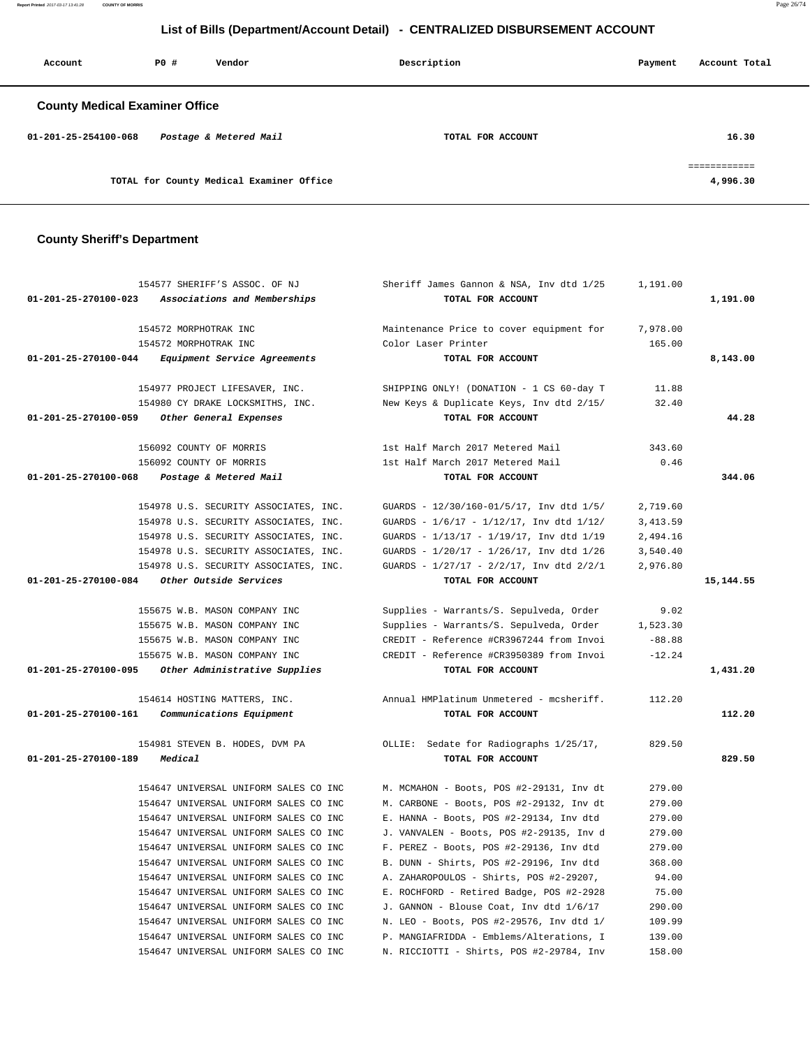**Report Printed** 2017-03-17 13:41:28 **COUNTY OF MORRIS** Page 26/74

# **List of Bills (Department/Account Detail) - CENTRALIZED DISBURSEMENT ACCOUNT**

| Account                               | PO# | Vendor                                   | Description       | Payment | Account Total            |
|---------------------------------------|-----|------------------------------------------|-------------------|---------|--------------------------|
| <b>County Medical Examiner Office</b> |     |                                          |                   |         |                          |
| 01-201-25-254100-068                  |     | Postage & Metered Mail                   | TOTAL FOR ACCOUNT |         | 16.30                    |
|                                       |     | TOTAL for County Medical Examiner Office |                   |         | ============<br>4,996.30 |

# **County Sheriff's Department**

|                      | 154577 SHERIFF'S ASSOC. OF NJ                      | Sheriff James Gannon & NSA, Inv dtd 1/25        | 1,191.00  |            |
|----------------------|----------------------------------------------------|-------------------------------------------------|-----------|------------|
| 01-201-25-270100-023 | Associations and Memberships                       | TOTAL FOR ACCOUNT                               |           | 1,191.00   |
|                      | 154572 MORPHOTRAK INC                              | Maintenance Price to cover equipment for        | 7,978.00  |            |
|                      | 154572 MORPHOTRAK INC                              | Color Laser Printer                             | 165.00    |            |
| 01-201-25-270100-044 | <i>Equipment Service Agreements</i>                | TOTAL FOR ACCOUNT                               |           | 8,143.00   |
|                      | 154977 PROJECT LIFESAVER, INC.                     | SHIPPING ONLY! (DONATION - 1 CS 60-day T        | 11.88     |            |
|                      | 154980 CY DRAKE LOCKSMITHS, INC.                   | New Keys & Duplicate Keys, Inv dtd 2/15/        | 32.40     |            |
| 01-201-25-270100-059 | Other General Expenses                             | TOTAL FOR ACCOUNT                               |           | 44.28      |
|                      | 156092 COUNTY OF MORRIS                            | 1st Half March 2017 Metered Mail                | 343.60    |            |
|                      | 156092 COUNTY OF MORRIS                            | 1st Half March 2017 Metered Mail                | 0.46      |            |
| 01-201-25-270100-068 | Postage & Metered Mail                             | TOTAL FOR ACCOUNT                               |           | 344.06     |
|                      | 154978 U.S. SECURITY ASSOCIATES, INC.              | GUARDS - 12/30/160-01/5/17, Inv dtd 1/5/        | 2,719.60  |            |
|                      | 154978 U.S. SECURITY ASSOCIATES, INC.              | GUARDS - 1/6/17 - 1/12/17, Inv dtd 1/12/        | 3, 413.59 |            |
|                      | 154978 U.S. SECURITY ASSOCIATES, INC.              | GUARDS - 1/13/17 - 1/19/17, Inv dtd 1/19        | 2,494.16  |            |
|                      | 154978 U.S. SECURITY ASSOCIATES, INC.              | GUARDS - 1/20/17 - 1/26/17, Inv dtd 1/26        | 3,540.40  |            |
|                      | 154978 U.S. SECURITY ASSOCIATES, INC.              | GUARDS - $1/27/17$ - $2/2/17$ , Inv dtd $2/2/1$ | 2,976.80  |            |
| 01-201-25-270100-084 | Other Outside Services                             | TOTAL FOR ACCOUNT                               |           | 15, 144.55 |
|                      | 155675 W.B. MASON COMPANY INC                      | Supplies - Warrants/S. Sepulveda, Order         | 9.02      |            |
|                      | 155675 W.B. MASON COMPANY INC                      | Supplies - Warrants/S. Sepulveda, Order         | 1,523.30  |            |
|                      | 155675 W.B. MASON COMPANY INC                      | CREDIT - Reference #CR3967244 from Invoi        | $-88.88$  |            |
|                      | 155675 W.B. MASON COMPANY INC                      | CREDIT - Reference #CR3950389 from Invoi        | $-12.24$  |            |
|                      | 01-201-25-270100-095 Other Administrative Supplies | TOTAL FOR ACCOUNT                               |           | 1,431.20   |
|                      | 154614 HOSTING MATTERS, INC.                       | Annual HMPlatinum Unmetered - mcsheriff.        | 112.20    |            |
| 01-201-25-270100-161 | Communications Equipment                           | TOTAL FOR ACCOUNT                               |           | 112.20     |
|                      | 154981 STEVEN B. HODES, DVM PA                     | OLLIE: Sedate for Radiographs 1/25/17,          | 829.50    |            |
| 01-201-25-270100-189 | Medical                                            | TOTAL FOR ACCOUNT                               |           | 829.50     |
|                      | 154647 UNIVERSAL UNIFORM SALES CO INC              | M. MCMAHON - Boots, POS #2-29131, Inv dt        | 279.00    |            |
|                      | 154647 UNIVERSAL UNIFORM SALES CO INC              | M. CARBONE - Boots, POS #2-29132, Inv dt        | 279.00    |            |
|                      | 154647 UNIVERSAL UNIFORM SALES CO INC              | E. HANNA - Boots, POS #2-29134, Inv dtd         | 279.00    |            |
|                      | 154647 UNIVERSAL UNIFORM SALES CO INC              | J. VANVALEN - Boots, POS #2-29135, Inv d        | 279.00    |            |
|                      | 154647 UNIVERSAL UNIFORM SALES CO INC              | F. PEREZ - Boots, POS #2-29136, Inv dtd         | 279.00    |            |
|                      | 154647 UNIVERSAL UNIFORM SALES CO INC              | B. DUNN - Shirts, POS #2-29196, Inv dtd         | 368.00    |            |
|                      | 154647 UNIVERSAL UNIFORM SALES CO INC              | A. ZAHAROPOULOS - Shirts, POS #2-29207,         | 94.00     |            |
|                      | 154647 UNIVERSAL UNIFORM SALES CO INC              | E. ROCHFORD - Retired Badge, POS #2-2928        | 75.00     |            |
|                      | 154647 UNIVERSAL UNIFORM SALES CO INC              | J. GANNON - Blouse Coat, Inv dtd 1/6/17         | 290.00    |            |
|                      | 154647 UNIVERSAL UNIFORM SALES CO INC              | N. LEO - Boots, POS #2-29576, Inv dtd 1/        | 109.99    |            |
|                      | 154647 UNIVERSAL UNIFORM SALES CO INC              | P. MANGIAFRIDDA - Emblems/Alterations, I        | 139.00    |            |
|                      | 154647 UNIVERSAL UNIFORM SALES CO INC              | N. RICCIOTTI - Shirts, POS #2-29784, Inv        | 158.00    |            |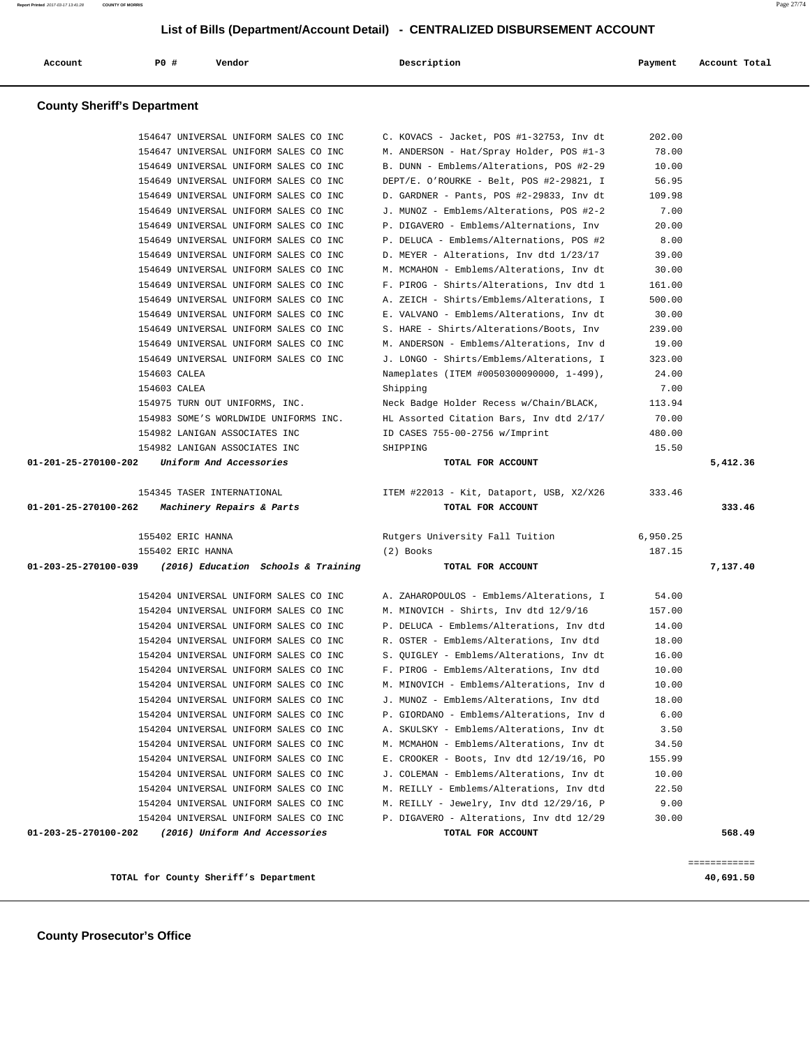**County Sheriff's Department**

**TOTAL for County Sheriff's Department 40,691.50**

|                      | 154649 UNIVERSAL UNIFORM SALES CO INC                                          |                                                                                      |               |                    |
|----------------------|--------------------------------------------------------------------------------|--------------------------------------------------------------------------------------|---------------|--------------------|
|                      | 154649 UNIVERSAL UNIFORM SALES CO INC                                          | DEPT/E. O'ROURKE - Belt, POS #2-29821, I                                             | 56.95         |                    |
|                      | 154649 UNIVERSAL UNIFORM SALES CO INC                                          | D. GARDNER - Pants, POS #2-29833, Inv dt                                             | 109.98        |                    |
|                      | 154649 UNIVERSAL UNIFORM SALES CO INC                                          | J. MUNOZ - Emblems/Alterations, POS #2-2                                             | 7.00          |                    |
|                      | 154649 UNIVERSAL UNIFORM SALES CO INC                                          | P. DIGAVERO - Emblems/Alternations, Inv                                              | 20.00         |                    |
|                      | 154649 UNIVERSAL UNIFORM SALES CO INC                                          | P. DELUCA - Emblems/Alternations, POS #2                                             | 8.00          |                    |
|                      | 154649 UNIVERSAL UNIFORM SALES CO INC                                          | D. MEYER - Alterations, Inv dtd 1/23/17                                              | 39.00         |                    |
|                      | 154649 UNIVERSAL UNIFORM SALES CO INC                                          | M. MCMAHON - Emblems/Alterations, Inv dt                                             | 30.00         |                    |
|                      | 154649 UNIVERSAL UNIFORM SALES CO INC                                          | F. PIROG - Shirts/Alterations, Inv dtd 1                                             | 161.00        |                    |
|                      | 154649 UNIVERSAL UNIFORM SALES CO INC                                          | A. ZEICH - Shirts/Emblems/Alterations, I                                             | 500.00        |                    |
|                      | 154649 UNIVERSAL UNIFORM SALES CO INC                                          | E. VALVANO - Emblems/Alterations, Inv dt                                             | 30.00         |                    |
|                      | 154649 UNIVERSAL UNIFORM SALES CO INC                                          | S. HARE - Shirts/Alterations/Boots, Inv                                              | 239.00        |                    |
|                      | 154649 UNIVERSAL UNIFORM SALES CO INC                                          | M. ANDERSON - Emblems/Alterations, Inv d                                             | 19.00         |                    |
|                      | 154649 UNIVERSAL UNIFORM SALES CO INC                                          | J. LONGO - Shirts/Emblems/Alterations, I                                             | 323.00        |                    |
|                      | 154603 CALEA                                                                   | Nameplates (ITEM #0050300090000, 1-499),                                             | 24.00         |                    |
|                      | 154603 CALEA                                                                   | Shipping                                                                             | 7.00          |                    |
|                      | 154975 TURN OUT UNIFORMS, INC.                                                 | Neck Badge Holder Recess w/Chain/BLACK,                                              | 113.94        |                    |
|                      | 154983 SOME'S WORLDWIDE UNIFORMS INC.                                          | HL Assorted Citation Bars, Inv dtd 2/17/                                             | 70.00         |                    |
|                      | 154982 LANIGAN ASSOCIATES INC                                                  | ID CASES 755-00-2756 w/Imprint                                                       | 480.00        |                    |
|                      | 154982 LANIGAN ASSOCIATES INC                                                  | SHIPPING                                                                             | 15.50         |                    |
|                      | Uniform And Accessories                                                        | TOTAL FOR ACCOUNT                                                                    |               | 5,412.36           |
| 01-201-25-270100-202 |                                                                                |                                                                                      |               |                    |
|                      |                                                                                |                                                                                      |               |                    |
|                      |                                                                                | 154345 TASER INTERNATIONAL TEM #22013 - Kit, Dataport, USB, X2/X26 333.46            |               |                    |
| 01-201-25-270100-262 | <i>Machinery Repairs &amp; Parts</i>                                           | TOTAL FOR ACCOUNT                                                                    |               |                    |
|                      | 155402 ERIC HANNA                                                              |                                                                                      | 6,950.25      |                    |
|                      | 155402 ERIC HANNA                                                              | Rutgers University Fall Tuition<br>(2) Books                                         | 187.15        |                    |
|                      | $01-203-25-270100-039$ (2016) Education Schools & Training                     | TOTAL FOR ACCOUNT                                                                    |               | 333.46<br>7,137.40 |
|                      |                                                                                |                                                                                      |               |                    |
|                      | 154204 UNIVERSAL UNIFORM SALES CO INC                                          | A. ZAHAROPOULOS - Emblems/Alterations, I                                             | 54.00         |                    |
|                      | 154204 UNIVERSAL UNIFORM SALES CO INC                                          | M. MINOVICH - Shirts, Inv dtd 12/9/16                                                | 157.00        |                    |
|                      | 154204 UNIVERSAL UNIFORM SALES CO INC                                          | P. DELUCA - Emblems/Alterations, Inv dtd                                             | 14.00         |                    |
|                      | 154204 UNIVERSAL UNIFORM SALES CO INC                                          | R. OSTER - Emblems/Alterations, Inv dtd                                              | 18.00         |                    |
|                      | 154204 UNIVERSAL UNIFORM SALES CO INC                                          | S. QUIGLEY - Emblems/Alterations, Inv dt                                             | 16.00         |                    |
|                      | 154204 UNIVERSAL UNIFORM SALES CO INC                                          | F. PIROG - Emblems/Alterations, Inv dtd                                              | 10.00         |                    |
|                      | 154204 UNIVERSAL UNIFORM SALES CO INC                                          | M. MINOVICH - Emblems/Alterations, Inv d                                             | 10.00         |                    |
|                      | 154204 UNIVERSAL UNIFORM SALES CO INC                                          | J. MUNOZ - Emblems/Alterations, Inv dtd                                              | 18.00         |                    |
|                      | 154204 UNIVERSAL UNIFORM SALES CO INC                                          | P. GIORDANO - Emblems/Alterations, Inv d                                             | 6.00          |                    |
|                      | 154204 UNIVERSAL UNIFORM SALES CO INC                                          | A. SKULSKY - Emblems/Alterations, Inv dt                                             | 3.50          |                    |
|                      | 154204 UNIVERSAL UNIFORM SALES CO INC                                          | M. MCMAHON - Emblems/Alterations, Inv dt                                             | 34.50         |                    |
|                      | 154204 UNIVERSAL UNIFORM SALES CO INC                                          | E. CROOKER - Boots, Inv dtd 12/19/16, PO                                             | 155.99        |                    |
|                      | 154204 UNIVERSAL UNIFORM SALES CO INC                                          | J. COLEMAN - Emblems/Alterations, Inv dt                                             | 10.00         |                    |
|                      | 154204 UNIVERSAL UNIFORM SALES CO INC                                          | M. REILLY - Emblems/Alterations, Inv dtd                                             | 22.50         |                    |
|                      | 154204 UNIVERSAL UNIFORM SALES CO INC<br>154204 UNIVERSAL UNIFORM SALES CO INC | M. REILLY - Jewelry, Inv dtd 12/29/16, P<br>P. DIGAVERO - Alterations, Inv dtd 12/29 | 9.00<br>30.00 |                    |

Account **1888** PO # Vendor **Post Payment Account Payment Account Total** 

 154647 UNIVERSAL UNIFORM SALES CO INC C. KOVACS - Jacket, POS #1-32753, Inv dt 202.00 154647 UNIVERSAL UNIFORM SALES CO INC M. ANDERSON - Hat/Spray Holder, POS #1-3 78.00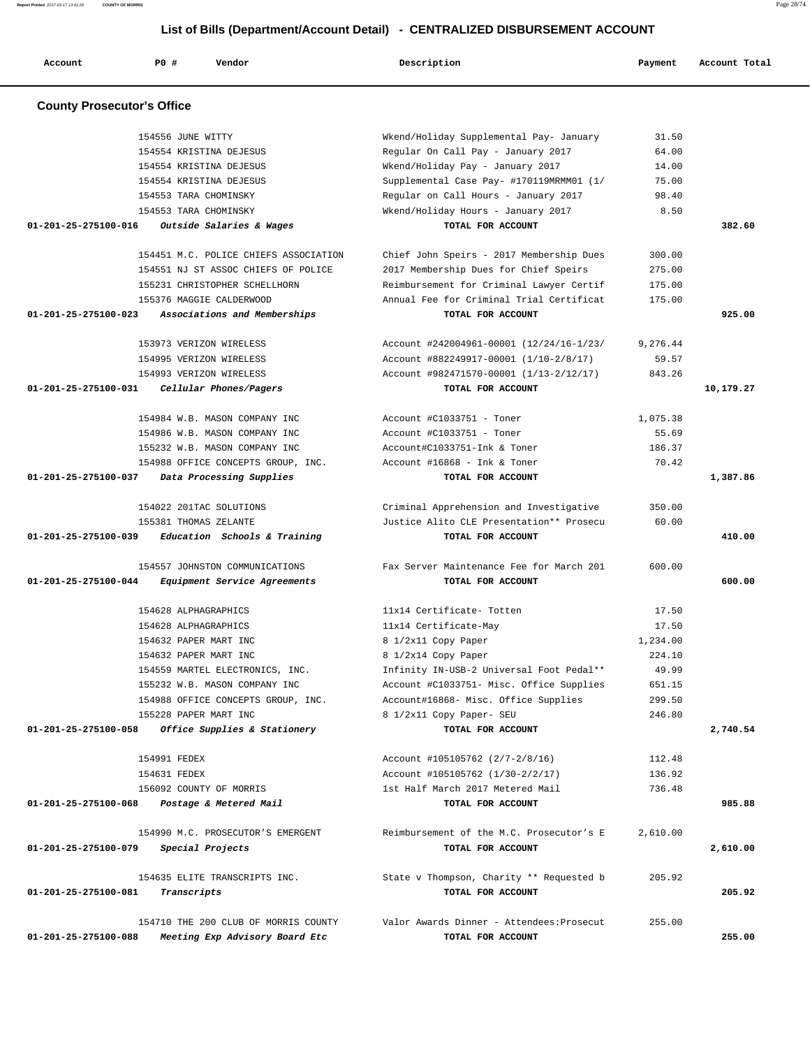| Account                           | <b>PO #</b><br>Vendor                                                  | Description                                                    | Payment  | Account Total |
|-----------------------------------|------------------------------------------------------------------------|----------------------------------------------------------------|----------|---------------|
| <b>County Prosecutor's Office</b> |                                                                        |                                                                |          |               |
|                                   | 154556 JUNE WITTY                                                      | Wkend/Holiday Supplemental Pay- January                        | 31.50    |               |
|                                   | 154554 KRISTINA DEJESUS                                                | Regular On Call Pay - January 2017                             | 64.00    |               |
|                                   | 154554 KRISTINA DEJESUS                                                | Wkend/Holiday Pay - January 2017                               | 14.00    |               |
|                                   | 154554 KRISTINA DEJESUS                                                | Supplemental Case Pay- #170119MRMM01 (1/                       | 75.00    |               |
|                                   | 154553 TARA CHOMINSKY                                                  | Regular on Call Hours - January 2017                           | 98.40    |               |
|                                   | 154553 TARA CHOMINSKY                                                  | Wkend/Holiday Hours - January 2017                             | 8.50     |               |
| 01-201-25-275100-016              | Outside Salaries & Wages                                               | TOTAL FOR ACCOUNT                                              |          | 382.60        |
|                                   |                                                                        |                                                                |          |               |
|                                   | 154451 M.C. POLICE CHIEFS ASSOCIATION                                  | Chief John Speirs - 2017 Membership Dues                       | 300.00   |               |
|                                   | 154551 NJ ST ASSOC CHIEFS OF POLICE                                    | 2017 Membership Dues for Chief Speirs                          | 275.00   |               |
|                                   | 155231 CHRISTOPHER SCHELLHORN                                          | Reimbursement for Criminal Lawyer Certif                       | 175.00   |               |
|                                   | 155376 MAGGIE CALDERWOOD                                               | Annual Fee for Criminal Trial Certificat                       | 175.00   |               |
| 01-201-25-275100-023              | Associations and Memberships                                           | TOTAL FOR ACCOUNT                                              |          | 925.00        |
|                                   |                                                                        |                                                                |          |               |
|                                   | 153973 VERIZON WIRELESS                                                | Account #242004961-00001 (12/24/16-1/23/                       | 9,276.44 |               |
|                                   | 154995 VERIZON WIRELESS                                                | Account #882249917-00001 (1/10-2/8/17)                         | 59.57    |               |
|                                   | 154993 VERIZON WIRELESS                                                | Account #982471570-00001 (1/13-2/12/17)                        | 843.26   |               |
| 01-201-25-275100-031              | Cellular Phones/Pagers                                                 | TOTAL FOR ACCOUNT                                              |          | 10,179.27     |
|                                   | 154984 W.B. MASON COMPANY INC                                          | Account #C1033751 - Toner                                      | 1,075.38 |               |
|                                   | 154986 W.B. MASON COMPANY INC                                          | Account #C1033751 - Toner                                      | 55.69    |               |
|                                   | 155232 W.B. MASON COMPANY INC                                          | Account#C1033751-Ink & Toner                                   | 186.37   |               |
|                                   | 154988 OFFICE CONCEPTS GROUP, INC.                                     | Account $\#16868$ - Ink & Toner                                | 70.42    |               |
| 01-201-25-275100-037              | Data Processing Supplies                                               | TOTAL FOR ACCOUNT                                              |          | 1,387.86      |
|                                   |                                                                        |                                                                |          |               |
|                                   | 154022 201TAC SOLUTIONS                                                | Criminal Apprehension and Investigative                        | 350.00   |               |
|                                   | 155381 THOMAS ZELANTE                                                  | Justice Alito CLE Presentation** Prosecu                       | 60.00    |               |
| 01-201-25-275100-039              | Education Schools & Training                                           | TOTAL FOR ACCOUNT                                              |          | 410.00        |
|                                   |                                                                        |                                                                |          |               |
| 01-201-25-275100-044              | 154557 JOHNSTON COMMUNICATIONS                                         | Fax Server Maintenance Fee for March 201<br>TOTAL FOR ACCOUNT  | 600.00   | 600.00        |
|                                   | Equipment Service Agreements                                           |                                                                |          |               |
|                                   | 154628 ALPHAGRAPHICS                                                   | 11x14 Certificate- Totten                                      | 17.50    |               |
|                                   | 154628 ALPHAGRAPHICS                                                   | 11x14 Certificate-May                                          | 17.50    |               |
|                                   | 154632 PAPER MART INC                                                  | 8 1/2x11 Copy Paper                                            | 1,234.00 |               |
|                                   | 154632 PAPER MART INC                                                  | 8 1/2x14 Copy Paper                                            | 224.10   |               |
|                                   | 154559 MARTEL ELECTRONICS, INC.                                        | Infinity IN-USB-2 Universal Foot Pedal**                       | 49.99    |               |
|                                   | 155232 W.B. MASON COMPANY INC                                          | Account #C1033751- Misc. Office Supplies                       | 651.15   |               |
|                                   | 154988 OFFICE CONCEPTS GROUP, INC.                                     | Account#16868- Misc. Office Supplies                           | 299.50   |               |
|                                   | 155228 PAPER MART INC                                                  | 8 1/2x11 Copy Paper- SEU                                       | 246.80   |               |
| 01-201-25-275100-058              | Office Supplies & Stationery                                           | TOTAL FOR ACCOUNT                                              |          | 2,740.54      |
|                                   |                                                                        |                                                                |          |               |
|                                   | 154991 FEDEX                                                           | Account #105105762 (2/7-2/8/16)                                | 112.48   |               |
|                                   | 154631 FEDEX                                                           | Account #105105762 (1/30-2/2/17)                               | 136.92   |               |
|                                   | 156092 COUNTY OF MORRIS                                                | 1st Half March 2017 Metered Mail                               | 736.48   |               |
| 01-201-25-275100-068              | Postage & Metered Mail                                                 | TOTAL FOR ACCOUNT                                              |          | 985.88        |
|                                   | 154990 M.C. PROSECUTOR'S EMERGENT                                      | Reimbursement of the M.C. Prosecutor's E                       | 2,610.00 |               |
| 01-201-25-275100-079              | Special Projects                                                       | TOTAL FOR ACCOUNT                                              |          | 2,610.00      |
|                                   |                                                                        |                                                                |          |               |
|                                   | 154635 ELITE TRANSCRIPTS INC.                                          | State v Thompson, Charity ** Requested b                       | 205.92   |               |
| 01-201-25-275100-081              | Transcripts                                                            | TOTAL FOR ACCOUNT                                              |          | 205.92        |
|                                   |                                                                        |                                                                |          |               |
| 01-201-25-275100-088              | 154710 THE 200 CLUB OF MORRIS COUNTY<br>Meeting Exp Advisory Board Etc | Valor Awards Dinner - Attendees: Prosecut<br>TOTAL FOR ACCOUNT | 255.00   | 255.00        |
|                                   |                                                                        |                                                                |          |               |

**Report Printed** 2017-03-17 13:41:28 **COUNTY OF MORRIS** Page 28/74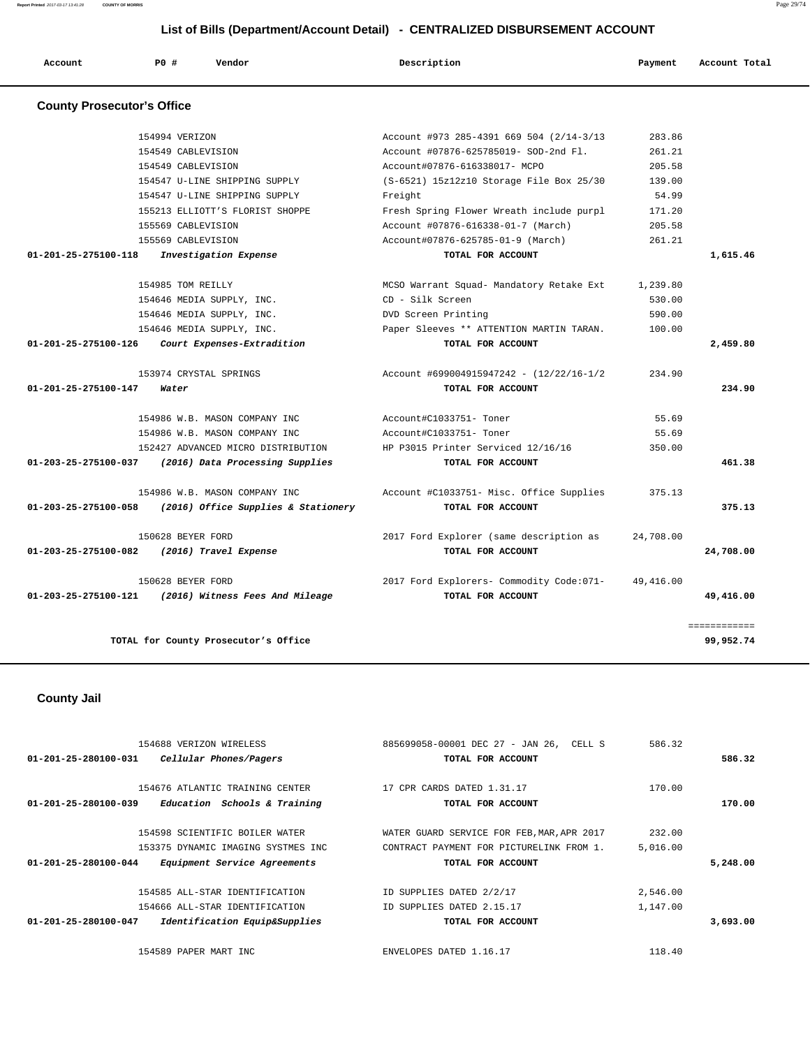**Report Printed** 2017-03-17 13:41:28 **COUNTY OF MORRIS** Page 29/74

|                                   |                |                                     | List of Bills (Department/Account Detail) - CENTRALIZED DISBURSEMENT ACCOUNT |            |               |
|-----------------------------------|----------------|-------------------------------------|------------------------------------------------------------------------------|------------|---------------|
| Account                           | PO#            | Vendor                              | Description                                                                  | Payment    | Account Total |
| <b>County Prosecutor's Office</b> |                |                                     |                                                                              |            |               |
|                                   | 154994 VERIZON |                                     | Account #973 285-4391 669 504 (2/14-3/13)                                    | 283.86     |               |
|                                   |                | 154549 CABLEVISION                  | Account #07876-625785019- SOD-2nd Fl.                                        | 261.21     |               |
|                                   |                | 154549 CABLEVISION                  | Account#07876-616338017- MCPO                                                | 205.58     |               |
|                                   |                | 154547 U-LINE SHIPPING SUPPLY       | (S-6521) 15z12z10 Storage File Box 25/30                                     | 139.00     |               |
|                                   |                | 154547 U-LINE SHIPPING SUPPLY       | Freight                                                                      | 54.99      |               |
|                                   |                | 155213 ELLIOTT'S FLORIST SHOPPE     | Fresh Spring Flower Wreath include purpl                                     | 171.20     |               |
|                                   |                | 155569 CABLEVISION                  | Account #07876-616338-01-7 (March)                                           | 205.58     |               |
|                                   |                | 155569 CABLEVISION                  | Account#07876-625785-01-9 (March)                                            | 261.21     |               |
| 01-201-25-275100-118              |                | Investigation Expense               | TOTAL FOR ACCOUNT                                                            |            | 1,615.46      |
|                                   |                | 154985 TOM REILLY                   | MCSO Warrant Squad- Mandatory Retake Ext                                     | 1,239.80   |               |
|                                   |                |                                     | CD - Silk Screen                                                             | 530.00     |               |
|                                   |                | 154646 MEDIA SUPPLY, INC.           |                                                                              | 590.00     |               |
|                                   |                | 154646 MEDIA SUPPLY, INC.           | DVD Screen Printing                                                          |            |               |
|                                   |                | 154646 MEDIA SUPPLY, INC.           | Paper Sleeves ** ATTENTION MARTIN TARAN.                                     | 100.00     |               |
| 01-201-25-275100-126              |                | Court Expenses-Extradition          | TOTAL FOR ACCOUNT                                                            |            | 2,459.80      |
|                                   |                | 153974 CRYSTAL SPRINGS              | Account #699004915947242 - (12/22/16-1/2                                     | 234.90     |               |
| $01 - 201 - 25 - 275100 - 147$    | Water          |                                     | TOTAL FOR ACCOUNT                                                            |            | 234.90        |
|                                   |                | 154986 W.B. MASON COMPANY INC       | Account#C1033751- Toner                                                      | 55.69      |               |
|                                   |                | 154986 W.B. MASON COMPANY INC       | Account#C1033751- Toner                                                      | 55.69      |               |
|                                   |                | 152427 ADVANCED MICRO DISTRIBUTION  | HP P3015 Printer Serviced 12/16/16                                           | 350.00     |               |
| 01-203-25-275100-037              |                | (2016) Data Processing Supplies     | TOTAL FOR ACCOUNT                                                            |            | 461.38        |
|                                   |                | 154986 W.B. MASON COMPANY INC       | Account #C1033751- Misc. Office Supplies                                     | 375.13     |               |
| 01-203-25-275100-058              |                | (2016) Office Supplies & Stationery | TOTAL FOR ACCOUNT                                                            |            | 375.13        |
|                                   |                | 150628 BEYER FORD                   |                                                                              | 24,708.00  |               |
|                                   |                |                                     | 2017 Ford Explorer (same description as                                      |            |               |
| 01-203-25-275100-082              |                | (2016) Travel Expense               | TOTAL FOR ACCOUNT                                                            |            | 24,708.00     |
|                                   |                | 150628 BEYER FORD                   | 2017 Ford Explorers- Commodity Code: 071-                                    | 49, 416.00 |               |
| 01-203-25-275100-121              |                | (2016) Witness Fees And Mileage     | TOTAL FOR ACCOUNT                                                            |            | 49,416.00     |
|                                   |                |                                     |                                                                              |            |               |

============

**TOTAL for County Prosecutor's Office 99,952.74**

# **County Jail**

|                                | 154688 VERIZON WIRELESS            | 885699058-00001 DEC 27 - JAN 26, CELL S    | 586.32   |          |
|--------------------------------|------------------------------------|--------------------------------------------|----------|----------|
| $01 - 201 - 25 - 280100 - 031$ | Cellular Phones/Pagers             | TOTAL FOR ACCOUNT                          |          | 586.32   |
|                                |                                    |                                            |          |          |
|                                | 154676 ATLANTIC TRAINING CENTER    | 17 CPR CARDS DATED 1.31.17                 | 170.00   |          |
| 01-201-25-280100-039           | Education Schools & Training       | TOTAL FOR ACCOUNT                          |          | 170.00   |
|                                |                                    |                                            |          |          |
|                                | 154598 SCIENTIFIC BOILER WATER     | WATER GUARD SERVICE FOR FEB, MAR, APR 2017 | 232.00   |          |
|                                | 153375 DYNAMIC IMAGING SYSTMES INC | CONTRACT PAYMENT FOR PICTURELINK FROM 1.   | 5.016.00 |          |
| $01 - 201 - 25 - 280100 - 044$ | Equipment Service Agreements       | TOTAL FOR ACCOUNT                          |          | 5,248.00 |
|                                | 154585 ALL-STAR IDENTIFICATION     | ID SUPPLIES DATED 2/2/17                   | 2,546.00 |          |
|                                | 154666 ALL-STAR IDENTIFICATION     | ID SUPPLIES DATED 2.15.17                  | 1,147.00 |          |
| 01-201-25-280100-047           | Identification Equip&Supplies      | TOTAL FOR ACCOUNT                          |          | 3,693.00 |
|                                | 154589 PAPER MART INC              | ENVELOPES DATED 1.16.17                    | 118.40   |          |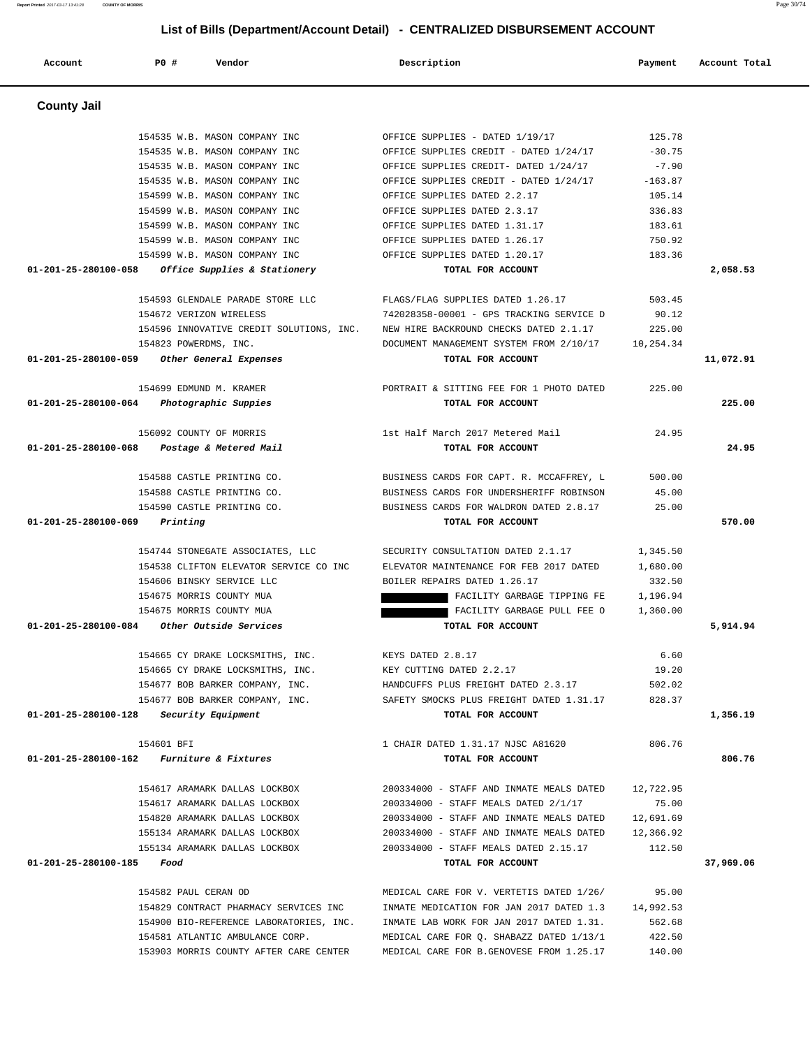**Account P0 # Vendor Description Payment Account Total County Jail**  154535 W.B. MASON COMPANY INC OFFICE SUPPLIES - DATED 1/19/17 125.78 154535 W.B. MASON COMPANY INC **COMPANY INC** OFFICE SUPPLIES CREDIT - DATED 1/24/17 -30.75 154535 W.B. MASON COMPANY INC **OFFICE SUPPLIES CREDIT- DATED** 1/24/17 -7.90 154535 W.B. MASON COMPANY INC OFFICE SUPPLIES CREDIT - DATED 1/24/17 -163.87 154599 W.B. MASON COMPANY INC OFFICE SUPPLIES DATED 2.2.17 105.14 154599 W.B. MASON COMPANY INC OFFICE SUPPLIES DATED 2.3.17 336.83 154599 W.B. MASON COMPANY INC OFFICE SUPPLIES DATED 1.31.17 183.61 154599 W.B. MASON COMPANY INC OFFICE SUPPLIES DATED 1.26.17 750.92 154599 W.B. MASON COMPANY INC OFFICE SUPPLIES DATED 1.20.17 183.36  **01-201-25-280100-058 Office Supplies & Stationery TOTAL FOR ACCOUNT 2,058.53** 154593 GLENDALE PARADE STORE LLC FLAGS/FLAG SUPPLIES DATED 1.26.17 503.45 154672 VERIZON WIRELESS 742028358-00001 - GPS TRACKING SERVICE D 90.12 154596 INNOVATIVE CREDIT SOLUTIONS, INC. NEW HIRE BACKROUND CHECKS DATED 2.1.17 225.00 154823 POWERDMS, INC. DOCUMENT MANAGEMENT SYSTEM FROM 2/10/17 10,254.34  **01-201-25-280100-059 Other General Expenses TOTAL FOR ACCOUNT 11,072.91** 154699 EDMUND M. KRAMER PORTRAIT & SITTING FEE FOR 1 PHOTO DATED 225.00  **01-201-25-280100-064 Photographic Suppies TOTAL FOR ACCOUNT 225.00** 156092 COUNTY OF MORRIS 1st Half March 2017 Metered Mail 24.95  **01-201-25-280100-068 Postage & Metered Mail TOTAL FOR ACCOUNT 24.95** 154588 CASTLE PRINTING CO. BUSINESS CARDS FOR CAPT. R. MCCAFFREY, L 500.00 154588 CASTLE PRINTING CO. BUSINESS CARDS FOR UNDERSHERIFF ROBINSON 45.00 154590 CASTLE PRINTING CO. BUSINESS CARDS FOR WALDRON DATED 2.8.17 25.00  **01-201-25-280100-069 Printing TOTAL FOR ACCOUNT 570.00** 154744 STONEGATE ASSOCIATES, LLC SECURITY CONSULTATION DATED 2.1.17 1,345.50 154538 CLIFTON ELEVATOR SERVICE CO INC ELEVATOR MAINTENANCE FOR FEB 2017 DATED 1,680.00 154606 BINSKY SERVICE LLC BOILER REPAIRS DATED 1.26.17 332.50 154675 MORRIS COUNTY MUA FACILITY GARBAGE TIPPING FE 1,196.94 154675 MORRIS COUNTY MUA FACILITY GARBAGE PULL FEE O 1,360.00  **01-201-25-280100-084 Other Outside Services TOTAL FOR ACCOUNT 5,914.94** 154665 CY DRAKE LOCKSMITHS, INC. KEYS DATED 2.8.17 6.60 154665 CY DRAKE LOCKSMITHS, INC. KEY CUTTING DATED 2.2.17 19.20 154677 BOB BARKER COMPANY, INC. HANDCUFFS PLUS FREIGHT DATED 2.3.17 502.02 154677 BOB BARKER COMPANY, INC. SAFETY SMOCKS PLUS FREIGHT DATED 1.31.17 828.37  **01-201-25-280100-128 Security Equipment TOTAL FOR ACCOUNT 1,356.19** 154601 BFI 1 CHAIR DATED 1.31.17 NJSC A81620 806.76  **01-201-25-280100-162 Furniture & Fixtures TOTAL FOR ACCOUNT 806.76** 154617 ARAMARK DALLAS LOCKBOX 200334000 - STAFF AND INMATE MEALS DATED 12,722.95 154617 ARAMARK DALLAS LOCKBOX 200334000 - STAFF MEALS DATED 2/1/17 75.00 154820 ARAMARK DALLAS LOCKBOX 200334000 - STAFF AND INMATE MEALS DATED 12,691.69 155134 ARAMARK DALLAS LOCKBOX 200334000 - STAFF AND INMATE MEALS DATED 12,366.92 155134 ARAMARK DALLAS LOCKBOX 200334000 - STAFF MEALS DATED 2.15.17 112.50  **01-201-25-280100-185 Food TOTAL FOR ACCOUNT 37,969.06** 154582 PAUL CERAN OD MEDICAL CARE FOR V. VERTETIS DATED 1/26/ 95.00 154829 CONTRACT PHARMACY SERVICES INC INMATE MEDICATION FOR JAN 2017 DATED 1.3 14,992.53 154900 BIO-REFERENCE LABORATORIES, INC. INMATE LAB WORK FOR JAN 2017 DATED 1.31. 562.68 154581 ATLANTIC AMBULANCE CORP. MEDICAL CARE FOR Q. SHABAZZ DATED 1/13/1 422.50

153903 MORRIS COUNTY AFTER CARE CENTER MEDICAL CARE FOR B.GENOVESE FROM 1.25.17 140.00

 **List of Bills (Department/Account Detail) - CENTRALIZED DISBURSEMENT ACCOUNT**

**Report Printed** 2017-03-17 13:41:28 **COUNTY OF MORRIS** Page 30/74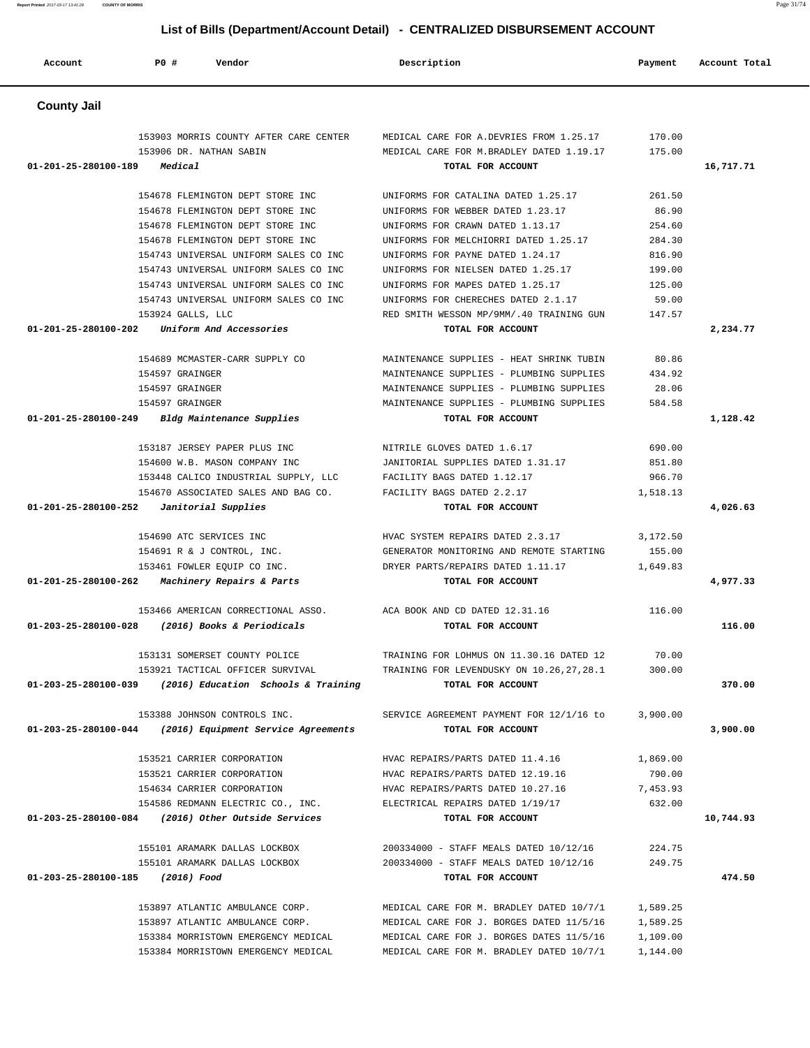**Account P0 # Vendor Description Payment Account Total County Jail**  153903 MORRIS COUNTY AFTER CARE CENTER MEDICAL CARE FOR A.DEVRIES FROM 1.25.17 170.00 153906 DR. NATHAN SABIN MEDICAL CARE FOR M.BRADLEY DATED 1.19.17 175.00  **01-201-25-280100-189 Medical TOTAL FOR ACCOUNT 16,717.71** 154678 FLEMINGTON DEPT STORE INC UNIFORMS FOR CATALINA DATED 1.25.17 261.50 154678 FLEMINGTON DEPT STORE INC UNIFORMS FOR WEBBER DATED 1.23.17 86.90 154678 FLEMINGTON DEPT STORE INC UNIFORMS FOR CRAWN DATED 1.13.17 254.60 154678 FLEMINGTON DEPT STORE INC UNIFORMS FOR MELCHIORRI DATED 1.25.17 284.30 154743 UNIVERSAL UNIFORM SALES CO INC UNIFORMS FOR PAYNE DATED 1.24.17 816.90 154743 UNIVERSAL UNIFORM SALES CO INC UNIFORMS FOR NIELSEN DATED 1.25.17 199.00 154743 UNIVERSAL UNIFORM SALES CO INC UNIFORMS FOR MAPES DATED 1.25.17 125.00 154743 UNIVERSAL UNIFORM SALES CO INC UNIFORMS FOR CHERECHES DATED 2.1.17 59.00 153924 GALLS, LLC RED SMITH WESSON MP/9MM/.40 TRAINING GUN 147.57  **01-201-25-280100-202 Uniform And Accessories TOTAL FOR ACCOUNT 2,234.77** 154689 MCMASTER-CARR SUPPLY CO MAINTENANCE SUPPLIES - HEAT SHRINK TUBIN 80.86 154597 GRAINGER MAINTENANCE SUPPLIES - PLUMBING SUPPLIES 434.92 154597 GRAINGER MAINTENANCE SUPPLIES - PLUMBING SUPPLIES 28.06 154597 GRAINGER MAINTENANCE SUPPLIES - PLUMBING SUPPLIES 584.58  **01-201-25-280100-249 Bldg Maintenance Supplies TOTAL FOR ACCOUNT 1,128.42** 153187 JERSEY PAPER PLUS INC NITRILE GLOVES DATED 1.6.17 690.00 154600 W.B. MASON COMPANY INC JANITORIAL SUPPLIES DATED 1.31.17 851.80 153448 CALICO INDUSTRIAL SUPPLY, LLC FACILITY BAGS DATED 1.12.17 966.70 154670 ASSOCIATED SALES AND BAG CO. FACILITY BAGS DATED 2.2.17 1,518.13  **01-201-25-280100-252 Janitorial Supplies TOTAL FOR ACCOUNT 4,026.63** 154690 ATC SERVICES INC HVAC SYSTEM REPAIRS DATED 2.3.17 3,172.50 154691 R & J CONTROL, INC. GENERATOR MONITORING AND REMOTE STARTING 155.00 153461 FOWLER EQUIP CO INC. DRYER PARTS/REPAIRS DATED 1.11.17 1,649.83  **01-201-25-280100-262 Machinery Repairs & Parts TOTAL FOR ACCOUNT 4,977.33** 153466 AMERICAN CORRECTIONAL ASSO. ACA BOOK AND CD DATED 12.31.16 116.00  **01-203-25-280100-028 (2016) Books & Periodicals TOTAL FOR ACCOUNT 116.00** 153131 SOMERSET COUNTY POLICE TRAINING FOR LOHMUS ON 11.30.16 DATED 12 70.00 153921 TACTICAL OFFICER SURVIVAL TRAINING FOR LEVENDUSKY ON 10.26,27,28.1 300.00  **01-203-25-280100-039 (2016) Education Schools & Training TOTAL FOR ACCOUNT 370.00** 153388 JOHNSON CONTROLS INC. SERVICE AGREEMENT PAYMENT FOR 12/1/16 to 3,900.00  **01-203-25-280100-044 (2016) Equipment Service Agreements TOTAL FOR ACCOUNT 3,900.00** 153521 CARRIER CORPORATION HVAC REPAIRS/PARTS DATED 11.4.16 1,869.00 153521 CARRIER CORPORATION HVAC REPAIRS/PARTS DATED 12.19.16 790.00 154634 CARRIER CORPORATION HVAC REPAIRS/PARTS DATED 10.27.16 7,453.93 154586 REDMANN ELECTRIC CO., INC. ELECTRICAL REPAIRS DATED 1/19/17 632.00  **01-203-25-280100-084 (2016) Other Outside Services TOTAL FOR ACCOUNT 10,744.93** 155101 ARAMARK DALLAS LOCKBOX 200334000 - STAFF MEALS DATED 10/12/16 224.75 155101 ARAMARK DALLAS LOCKBOX 200334000 - STAFF MEALS DATED 10/12/16 249.75  **01-203-25-280100-185 (2016) Food TOTAL FOR ACCOUNT 474.50** 153897 ATLANTIC AMBULANCE CORP. MEDICAL CARE FOR M. BRADLEY DATED 10/7/1 1,589.25 153897 ATLANTIC AMBULANCE CORP. MEDICAL CARE FOR J. BORGES DATED 11/5/16 1,589.25 153384 MORRISTOWN EMERGENCY MEDICAL MEDICAL CARE FOR J. BORGES DATES 11/5/16 1,109.00

153384 MORRISTOWN EMERGENCY MEDICAL MEDICAL CARE FOR M. BRADLEY DATED 10/7/1 1,144.00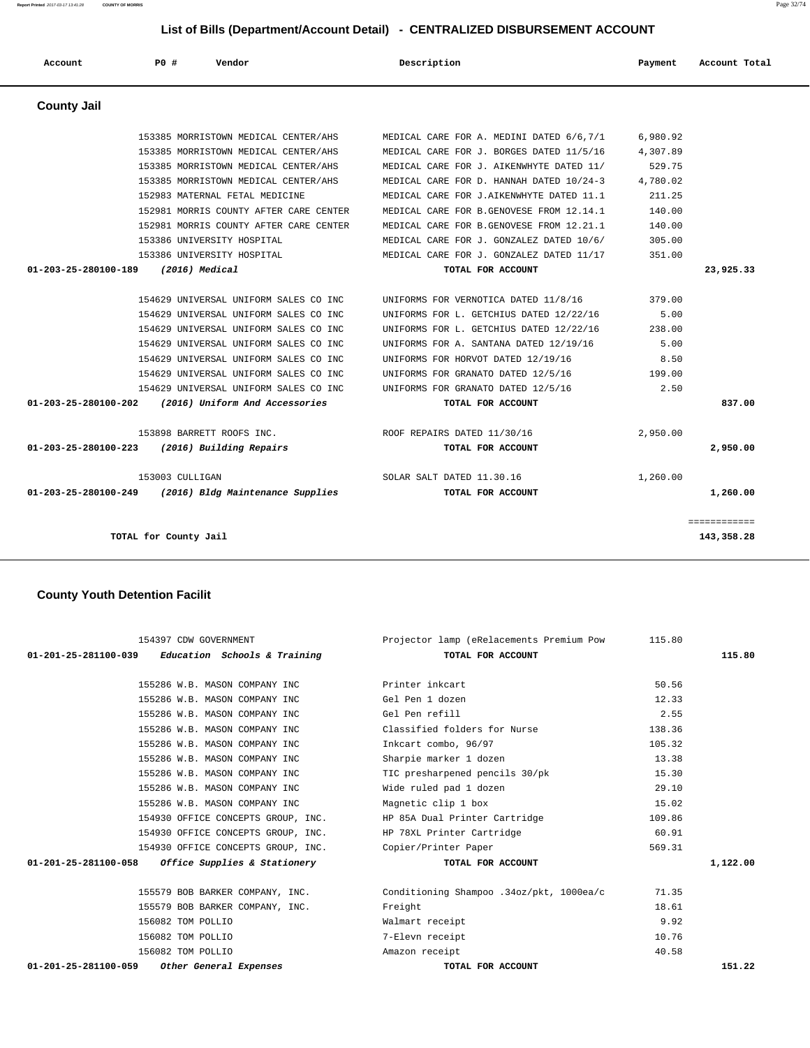153385 MORRISTOWN MEDICAL CENTER/AHS MEDICAL CARE FOR A. MEDINI DATED 6/6,7/1 6,980.92

 **Account P0 # Vendor Description Payment Account Total**

 153385 MORRISTOWN MEDICAL CENTER/AHS MEDICAL CARE FOR J. BORGES DATED 11/5/16 4,307.89 153385 MORRISTOWN MEDICAL CENTER/AHS MEDICAL CARE FOR J. AIKENWHYTE DATED 11/ 529.75 153385 MORRISTOWN MEDICAL CENTER/AHS MEDICAL CARE FOR D. HANNAH DATED 10/24-3 4,780.02 152983 MATERNAL FETAL MEDICINE MEDICAL CARE FOR J.AIKENWHYTE DATED 11.1 211.25 152981 MORRIS COUNTY AFTER CARE CENTER MEDICAL CARE FOR B.GENOVESE FROM 12.14.1 140.00 152981 MORRIS COUNTY AFTER CARE CENTER MEDICAL CARE FOR B.GENOVESE FROM 12.21.1 140.00 153386 UNIVERSITY HOSPITAL MEDICAL CARE FOR J. GONZALEZ DATED 10/6/ 305.00 153386 UNIVERSITY HOSPITAL MEDICAL CARE FOR J. GONZALEZ DATED 11/17 351.00  **01-203-25-280100-189 (2016) Medical TOTAL FOR ACCOUNT 23,925.33** 154629 UNIVERSAL UNIFORM SALES CO INC UNIFORMS FOR VERNOTICA DATED 11/8/16 379.00 154629 UNIVERSAL UNIFORM SALES CO INC UNIFORMS FOR L. GETCHIUS DATED 12/22/16 5.00 154629 UNIVERSAL UNIFORM SALES CO INC UNIFORMS FOR L. GETCHIUS DATED 12/22/16 238.00 154629 UNIVERSAL UNIFORM SALES CO INC UNIFORMS FOR A. SANTANA DATED 12/19/16 5.00 154629 UNIVERSAL UNIFORM SALES CO INC UNIFORMS FOR HORVOT DATED 12/19/16 8.50 154629 UNIVERSAL UNIFORM SALES CO INC UNIFORMS FOR GRANATO DATED 12/5/16 199.00 154629 UNIVERSAL UNIFORM SALES CO INC UNIFORMS FOR GRANATO DATED 12/5/16 2.50  **01-203-25-280100-202 (2016) Uniform And Accessories TOTAL FOR ACCOUNT 837.00** 153898 BARRETT ROOFS INC. ROOF REPAIRS DATED 11/30/16 2,950.00  **01-203-25-280100-223 (2016) Building Repairs TOTAL FOR ACCOUNT 2,950.00** 153003 CULLIGAN SOLAR SALT DATED 11.30.16 1,260.00  **01-203-25-280100-249 (2016) Bldg Maintenance Supplies TOTAL FOR ACCOUNT 1,260.00** ============ **TOTAL for County Jail 143,358.28**

#### **County Youth Detention Facilit**

| 154397 CDW GOVERNMENT                               | Projector lamp (eRelacements Premium Pow 115.80 |        |          |
|-----------------------------------------------------|-------------------------------------------------|--------|----------|
| $01-201-25-281100-039$ Education Schools & Training | TOTAL FOR ACCOUNT                               |        | 115.80   |
|                                                     |                                                 |        |          |
| 155286 W.B. MASON COMPANY INC                       | Printer inkcart                                 | 50.56  |          |
| 155286 W.B. MASON COMPANY INC                       | Gel Pen 1 dozen                                 | 12.33  |          |
| 155286 W.B. MASON COMPANY INC                       | Gel Pen refill                                  | 2.55   |          |
| 155286 W.B. MASON COMPANY INC                       | Classified folders for Nurse                    | 138.36 |          |
| 155286 W.B. MASON COMPANY INC                       | Inkcart combo, 96/97                            | 105.32 |          |
| 155286 W.B. MASON COMPANY INC                       | Sharpie marker 1 dozen                          | 13.38  |          |
| 155286 W.B. MASON COMPANY INC                       | TIC presharpened pencils 30/pk                  | 15.30  |          |
| 155286 W.B. MASON COMPANY INC                       | Wide ruled pad 1 dozen                          | 29.10  |          |
| 155286 W.B. MASON COMPANY INC                       | Magnetic clip 1 box                             | 15.02  |          |
| 154930 OFFICE CONCEPTS GROUP, INC.                  | HP 85A Dual Printer Cartridge                   | 109.86 |          |
| 154930 OFFICE CONCEPTS GROUP, INC.                  | HP 78XL Printer Cartridge                       | 60.91  |          |
| 154930 OFFICE CONCEPTS GROUP, INC.                  | Copier/Printer Paper                            | 569.31 |          |
| $01-201-25-281100-058$ Office Supplies & Stationery | TOTAL FOR ACCOUNT                               |        | 1,122.00 |
| 155579 BOB BARKER COMPANY, INC.                     | Conditioning Shampoo .34oz/pkt, 1000ea/c        | 71.35  |          |
| 155579 BOB BARKER COMPANY, INC.                     | Freight                                         | 18.61  |          |
| 156082 TOM POLLIO                                   | Walmart receipt                                 | 9.92   |          |
| 156082 TOM POLLIO                                   | 7-Elevn receipt                                 | 10.76  |          |
| 156082 TOM POLLIO                                   | Amazon receipt                                  | 40.58  |          |
| 01-201-25-281100-059 Other General Expenses         | TOTAL FOR ACCOUNT                               |        | 151.22   |
|                                                     |                                                 |        |          |



 **County Jail**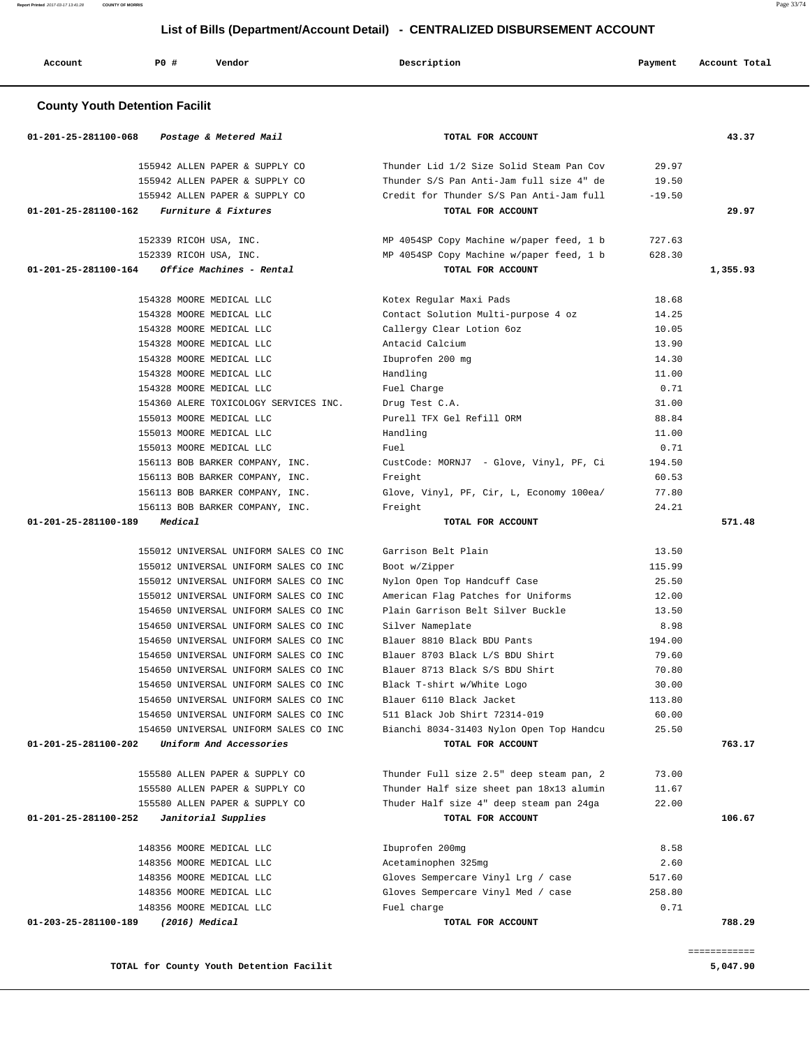| $01 - 201 - 25 - 281100 - 068$ | Postage & Metered Mail                               | TOTAL FOR ACCOUNT                                 |                | 43.37    |
|--------------------------------|------------------------------------------------------|---------------------------------------------------|----------------|----------|
|                                | 155942 ALLEN PAPER & SUPPLY CO                       | Thunder Lid 1/2 Size Solid Steam Pan Cov          | 29.97          |          |
|                                | 155942 ALLEN PAPER & SUPPLY CO                       | Thunder S/S Pan Anti-Jam full size 4" de          | 19.50          |          |
|                                | 155942 ALLEN PAPER & SUPPLY CO                       | Credit for Thunder S/S Pan Anti-Jam full          | $-19.50$       |          |
| 01-201-25-281100-162           | Furniture & Fixtures                                 | TOTAL FOR ACCOUNT                                 |                | 29.97    |
|                                | 152339 RICOH USA, INC.                               | MP 4054SP Copy Machine w/paper feed, 1 b          | 727.63         |          |
|                                | 152339 RICOH USA, INC.                               | MP 4054SP Copy Machine w/paper feed, 1 b          | 628.30         |          |
| 01-201-25-281100-164           | Office Machines - Rental                             | TOTAL FOR ACCOUNT                                 |                | 1,355.93 |
|                                | 154328 MOORE MEDICAL LLC                             | Kotex Regular Maxi Pads                           | 18.68          |          |
|                                | 154328 MOORE MEDICAL LLC                             | Contact Solution Multi-purpose 4 oz               | 14.25          |          |
|                                | 154328 MOORE MEDICAL LLC                             | Callergy Clear Lotion 6oz                         | 10.05          |          |
|                                | 154328 MOORE MEDICAL LLC                             | Antacid Calcium                                   | 13.90          |          |
|                                | 154328 MOORE MEDICAL LLC                             | Ibuprofen 200 mg                                  | 14.30          |          |
|                                | 154328 MOORE MEDICAL LLC                             | Handling                                          | 11.00          |          |
|                                | 154328 MOORE MEDICAL LLC                             | Fuel Charge                                       | 0.71           |          |
|                                | 154360 ALERE TOXICOLOGY SERVICES INC.                | Drug Test C.A.                                    | 31.00          |          |
|                                | 155013 MOORE MEDICAL LLC                             | Purell TFX Gel Refill ORM                         | 88.84          |          |
|                                | 155013 MOORE MEDICAL LLC                             | Handling                                          | 11.00          |          |
|                                | 155013 MOORE MEDICAL LLC                             | Fuel                                              | 0.71           |          |
|                                | 156113 BOB BARKER COMPANY, INC.                      | CustCode: MORNJ7 - Glove, Vinyl, PF, Ci           | 194.50         |          |
|                                | 156113 BOB BARKER COMPANY, INC.                      | Freight                                           | 60.53          |          |
|                                | 156113 BOB BARKER COMPANY, INC.                      | Glove, Vinyl, PF, Cir, L, Economy 100ea/          | 77.80          |          |
|                                | 156113 BOB BARKER COMPANY, INC.                      | Freight                                           | 24.21          |          |
| 01-201-25-281100-189           | Medical                                              | TOTAL FOR ACCOUNT                                 |                | 571.48   |
|                                |                                                      |                                                   |                |          |
|                                | 155012 UNIVERSAL UNIFORM SALES CO INC                | Garrison Belt Plain                               | 13.50          |          |
|                                | 155012 UNIVERSAL UNIFORM SALES CO INC                | Boot w/Zipper                                     | 115.99         |          |
|                                | 155012 UNIVERSAL UNIFORM SALES CO INC                | Nylon Open Top Handcuff Case                      | 25.50          |          |
|                                | 155012 UNIVERSAL UNIFORM SALES CO INC                | American Flag Patches for Uniforms                | 12.00          |          |
|                                | 154650 UNIVERSAL UNIFORM SALES CO INC                | Plain Garrison Belt Silver Buckle                 | 13.50          |          |
|                                | 154650 UNIVERSAL UNIFORM SALES CO INC                | Silver Nameplate                                  | 8.98           |          |
|                                | 154650 UNIVERSAL UNIFORM SALES CO INC                | Blauer 8810 Black BDU Pants                       | 194.00         |          |
|                                | 154650 UNIVERSAL UNIFORM SALES CO INC                | Blauer 8703 Black L/S BDU Shirt                   | 79.60          |          |
|                                | 154650 UNIVERSAL UNIFORM SALES CO INC                | Blauer 8713 Black S/S BDU Shirt                   | 70.80          |          |
|                                | 154650 UNIVERSAL UNIFORM SALES CO INC                | Black T-shirt w/White Logo                        | 30.00          |          |
|                                | 154650 UNIVERSAL UNIFORM SALES CO INC                | Blauer 6110 Black Jacket                          | 113.80         |          |
|                                | 154650 UNIVERSAL UNIFORM SALES CO INC                | 511 Black Job Shirt 72314-019                     | 60.00          |          |
|                                | 154650 UNIVERSAL UNIFORM SALES CO INC                | Bianchi 8034-31403 Nylon Open Top Handcu          | 25.50          |          |
| 01-201-25-281100-202           | Uniform And Accessories                              | TOTAL FOR ACCOUNT                                 |                | 763.17   |
|                                | 155580 ALLEN PAPER & SUPPLY CO                       | Thunder Full size 2.5" deep steam pan, 2          | 73.00          |          |
|                                | 155580 ALLEN PAPER & SUPPLY CO                       | Thunder Half size sheet pan 18x13 alumin          | 11.67          |          |
|                                | 155580 ALLEN PAPER & SUPPLY CO                       | Thuder Half size 4" deep steam pan 24ga           | 22.00          |          |
| 01-201-25-281100-252           | Janitorial Supplies                                  | TOTAL FOR ACCOUNT                                 |                | 106.67   |
|                                |                                                      |                                                   |                |          |
|                                | 148356 MOORE MEDICAL LLC                             | Ibuprofen 200mg                                   | 8.58           |          |
|                                | 148356 MOORE MEDICAL LLC                             | Acetaminophen 325mg                               | 2.60           |          |
|                                | 148356 MOORE MEDICAL LLC                             | Gloves Sempercare Vinyl Lrg / case                | 517.60         |          |
|                                | 148356 MOORE MEDICAL LLC<br>148356 MOORE MEDICAL LLC | Gloves Sempercare Vinyl Med / case<br>Fuel charge | 258.80<br>0.71 |          |

**Report Printed** 2017-03-17 13:41:28 **COUNTY OF MORRIS** Page 33/74

 **Account P0 # Vendor Description Payment Account Total**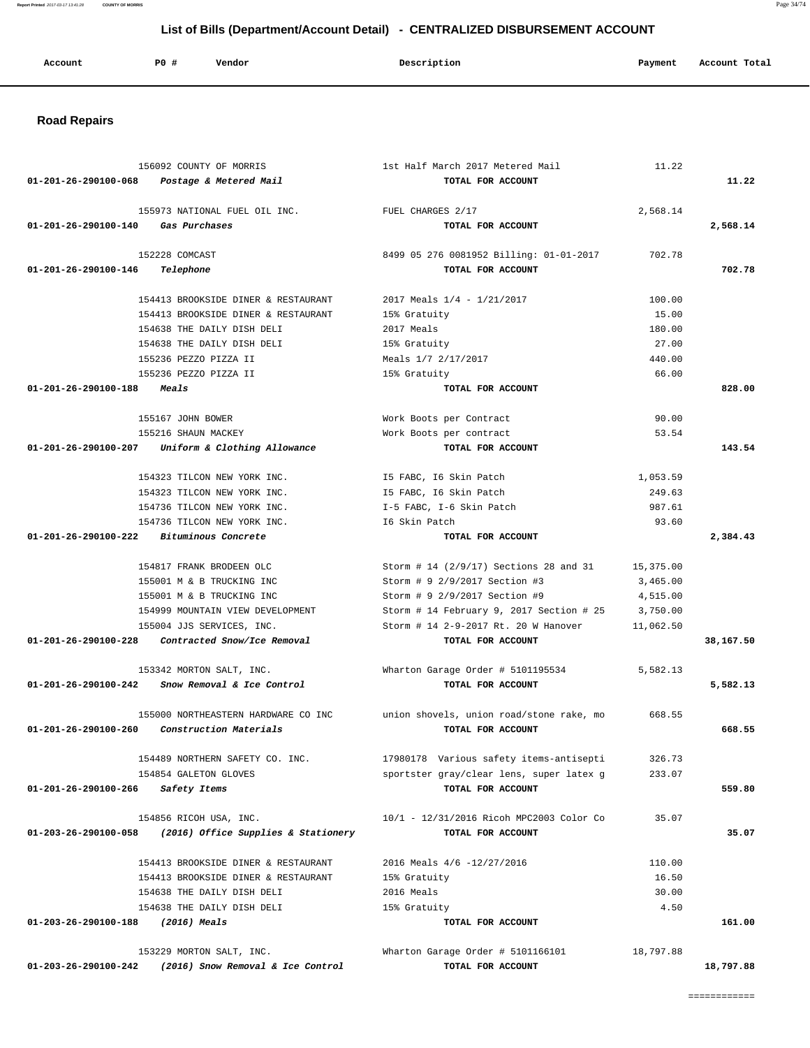**Report Printed** 2017-03-17 13:41:28 **COUNTY OF MORRIS** Page 34/74

## **List of Bills (Department/Account Detail) - CENTRALIZED DISBURSEMENT ACCOUNT**

| Account | <b>PO #</b> | Vendor | Description | Payment | Account Total |
|---------|-------------|--------|-------------|---------|---------------|
|         |             |        |             |         |               |

# **Road Repairs**

|                                    | 156092 COUNTY OF MORRIS                           | 1st Half March 2017 Metered Mail                 | 11.22     |           |
|------------------------------------|---------------------------------------------------|--------------------------------------------------|-----------|-----------|
|                                    | 01-201-26-290100-068 Postage & Metered Mail       | TOTAL FOR ACCOUNT                                |           | 11.22     |
|                                    | 155973 NATIONAL FUEL OIL INC.                     | FUEL CHARGES 2/17                                | 2,568.14  |           |
| 01-201-26-290100-140 Gas Purchases |                                                   | TOTAL FOR ACCOUNT                                |           | 2,568.14  |
|                                    | 152228 COMCAST                                    | 8499 05 276 0081952 Billing: 01-01-2017          | 702.78    |           |
| 01-201-26-290100-146               | Telephone                                         | TOTAL FOR ACCOUNT                                |           | 702.78    |
|                                    | 154413 BROOKSIDE DINER & RESTAURANT               | 2017 Meals $1/4$ - $1/21/2017$                   | 100.00    |           |
|                                    | 154413 BROOKSIDE DINER & RESTAURANT               | 15% Gratuity                                     | 15.00     |           |
|                                    | 154638 THE DAILY DISH DELI                        | 2017 Meals                                       | 180.00    |           |
|                                    | 154638 THE DAILY DISH DELI                        | 15% Gratuity                                     | 27.00     |           |
|                                    | 155236 PEZZO PIZZA II                             | Meals 1/7 2/17/2017                              | 440.00    |           |
|                                    | 155236 PEZZO PIZZA II                             | 15% Gratuity                                     | 66.00     |           |
| 01-201-26-290100-188 Meals         |                                                   | TOTAL FOR ACCOUNT                                |           | 828.00    |
|                                    | 155167 JOHN BOWER                                 | Work Boots per Contract                          | 90.00     |           |
|                                    | 155216 SHAUN MACKEY                               | Work Boots per contract                          | 53.54     |           |
|                                    | 01-201-26-290100-207 Uniform & Clothing Allowance | TOTAL FOR ACCOUNT                                |           | 143.54    |
|                                    | 154323 TILCON NEW YORK INC.                       | I5 FABC, I6 Skin Patch                           | 1,053.59  |           |
|                                    | 154323 TILCON NEW YORK INC.                       | I5 FABC, 16 Skin Patch                           | 249.63    |           |
|                                    | 154736 TILCON NEW YORK INC.                       | I-5 FABC, I-6 Skin Patch                         | 987.61    |           |
|                                    | 154736 TILCON NEW YORK INC.                       | I6 Skin Patch                                    | 93.60     |           |
| 01-201-26-290100-222               | Bituminous Concrete                               | TOTAL FOR ACCOUNT                                |           | 2,384.43  |
|                                    | 154817 FRANK BRODEEN OLC                          | Storm # 14 (2/9/17) Sections 28 and 31 15,375.00 |           |           |
|                                    | 155001 M & B TRUCKING INC                         | Storm # 9 2/9/2017 Section #3                    | 3,465.00  |           |
|                                    | 155001 M & B TRUCKING INC                         | Storm # 9 2/9/2017 Section #9                    | 4,515.00  |           |
|                                    | 154999 MOUNTAIN VIEW DEVELOPMENT                  | Storm # 14 February 9, 2017 Section # 25         | 3,750.00  |           |
|                                    | 155004 JJS SERVICES, INC.                         | Storm # 14 2-9-2017 Rt. 20 W Hanover             | 11,062.50 |           |
| 01-201-26-290100-228               | Contracted Snow/Ice Removal                       | TOTAL FOR ACCOUNT                                |           | 38,167.50 |
|                                    | 153342 MORTON SALT, INC.                          | Wharton Garage Order # 5101195534                | 5,582.13  |           |
|                                    | $01-201-26-290100-242$ Snow Removal & Ice Control | TOTAL FOR ACCOUNT                                |           | 5,582.13  |
|                                    | 155000 NORTHEASTERN HARDWARE CO INC               | union shovels, union road/stone rake, mo         | 668.55    |           |
| 01-201-26-290100-260               | Construction Materials                            | TOTAL FOR ACCOUNT                                |           | 668.55    |
|                                    | 154489 NORTHERN SAFETY CO. INC.                   | 17980178 Various safety items-antisepti          | 326.73    |           |
|                                    | 154854 GALETON GLOVES                             | sportster gray/clear lens, super latex g         | 233.07    |           |
| 01-201-26-290100-266               | Safety Items                                      | TOTAL FOR ACCOUNT                                |           | 559.80    |
|                                    | 154856 RICOH USA, INC.                            | 10/1 - 12/31/2016 Ricoh MPC2003 Color Co         | 35.07     |           |
| 01-203-26-290100-058               | (2016) Office Supplies & Stationery               | TOTAL FOR ACCOUNT                                |           | 35.07     |
|                                    | 154413 BROOKSIDE DINER & RESTAURANT               | 2016 Meals 4/6 -12/27/2016                       | 110.00    |           |
|                                    | 154413 BROOKSIDE DINER & RESTAURANT               | 15% Gratuity                                     | 16.50     |           |
|                                    | 154638 THE DAILY DISH DELI                        | 2016 Meals                                       | 30.00     |           |
|                                    | 154638 THE DAILY DISH DELI                        | 15% Gratuity                                     | 4.50      |           |
| 01-203-26-290100-188               | (2016) Meals                                      | TOTAL FOR ACCOUNT                                |           | 161.00    |
|                                    | 153229 MORTON SALT, INC.                          | Wharton Garage Order # 5101166101                | 18,797.88 |           |
| 01-203-26-290100-242               | (2016) Snow Removal & Ice Control                 | TOTAL FOR ACCOUNT                                |           | 18,797.88 |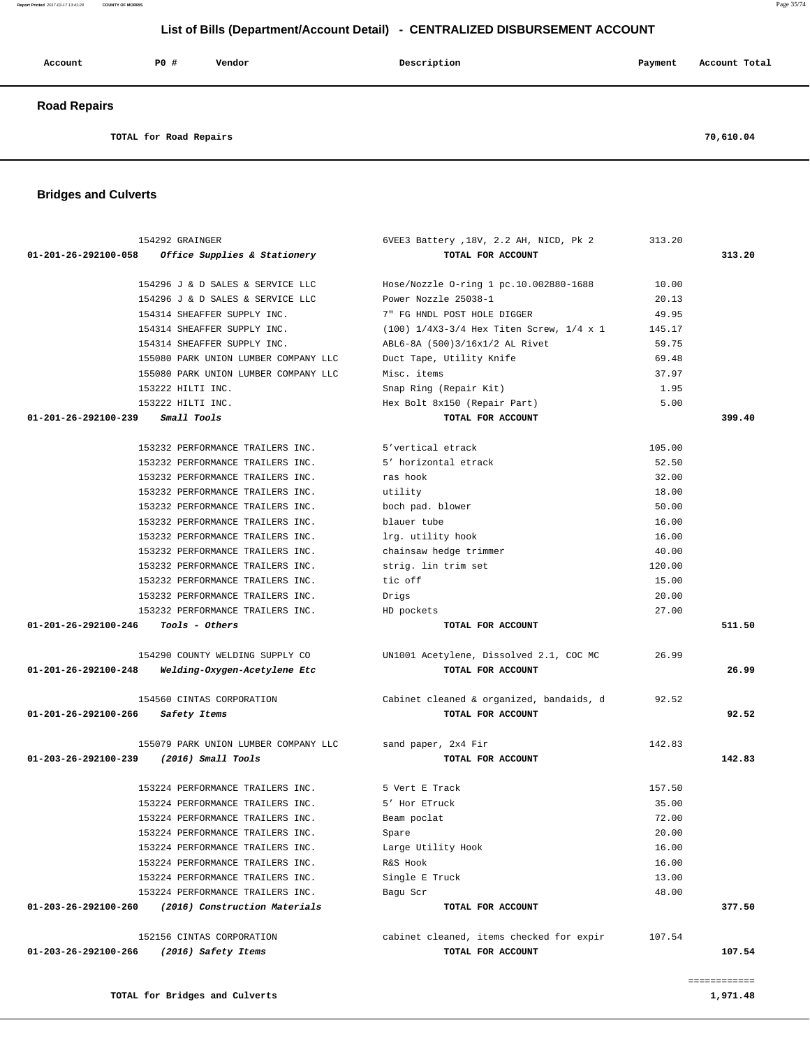| Account             | <b>PO #</b> | Vendor | Description | Payment | Account Total |
|---------------------|-------------|--------|-------------|---------|---------------|
| <b>Road Repairs</b> |             |        |             |         |               |

**TOTAL for Road Repairs 70,610.04**

#### **Bridges and Culverts**

| 154292 GRAINGER                                       | 6VEE3 Battery , 18V, 2.2 AH, NICD, Pk 2    | 313.20 |        |
|-------------------------------------------------------|--------------------------------------------|--------|--------|
| 01-201-26-292100-058<br>Office Supplies & Stationery  | TOTAL FOR ACCOUNT                          |        | 313.20 |
|                                                       |                                            |        |        |
| 154296 J & D SALES & SERVICE LLC                      | Hose/Nozzle O-ring 1 pc.10.002880-1688     | 10.00  |        |
| 154296 J & D SALES & SERVICE LLC                      | Power Nozzle 25038-1                       | 20.13  |        |
| 154314 SHEAFFER SUPPLY INC.                           | 7" FG HNDL POST HOLE DIGGER                | 49.95  |        |
| 154314 SHEAFFER SUPPLY INC.                           | $(100)$ 1/4X3-3/4 Hex Titen Screw, 1/4 x 1 | 145.17 |        |
| 154314 SHEAFFER SUPPLY INC.                           | ABL6-8A (500)3/16x1/2 AL Rivet             | 59.75  |        |
| 155080 PARK UNION LUMBER COMPANY LLC                  | Duct Tape, Utility Knife                   | 69.48  |        |
| 155080 PARK UNION LUMBER COMPANY LLC                  | Misc. items                                | 37.97  |        |
| 153222 HILTI INC.                                     | Snap Ring (Repair Kit)                     | 1.95   |        |
| 153222 HILTI INC.                                     | Hex Bolt 8x150 (Repair Part)               | 5.00   |        |
| Small Tools<br>01-201-26-292100-239                   | TOTAL FOR ACCOUNT                          |        | 399.40 |
| 153232 PERFORMANCE TRAILERS INC.                      | 5'vertical etrack                          | 105.00 |        |
| 153232 PERFORMANCE TRAILERS INC.                      | 5' horizontal etrack                       | 52.50  |        |
| 153232 PERFORMANCE TRAILERS INC.                      | ras hook                                   | 32.00  |        |
| 153232 PERFORMANCE TRAILERS INC.                      | utility                                    | 18.00  |        |
| 153232 PERFORMANCE TRAILERS INC.                      | boch pad. blower                           | 50.00  |        |
| 153232 PERFORMANCE TRAILERS INC.                      | blauer tube                                | 16.00  |        |
| 153232 PERFORMANCE TRAILERS INC.                      | lrg. utility hook                          | 16.00  |        |
| 153232 PERFORMANCE TRAILERS INC.                      | chainsaw hedge trimmer                     | 40.00  |        |
|                                                       | strig. lin trim set                        |        |        |
| 153232 PERFORMANCE TRAILERS INC.                      |                                            | 120.00 |        |
| 153232 PERFORMANCE TRAILERS INC.                      | tic off                                    | 15.00  |        |
| 153232 PERFORMANCE TRAILERS INC.                      | Drigs                                      | 20.00  |        |
| 153232 PERFORMANCE TRAILERS INC.                      | HD pockets                                 | 27.00  |        |
| Tools - Others<br>01-201-26-292100-246                | TOTAL FOR ACCOUNT                          |        | 511.50 |
| 154290 COUNTY WELDING SUPPLY CO                       | UN1001 Acetylene, Dissolved 2.1, COC MC    | 26.99  |        |
| 01-201-26-292100-248<br>Welding-Oxygen-Acetylene Etc  | TOTAL FOR ACCOUNT                          |        | 26.99  |
|                                                       |                                            |        |        |
| 154560 CINTAS CORPORATION                             | Cabinet cleaned & organized, bandaids, d   | 92.52  |        |
| 01-201-26-292100-266<br>Safety Items                  | TOTAL FOR ACCOUNT                          |        | 92.52  |
| 155079 PARK UNION LUMBER COMPANY LLC                  | sand paper, 2x4 Fir                        | 142.83 |        |
| 01-203-26-292100-239<br>(2016) Small Tools            | TOTAL FOR ACCOUNT                          |        | 142.83 |
|                                                       |                                            |        |        |
| 153224 PERFORMANCE TRAILERS INC.                      | 5 Vert E Track                             | 157.50 |        |
| 153224 PERFORMANCE TRAILERS INC.                      | 5' Hor ETruck                              | 35.00  |        |
| 153224 PERFORMANCE TRAILERS INC.                      | Beam poclat                                | 72.00  |        |
| 153224 PERFORMANCE TRAILERS INC.                      | Spare                                      | 20.00  |        |
| 153224 PERFORMANCE TRAILERS INC.                      | Large Utility Hook                         | 16.00  |        |
| 153224 PERFORMANCE TRAILERS INC.                      | R&S Hook                                   | 16.00  |        |
| 153224 PERFORMANCE TRAILERS INC.                      | Single E Truck                             | 13.00  |        |
| 153224 PERFORMANCE TRAILERS INC.                      | Bagu Scr                                   | 48.00  |        |
| 01-203-26-292100-260<br>(2016) Construction Materials | TOTAL FOR ACCOUNT                          |        | 377.50 |
|                                                       |                                            |        |        |
| 152156 CINTAS CORPORATION                             | cabinet cleaned, items checked for expir   | 107.54 |        |
| 01-203-26-292100-266<br>(2016) Safety Items           | TOTAL FOR ACCOUNT                          |        | 107.54 |

============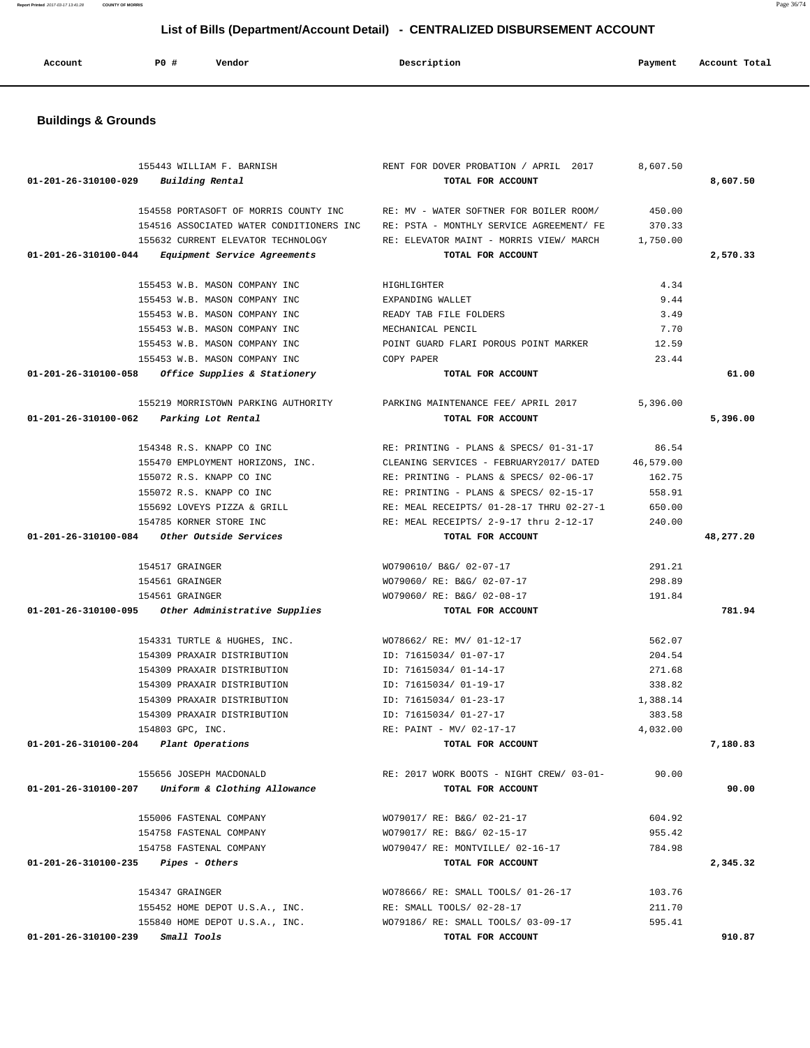| Account | PO# | Vendor | Description | Payment | Account Total<br>. |
|---------|-----|--------|-------------|---------|--------------------|
|         |     |        |             |         |                    |

# **Buildings & Grounds**

|                                                | 155443 WILLIAM F. BARNISH                          | RENT FOR DOVER PROBATION / APRIL 2017                                              | 8,607.50 |           |
|------------------------------------------------|----------------------------------------------------|------------------------------------------------------------------------------------|----------|-----------|
| $01 - 201 - 26 - 310100 - 029$ Building Rental |                                                    | TOTAL FOR ACCOUNT                                                                  |          | 8,607.50  |
|                                                |                                                    | 154558 PORTASOFT OF MORRIS COUNTY INC RE: MV - WATER SOFTNER FOR BOILER ROOM/      | 450.00   |           |
|                                                |                                                    | 154516 ASSOCIATED WATER CONDITIONERS INC RE: PSTA - MONTHLY SERVICE AGREEMENT/ FE  | 370.33   |           |
|                                                | 155632 CURRENT ELEVATOR TECHNOLOGY                 | RE: ELEVATOR MAINT - MORRIS VIEW/ MARCH 1,750.00                                   |          |           |
|                                                | 01-201-26-310100-044 Equipment Service Agreements  | TOTAL FOR ACCOUNT                                                                  |          | 2,570.33  |
|                                                |                                                    |                                                                                    |          |           |
|                                                | 155453 W.B. MASON COMPANY INC                      | HIGHLIGHTER                                                                        | 4.34     |           |
|                                                | 155453 W.B. MASON COMPANY INC                      | EXPANDING WALLET                                                                   | 9.44     |           |
|                                                | 155453 W.B. MASON COMPANY INC                      | READY TAB FILE FOLDERS                                                             | 3.49     |           |
|                                                | 155453 W.B. MASON COMPANY INC                      | MECHANICAL PENCIL                                                                  | 7.70     |           |
|                                                | 155453 W.B. MASON COMPANY INC                      | POINT GUARD FLARI POROUS POINT MARKER                                              | 12.59    |           |
|                                                | 155453 W.B. MASON COMPANY INC                      | COPY PAPER                                                                         | 23.44    |           |
|                                                | 01-201-26-310100-058 Office Supplies & Stationery  | TOTAL FOR ACCOUNT                                                                  |          | 61.00     |
|                                                |                                                    | 155219 MORRISTOWN PARKING AUTHORITY PARKING MAINTENANCE FEE/ APRIL 2017            | 5,396.00 |           |
| 01-201-26-310100-062 Parking Lot Rental        |                                                    | TOTAL FOR ACCOUNT                                                                  |          | 5,396.00  |
|                                                |                                                    |                                                                                    |          |           |
|                                                | 154348 R.S. KNAPP CO INC                           | RE: PRINTING - PLANS & SPECS/ 01-31-17                                             | 86.54    |           |
|                                                |                                                    | 155470 EMPLOYMENT HORIZONS, INC. CLEANING SERVICES - FEBRUARY2017/ DATED 46,579.00 |          |           |
|                                                | 155072 R.S. KNAPP CO INC                           | RE: PRINTING - PLANS & SPECS/ 02-06-17                                             | 162.75   |           |
|                                                | 155072 R.S. KNAPP CO INC                           | RE: PRINTING - PLANS & SPECS/ 02-15-17                                             | 558.91   |           |
|                                                | 155692 LOVEYS PIZZA & GRILL                        | RE: MEAL RECEIPTS/ 01-28-17 THRU 02-27-1                                           | 650.00   |           |
|                                                | 154785 KORNER STORE INC                            | RE: MEAL RECEIPTS/ 2-9-17 thru 2-12-17                                             | 240.00   |           |
|                                                | 01-201-26-310100-084 Other Outside Services        | TOTAL FOR ACCOUNT                                                                  |          | 48,277.20 |
|                                                | 154517 GRAINGER                                    | WO790610/ B&G/ 02-07-17                                                            | 291.21   |           |
|                                                | 154561 GRAINGER                                    | WO79060/ RE: B&G/ 02-07-17                                                         | 298.89   |           |
|                                                | 154561 GRAINGER                                    | WO79060/ RE: B&G/ 02-08-17                                                         | 191.84   |           |
|                                                | 01-201-26-310100-095 Other Administrative Supplies | TOTAL FOR ACCOUNT                                                                  |          | 781.94    |
|                                                |                                                    |                                                                                    |          |           |
|                                                | 154331 TURTLE & HUGHES, INC.                       | WO78662/ RE: MV/ 01-12-17                                                          | 562.07   |           |
|                                                | 154309 PRAXAIR DISTRIBUTION                        | ID: 71615034/ 01-07-17                                                             | 204.54   |           |
|                                                | 154309 PRAXAIR DISTRIBUTION                        | ID: 71615034/ 01-14-17                                                             | 271.68   |           |
|                                                | 154309 PRAXAIR DISTRIBUTION                        | ID: 71615034/ 01-19-17                                                             | 338.82   |           |
|                                                | 154309 PRAXAIR DISTRIBUTION                        | ID: 71615034/ 01-23-17                                                             | 1,388.14 |           |
|                                                | 154309 PRAXAIR DISTRIBUTION                        | ID: 71615034/ 01-27-17                                                             | 383.58   |           |
|                                                | 154803 GPC, INC.                                   | RE: PAINT - MV/ 02-17-17                                                           | 4,032.00 |           |
| 01-201-26-310100-204 Plant Operations          |                                                    | TOTAL FOR ACCOUNT                                                                  |          | 7,180.83  |
|                                                | 155656 JOSEPH MACDONALD                            | RE: 2017 WORK BOOTS - NIGHT CREW/ 03-01-                                           | 90.00    |           |
|                                                | 01-201-26-310100-207 Uniform & Clothing Allowance  | TOTAL FOR ACCOUNT                                                                  |          | 90.00     |
|                                                |                                                    |                                                                                    |          |           |
|                                                | 155006 FASTENAL COMPANY                            | WO79017/ RE: B&G/ 02-21-17                                                         | 604.92   |           |
|                                                | 154758 FASTENAL COMPANY                            | WO79017/ RE: B&G/ 02-15-17                                                         | 955.42   |           |
|                                                | 154758 FASTENAL COMPANY                            | WO79047/ RE: MONTVILLE/ 02-16-17                                                   | 784.98   |           |
| $01-201-26-310100-235$ Pipes - Others          |                                                    | TOTAL FOR ACCOUNT                                                                  |          | 2,345.32  |
|                                                | 154347 GRAINGER                                    | WO78666/ RE: SMALL TOOLS/ 01-26-17                                                 | 103.76   |           |
|                                                | 155452 HOME DEPOT U.S.A., INC.                     | RE: SMALL TOOLS/ 02-28-17                                                          | 211.70   |           |
|                                                | 155840 HOME DEPOT U.S.A., INC.                     | WO79186/ RE: SMALL TOOLS/ 03-09-17                                                 | 595.41   |           |
| 01-201-26-310100-239                           | <i>Small Tools</i>                                 | TOTAL FOR ACCOUNT                                                                  |          | 910.87    |
|                                                |                                                    |                                                                                    |          |           |

**Report Printed** 2017-03-17 13:41:28 **COUNTY OF MORRIS** Page 36/74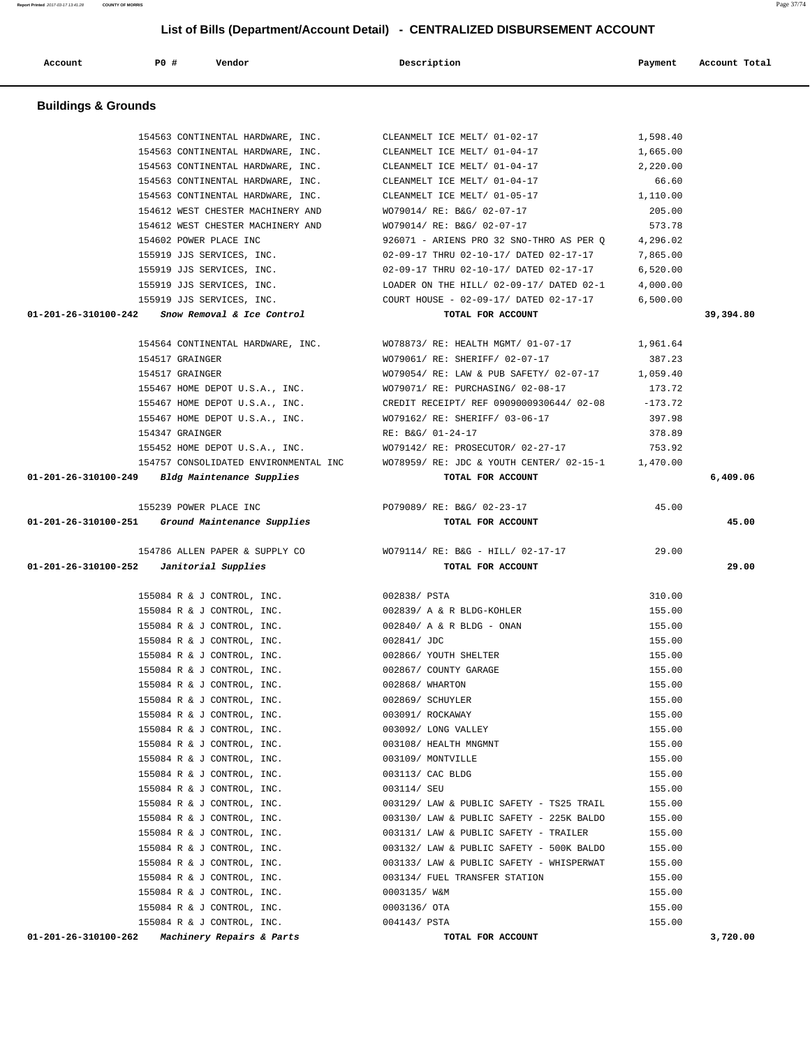| 154563 CONTINENTAL HARDWARE, INC.                                               | CLEANMELT ICE MELT/ 01-04-17                                                   | 66.60    |           |
|---------------------------------------------------------------------------------|--------------------------------------------------------------------------------|----------|-----------|
| 154563 CONTINENTAL HARDWARE, INC.                                               | CLEANMELT ICE MELT/ 01-05-17 1,110.00                                          |          |           |
| 154612 WEST CHESTER MACHINERY AND                                               | WO79014/ RE: B&G/ 02-07-17                                                     | 205.00   |           |
| 154612 WEST CHESTER MACHINERY AND                                               | WO79014/ RE: B&G/ 02-07-17                                                     | 573.78   |           |
| 154602 POWER PLACE INC                                                          | 926071 - ARIENS PRO 32 SNO-THRO AS PER Q                                       | 4,296.02 |           |
| 155919 JJS SERVICES, INC.                                                       | 02-09-17 THRU 02-10-17/ DATED 02-17-17                                         | 7,865.00 |           |
|                                                                                 | 155919 JJS SERVICES, INC. 602-09-17 THRU 02-10-17/ DATED 02-17-17              | 6,520.00 |           |
|                                                                                 |                                                                                | 4,000.00 |           |
|                                                                                 |                                                                                |          |           |
| $01-201-26-310100-242$ Snow Removal & Ice Control                               | TOTAL FOR ACCOUNT                                                              |          | 39,394.80 |
|                                                                                 |                                                                                |          |           |
| 154564 CONTINENTAL HARDWARE, INC.                                               | WO78873/ RE: HEALTH MGMT/ 01-07-17                                             | 1,961.64 |           |
| 154517 GRAINGER                                                                 | WO79061/ RE: SHERIFF/ 02-07-17                                                 | 387.23   |           |
| 154517 GRAINGER                                                                 | WO79054/ RE: LAW & PUB SAFETY/ 02-07-17 1,059.40                               |          |           |
| 155467 HOME DEPOT U.S.A., INC.                                                  | WO79071/RE: PURCHASING/02-08-17                                                | 173.72   |           |
|                                                                                 | 155467 HOME DEPOT U.S.A., INC. CREDIT RECEIPT/ REF 0909000930644/02-08 -173.72 |          |           |
| 155467 HOME DEPOT U.S.A., INC.                                                  | WO79162/ RE: SHERIFF/ 03-06-17                                                 | 397.98   |           |
| 154347 GRAINGER                                                                 | RE: B&G/ 01-24-17                                                              | 378.89   |           |
| 155452 HOME DEPOT U.S.A., INC.                                                  | WO79142/ RE: PROSECUTOR/ 02-27-17                                              | 753.92   |           |
| 154757 CONSOLIDATED ENVIRONMENTAL INC                                           | WO78959/ RE: JDC & YOUTH CENTER/ 02-15-1 1,470.00                              |          |           |
| $01-201-26-310100-249$ Bldg Maintenance Supplies                                | TOTAL FOR ACCOUNT                                                              |          | 6,409.06  |
|                                                                                 |                                                                                |          |           |
| 155239 POWER PLACE INC                                                          | PO79089/ RE: B&G/ 02-23-17                                                     | 45.00    |           |
| 01-201-26-310100-251 Ground Maintenance Supplies                                | TOTAL FOR ACCOUNT                                                              |          | 45.00     |
|                                                                                 |                                                                                |          |           |
|                                                                                 | 154786 ALLEN PAPER & SUPPLY CO WO79114/ RE: B&G - HILL/ 02-17-17               | 29.00    |           |
|                                                                                 |                                                                                |          |           |
| $01-201-26-310100-252$ Janitorial Supplies                                      | TOTAL FOR ACCOUNT                                                              |          | 29.00     |
|                                                                                 |                                                                                |          |           |
| 155084 R & J CONTROL, INC.                                                      | 002838/ PSTA                                                                   | 310.00   |           |
| 155084 R & J CONTROL, INC.                                                      | 002839/ A & R BLDG-KOHLER                                                      | 155.00   |           |
| 155084 R & J CONTROL, INC.                                                      | 002840/ A & R BLDG - ONAN                                                      | 155.00   |           |
| 155084 R & J CONTROL, INC.                                                      | 002841/ JDC                                                                    | 155.00   |           |
| 155084 R & J CONTROL, INC.                                                      | 002866/ YOUTH SHELTER                                                          | 155.00   |           |
| 155084 R & J CONTROL, INC.                                                      | 002867/ COUNTY GARAGE                                                          | 155.00   |           |
| 155084 R & J CONTROL, INC.                                                      | 002868/ WHARTON                                                                | 155.00   |           |
| 155084 R & J CONTROL, INC.                                                      | 002869/ SCHUYLER                                                               | 155.00   |           |
| 155084 R & J CONTROL, INC.                                                      | 003091/ ROCKAWAY                                                               | 155.00   |           |
| 155084 R & J CONTROL, INC.                                                      | 003092/ LONG VALLEY                                                            | 155.00   |           |
| 155084 R & J CONTROL, INC.                                                      | 003108/ HEALTH MNGMNT                                                          | 155.00   |           |
| 155084 R & J CONTROL, INC.                                                      | 003109/ MONTVILLE                                                              | 155.00   |           |
| 155084 R & J CONTROL, INC.                                                      | 003113/ CAC BLDG                                                               | 155.00   |           |
| 155084 R & J CONTROL, INC.                                                      | 003114/ SEU                                                                    | 155.00   |           |
| 155084 R & J CONTROL, INC.                                                      | 003129/ LAW & PUBLIC SAFETY - TS25 TRAIL                                       | 155.00   |           |
| 155084 R & J CONTROL, INC.                                                      | 003130/ LAW & PUBLIC SAFETY - 225K BALDO                                       | 155.00   |           |
| 155084 R & J CONTROL, INC.                                                      | 003131/ LAW & PUBLIC SAFETY - TRAILER                                          | 155.00   |           |
| 155084 R & J CONTROL, INC.                                                      | 003132/ LAW & PUBLIC SAFETY - 500K BALDO                                       | 155.00   |           |
| 155084 R & J CONTROL, INC.                                                      | 003133/ LAW & PUBLIC SAFETY - WHISPERWAT                                       | 155.00   |           |
| 155084 R & J CONTROL, INC.                                                      | 003134/ FUEL TRANSFER STATION                                                  | 155.00   |           |
| 155084 R & J CONTROL, INC.                                                      | 0003135/ W&M                                                                   | 155.00   |           |
| 155084 R & J CONTROL, INC.                                                      | 0003136/ OTA                                                                   | 155.00   |           |
| 155084 R & J CONTROL, INC.<br>01-201-26-310100-262<br>Machinery Repairs & Parts | 004143/ PSTA<br>TOTAL FOR ACCOUNT                                              | 155.00   | 3,720.00  |

# **Report Printed** 2017-03-17 13:41:28 **COUNTY OF MORRIS** Page 37/74  **List of Bills (Department/Account Detail) - CENTRALIZED DISBURSEMENT ACCOUNT Account P0 # Vendor Description Payment Account Total Buildings & Grounds**  154563 CONTINENTAL HARDWARE, INC. CLEANMELT ICE MELT/ 01-02-17 1,598.40 154563 CONTINENTAL HARDWARE, INC. CLEANMELT ICE MELT/ 01-04-17 1,665.00 154563 CONTINENTAL HARDWARE, INC. CLEANMELT ICE MELT/ 01-04-17 2,220.00 154563 CONTINENTAL HARDWARE, INC. CLEANMELT ICE MELT/ 01-04-17 66.60 154563 CONTINENTAL HARDWARE, INC. CLEANMELT ICE MELT/ 01-05-17 1,110.00 154612 WEST CHESTER MACHINERY AND WO79014/ RE: B&G/ 02-07-17 205.00 154612 WEST CHESTER MACHINERY AND WO79014/ RE: B&G/ 02-07-17 573.78 154602 POWER PLACE INC 926071 - ARIENS PRO 32 SNO-THRO AS PER Q 4,296.02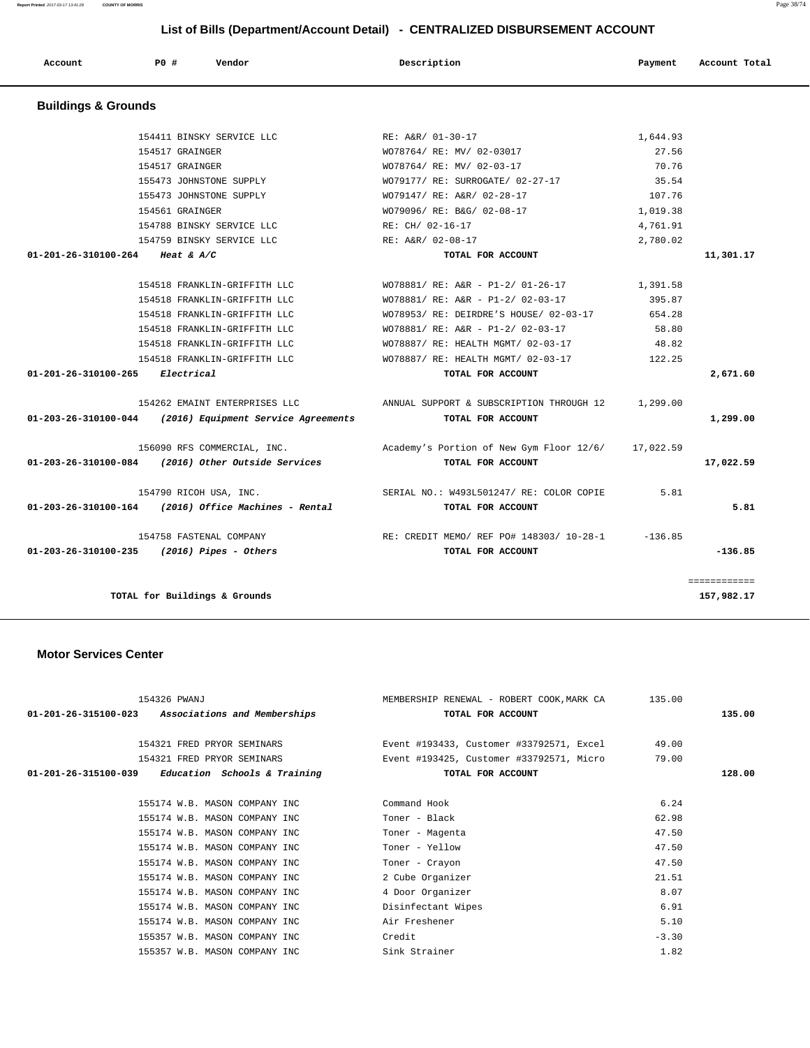| Page 38/74 |
|------------|
|            |
|            |

| Account                        | PO#             | Vendor                          |                                     | Description       |                                          | Payment   | Account Total |
|--------------------------------|-----------------|---------------------------------|-------------------------------------|-------------------|------------------------------------------|-----------|---------------|
| <b>Buildings &amp; Grounds</b> |                 |                                 |                                     |                   |                                          |           |               |
|                                |                 |                                 |                                     |                   |                                          |           |               |
|                                |                 | 154411 BINSKY SERVICE LLC       |                                     | RE: A&R/ 01-30-17 |                                          | 1,644.93  |               |
|                                | 154517 GRAINGER |                                 |                                     |                   | WO78764/ RE: MV/ 02-03017                | 27.56     |               |
|                                | 154517 GRAINGER |                                 |                                     |                   | WO78764/ RE: MV/ 02-03-17                | 70.76     |               |
|                                |                 | 155473 JOHNSTONE SUPPLY         |                                     |                   | WO79177/ RE: SURROGATE/ 02-27-17         | 35.54     |               |
|                                |                 | 155473 JOHNSTONE SUPPLY         |                                     |                   | WO79147/ RE: A&R/ 02-28-17               | 107.76    |               |
|                                | 154561 GRAINGER |                                 |                                     |                   | WO79096/ RE: B&G/ 02-08-17               | 1,019.38  |               |
|                                |                 | 154788 BINSKY SERVICE LLC       |                                     | RE: CH/ 02-16-17  |                                          | 4,761.91  |               |
|                                |                 | 154759 BINSKY SERVICE LLC       |                                     | RE: A&R/ 02-08-17 |                                          | 2,780.02  |               |
| 01-201-26-310100-264           | Heat & $A/C$    |                                 |                                     |                   | TOTAL FOR ACCOUNT                        |           | 11,301.17     |
|                                |                 | 154518 FRANKLIN-GRIFFITH LLC    |                                     |                   | WO78881/ RE: A&R - P1-2/ 01-26-17        | 1,391.58  |               |
|                                |                 | 154518 FRANKLIN-GRIFFITH LLC    |                                     |                   | WO78881/ RE: A&R - P1-2/ 02-03-17        | 395.87    |               |
|                                |                 | 154518 FRANKLIN-GRIFFITH LLC    |                                     |                   | WO78953/ RE: DEIRDRE'S HOUSE/ 02-03-17   | 654.28    |               |
|                                |                 | 154518 FRANKLIN-GRIFFITH LLC    |                                     |                   | WO78881/ RE: A&R - P1-2/ 02-03-17        | 58.80     |               |
|                                |                 | 154518 FRANKLIN-GRIFFITH LLC    |                                     |                   | WO78887/ RE: HEALTH MGMT/ 02-03-17       | 48.82     |               |
|                                |                 | 154518 FRANKLIN-GRIFFITH LLC    |                                     |                   | WO78887/ RE: HEALTH MGMT/ 02-03-17       | 122.25    |               |
| 01-201-26-310100-265           | Electrical      |                                 |                                     |                   | TOTAL FOR ACCOUNT                        |           | 2,671.60      |
|                                |                 | 154262 EMAINT ENTERPRISES LLC   |                                     |                   | ANNUAL SUPPORT & SUBSCRIPTION THROUGH 12 | 1,299.00  |               |
| 01-203-26-310100-044           |                 |                                 | (2016) Equipment Service Agreements |                   | TOTAL FOR ACCOUNT                        |           | 1,299.00      |
|                                |                 | 156090 RFS COMMERCIAL, INC.     |                                     |                   | Academy's Portion of New Gym Floor 12/6/ | 17,022.59 |               |
| 01-203-26-310100-084           |                 | (2016) Other Outside Services   |                                     |                   | TOTAL FOR ACCOUNT                        |           | 17,022.59     |
|                                |                 | 154790 RICOH USA, INC.          |                                     |                   | SERIAL NO.: W493L501247/RE: COLOR COPIE  | 5.81      |               |
| 01-203-26-310100-164           |                 | (2016) Office Machines - Rental |                                     |                   | TOTAL FOR ACCOUNT                        |           | 5.81          |
|                                |                 | 154758 FASTENAL COMPANY         |                                     |                   | RE: CREDIT MEMO/ REF PO# 148303/ 10-28-1 | $-136.85$ |               |
| 01-203-26-310100-235           |                 | (2016) Pipes - Others           |                                     |                   | TOTAL FOR ACCOUNT                        |           | $-136.85$     |
|                                |                 |                                 |                                     |                   |                                          |           | ============  |
|                                |                 | TOTAL for Buildings & Grounds   |                                     |                   |                                          |           | 157,982.17    |
|                                |                 |                                 |                                     |                   |                                          |           |               |

## **Motor Services Center**

| 154326 PWANJ                                        | MEMBERSHIP RENEWAL - ROBERT COOK, MARK CA | 135.00  |        |
|-----------------------------------------------------|-------------------------------------------|---------|--------|
| 01-201-26-315100-023 Associations and Memberships   | TOTAL FOR ACCOUNT                         |         | 135.00 |
|                                                     |                                           |         |        |
| 154321 FRED PRYOR SEMINARS                          | Event #193433, Customer #33792571, Excel  | 49.00   |        |
| 154321 FRED PRYOR SEMINARS                          | Event #193425, Customer #33792571, Micro  | 79.00   |        |
| $01-201-26-315100-039$ Education Schools & Training | TOTAL FOR ACCOUNT                         |         | 128.00 |
|                                                     |                                           |         |        |
| 155174 W.B. MASON COMPANY INC                       | Command Hook                              | 6.24    |        |
| 155174 W.B. MASON COMPANY INC                       | Toner - Black                             | 62.98   |        |
| 155174 W.B. MASON COMPANY INC                       | Toner - Magenta                           | 47.50   |        |
| 155174 W.B. MASON COMPANY INC                       | Toner - Yellow                            | 47.50   |        |
| 155174 W.B. MASON COMPANY INC.                      | Toner - Crayon                            | 47.50   |        |
| 155174 W.B. MASON COMPANY INC                       | 2 Cube Organizer                          | 21.51   |        |
| 155174 W.B. MASON COMPANY INC                       | 4 Door Organizer                          | 8.07    |        |
| 155174 W.B. MASON COMPANY INC                       | Disinfectant Wipes                        | 6.91    |        |
| 155174 W.B. MASON COMPANY INC                       | Air Freshener                             | 5.10    |        |
| 155357 W.B. MASON COMPANY INC                       | Credit                                    | $-3.30$ |        |
| 155357 W.B. MASON COMPANY INC                       | Sink Strainer                             | 1.82    |        |
|                                                     |                                           |         |        |

**Report Printed** 2017-03-17 13:41:28 **COUNTY OF MORRIS**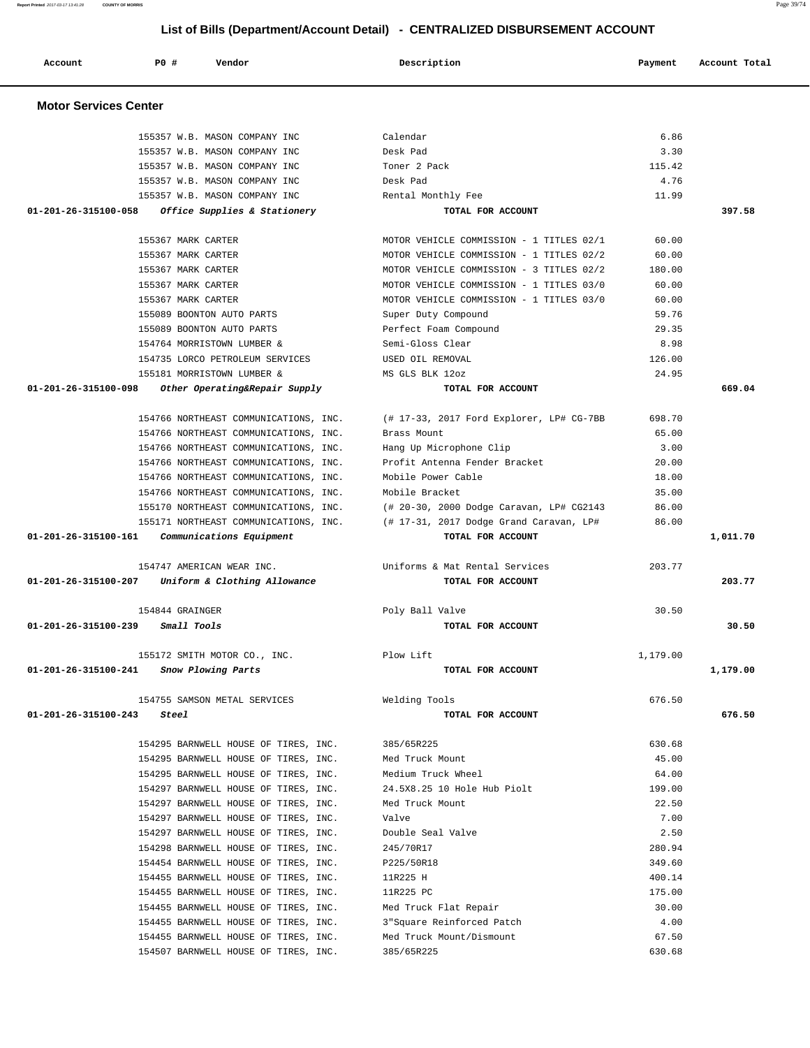|                                | List of Dins (Department/Recount Detail) | VERTIGALIZED DIODOROZMENT AV             |          |               |
|--------------------------------|------------------------------------------|------------------------------------------|----------|---------------|
| Account                        | Vendor<br>PO#                            | Description                              | Payment  | Account Total |
| <b>Motor Services Center</b>   |                                          |                                          |          |               |
|                                | 155357 W.B. MASON COMPANY INC            | Calendar                                 | 6.86     |               |
|                                | 155357 W.B. MASON COMPANY INC            | Desk Pad                                 | 3.30     |               |
|                                | 155357 W.B. MASON COMPANY INC            | Toner 2 Pack                             | 115.42   |               |
|                                | 155357 W.B. MASON COMPANY INC            | Desk Pad                                 | 4.76     |               |
|                                | 155357 W.B. MASON COMPANY INC            | Rental Monthly Fee                       | 11.99    |               |
| 01-201-26-315100-058           | Office Supplies & Stationery             | TOTAL FOR ACCOUNT                        |          | 397.58        |
|                                | 155367 MARK CARTER                       | MOTOR VEHICLE COMMISSION - 1 TITLES 02/1 | 60.00    |               |
|                                | 155367 MARK CARTER                       | MOTOR VEHICLE COMMISSION - 1 TITLES 02/2 | 60.00    |               |
|                                | 155367 MARK CARTER                       | MOTOR VEHICLE COMMISSION - 3 TITLES 02/2 | 180.00   |               |
|                                | 155367 MARK CARTER                       | MOTOR VEHICLE COMMISSION - 1 TITLES 03/0 | 60.00    |               |
|                                | 155367 MARK CARTER                       | MOTOR VEHICLE COMMISSION - 1 TITLES 03/0 | 60.00    |               |
|                                | 155089 BOONTON AUTO PARTS                | Super Duty Compound                      | 59.76    |               |
|                                | 155089 BOONTON AUTO PARTS                | Perfect Foam Compound                    | 29.35    |               |
|                                | 154764 MORRISTOWN LUMBER &               | Semi-Gloss Clear                         | 8.98     |               |
|                                | 154735 LORCO PETROLEUM SERVICES          | USED OIL REMOVAL                         | 126.00   |               |
|                                | 155181 MORRISTOWN LUMBER &               | MS GLS BLK 12oz                          | 24.95    |               |
| 01-201-26-315100-098           | Other Operating&Repair Supply            | TOTAL FOR ACCOUNT                        |          | 669.04        |
|                                | 154766 NORTHEAST COMMUNICATIONS, INC.    | (# 17-33, 2017 Ford Explorer, LP# CG-7BB | 698.70   |               |
|                                | 154766 NORTHEAST COMMUNICATIONS, INC.    | Brass Mount                              | 65.00    |               |
|                                | 154766 NORTHEAST COMMUNICATIONS, INC.    | Hang Up Microphone Clip                  | 3.00     |               |
|                                | 154766 NORTHEAST COMMUNICATIONS, INC.    | Profit Antenna Fender Bracket            | 20.00    |               |
|                                | 154766 NORTHEAST COMMUNICATIONS, INC.    | Mobile Power Cable                       | 18.00    |               |
|                                | 154766 NORTHEAST COMMUNICATIONS, INC.    | Mobile Bracket                           | 35.00    |               |
|                                | 155170 NORTHEAST COMMUNICATIONS, INC.    | (# 20-30, 2000 Dodge Caravan, LP# CG2143 | 86.00    |               |
|                                | 155171 NORTHEAST COMMUNICATIONS, INC.    | (# 17-31, 2017 Dodge Grand Caravan, LP#  | 86.00    |               |
| 01-201-26-315100-161           | Communications Equipment                 | TOTAL FOR ACCOUNT                        |          | 1,011.70      |
|                                | 154747 AMERICAN WEAR INC.                | Uniforms & Mat Rental Services           | 203.77   |               |
| 01-201-26-315100-207           | Uniform & Clothing Allowance             | TOTAL FOR ACCOUNT                        |          | 203.77        |
|                                | 154844 GRAINGER                          | Poly Ball Valve                          | 30.50    |               |
|                                | 01-201-26-315100-239 Small Tools         | TOTAL FOR ACCOUNT                        |          | 30.50         |
|                                | 155172 SMITH MOTOR CO., INC.             | Plow Lift                                | 1,179.00 |               |
| 01-201-26-315100-241           | Snow Plowing Parts                       | TOTAL FOR ACCOUNT                        |          | 1,179.00      |
|                                | 154755 SAMSON METAL SERVICES             | Welding Tools                            | 676.50   |               |
| $01 - 201 - 26 - 315100 - 243$ | Steel                                    | TOTAL FOR ACCOUNT                        |          | 676.50        |
|                                | 154295 BARNWELL HOUSE OF TIRES, INC.     | 385/65R225                               | 630.68   |               |
|                                | 154295 BARNWELL HOUSE OF TIRES, INC.     | Med Truck Mount                          | 45.00    |               |
|                                | 154295 BARNWELL HOUSE OF TIRES, INC.     | Medium Truck Wheel                       | 64.00    |               |
|                                | 154297 BARNWELL HOUSE OF TIRES, INC.     | 24.5X8.25 10 Hole Hub Piolt              | 199.00   |               |
|                                | 154297 BARNWELL HOUSE OF TIRES, INC.     | Med Truck Mount                          | 22.50    |               |
|                                | 154297 BARNWELL HOUSE OF TIRES, INC.     | Valve                                    | 7.00     |               |
|                                | 154297 BARNWELL HOUSE OF TIRES, INC.     | Double Seal Valve                        | 2.50     |               |
|                                | 154298 BARNWELL HOUSE OF TIRES, INC.     | 245/70R17                                | 280.94   |               |
|                                | 154454 BARNWELL HOUSE OF TIRES, INC.     | P225/50R18                               | 349.60   |               |
|                                | 154455 BARNWELL HOUSE OF TIRES, INC.     | 11R225 H                                 | 400.14   |               |
|                                | 154455 BARNWELL HOUSE OF TIRES, INC.     | 11R225 PC                                | 175.00   |               |
|                                | 154455 BARNWELL HOUSE OF TIRES, INC.     | Med Truck Flat Repair                    | 30.00    |               |
|                                | 154455 BARNWELL HOUSE OF TIRES, INC.     | 3" Square Reinforced Patch               | 4.00     |               |
|                                | 154455 BARNWELL HOUSE OF TIRES, INC.     | Med Truck Mount/Dismount                 | 67.50    |               |

154507 BARNWELL HOUSE OF TIRES, INC. 385/65R225 630.68

**Report Printed** 2017-03-17 13:41:28 **COUNTY OF MORRIS** Page 39/74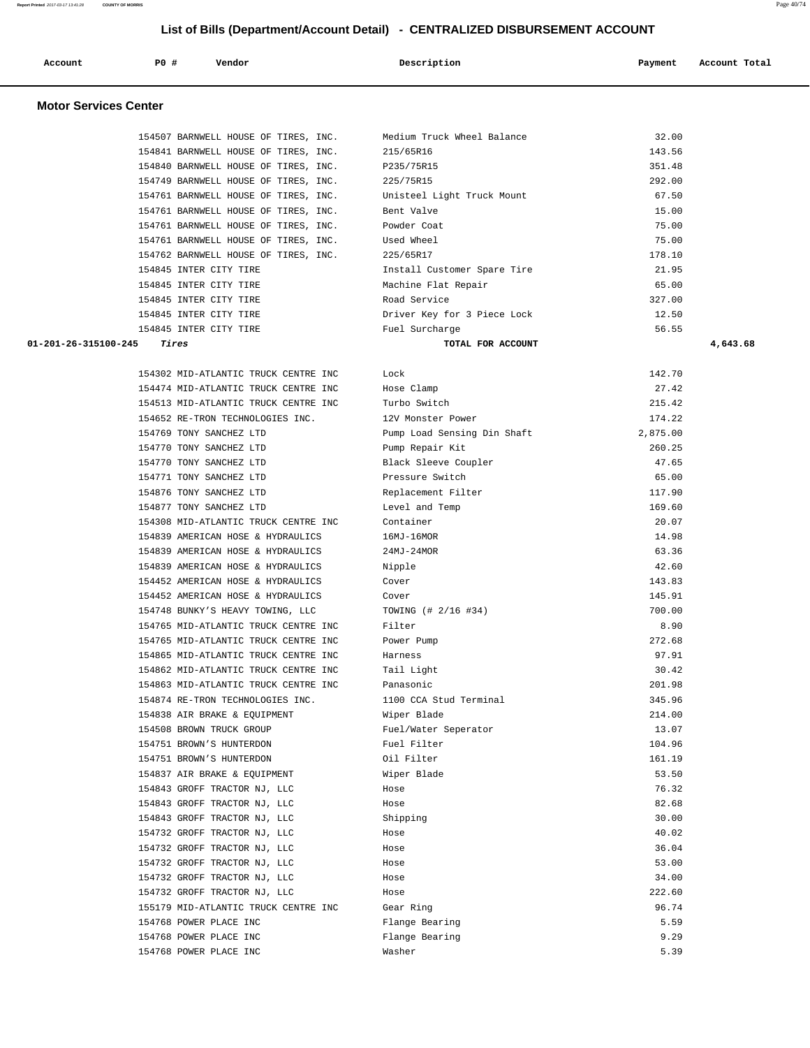| Account | PO# | Vendor | Description | Payment | Account Total |
|---------|-----|--------|-------------|---------|---------------|
|         |     |        |             |         |               |

## **Motor Services Center**

|                                      | 154507 BARNWELL HOUSE OF TIRES, INC. | Medium Truck Wheel Balance  | 32.00  |  |
|--------------------------------------|--------------------------------------|-----------------------------|--------|--|
| 154841 BARNWELL HOUSE OF TIRES, INC. |                                      | 215/65R16                   | 143.56 |  |
| 154840 BARNWELL HOUSE OF TIRES, INC. |                                      | P235/75R15                  | 351.48 |  |
| 154749 BARNWELL HOUSE OF TIRES, INC. |                                      | 225/75R15                   | 292.00 |  |
| 154761 BARNWELL HOUSE OF TIRES, INC. |                                      | Unisteel Light Truck Mount  | 67.50  |  |
| 154761 BARNWELL HOUSE OF TIRES, INC. |                                      | Bent Valve                  | 15.00  |  |
| 154761 BARNWELL HOUSE OF TIRES, INC. |                                      | Powder Coat                 | 75.00  |  |
| 154761 BARNWELL HOUSE OF TIRES, INC. |                                      | Used Wheel                  | 75.00  |  |
| 154762 BARNWELL HOUSE OF TIRES, INC. |                                      | 225/65R17                   | 178.10 |  |
| 154845 INTER CITY TIRE               |                                      | Install Customer Spare Tire | 21.95  |  |
| 154845 INTER CITY TIRE               |                                      | Machine Flat Repair         | 65.00  |  |
| 154845 INTER CITY TIRE               |                                      | Road Service                | 327.00 |  |
| 154845 INTER CITY TIRE               |                                      | Driver Key for 3 Piece Lock | 12.50  |  |
| 154845 INTER CITY TIRE               |                                      | Fuel Surcharge              | 56.55  |  |

 **01-201-26-315100-245 Tires TOTAL FOR ACCOUNT 4,643.68**

| 154302 MID-ATLANTIC TRUCK CENTRE INC | Lock                        | 142.70   |
|--------------------------------------|-----------------------------|----------|
| 154474 MID-ATLANTIC TRUCK CENTRE INC | Hose Clamp                  | 27.42    |
| 154513 MID-ATLANTIC TRUCK CENTRE INC | Turbo Switch                | 215.42   |
| 154652 RE-TRON TECHNOLOGIES INC.     | 12V Monster Power           | 174.22   |
| 154769 TONY SANCHEZ LTD              | Pump Load Sensing Din Shaft | 2,875.00 |
| 154770 TONY SANCHEZ LTD              | Pump Repair Kit             | 260.25   |
| 154770 TONY SANCHEZ LTD              | Black Sleeve Coupler        | 47.65    |
| 154771 TONY SANCHEZ LTD              | Pressure Switch             | 65.00    |
| 154876 TONY SANCHEZ LTD              | Replacement Filter          | 117.90   |
| 154877 TONY SANCHEZ LTD              | Level and Temp              | 169.60   |
| 154308 MID-ATLANTIC TRUCK CENTRE INC | Container                   | 20.07    |
| 154839 AMERICAN HOSE & HYDRAULICS    | $16MJ-16MOR$                | 14.98    |
| 154839 AMERICAN HOSE & HYDRAULICS    | $24MJ - 24MOR$              | 63.36    |
| 154839 AMERICAN HOSE & HYDRAULICS    | Nipple                      | 42.60    |
| 154452 AMERICAN HOSE & HYDRAULICS    | Cover                       | 143.83   |
| 154452 AMERICAN HOSE & HYDRAULICS    | Cover                       | 145.91   |
| 154748 BUNKY'S HEAVY TOWING, LLC     | TOWING (# 2/16 #34)         | 700.00   |
| 154765 MID-ATLANTIC TRUCK CENTRE INC | Filter                      | 8.90     |
| 154765 MID-ATLANTIC TRUCK CENTRE INC | Power Pump                  | 272.68   |
| 154865 MID-ATLANTIC TRUCK CENTRE INC | Harness                     | 97.91    |
| 154862 MID-ATLANTIC TRUCK CENTRE INC | Tail Light                  | 30.42    |
| 154863 MID-ATLANTIC TRUCK CENTRE INC | Panasonic                   | 201.98   |
| 154874 RE-TRON TECHNOLOGIES INC.     | 1100 CCA Stud Terminal      | 345.96   |
| 154838 AIR BRAKE & EQUIPMENT         | Wiper Blade                 | 214.00   |
| 154508 BROWN TRUCK GROUP             | Fuel/Water Seperator        | 13.07    |
| 154751 BROWN'S HUNTERDON             | Fuel Filter                 | 104.96   |
| 154751 BROWN'S HUNTERDON             | Oil Filter                  | 161.19   |
| 154837 AIR BRAKE & EQUIPMENT         | Wiper Blade                 | 53.50    |
| 154843 GROFF TRACTOR NJ, LLC         | Hose                        | 76.32    |
| 154843 GROFF TRACTOR NJ, LLC         | Hose                        | 82.68    |
| 154843 GROFF TRACTOR NJ, LLC         | Shipping                    | 30.00    |
| 154732 GROFF TRACTOR NJ, LLC         | Hose                        | 40.02    |
| 154732 GROFF TRACTOR NJ, LLC         | Hose                        | 36.04    |
| 154732 GROFF TRACTOR NJ, LLC         | Hose                        | 53.00    |
| 154732 GROFF TRACTOR NJ, LLC         | Hose                        | 34.00    |
| 154732 GROFF TRACTOR NJ, LLC         | Hose                        | 222.60   |
| 155179 MID-ATLANTIC TRUCK CENTRE INC | Gear Ring                   | 96.74    |
| 154768 POWER PLACE INC               | Flange Bearing              | 5.59     |
| 154768 POWER PLACE INC               | Flange Bearing              | 9.29     |
| 154768 POWER PLACE INC               | Washer                      | 5.39     |

**Report Printed** 2017-03-17 13:41:28 **COUNTY OF MORRIS** Page 40/74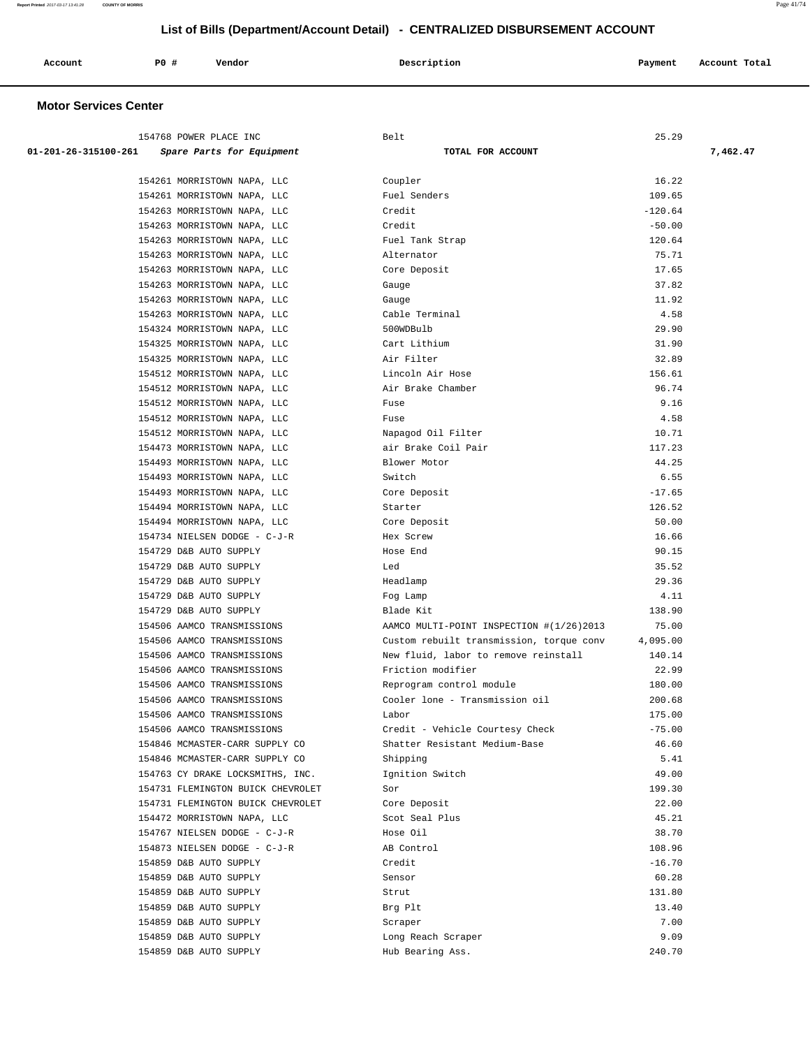| Account | P0 # | Vendor<br>. | Description<br>$\sim$ $\sim$<br>. | Payment<br>$\sim$ $\sim$ | Account Total |
|---------|------|-------------|-----------------------------------|--------------------------|---------------|
|         |      |             |                                   |                          |               |

## **Motor Services Center**

| 154768 POWER PLACE INC                                     | Belt                                     | 25.29           |          |
|------------------------------------------------------------|------------------------------------------|-----------------|----------|
| 01-201-26-315100-261<br>Spare Parts for Equipment          | TOTAL FOR ACCOUNT                        |                 | 7,462.47 |
|                                                            |                                          |                 |          |
| 154261 MORRISTOWN NAPA, LLC                                | Coupler<br>Fuel Senders                  | 16.22<br>109.65 |          |
| 154261 MORRISTOWN NAPA, LLC<br>154263 MORRISTOWN NAPA, LLC | Credit                                   | $-120.64$       |          |
| 154263 MORRISTOWN NAPA, LLC                                | Credit                                   | $-50.00$        |          |
| 154263 MORRISTOWN NAPA, LLC                                | Fuel Tank Strap                          | 120.64          |          |
| 154263 MORRISTOWN NAPA, LLC                                | Alternator                               | 75.71           |          |
| 154263 MORRISTOWN NAPA, LLC                                | Core Deposit                             | 17.65           |          |
| 154263 MORRISTOWN NAPA, LLC                                | Gauge                                    | 37.82           |          |
| 154263 MORRISTOWN NAPA, LLC                                | Gauge                                    | 11.92           |          |
| 154263 MORRISTOWN NAPA, LLC                                | Cable Terminal                           | 4.58            |          |
| 154324 MORRISTOWN NAPA, LLC                                | 500WDBulb                                | 29.90           |          |
| 154325 MORRISTOWN NAPA, LLC                                | Cart Lithium                             | 31.90           |          |
| 154325 MORRISTOWN NAPA, LLC                                | Air Filter                               | 32.89           |          |
| 154512 MORRISTOWN NAPA, LLC                                | Lincoln Air Hose                         | 156.61          |          |
| 154512 MORRISTOWN NAPA, LLC                                | Air Brake Chamber                        | 96.74           |          |
| 154512 MORRISTOWN NAPA, LLC                                | Fuse                                     | 9.16            |          |
| 154512 MORRISTOWN NAPA, LLC                                | Fuse                                     | 4.58            |          |
| 154512 MORRISTOWN NAPA, LLC                                | Napagod Oil Filter                       | 10.71           |          |
| 154473 MORRISTOWN NAPA, LLC                                | air Brake Coil Pair                      | 117.23          |          |
| 154493 MORRISTOWN NAPA, LLC                                | Blower Motor                             | 44.25           |          |
| 154493 MORRISTOWN NAPA, LLC                                | Switch                                   | 6.55            |          |
| 154493 MORRISTOWN NAPA, LLC                                | Core Deposit                             | $-17.65$        |          |
| 154494 MORRISTOWN NAPA, LLC                                | Starter                                  | 126.52          |          |
| 154494 MORRISTOWN NAPA, LLC                                | Core Deposit                             | 50.00           |          |
| 154734 NIELSEN DODGE - C-J-R                               | Hex Screw                                | 16.66           |          |
| 154729 D&B AUTO SUPPLY                                     | Hose End                                 | 90.15           |          |
| 154729 D&B AUTO SUPPLY                                     | Led                                      | 35.52           |          |
| 154729 D&B AUTO SUPPLY                                     | Headlamp                                 | 29.36           |          |
| 154729 D&B AUTO SUPPLY                                     | Fog Lamp                                 | 4.11            |          |
| 154729 D&B AUTO SUPPLY                                     | Blade Kit                                | 138.90          |          |
| 154506 AAMCO TRANSMISSIONS                                 | AAMCO MULTI-POINT INSPECTION #(1/26)2013 | 75.00           |          |
| 154506 AAMCO TRANSMISSIONS                                 | Custom rebuilt transmission, torque conv | 4,095.00        |          |
| 154506 AAMCO TRANSMISSIONS                                 | New fluid, labor to remove reinstall     | 140.14          |          |
| 154506 AAMCO TRANSMISSIONS                                 | Friction modifier                        | 22.99           |          |
| 154506 AAMCO TRANSMISSIONS                                 | Reprogram control module                 | 180.00          |          |
| 154506 AAMCO TRANSMISSIONS                                 | Cooler lone - Transmission oil           | 200.68          |          |
| 154506 AAMCO TRANSMISSIONS                                 | Labor                                    | 175.00          |          |
| 154506 AAMCO TRANSMISSIONS                                 | Credit - Vehicle Courtesy Check          | -75.00          |          |
| 154846 MCMASTER-CARR SUPPLY CO                             | Shatter Resistant Medium-Base            | 46.60           |          |
| 154846 MCMASTER-CARR SUPPLY CO                             | Shipping                                 | 5.41            |          |
| 154763 CY DRAKE LOCKSMITHS, INC.                           | Ignition Switch                          | 49.00           |          |
| 154731 FLEMINGTON BUICK CHEVROLET                          | Sor                                      | 199.30          |          |
| 154731 FLEMINGTON BUICK CHEVROLET                          | Core Deposit                             | 22.00           |          |
| 154472 MORRISTOWN NAPA, LLC                                | Scot Seal Plus                           | 45.21           |          |
| 154767 NIELSEN DODGE - C-J-R                               | Hose Oil                                 | 38.70           |          |
| 154873 NIELSEN DODGE - C-J-R                               | AB Control                               | 108.96          |          |
| 154859 D&B AUTO SUPPLY                                     | Credit                                   | $-16.70$        |          |
| 154859 D&B AUTO SUPPLY                                     | Sensor                                   | 60.28           |          |
| 154859 D&B AUTO SUPPLY                                     | Strut                                    | 131.80          |          |
| 154859 D&B AUTO SUPPLY                                     | Brg Plt                                  | 13.40           |          |
| 154859 D&B AUTO SUPPLY                                     | Scraper                                  | 7.00            |          |
| 154859 D&B AUTO SUPPLY                                     | Long Reach Scraper                       | 9.09            |          |
| 154859 D&B AUTO SUPPLY                                     | Hub Bearing Ass.                         | 240.70          |          |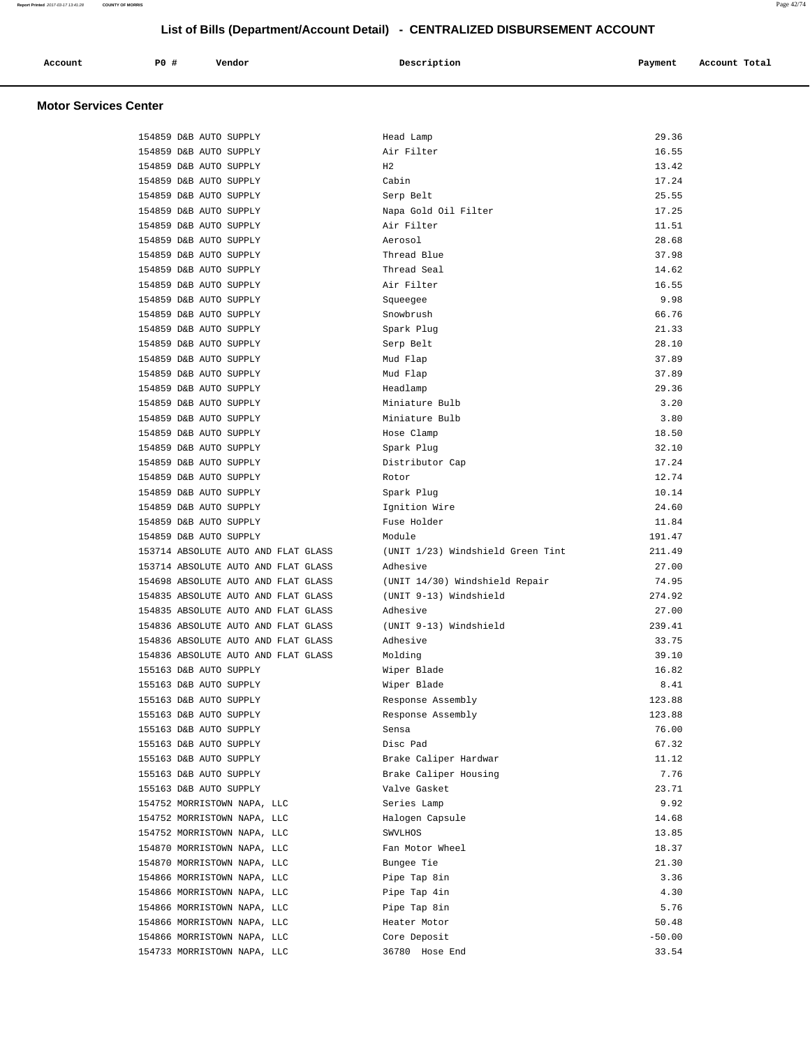| Vendor<br>Account<br>Payment<br>Description<br>$\sim$ $\sim$<br>$\sim$ $\sim$ | P0 # |  | Account Total |
|-------------------------------------------------------------------------------|------|--|---------------|
|-------------------------------------------------------------------------------|------|--|---------------|

## **Motor Services Center**

| 154859 D&B AUTO SUPPLY              | Head Lamp                         | 29.36    |
|-------------------------------------|-----------------------------------|----------|
| 154859 D&B AUTO SUPPLY              | Air Filter                        | 16.55    |
| 154859 D&B AUTO SUPPLY              | H <sub>2</sub>                    | 13.42    |
| 154859 D&B AUTO SUPPLY              | Cabin                             | 17.24    |
| 154859 D&B AUTO SUPPLY              | Serp Belt                         | 25.55    |
| 154859 D&B AUTO SUPPLY              | Napa Gold Oil Filter              | 17.25    |
| 154859 D&B AUTO SUPPLY              | Air Filter                        | 11.51    |
| 154859 D&B AUTO SUPPLY              | Aerosol                           | 28.68    |
| 154859 D&B AUTO SUPPLY              | Thread Blue                       | 37.98    |
| 154859 D&B AUTO SUPPLY              | Thread Seal                       | 14.62    |
| 154859 D&B AUTO SUPPLY              | Air Filter                        | 16.55    |
| 154859 D&B AUTO SUPPLY              | Squeegee                          | 9.98     |
| 154859 D&B AUTO SUPPLY              | Snowbrush                         | 66.76    |
| 154859 D&B AUTO SUPPLY              | Spark Plug                        | 21.33    |
| 154859 D&B AUTO SUPPLY              | Serp Belt                         | 28.10    |
| 154859 D&B AUTO SUPPLY              | Mud Flap                          | 37.89    |
| 154859 D&B AUTO SUPPLY              | Mud Flap                          | 37.89    |
| 154859 D&B AUTO SUPPLY              | Headlamp                          | 29.36    |
| 154859 D&B AUTO SUPPLY              | Miniature Bulb                    | 3.20     |
| 154859 D&B AUTO SUPPLY              | Miniature Bulb                    | 3.80     |
| 154859 D&B AUTO SUPPLY              | Hose Clamp                        | 18.50    |
| 154859 D&B AUTO SUPPLY              | Spark Plug                        | 32.10    |
| 154859 D&B AUTO SUPPLY              | Distributor Cap                   | 17.24    |
| 154859 D&B AUTO SUPPLY              | Rotor                             | 12.74    |
| 154859 D&B AUTO SUPPLY              | Spark Plug                        | 10.14    |
| 154859 D&B AUTO SUPPLY              | Ignition Wire                     | 24.60    |
| 154859 D&B AUTO SUPPLY              | Fuse Holder                       | 11.84    |
| 154859 D&B AUTO SUPPLY              | Module                            | 191.47   |
| 153714 ABSOLUTE AUTO AND FLAT GLASS | (UNIT 1/23) Windshield Green Tint | 211.49   |
| 153714 ABSOLUTE AUTO AND FLAT GLASS | Adhesive                          | 27.00    |
| 154698 ABSOLUTE AUTO AND FLAT GLASS | (UNIT 14/30) Windshield Repair    | 74.95    |
| 154835 ABSOLUTE AUTO AND FLAT GLASS | (UNIT 9-13) Windshield            | 274.92   |
| 154835 ABSOLUTE AUTO AND FLAT GLASS | Adhesive                          | 27.00    |
| 154836 ABSOLUTE AUTO AND FLAT GLASS | (UNIT 9-13) Windshield            | 239.41   |
| 154836 ABSOLUTE AUTO AND FLAT GLASS | Adhesive                          | 33.75    |
| 154836 ABSOLUTE AUTO AND FLAT GLASS | Molding                           | 39.10    |
| 155163 D&B AUTO SUPPLY              | Wiper Blade                       | 16.82    |
| 155163 D&B AUTO SUPPLY              | Wiper Blade                       | 8.41     |
| 155163 D&B AUTO SUPPLY              | Response Assembly                 | 123.88   |
| 155163 D&B AUTO SUPPLY              | Response Assembly                 | 123.88   |
| 155163 D&B AUTO SUPPLY              | Sensa                             | 76.00    |
| 155163 D&B AUTO SUPPLY              | Disc Pad                          | 67.32    |
| 155163 D&B AUTO SUPPLY              | Brake Caliper Hardwar             | 11.12    |
| 155163 D&B AUTO SUPPLY              | Brake Caliper Housing             | 7.76     |
| 155163 D&B AUTO SUPPLY              | Valve Gasket                      | 23.71    |
| 154752 MORRISTOWN NAPA, LLC         | Series Lamp                       | 9.92     |
| 154752 MORRISTOWN NAPA, LLC         | Halogen Capsule                   | 14.68    |
| 154752 MORRISTOWN NAPA, LLC         | SWVLHOS                           | 13.85    |
| 154870 MORRISTOWN NAPA, LLC         | Fan Motor Wheel                   | 18.37    |
| 154870 MORRISTOWN NAPA, LLC         | Bungee Tie                        | 21.30    |
| 154866 MORRISTOWN NAPA, LLC         | Pipe Tap 8in                      | 3.36     |
| 154866 MORRISTOWN NAPA, LLC         | Pipe Tap 4in                      | 4.30     |
| 154866 MORRISTOWN NAPA, LLC         | Pipe Tap 8in                      | 5.76     |
| 154866 MORRISTOWN NAPA, LLC         | Heater Motor                      | 50.48    |
| 154866 MORRISTOWN NAPA, LLC         | Core Deposit                      | $-50.00$ |
| 154733 MORRISTOWN NAPA, LLC         | 36780 Hose End                    | 33.54    |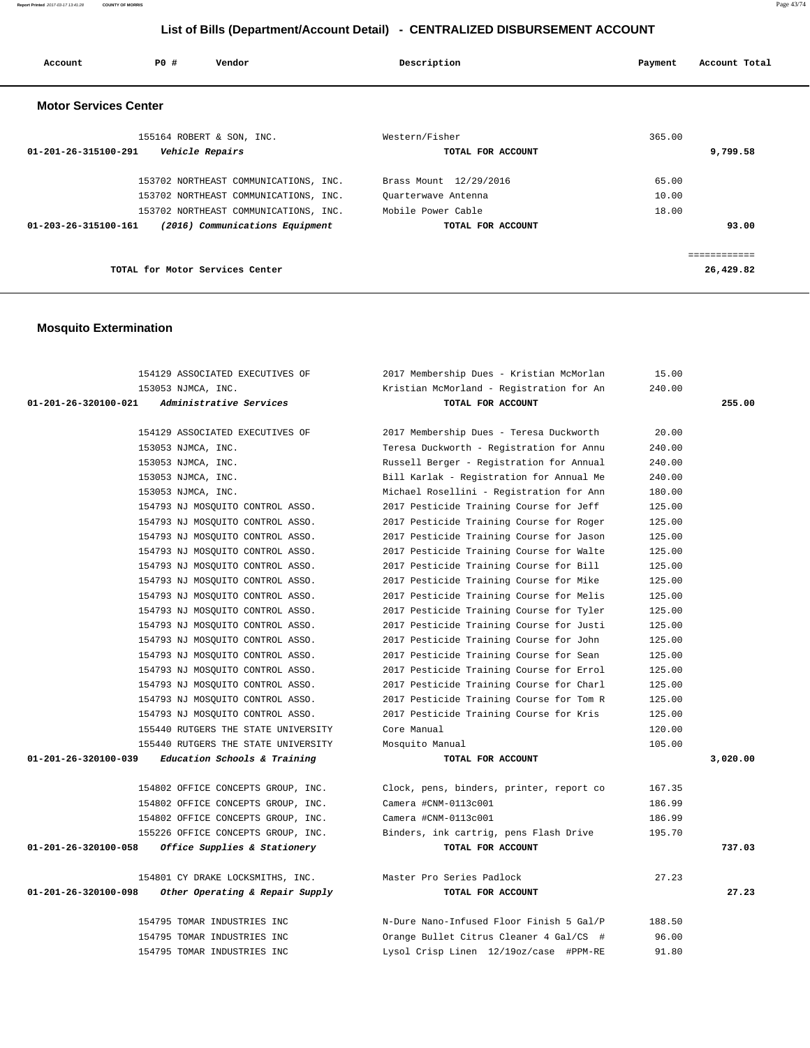**Report Printed** 2017-03-17 13:41:28 **COUNTY OF MORRIS** Page 43/74

# **List of Bills (Department/Account Detail) - CENTRALIZED DISBURSEMENT ACCOUNT**

| Account                        | PO# | Vendor                                | Description            | Account Total<br>Payment |
|--------------------------------|-----|---------------------------------------|------------------------|--------------------------|
| <b>Motor Services Center</b>   |     |                                       |                        |                          |
|                                |     | 155164 ROBERT & SON, INC.             | Western/Fisher         | 365.00                   |
| 01-201-26-315100-291           |     | Vehicle Repairs                       | TOTAL FOR ACCOUNT      | 9,799.58                 |
|                                |     | 153702 NORTHEAST COMMUNICATIONS, INC. | Brass Mount 12/29/2016 | 65.00                    |
|                                |     | 153702 NORTHEAST COMMUNICATIONS, INC. | Quarterwave Antenna    | 10.00                    |
|                                |     | 153702 NORTHEAST COMMUNICATIONS, INC. | Mobile Power Cable     | 18.00                    |
| $01 - 203 - 26 - 315100 - 161$ |     | (2016) Communications Equipment       | TOTAL FOR ACCOUNT      | 93.00                    |
|                                |     |                                       |                        | ============             |
|                                |     | TOTAL for Motor Services Center       |                        | 26,429.82                |

# **Mosquito Extermination**

| 154129 ASSOCIATED EXECUTIVES OF                         | 2017 Membership Dues - Kristian McMorlan | 15.00  |          |
|---------------------------------------------------------|------------------------------------------|--------|----------|
| 153053 NJMCA, INC.                                      | Kristian McMorland - Registration for An | 240.00 |          |
| 01-201-26-320100-021<br><i>Administrative Services</i>  | TOTAL FOR ACCOUNT                        |        | 255.00   |
|                                                         |                                          |        |          |
| 154129 ASSOCIATED EXECUTIVES OF                         | 2017 Membership Dues - Teresa Duckworth  | 20.00  |          |
| 153053 NJMCA, INC.                                      | Teresa Duckworth - Registration for Annu | 240.00 |          |
| 153053 NJMCA, INC.                                      | Russell Berger - Registration for Annual | 240.00 |          |
| 153053 NJMCA, INC.                                      | Bill Karlak - Registration for Annual Me | 240.00 |          |
| 153053 NJMCA, INC.                                      | Michael Rosellini - Registration for Ann | 180.00 |          |
| 154793 NJ MOSQUITO CONTROL ASSO.                        | 2017 Pesticide Training Course for Jeff  | 125.00 |          |
| 154793 NJ MOSQUITO CONTROL ASSO.                        | 2017 Pesticide Training Course for Roger | 125.00 |          |
| 154793 NJ MOSQUITO CONTROL ASSO.                        | 2017 Pesticide Training Course for Jason | 125.00 |          |
| 154793 NJ MOSQUITO CONTROL ASSO.                        | 2017 Pesticide Training Course for Walte | 125.00 |          |
| 154793 NJ MOSQUITO CONTROL ASSO.                        | 2017 Pesticide Training Course for Bill  | 125.00 |          |
| 154793 NJ MOSOUITO CONTROL ASSO.                        | 2017 Pesticide Training Course for Mike  | 125.00 |          |
| 154793 NJ MOSQUITO CONTROL ASSO.                        | 2017 Pesticide Training Course for Melis | 125.00 |          |
| 154793 NJ MOSQUITO CONTROL ASSO.                        | 2017 Pesticide Training Course for Tyler | 125.00 |          |
| 154793 NJ MOSQUITO CONTROL ASSO.                        | 2017 Pesticide Training Course for Justi | 125.00 |          |
| 154793 NJ MOSOUITO CONTROL ASSO.                        | 2017 Pesticide Training Course for John  | 125.00 |          |
| 154793 NJ MOSQUITO CONTROL ASSO.                        | 2017 Pesticide Training Course for Sean  | 125.00 |          |
| 154793 NJ MOSQUITO CONTROL ASSO.                        | 2017 Pesticide Training Course for Errol | 125.00 |          |
| 154793 NJ MOSQUITO CONTROL ASSO.                        | 2017 Pesticide Training Course for Charl | 125.00 |          |
| 154793 NJ MOSQUITO CONTROL ASSO.                        | 2017 Pesticide Training Course for Tom R | 125.00 |          |
| 154793 NJ MOSQUITO CONTROL ASSO.                        | 2017 Pesticide Training Course for Kris  | 125.00 |          |
| 155440 RUTGERS THE STATE UNIVERSITY                     | Core Manual                              | 120.00 |          |
| 155440 RUTGERS THE STATE UNIVERSITY                     | Mosquito Manual                          | 105.00 |          |
| 01-201-26-320100-039<br>Education Schools & Training    | TOTAL FOR ACCOUNT                        |        | 3,020.00 |
|                                                         |                                          |        |          |
| 154802 OFFICE CONCEPTS GROUP, INC.                      | Clock, pens, binders, printer, report co | 167.35 |          |
| 154802 OFFICE CONCEPTS GROUP, INC.                      | Camera #CNM-0113c001                     | 186.99 |          |
| 154802 OFFICE CONCEPTS GROUP, INC.                      | Camera #CNM-0113c001                     | 186.99 |          |
| 155226 OFFICE CONCEPTS GROUP, INC.                      | Binders, ink cartrig, pens Flash Drive   | 195.70 |          |
| 01-201-26-320100-058<br>Office Supplies & Stationery    | TOTAL FOR ACCOUNT                        |        | 737.03   |
| 154801 CY DRAKE LOCKSMITHS, INC.                        | Master Pro Series Padlock                | 27.23  |          |
| 01-201-26-320100-098<br>Other Operating & Repair Supply | TOTAL FOR ACCOUNT                        |        | 27.23    |
|                                                         |                                          |        |          |
| 154795 TOMAR INDUSTRIES INC                             | N-Dure Nano-Infused Floor Finish 5 Gal/P | 188.50 |          |
| 154795 TOMAR INDUSTRIES INC                             | Orange Bullet Citrus Cleaner 4 Gal/CS #  | 96.00  |          |
| 154795 TOMAR INDUSTRIES INC                             | Lysol Crisp Linen 12/19oz/case #PPM-RE   | 91.80  |          |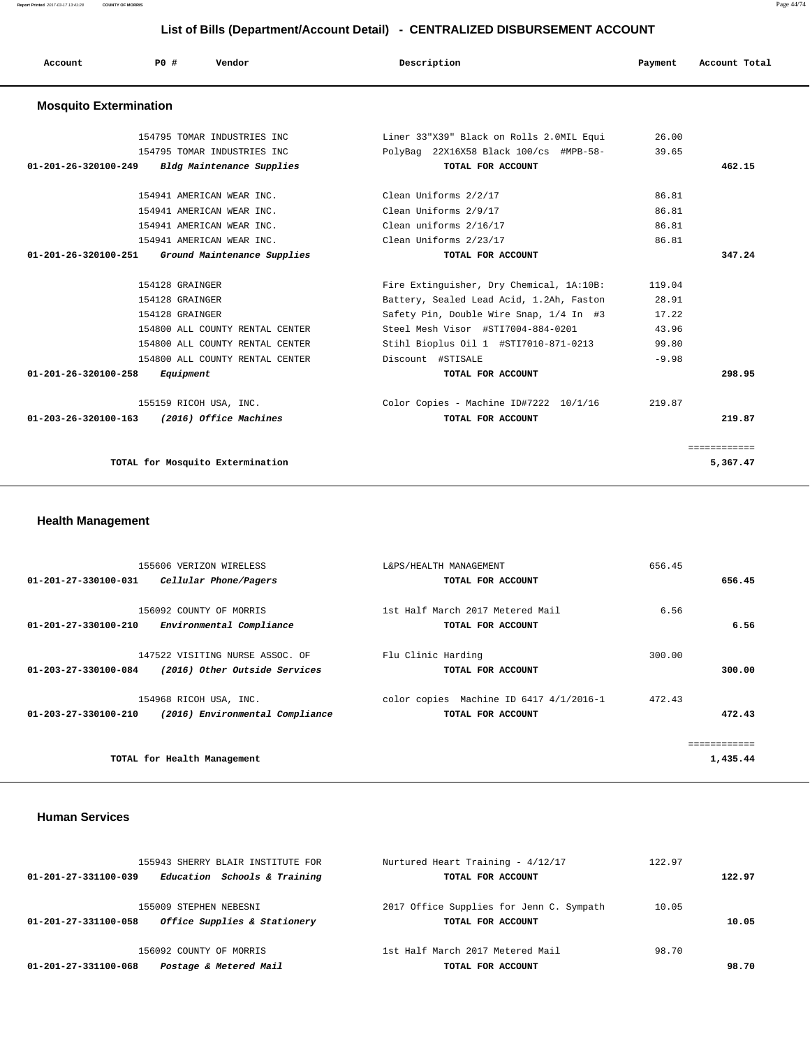**Report Printed** 2017-03-17 13:41:28 **COUNTY OF MORRIS** Page 44/74

| List of Bills (Department/Account Detail) - CENTRALIZED DISBURSEMENT ACCOUNT |                 |                                 |                                          |         |               |
|------------------------------------------------------------------------------|-----------------|---------------------------------|------------------------------------------|---------|---------------|
| Account                                                                      | PO#             | Vendor                          | Description                              | Payment | Account Total |
| <b>Mosquito Extermination</b>                                                |                 |                                 |                                          |         |               |
|                                                                              |                 | 154795 TOMAR INDUSTRIES INC     | Liner 33"X39" Black on Rolls 2.0MIL Equi | 26.00   |               |
|                                                                              |                 | 154795 TOMAR INDUSTRIES INC     | PolyBag 22X16X58 Black 100/cs #MPB-58-   | 39.65   |               |
| 01-201-26-320100-249                                                         |                 | Bldg Maintenance Supplies       | TOTAL FOR ACCOUNT                        |         | 462.15        |
|                                                                              |                 | 154941 AMERICAN WEAR INC.       | Clean Uniforms 2/2/17                    | 86.81   |               |
|                                                                              |                 | 154941 AMERICAN WEAR INC.       | Clean Uniforms 2/9/17                    | 86.81   |               |
|                                                                              |                 | 154941 AMERICAN WEAR INC.       | Clean uniforms 2/16/17                   | 86.81   |               |
|                                                                              |                 | 154941 AMERICAN WEAR INC.       | Clean Uniforms 2/23/17                   | 86.81   |               |
| $01 - 201 - 26 - 320100 - 251$                                               |                 | Ground Maintenance Supplies     | TOTAL FOR ACCOUNT                        |         | 347.24        |
|                                                                              | 154128 GRAINGER |                                 | Fire Extinguisher, Dry Chemical, 1A:10B: | 119.04  |               |
|                                                                              | 154128 GRAINGER |                                 | Battery, Sealed Lead Acid, 1.2Ah, Faston | 28.91   |               |
|                                                                              | 154128 GRAINGER |                                 | Safety Pin, Double Wire Snap, 1/4 In #3  | 17.22   |               |
|                                                                              |                 | 154800 ALL COUNTY RENTAL CENTER | Steel Mesh Visor #STI7004-884-0201       | 43.96   |               |
|                                                                              |                 | 154800 ALL COUNTY RENTAL CENTER | Stihl Bioplus 0il 1 #STI7010-871-0213    | 99.80   |               |
|                                                                              |                 | 154800 ALL COUNTY RENTAL CENTER | Discount #STISALE                        | $-9.98$ |               |
| 01-201-26-320100-258                                                         | Equipment       |                                 | TOTAL FOR ACCOUNT                        |         | 298.95        |
|                                                                              |                 | 155159 RICOH USA, INC.          | Color Copies - Machine ID#7222 10/1/16   | 219.87  |               |

 **01-203-26-320100-163 (2016) Office Machines TOTAL FOR ACCOUNT 219.87**

**TOTAL for Mosquito Extermination 5,367.47**

# **Health Management**

| 155606 VERIZON WIRELESS                                 | L&PS/HEALTH MANAGEMENT                  | 656.45 |              |
|---------------------------------------------------------|-----------------------------------------|--------|--------------|
| $01 - 201 - 27 - 330100 - 031$<br>Cellular Phone/Pagers | TOTAL FOR ACCOUNT                       |        | 656.45       |
|                                                         |                                         |        |              |
| 156092 COUNTY OF MORRIS                                 | 1st Half March 2017 Metered Mail        | 6.56   |              |
| 01-201-27-330100-210<br>Environmental Compliance        | TOTAL FOR ACCOUNT                       |        | 6.56         |
|                                                         |                                         |        |              |
| 147522 VISITING NURSE ASSOC. OF                         | Flu Clinic Harding                      | 300.00 |              |
| 01-203-27-330100-084<br>(2016) Other Outside Services   | TOTAL FOR ACCOUNT                       |        | 300.00       |
| 154968 RICOH USA, INC.                                  | color copies Machine ID 6417 4/1/2016-1 | 472.43 |              |
| 01-203-27-330100-210<br>(2016) Environmental Compliance | TOTAL FOR ACCOUNT                       |        | 472.43       |
|                                                         |                                         |        |              |
|                                                         |                                         |        | ============ |
| TOTAL for Health Management                             |                                         |        | 1,435.44     |

## **Human Services**

| 2017 Office Supplies for Jenn C. Sympath |
|------------------------------------------|

 <sup>============</sup>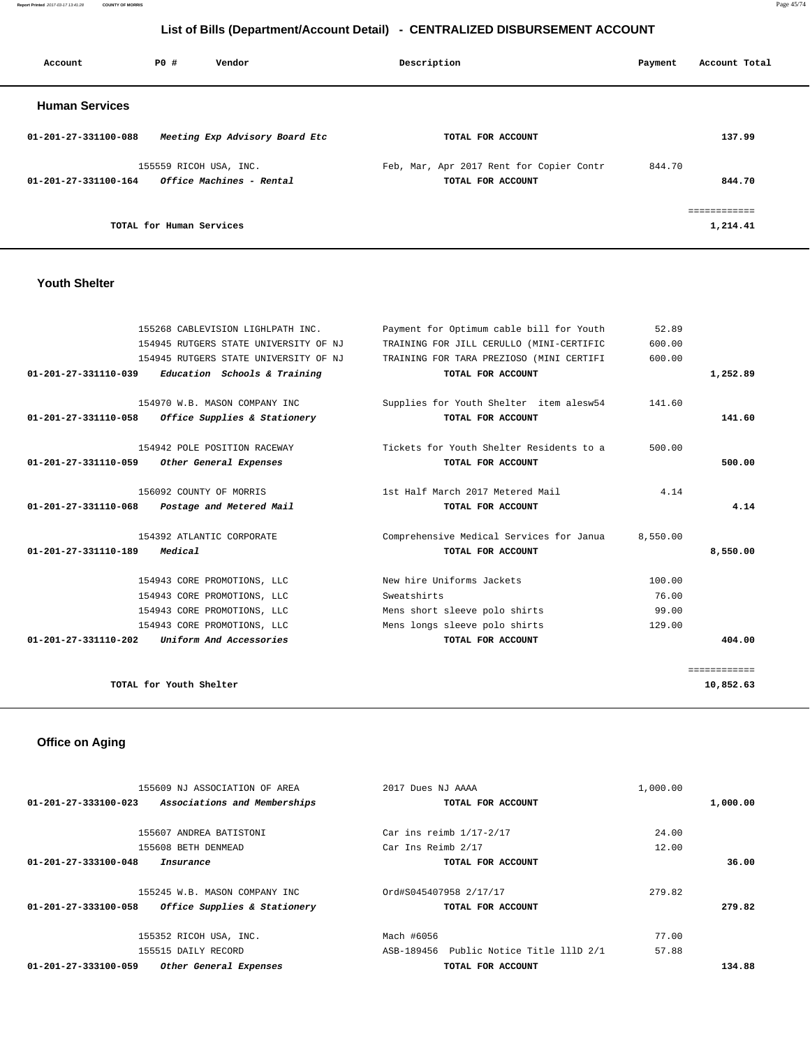**Report Printed** 2017-03-17 13:41:28 **COUNTY OF MORRIS** Page 45/74

# **List of Bills (Department/Account Detail) - CENTRALIZED DISBURSEMENT ACCOUNT**

| Account               | <b>PO #</b>              | Vendor                                 | Description |                                          | Payment | Account Total |
|-----------------------|--------------------------|----------------------------------------|-------------|------------------------------------------|---------|---------------|
| <b>Human Services</b> |                          |                                        |             |                                          |         |               |
| 01-201-27-331100-088  |                          | Meeting Exp Advisory Board Etc         |             | TOTAL FOR ACCOUNT                        |         | 137.99        |
|                       | 155559 RICOH USA, INC.   |                                        |             | Feb, Mar, Apr 2017 Rent for Copier Contr | 844.70  |               |
| 01-201-27-331100-164  |                          | <i><b>Office Machines - Rental</b></i> |             | TOTAL FOR ACCOUNT                        |         | 844.70        |
|                       | TOTAL for Human Services |                                        |             |                                          |         | 1,214.41      |
|                       |                          |                                        |             |                                          |         |               |

## **Youth Shelter**

|                                | 155268 CABLEVISION LIGHLPATH INC.     | Payment for Optimum cable bill for Youth | 52.89    |              |
|--------------------------------|---------------------------------------|------------------------------------------|----------|--------------|
|                                | 154945 RUTGERS STATE UNIVERSITY OF NJ | TRAINING FOR JILL CERULLO (MINI-CERTIFIC | 600.00   |              |
|                                | 154945 RUTGERS STATE UNIVERSITY OF NJ | TRAINING FOR TARA PREZIOSO (MINI CERTIFI | 600.00   |              |
| 01-201-27-331110-039           | Education Schools & Training          | TOTAL FOR ACCOUNT                        |          | 1,252.89     |
|                                | 154970 W.B. MASON COMPANY INC         | Supplies for Youth Shelter item alesw54  | 141.60   |              |
| 01-201-27-331110-058           | Office Supplies & Stationery          | TOTAL FOR ACCOUNT                        |          | 141.60       |
|                                | 154942 POLE POSITION RACEWAY          | Tickets for Youth Shelter Residents to a | 500.00   |              |
| 01-201-27-331110-059           | Other General Expenses                | TOTAL FOR ACCOUNT                        |          | 500.00       |
|                                | 156092 COUNTY OF MORRIS               | 1st Half March 2017 Metered Mail         | 4.14     |              |
| $01 - 201 - 27 - 331110 - 068$ | Postage and Metered Mail              | TOTAL FOR ACCOUNT                        |          | 4.14         |
|                                | 154392 ATLANTIC CORPORATE             | Comprehensive Medical Services for Janua | 8,550.00 |              |
| $01 - 201 - 27 - 331110 - 189$ | Medical                               | TOTAL FOR ACCOUNT                        |          | 8,550.00     |
|                                | 154943 CORE PROMOTIONS, LLC           | New hire Uniforms Jackets                | 100.00   |              |
|                                | 154943 CORE PROMOTIONS, LLC           | Sweatshirts                              | 76.00    |              |
|                                | 154943 CORE PROMOTIONS, LLC           | Mens short sleeve polo shirts            | 99.00    |              |
|                                | 154943 CORE PROMOTIONS, LLC           | Mens longs sleeve polo shirts            | 129.00   |              |
| $01 - 201 - 27 - 331110 - 202$ | Uniform And Accessories               | TOTAL FOR ACCOUNT                        |          | 404.00       |
|                                |                                       |                                          |          | ============ |
|                                | TOTAL for Youth Shelter               |                                          |          | 10,852.63    |
|                                |                                       |                                          |          |              |

# **Office on Aging**

| 155609 NJ ASSOCIATION OF AREA                        | 2017 Dues NJ AAAA                       | 1,000.00 |          |
|------------------------------------------------------|-----------------------------------------|----------|----------|
| 01-201-27-333100-023<br>Associations and Memberships | TOTAL FOR ACCOUNT                       |          | 1,000.00 |
| 155607 ANDREA BATISTONI                              | Car ins reimb $1/17-2/17$               | 24.00    |          |
| 155608 BETH DENMEAD                                  | Car Ins Reimb 2/17                      | 12.00    |          |
| 01-201-27-333100-048<br>Insurance                    | TOTAL FOR ACCOUNT                       |          | 36.00    |
| 155245 W.B. MASON COMPANY INC                        | Ord#S045407958 2/17/17                  | 279.82   |          |
| Office Supplies & Stationery<br>01-201-27-333100-058 | TOTAL FOR ACCOUNT                       |          | 279.82   |
| 155352 RICOH USA, INC.                               | Mach #6056                              | 77.00    |          |
| 155515 DAILY RECORD                                  | ASB-189456 Public Notice Title 111D 2/1 | 57.88    |          |
| 01-201-27-333100-059<br>Other General Expenses       | TOTAL FOR ACCOUNT                       |          | 134.88   |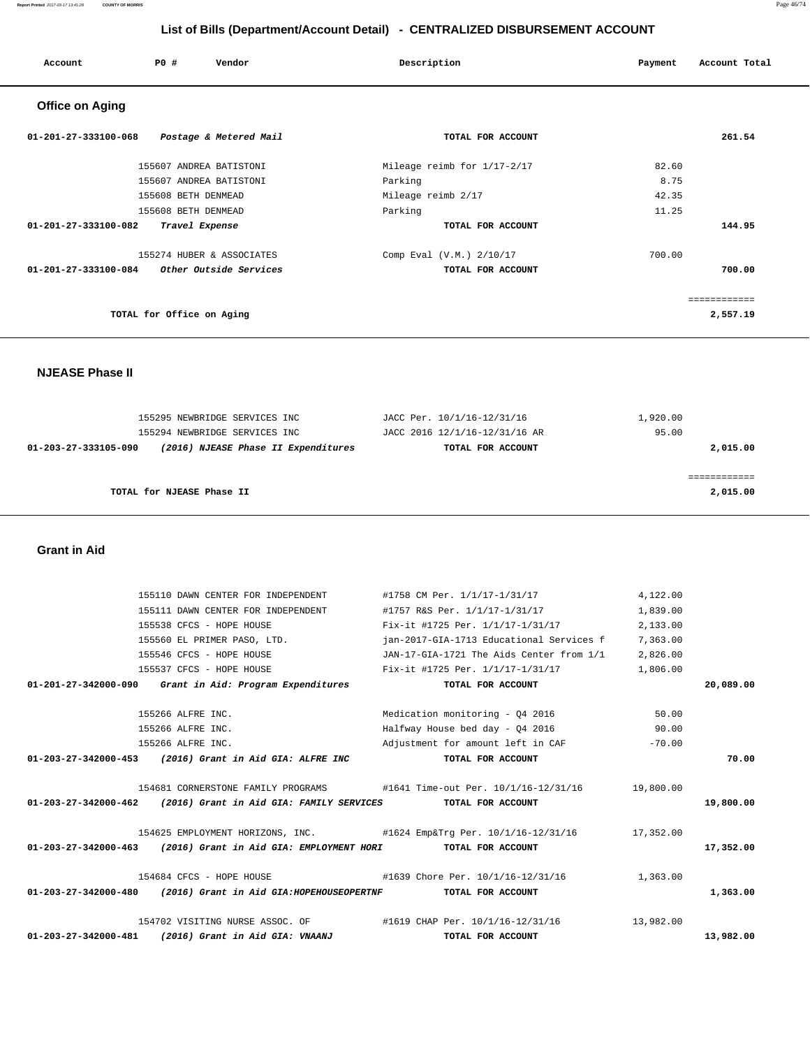#### **Report Printed** 2017-03-17 13:41:28 **COUNTY OF MORRIS** Page 46/74

# **List of Bills (Department/Account Detail) - CENTRALIZED DISBURSEMENT ACCOUNT**

| Account                        | PO#<br>Vendor             | Description                 | Account Total<br>Payment |
|--------------------------------|---------------------------|-----------------------------|--------------------------|
| <b>Office on Aging</b>         |                           |                             |                          |
| $01 - 201 - 27 - 333100 - 068$ | Postage & Metered Mail    | TOTAL FOR ACCOUNT           | 261.54                   |
|                                | 155607 ANDREA BATISTONI   | Mileage reimb for 1/17-2/17 | 82.60                    |
|                                | 155607 ANDREA BATISTONI   | Parking                     | 8.75                     |
|                                | 155608 BETH DENMEAD       | Mileage reimb 2/17          | 42.35                    |
|                                | 155608 BETH DENMEAD       | Parking                     | 11.25                    |
| 01-201-27-333100-082           | Travel Expense            | TOTAL FOR ACCOUNT           | 144.95                   |
|                                | 155274 HUBER & ASSOCIATES | Comp Eval (V.M.) 2/10/17    | 700.00                   |
| 01-201-27-333100-084           | Other Outside Services    | TOTAL FOR ACCOUNT           | 700.00                   |
|                                |                           |                             | ============             |
|                                | TOTAL for Office on Aging |                             | 2,557.19                 |

 **NJEASE Phase II** 

| 155295 NEWBRIDGE SERVICES INC |                                     | JACC Per. 10/1/16-12/31/16    | 1,920.00 |
|-------------------------------|-------------------------------------|-------------------------------|----------|
| 155294 NEWBRIDGE SERVICES INC |                                     | JACC 2016 12/1/16-12/31/16 AR | 95.00    |
| 01-203-27-333105-090          | (2016) NJEASE Phase II Expenditures | TOTAL FOR ACCOUNT             | 2,015.00 |
|                               |                                     |                               |          |
|                               |                                     |                               |          |
| TOTAL for NJEASE Phase II     |                                     |                               | 2,015.00 |
|                               |                                     |                               |          |

## **Grant in Aid**

|                                | 155110 DAWN CENTER FOR INDEPENDENT                                              | #1758 CM Per. 1/1/17-1/31/17                                        | 4,122.00  |           |
|--------------------------------|---------------------------------------------------------------------------------|---------------------------------------------------------------------|-----------|-----------|
|                                | 155111 DAWN CENTER FOR INDEPENDENT                                              | #1757 R&S Per. 1/1/17-1/31/17                                       | 1,839.00  |           |
|                                | 155538 CFCS - HOPE HOUSE                                                        | Fix-it #1725 Per. 1/1/17-1/31/17                                    | 2,133.00  |           |
|                                | 155560 EL PRIMER PASO, LTD.                                                     | jan-2017-GIA-1713 Educational Services f                            | 7,363.00  |           |
|                                | 155546 CFCS - HOPE HOUSE                                                        | JAN-17-GIA-1721 The Aids Center from 1/1 2,826.00                   |           |           |
|                                | 155537 CFCS - HOPE HOUSE                                                        | Fix-it #1725 Per. 1/1/17-1/31/17                                    | 1,806.00  |           |
|                                | $01-201-27-342000-090$ Grant in Aid: Program Expenditures                       | TOTAL FOR ACCOUNT                                                   |           | 20,089.00 |
|                                | 155266 ALFRE INC.                                                               | Medication monitoring - 04 2016                                     | 50.00     |           |
|                                | 155266 ALFRE INC.                                                               | Halfway House bed day - 04 2016                                     | 90.00     |           |
|                                | 155266 ALFRE INC.                                                               | Adjustment for amount left in CAF                                   | $-70.00$  |           |
|                                | 01-203-27-342000-453 (2016) Grant in Aid GIA: ALFRE INC                         | TOTAL FOR ACCOUNT                                                   |           | 70.00     |
|                                |                                                                                 | 19,800.00 19,800.00 #1641 Time-out Per. 10/1/16-12/31/16 19,800.00  |           |           |
|                                | $01-203-27-342000-462$ (2016) Grant in Aid GIA: FAMILY SERVICES                 | TOTAL FOR ACCOUNT                                                   |           | 19,800.00 |
|                                |                                                                                 | 17,352.00 17,352.00 #1624 Emp&Trq Per. 10/1/16-12/31/16 17,352.00   |           |           |
|                                | 01-203-27-342000-463 (2016) Grant in Aid GIA: EMPLOYMENT HORI TOTAL FOR ACCOUNT |                                                                     |           | 17,352.00 |
|                                |                                                                                 | 154684 CFCS - HOPE HOUSE +1639 Chore Per. 10/1/16-12/31/16 1,363.00 |           |           |
|                                | 01-203-27-342000-480 (2016) Grant in Aid GIA:HOPEHOUSEOPERTNF TOTAL FOR ACCOUNT |                                                                     |           | 1,363.00  |
|                                |                                                                                 | 154702 VISITING NURSE ASSOC. OF #1619 CHAP Per. 10/1/16-12/31/16    | 13,982.00 |           |
| $01 - 203 - 27 - 342000 - 481$ | (2016) Grant in Aid GIA: VNAANJ                                                 | TOTAL FOR ACCOUNT                                                   |           | 13,982.00 |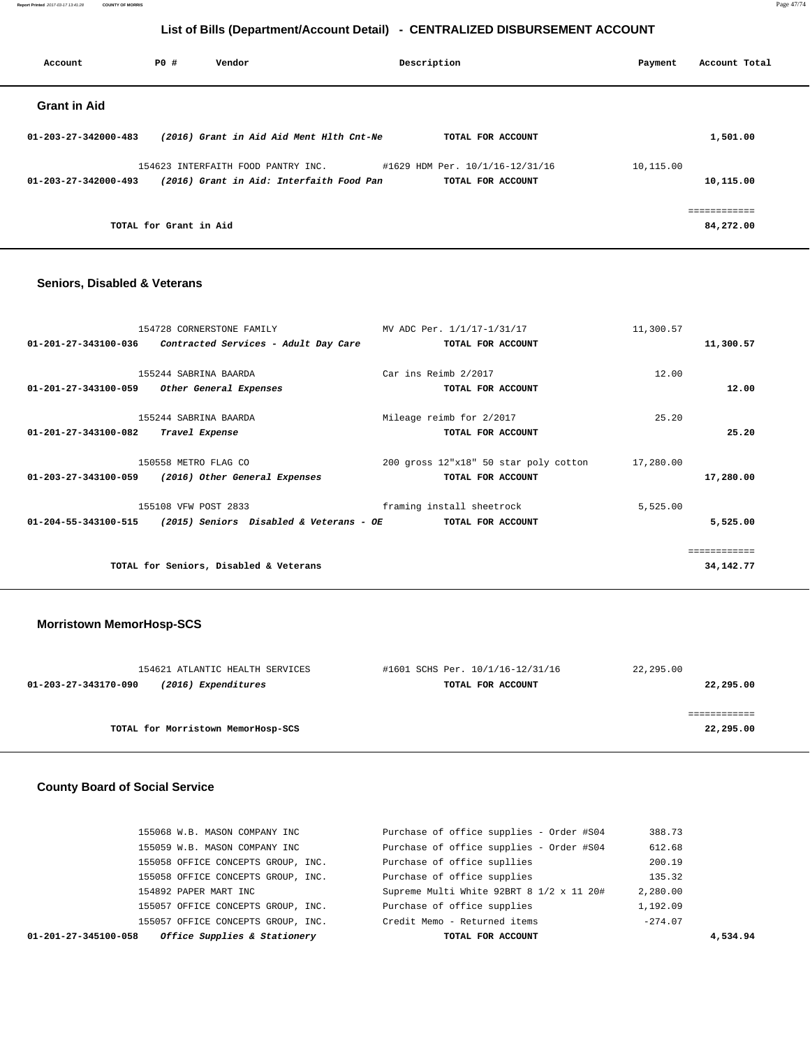**Report Printed** 2017-03-17 13:41:28 **COUNTY OF MORRIS** Page 47/74

# **List of Bills (Department/Account Detail) - CENTRALIZED DISBURSEMENT ACCOUNT**

| PO# | Vendor |                                                              |                                                                                      | Payment                                        | Account Total |
|-----|--------|--------------------------------------------------------------|--------------------------------------------------------------------------------------|------------------------------------------------|---------------|
|     |        |                                                              |                                                                                      |                                                |               |
|     |        |                                                              | TOTAL FOR ACCOUNT                                                                    |                                                | 1,501.00      |
|     |        |                                                              |                                                                                      | 10,115.00                                      |               |
|     |        |                                                              | TOTAL FOR ACCOUNT                                                                    |                                                | 10,115.00     |
|     |        |                                                              |                                                                                      |                                                | ============  |
|     |        |                                                              |                                                                                      |                                                | 84,272.00     |
|     |        | 154623 INTERFAITH FOOD PANTRY INC.<br>TOTAL for Grant in Aid | (2016) Grant in Aid Aid Ment Hlth Cnt-Ne<br>(2016) Grant in Aid: Interfaith Food Pan | Description<br>#1629 HDM Per. 10/1/16-12/31/16 |               |

## **Seniors, Disabled & Veterans**

| 154728 CORNERSTONE FAMILY                                       | MV ADC Per. 1/1/17-1/31/17            | 11,300.57 |              |
|-----------------------------------------------------------------|---------------------------------------|-----------|--------------|
| 01-201-27-343100-036<br>Contracted Services - Adult Day Care    | TOTAL FOR ACCOUNT                     |           | 11,300.57    |
|                                                                 |                                       |           |              |
| 155244 SABRINA BAARDA                                           | Car ins Reimb 2/2017                  | 12.00     |              |
| Other General Expenses<br>01-201-27-343100-059                  | TOTAL FOR ACCOUNT                     |           | 12.00        |
|                                                                 |                                       |           |              |
| 155244 SABRINA BAARDA                                           | Mileage reimb for 2/2017              | 25.20     |              |
| 01-201-27-343100-082<br>Travel Expense                          | TOTAL FOR ACCOUNT                     |           | 25.20        |
|                                                                 |                                       |           |              |
| 150558 METRO FLAG CO                                            | 200 gross 12"x18" 50 star poly cotton | 17,280.00 |              |
| 01-203-27-343100-059<br>(2016) Other General Expenses           | TOTAL FOR ACCOUNT                     |           | 17,280.00    |
|                                                                 |                                       |           |              |
| 155108 VFW POST 2833                                            | framing install sheetrock             | 5,525.00  |              |
| 01-204-55-343100-515<br>(2015) Seniors Disabled & Veterans - OE | TOTAL FOR ACCOUNT                     |           | 5,525.00     |
|                                                                 |                                       |           |              |
|                                                                 |                                       |           | ============ |
| TOTAL for Seniors, Disabled & Veterans                          |                                       |           | 34, 142, 77  |
|                                                                 |                                       |           |              |

# **Morristown MemorHosp-SCS**

| 154621 ATLANTIC HEALTH SERVICES             | #1601 SCHS Per. 10/1/16-12/31/16 | 22,295.00 |
|---------------------------------------------|----------------------------------|-----------|
| (2016) Expenditures<br>01-203-27-343170-090 | TOTAL FOR ACCOUNT                | 22,295.00 |
|                                             |                                  |           |
|                                             |                                  |           |
| TOTAL for Morristown MemorHosp-SCS          |                                  | 22,295.00 |
|                                             |                                  |           |

## **County Board of Social Service**

| Office Supplies & Stationery<br>01-201-27-345100-058 | TOTAL FOR ACCOUNT                        | 4,534.94  |  |
|------------------------------------------------------|------------------------------------------|-----------|--|
| 155057 OFFICE CONCEPTS GROUP, INC.                   | Credit Memo - Returned items             | $-274.07$ |  |
| 155057 OFFICE CONCEPTS GROUP, INC.                   | Purchase of office supplies              | 1,192.09  |  |
| 154892 PAPER MART INC                                | Supreme Multi White 92BRT 8 1/2 x 11 20# | 2,280.00  |  |
| 155058 OFFICE CONCEPTS GROUP, INC.                   | Purchase of office supplies              | 135.32    |  |
| 155058 OFFICE CONCEPTS GROUP, INC.                   | Purchase of office supllies              | 200.19    |  |
| 155059 W.B. MASON COMPANY INC                        | Purchase of office supplies - Order #S04 | 612.68    |  |
| 155068 W.B. MASON COMPANY INC                        | Purchase of office supplies - Order #S04 | 388.73    |  |
|                                                      |                                          |           |  |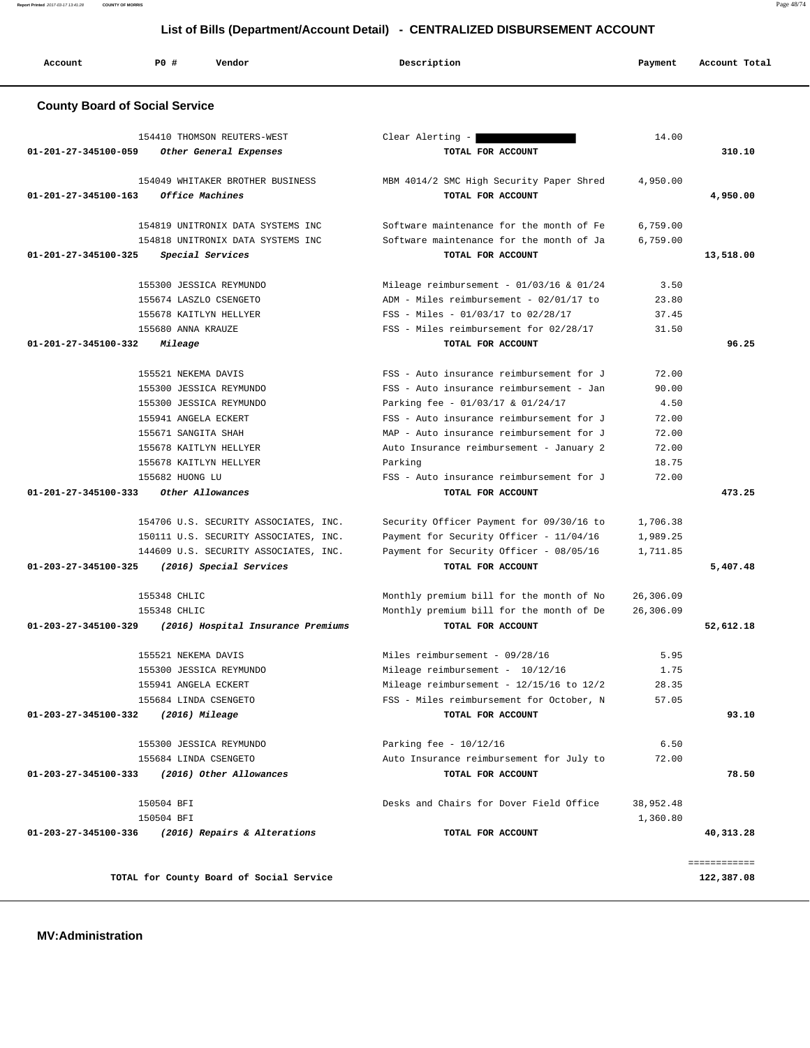**Report Printed** 2017-03-17 13:41:28 **COUNTY OF MORRIS** Page 48/74

| Account                               | <b>PO #</b>           | Vendor                                | Description                                  | Payment   | Account Total |
|---------------------------------------|-----------------------|---------------------------------------|----------------------------------------------|-----------|---------------|
| <b>County Board of Social Service</b> |                       |                                       |                                              |           |               |
|                                       |                       | 154410 THOMSON REUTERS-WEST           | Clear Alerting -                             | 14.00     |               |
| 01-201-27-345100-059                  |                       | Other General Expenses                | TOTAL FOR ACCOUNT                            |           | 310.10        |
|                                       |                       | 154049 WHITAKER BROTHER BUSINESS      | MBM 4014/2 SMC High Security Paper Shred     | 4,950.00  |               |
| 01-201-27-345100-163                  |                       | Office Machines                       | TOTAL FOR ACCOUNT                            |           | 4,950.00      |
|                                       |                       | 154819 UNITRONIX DATA SYSTEMS INC     | Software maintenance for the month of Fe     | 6,759.00  |               |
|                                       |                       | 154818 UNITRONIX DATA SYSTEMS INC     | Software maintenance for the month of Ja     | 6,759.00  |               |
| 01-201-27-345100-325                  |                       | Special Services                      | TOTAL FOR ACCOUNT                            |           | 13,518.00     |
|                                       |                       | 155300 JESSICA REYMUNDO               | Mileage reimbursement - $01/03/16$ & $01/24$ | 3.50      |               |
|                                       |                       | 155674 LASZLO CSENGETO                | ADM - Miles reimbursement - 02/01/17 to      | 23.80     |               |
|                                       |                       | 155678 KAITLYN HELLYER                | FSS - Miles - 01/03/17 to 02/28/17           | 37.45     |               |
|                                       | 155680 ANNA KRAUZE    |                                       | FSS - Miles reimbursement for 02/28/17       | 31.50     |               |
| 01-201-27-345100-332                  | Mileage               |                                       | TOTAL FOR ACCOUNT                            |           | 96.25         |
|                                       | 155521 NEKEMA DAVIS   |                                       | FSS - Auto insurance reimbursement for J     | 72.00     |               |
|                                       |                       | 155300 JESSICA REYMUNDO               | FSS - Auto insurance reimbursement - Jan     | 90.00     |               |
|                                       |                       | 155300 JESSICA REYMUNDO               | Parking fee - 01/03/17 & 01/24/17            | 4.50      |               |
|                                       | 155941 ANGELA ECKERT  |                                       | FSS - Auto insurance reimbursement for J     | 72.00     |               |
|                                       | 155671 SANGITA SHAH   |                                       | MAP - Auto insurance reimbursement for J     | 72.00     |               |
|                                       |                       | 155678 KAITLYN HELLYER                | Auto Insurance reimbursement - January 2     | 72.00     |               |
|                                       |                       | 155678 KAITLYN HELLYER                | Parking                                      | 18.75     |               |
|                                       | 155682 HUONG LU       |                                       | FSS - Auto insurance reimbursement for J     | 72.00     |               |
| 01-201-27-345100-333                  |                       | Other Allowances                      | TOTAL FOR ACCOUNT                            |           | 473.25        |
|                                       |                       | 154706 U.S. SECURITY ASSOCIATES, INC. | Security Officer Payment for 09/30/16 to     | 1,706.38  |               |
|                                       |                       | 150111 U.S. SECURITY ASSOCIATES, INC. | Payment for Security Officer - 11/04/16      | 1,989.25  |               |
|                                       |                       | 144609 U.S. SECURITY ASSOCIATES, INC. | Payment for Security Officer - 08/05/16      | 1,711.85  |               |
| $01 - 203 - 27 - 345100 - 325$        |                       | (2016) Special Services               | TOTAL FOR ACCOUNT                            |           | 5,407.48      |
|                                       | 155348 CHLIC          |                                       | Monthly premium bill for the month of No     | 26,306.09 |               |
|                                       | 155348 CHLIC          |                                       | Monthly premium bill for the month of De     | 26,306.09 |               |
| 01-203-27-345100-329                  |                       | (2016) Hospital Insurance Premiums    | TOTAL FOR ACCOUNT                            |           | 52,612.18     |
|                                       | 155521 NEKEMA DAVIS   |                                       | Miles reimbursement - 09/28/16               | 5.95      |               |
|                                       |                       | 155300 JESSICA REYMUNDO               | Mileage reimbursement - 10/12/16             | 1.75      |               |
|                                       | 155941 ANGELA ECKERT  |                                       | Mileage reimbursement - 12/15/16 to 12/2     | 28.35     |               |
|                                       | 155684 LINDA CSENGETO |                                       | FSS - Miles reimbursement for October, N     | 57.05     |               |
| 01-203-27-345100-332                  |                       | $(2016)$ Mileage                      | TOTAL FOR ACCOUNT                            |           | 93.10         |
|                                       |                       | 155300 JESSICA REYMUNDO               | Parking fee - $10/12/16$                     | 6.50      |               |
|                                       | 155684 LINDA CSENGETO |                                       | Auto Insurance reimbursement for July to     | 72.00     |               |
| 01-203-27-345100-333                  |                       | (2016) Other Allowances               | TOTAL FOR ACCOUNT                            |           | 78.50         |
|                                       | 150504 BFI            |                                       | Desks and Chairs for Dover Field Office      | 38,952.48 |               |
|                                       | 150504 BFI            |                                       |                                              | 1,360.80  |               |
| 01-203-27-345100-336                  |                       | (2016) Repairs & Alterations          | TOTAL FOR ACCOUNT                            |           | 40,313.28     |

============

**TOTAL for County Board of Social Service 122,387.08**

 **MV:Administration**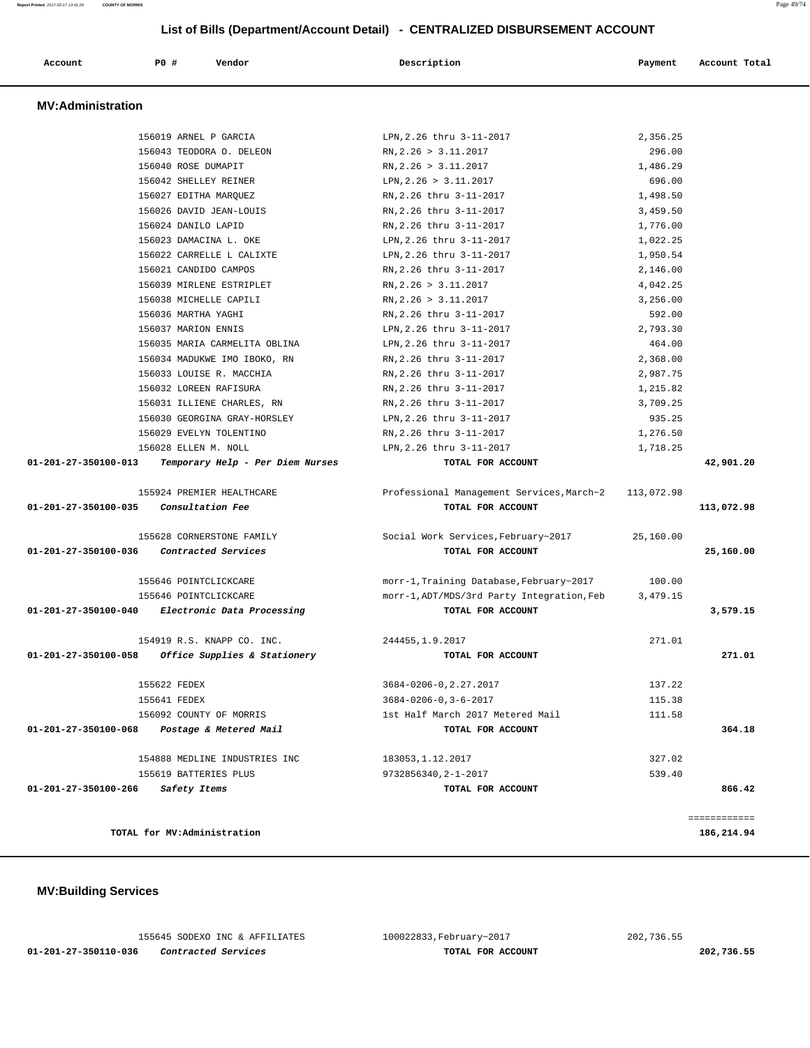| Account                  | PO#                   | Vendor                           | Description                                | Payment    | Account Total |
|--------------------------|-----------------------|----------------------------------|--------------------------------------------|------------|---------------|
| <b>MV:Administration</b> |                       |                                  |                                            |            |               |
|                          | 156019 ARNEL P GARCIA |                                  | LPN, 2.26 thru 3-11-2017                   | 2,356.25   |               |
|                          |                       | 156043 TEODORA O. DELEON         | RN, 2.26 > 3.11.2017                       | 296.00     |               |
|                          | 156040 ROSE DUMAPIT   |                                  | RN, 2.26 > 3.11.2017                       | 1,486.29   |               |
|                          | 156042 SHELLEY REINER |                                  | LPN, 2.26 > 3.11.2017                      | 696.00     |               |
|                          | 156027 EDITHA MARQUEZ |                                  | RN, 2.26 thru 3-11-2017                    | 1,498.50   |               |
|                          |                       | 156026 DAVID JEAN-LOUIS          | RN, 2.26 thru 3-11-2017                    | 3,459.50   |               |
|                          | 156024 DANILO LAPID   |                                  | RN, 2.26 thru 3-11-2017                    | 1,776.00   |               |
|                          |                       | 156023 DAMACINA L. OKE           | LPN, 2.26 thru 3-11-2017                   | 1,022.25   |               |
|                          |                       | 156022 CARRELLE L CALIXTE        | LPN, 2.26 thru 3-11-2017                   | 1,950.54   |               |
|                          | 156021 CANDIDO CAMPOS |                                  | RN, 2.26 thru 3-11-2017                    | 2,146.00   |               |
|                          |                       | 156039 MIRLENE ESTRIPLET         | RN, 2.26 > 3.11.2017                       | 4,042.25   |               |
|                          |                       | 156038 MICHELLE CAPILI           | RN, 2.26 > 3.11.2017                       | 3,256.00   |               |
|                          | 156036 MARTHA YAGHI   |                                  | RN.2.26 thru 3-11-2017                     | 592.00     |               |
|                          | 156037 MARION ENNIS   |                                  | LPN, 2.26 thru 3-11-2017                   | 2,793.30   |               |
|                          |                       | 156035 MARIA CARMELITA OBLINA    | LPN.2.26 thru 3-11-2017                    | 464.00     |               |
|                          |                       | 156034 MADUKWE IMO IBOKO, RN     | RN.2.26 thru 3-11-2017                     | 2,368.00   |               |
|                          |                       | 156033 LOUISE R. MACCHIA         | RN, 2.26 thru 3-11-2017                    | 2,987.75   |               |
|                          |                       | 156032 LOREEN RAFISURA           | RN, 2.26 thru 3-11-2017                    | 1,215.82   |               |
|                          |                       | 156031 ILLIENE CHARLES, RN       | RN.2.26 thru 3-11-2017                     | 3,709.25   |               |
|                          |                       | 156030 GEORGINA GRAY-HORSLEY     | LPN, 2.26 thru 3-11-2017                   | 935.25     |               |
|                          |                       | 156029 EVELYN TOLENTINO          | RN, 2.26 thru 3-11-2017                    | 1,276.50   |               |
|                          | 156028 ELLEN M. NOLL  |                                  | LPN, 2.26 thru 3-11-2017                   | 1,718.25   |               |
| 01-201-27-350100-013     |                       | Temporary Help - Per Diem Nurses | TOTAL FOR ACCOUNT                          |            | 42,901.20     |
|                          |                       | 155924 PREMIER HEALTHCARE        | Professional Management Services, March~2  | 113,072.98 |               |
| 01-201-27-350100-035     |                       | Consultation Fee                 | TOTAL FOR ACCOUNT                          |            | 113,072.98    |
|                          |                       | 155628 CORNERSTONE FAMILY        | Social Work Services, February~2017        | 25,160.00  |               |
| 01-201-27-350100-036     |                       | Contracted Services              | TOTAL FOR ACCOUNT                          |            | 25,160.00     |
|                          | 155646 POINTCLICKCARE |                                  | morr-1, Training Database, February~2017   | 100.00     |               |
|                          | 155646 POINTCLICKCARE |                                  | morr-1, ADT/MDS/3rd Party Integration, Feb | 3,479.15   |               |
| 01-201-27-350100-040     |                       | Electronic Data Processing       | TOTAL FOR ACCOUNT                          |            | 3,579.15      |
|                          |                       | 154919 R.S. KNAPP CO. INC.       | 244455, 1.9.2017                           | 271.01     |               |
| 01-201-27-350100-058     |                       | Office Supplies & Stationery     | TOTAL FOR ACCOUNT                          |            | 271.01        |
|                          | 155622 FEDEX          |                                  | 3684-0206-0, 2.27.2017                     | 137.22     |               |
|                          | 155641 FEDEX          |                                  | $3684 - 0206 - 0, 3 - 6 - 2017$            | 115.38     |               |
|                          |                       | 156092 COUNTY OF MORRIS          | 1st Half March 2017 Metered Mail           | 111.58     |               |
| 01-201-27-350100-068     |                       | Postage & Metered Mail           | TOTAL FOR ACCOUNT                          |            | 364.18        |
|                          |                       | 154888 MEDLINE INDUSTRIES INC    | 183053, 1.12.2017                          | 327.02     |               |
|                          | 155619 BATTERIES PLUS |                                  | 9732856340, 2-1-2017                       | 539.40     |               |
| 01-201-27-350100-266     | Safety Items          |                                  | TOTAL FOR ACCOUNT                          |            | 866.42        |
|                          |                       |                                  |                                            |            | ============  |
|                          |                       | TOTAL for MV:Administration      |                                            |            | 186,214.94    |

 **MV:Building Services** 

 155645 SODEXO INC & AFFILIATES 100022833,February~2017 202,736.55  **01-201-27-350110-036 Contracted Services TOTAL FOR ACCOUNT 202,736.55**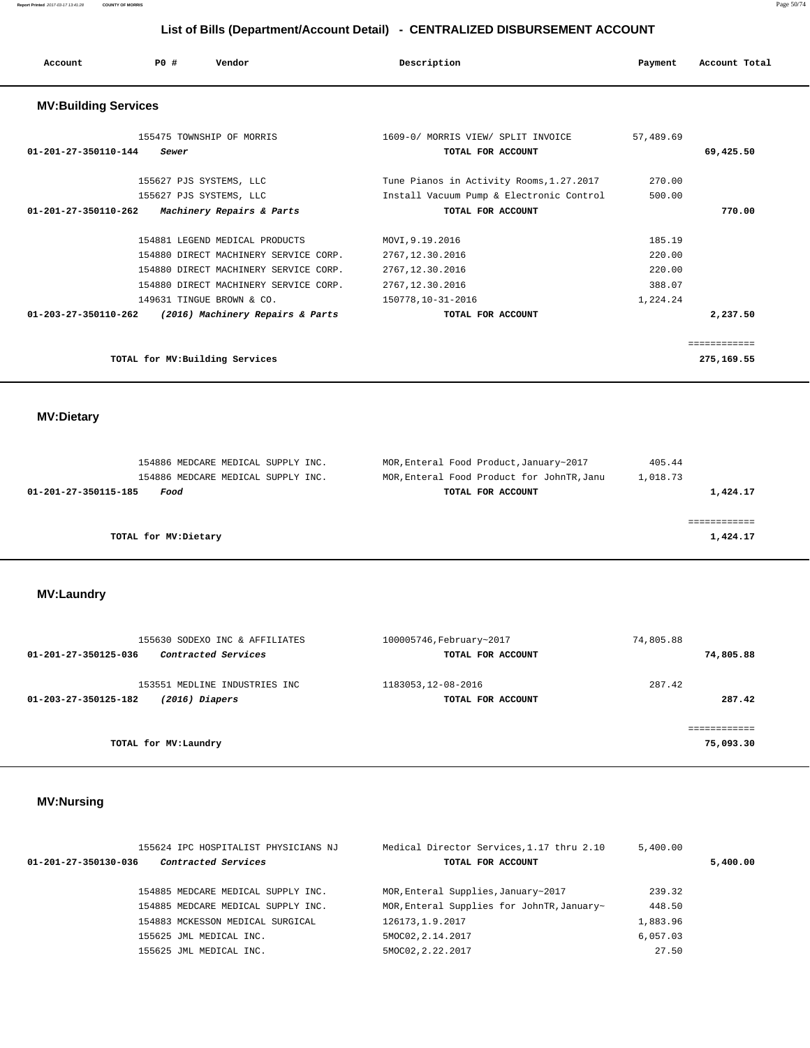| Account                        | PO#<br>Vendor                                      | Description                                                                          | Payment          | Account Total |
|--------------------------------|----------------------------------------------------|--------------------------------------------------------------------------------------|------------------|---------------|
| <b>MV:Building Services</b>    |                                                    |                                                                                      |                  |               |
| 01-201-27-350110-144           | 155475 TOWNSHIP OF MORRIS<br>Sewer                 | 1609-0/ MORRIS VIEW/ SPLIT INVOICE<br>TOTAL FOR ACCOUNT                              | 57,489.69        | 69,425.50     |
|                                | 155627 PJS SYSTEMS, LLC<br>155627 PJS SYSTEMS, LLC | Tune Pianos in Activity Rooms, 1.27.2017<br>Install Vacuum Pump & Electronic Control | 270.00<br>500.00 |               |
| $01 - 201 - 27 - 350110 - 262$ | Machinery Repairs & Parts                          | TOTAL FOR ACCOUNT                                                                    |                  | 770.00        |
|                                | 154881 LEGEND MEDICAL PRODUCTS                     | MOVI, 9.19.2016                                                                      | 185.19           |               |
|                                | 154880 DIRECT MACHINERY SERVICE CORP.              | 2767.12.30.2016                                                                      | 220.00           |               |
|                                | 154880 DIRECT MACHINERY SERVICE CORP.              | 2767, 12.30.2016                                                                     | 220.00           |               |
|                                | 154880 DIRECT MACHINERY SERVICE CORP.              | 2767.12.30.2016                                                                      | 388.07           |               |
|                                | 149631 TINGUE BROWN & CO.                          | 150778,10-31-2016                                                                    | 1,224.24         |               |
| 01-203-27-350110-262           | (2016) Machinery Repairs & Parts                   | TOTAL FOR ACCOUNT                                                                    |                  | 2,237.50      |
|                                |                                                    |                                                                                      |                  | ============  |
|                                | TOTAL for MV: Building Services                    |                                                                                      |                  | 275,169.55    |

 **MV:Dietary** 

|                      | 154886 MEDCARE MEDICAL SUPPLY INC. |  | MOR, Enteral Food Product, January~2017    | 405.44   |          |
|----------------------|------------------------------------|--|--------------------------------------------|----------|----------|
|                      | 154886 MEDCARE MEDICAL SUPPLY INC. |  | MOR, Enteral Food Product for JohnTR, Janu | 1,018.73 |          |
| 01-201-27-350115-185 | Food                               |  | TOTAL FOR ACCOUNT                          |          | 1,424.17 |
|                      |                                    |  |                                            |          |          |
|                      |                                    |  |                                            |          |          |
|                      | TOTAL for MV:Dietary               |  |                                            |          | 1,424.17 |
|                      |                                    |  |                                            |          |          |

 **MV:Laundry** 

| 155630 SODEXO INC & AFFILIATES                                            | 100005746, February~2017                 | 74,805.88                 |
|---------------------------------------------------------------------------|------------------------------------------|---------------------------|
| Contracted Services<br>01-201-27-350125-036                               | TOTAL FOR ACCOUNT                        | 74,805.88                 |
| 153551 MEDLINE INDUSTRIES INC<br>01-203-27-350125-182<br>$(2016)$ Diapers | 1183053, 12-08-2016<br>TOTAL FOR ACCOUNT | 287.42<br>287.42          |
| TOTAL for MV:Laundry                                                      |                                          | ============<br>75,093.30 |

# **MV:Nursing**

| 155624 IPC HOSPITALIST PHYSICIANS NJ        | Medical Director Services, 1.17 thru 2.10  | 5.400.00 |          |
|---------------------------------------------|--------------------------------------------|----------|----------|
| Contracted Services<br>01-201-27-350130-036 | TOTAL FOR ACCOUNT                          |          | 5,400.00 |
|                                             |                                            |          |          |
| 154885 MEDCARE MEDICAL SUPPLY INC.          | MOR, Enteral Supplies, January~2017        | 239.32   |          |
| 154885 MEDCARE MEDICAL SUPPLY INC.          | MOR, Enteral Supplies for JohnTR, January~ | 448.50   |          |
| 154883 MCKESSON MEDICAL SURGICAL            | 126173, 1.9.2017                           | 1,883.96 |          |
| 155625 JML MEDICAL INC.                     | 5MOC02, 2.14.2017                          | 6.057.03 |          |
| 155625 JML MEDICAL INC.                     | 5MOC02, 2.22.2017                          | 27.50    |          |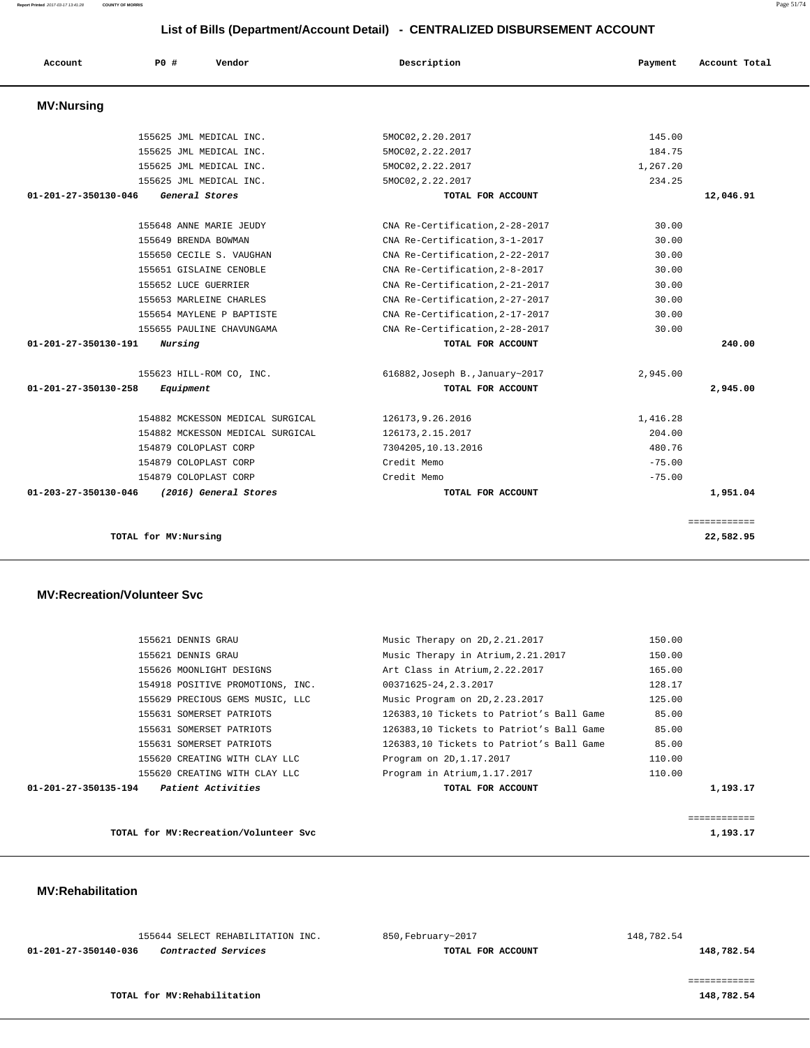| Account                        | PO#                   | Vendor                           | Description                     | Payment  | Account Total |
|--------------------------------|-----------------------|----------------------------------|---------------------------------|----------|---------------|
| <b>MV:Nursing</b>              |                       |                                  |                                 |          |               |
|                                |                       | 155625 JML MEDICAL INC.          | 5MOC02, 2.20.2017               | 145.00   |               |
|                                |                       | 155625 JML MEDICAL INC.          | 5MOC02, 2.22.2017               | 184.75   |               |
|                                |                       | 155625 JML MEDICAL INC.          | 5MOC02, 2.22.2017               | 1,267.20 |               |
|                                |                       | 155625 JML MEDICAL INC.          | 5MOC02, 2.22.2017               | 234.25   |               |
| 01-201-27-350130-046           |                       | General Stores                   | TOTAL FOR ACCOUNT               |          | 12,046.91     |
|                                |                       | 155648 ANNE MARIE JEUDY          | CNA Re-Certification, 2-28-2017 | 30.00    |               |
|                                | 155649 BRENDA BOWMAN  |                                  | CNA Re-Certification, 3-1-2017  | 30.00    |               |
|                                |                       | 155650 CECILE S. VAUGHAN         | CNA Re-Certification, 2-22-2017 | 30.00    |               |
|                                |                       | 155651 GISLAINE CENOBLE          | CNA Re-Certification, 2-8-2017  | 30.00    |               |
|                                | 155652 LUCE GUERRIER  |                                  | CNA Re-Certification, 2-21-2017 | 30.00    |               |
|                                |                       | 155653 MARLEINE CHARLES          | CNA Re-Certification, 2-27-2017 | 30.00    |               |
|                                |                       | 155654 MAYLENE P BAPTISTE        | CNA Re-Certification, 2-17-2017 | 30.00    |               |
|                                |                       | 155655 PAULINE CHAVUNGAMA        | CNA Re-Certification, 2-28-2017 | 30.00    |               |
| 01-201-27-350130-191           | Nursing               |                                  | TOTAL FOR ACCOUNT               |          | 240.00        |
|                                |                       | 155623 HILL-ROM CO, INC.         | 616882, Joseph B., January~2017 | 2,945.00 |               |
| 01-201-27-350130-258           | Equipment             |                                  | TOTAL FOR ACCOUNT               |          | 2,945.00      |
|                                |                       | 154882 MCKESSON MEDICAL SURGICAL | 126173, 9.26.2016               | 1,416.28 |               |
|                                |                       | 154882 MCKESSON MEDICAL SURGICAL | 126173, 2.15.2017               | 204.00   |               |
|                                | 154879 COLOPLAST CORP |                                  | 7304205,10.13.2016              | 480.76   |               |
|                                | 154879 COLOPLAST CORP |                                  | Credit Memo                     | $-75.00$ |               |
|                                | 154879 COLOPLAST CORP |                                  | Credit Memo                     | $-75.00$ |               |
| $01 - 203 - 27 - 350130 - 046$ |                       | (2016) General Stores            | TOTAL FOR ACCOUNT               |          | 1,951.04      |
|                                |                       |                                  |                                 |          | ============  |
|                                | TOTAL for MV:Nursing  |                                  |                                 |          | 22,582.95     |

### **MV:Recreation/Volunteer Svc**

| 01-201-27-350135-194 | <i>Patient Activities</i>        | TOTAL FOR ACCOUNT                        | 1,193.17 |
|----------------------|----------------------------------|------------------------------------------|----------|
|                      | 155620 CREATING WITH CLAY LLC    | Program in Atrium, 1.17.2017             | 110.00   |
|                      | 155620 CREATING WITH CLAY LLC    | Program on 2D, 1.17.2017                 | 110.00   |
|                      | 155631 SOMERSET PATRIOTS         | 126383.10 Tickets to Patriot's Ball Game | 85.00    |
|                      | 155631 SOMERSET PATRIOTS         | 126383,10 Tickets to Patriot's Ball Game | 85.00    |
|                      | 155631 SOMERSET PATRIOTS         | 126383,10 Tickets to Patriot's Ball Game | 85.00    |
|                      | 155629 PRECIOUS GEMS MUSIC, LLC  | Music Program on 2D, 2.23.2017           | 125.00   |
|                      | 154918 POSITIVE PROMOTIONS, INC. | 00371625-24, 2.3.2017                    | 128.17   |
|                      | 155626 MOONLIGHT DESIGNS         | Art Class in Atrium, 2.22.2017           | 165.00   |
|                      | 155621 DENNIS GRAU               | Music Therapy in Atrium, 2.21.2017       | 150.00   |
|                      | 155621 DENNIS GRAU               | Music Therapy on 2D, 2.21.2017           | 150.00   |
|                      |                                  |                                          |          |

**TOTAL for MV:Recreation/Volunteer Svc 1,193.17**

#### **MV:Rehabilitation**

| 155644 SELECT REHABILITATION INC.                  | 850,February~2017 | 148,782.54 |
|----------------------------------------------------|-------------------|------------|
| 01-201-27-350140-036<br><i>Contracted Services</i> | TOTAL FOR ACCOUNT | 148,782.54 |
|                                                    |                   |            |

============

**TOTAL for MV:Rehabilitation 148,782.54**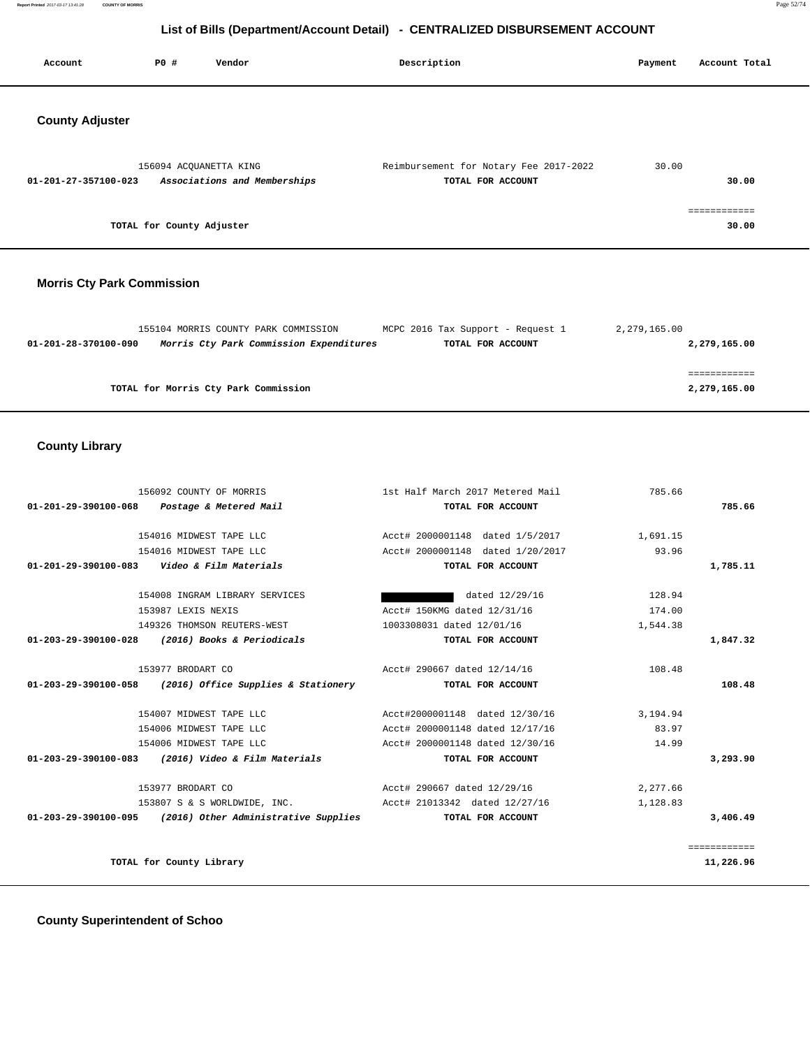**Report Printed** 2017-03-17 13:41:28 **COUNTY OF MORRIS** Page 52/74

# **List of Bills (Department/Account Detail) - CENTRALIZED DISBURSEMENT ACCOUNT**

| Account                           | PO#                       | Vendor                                                                          | Description                                                 | Payment      | Account Total         |
|-----------------------------------|---------------------------|---------------------------------------------------------------------------------|-------------------------------------------------------------|--------------|-----------------------|
| <b>County Adjuster</b>            |                           |                                                                                 |                                                             |              |                       |
| 01-201-27-357100-023              | 156094 ACQUANETTA KING    | Associations and Memberships                                                    | Reimbursement for Notary Fee 2017-2022<br>TOTAL FOR ACCOUNT | 30.00        | 30.00                 |
|                                   | TOTAL for County Adjuster |                                                                                 |                                                             |              | ============<br>30.00 |
| <b>Morris Cty Park Commission</b> |                           |                                                                                 |                                                             |              |                       |
| 01-201-28-370100-090              |                           | 155104 MORRIS COUNTY PARK COMMISSION<br>Morris Cty Park Commission Expenditures | MCPC 2016 Tax Support - Request 1<br>TOTAL FOR ACCOUNT      | 2,279,165.00 | 2,279,165.00          |

|                                      | ============ |
|--------------------------------------|--------------|
| TOTAL for Morris Cty Park Commission | 2,279,165.00 |

# **County Library**

| 156092 COUNTY OF MORRIS                                      | 1st Half March 2017 Metered Mail | 785.66   |              |
|--------------------------------------------------------------|----------------------------------|----------|--------------|
| 01-201-29-390100-068 Postage & Metered Mail                  | TOTAL FOR ACCOUNT                |          | 785.66       |
| 154016 MIDWEST TAPE LLC                                      | Acct# 2000001148 dated 1/5/2017  | 1,691.15 |              |
|                                                              |                                  |          |              |
| 154016 MIDWEST TAPE LLC                                      | Acct# 2000001148 dated 1/20/2017 | 93.96    |              |
| 01-201-29-390100-083    Video & Film Materials               | TOTAL FOR ACCOUNT                |          | 1,785.11     |
| 154008 INGRAM LIBRARY SERVICES                               | dated 12/29/16                   | 128.94   |              |
| 153987 LEXIS NEXIS                                           | Acct# 150KMG dated 12/31/16      | 174.00   |              |
| 149326 THOMSON REUTERS-WEST                                  | 1003308031 dated 12/01/16        | 1,544.38 |              |
| 01-203-29-390100-028 (2016) Books & Periodicals              | TOTAL FOR ACCOUNT                |          | 1,847.32     |
| 153977 BRODART CO                                            | Acct# 290667 dated 12/14/16      | 108.48   |              |
| $01-203-29-390100-058$ (2016) Office Supplies & Stationery   | TOTAL FOR ACCOUNT                |          | 108.48       |
| 154007 MIDWEST TAPE LLC                                      | Acct#2000001148 dated 12/30/16   | 3,194.94 |              |
| 154006 MIDWEST TAPE LLC                                      | Acct# 2000001148 dated 12/17/16  | 83.97    |              |
| 154006 MIDWEST TAPE LLC                                      | Acct# 2000001148 dated 12/30/16  | 14.99    |              |
| $01 - 203 - 29 - 390100 - 083$ (2016) Video & Film Materials | TOTAL FOR ACCOUNT                |          | 3,293.90     |
| 153977 BRODART CO                                            | Acct# 290667 dated 12/29/16      | 2,277.66 |              |
| 153807 S & S WORLDWIDE, INC.                                 | Acct# 21013342 dated 12/27/16    | 1,128.83 |              |
| $01-203-29-390100-095$ (2016) Other Administrative Supplies  | TOTAL FOR ACCOUNT                |          | 3,406.49     |
|                                                              |                                  |          | ============ |
| TOTAL for County Library                                     |                                  |          | 11,226.96    |

## **County Superintendent of Schoo**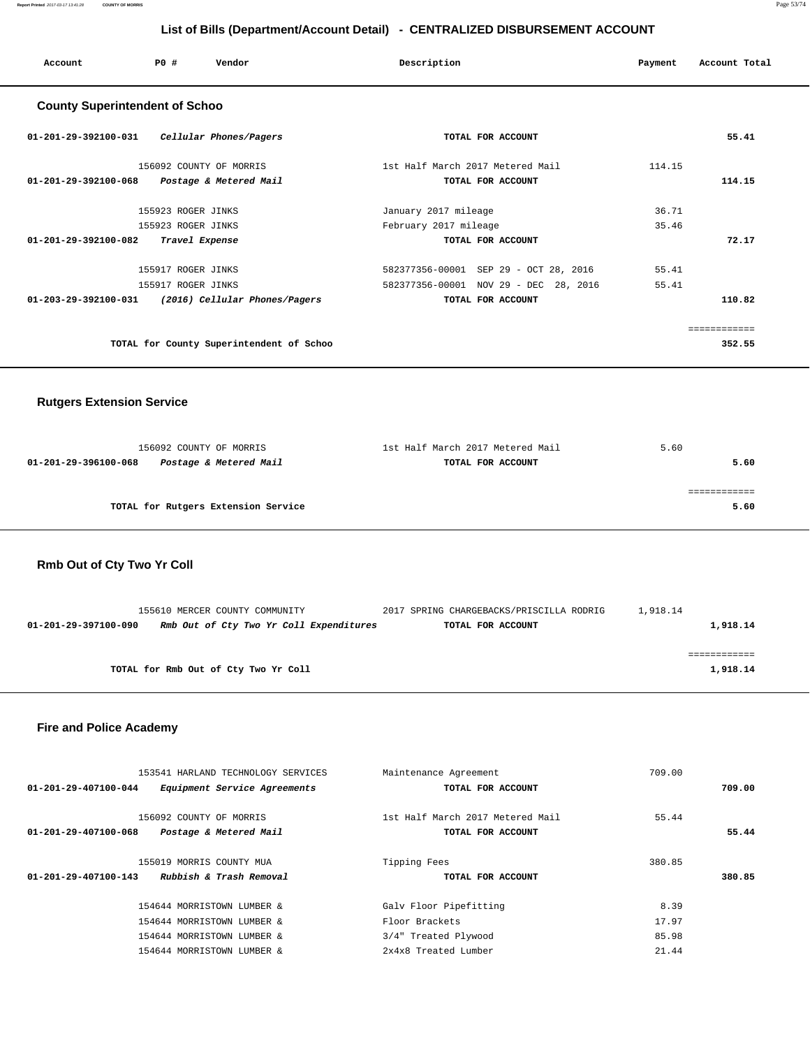| Account                               | PO# | Vendor                  | Description                      | Payment | Account Total |
|---------------------------------------|-----|-------------------------|----------------------------------|---------|---------------|
| <b>County Superintendent of Schoo</b> |     |                         |                                  |         |               |
| 01-201-29-392100-031                  |     | Cellular Phones/Pagers  | TOTAL FOR ACCOUNT                |         | 55.41         |
|                                       |     | 156092 COUNTY OF MORRIS | 1st Half March 2017 Metered Mail | 114.15  |               |
| 01-201-29-392100-068                  |     | Postage & Metered Mail  | TOTAL FOR ACCOUNT                |         | 114.15        |

 155923 ROGER JINKS January 2017 mileage 36.71 155923 ROGER JINKS February 2017 mileage 35.46  **01-201-29-392100-082 Travel Expense TOTAL FOR ACCOUNT 72.17**

 **01-203-29-392100-031 (2016) Cellular Phones/Pagers TOTAL FOR ACCOUNT 110.82**

**TOTAL for County Superintendent of Schoo 352.55**

============

 155917 ROGER JINKS 582377356-00001 SEP 29 - OCT 28, 2016 55.41 155917 ROGER JINKS 582377356-00001 NOV 29 - DEC 28, 2016 55.41

 **Rutgers Extension Service**

# 156092 COUNTY OF MORRIS 1st Half March 2017 Metered Mail 5.60  **01-201-29-396100-068 Postage & Metered Mail TOTAL FOR ACCOUNT 5.60** ============ **TOTAL for Rutgers Extension Service 5.60**

### **Rmb Out of Cty Two Yr Coll**

|                      | 155610 MERCER COUNTY COMMUNITY          | 2017 SPRING CHARGEBACKS/PRISCILLA RODRIG | 1,918.14 |          |
|----------------------|-----------------------------------------|------------------------------------------|----------|----------|
| 01-201-29-397100-090 | Rmb Out of Cty Two Yr Coll Expenditures | TOTAL FOR ACCOUNT                        |          | 1,918.14 |
|                      |                                         |                                          |          |          |
|                      |                                         |                                          |          |          |
|                      | TOTAL for Rmb Out of Cty Two Yr Coll    |                                          |          | 1,918.14 |
|                      |                                         |                                          |          |          |

## **Fire and Police Academy**

|                                | 153541 HARLAND TECHNOLOGY SERVICES | Maintenance Agreement            |                   | 709.00 |        |
|--------------------------------|------------------------------------|----------------------------------|-------------------|--------|--------|
| 01-201-29-407100-044           | Equipment Service Agreements       |                                  | TOTAL FOR ACCOUNT |        | 709.00 |
|                                |                                    |                                  |                   |        |        |
|                                | 156092 COUNTY OF MORRIS            | 1st Half March 2017 Metered Mail |                   | 55.44  |        |
| 01-201-29-407100-068           | Postage & Metered Mail             |                                  | TOTAL FOR ACCOUNT |        | 55.44  |
|                                |                                    |                                  |                   |        |        |
|                                | 155019 MORRIS COUNTY MUA           | Tipping Fees                     |                   | 380.85 |        |
| $01 - 201 - 29 - 407100 - 143$ | Rubbish & Trash Removal            |                                  | TOTAL FOR ACCOUNT |        | 380.85 |
|                                |                                    |                                  |                   |        |        |
|                                | 154644 MORRISTOWN LUMBER &         | Galv Floor Pipefitting           |                   | 8.39   |        |
|                                | 154644 MORRISTOWN LUMBER &         | Floor Brackets                   |                   | 17.97  |        |
|                                | 154644 MORRISTOWN LUMBER &         | 3/4" Treated Plywood             |                   | 85.98  |        |
|                                | 154644 MORRISTOWN LUMBER &         | 2x4x8 Treated Lumber             |                   | 21.44  |        |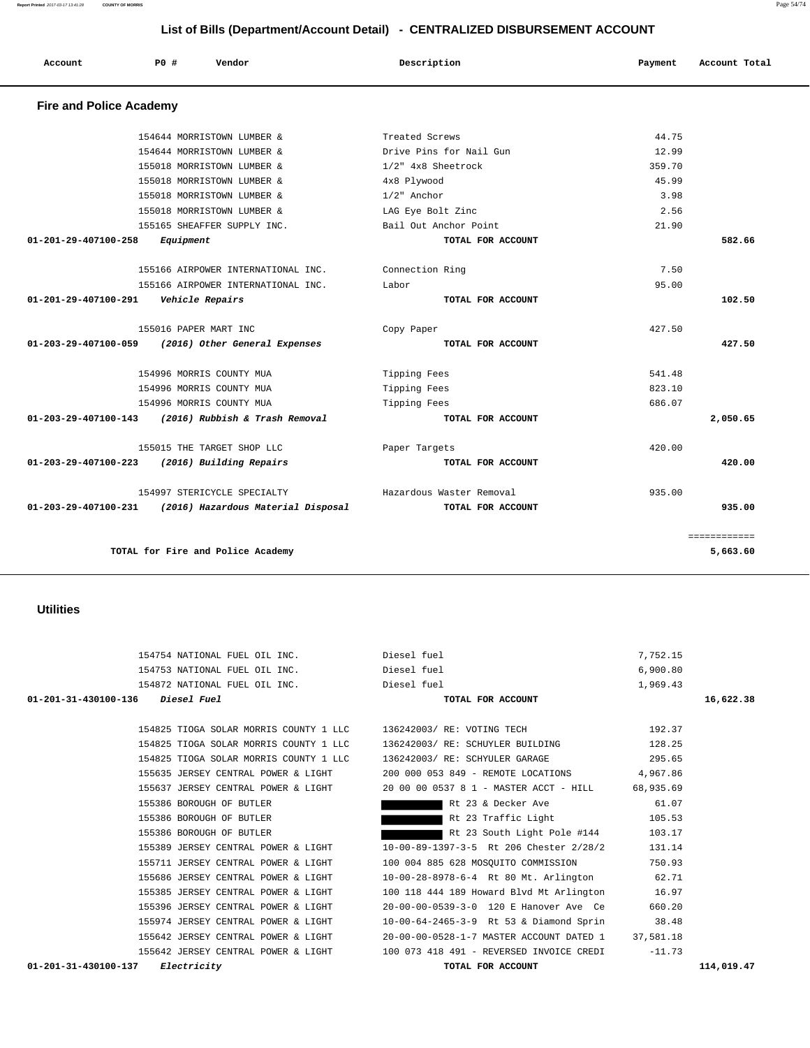| 01-201-31-430100-136<br><i>Diesel Fuel</i> | TOTAL FOR ACCOUNT                        | 16,622.38  |
|--------------------------------------------|------------------------------------------|------------|
| 154825 TIOGA SOLAR MORRIS COUNTY 1 LLC     | 136242003/ RE: VOTING TECH               | 192.37     |
| 154825 TIOGA SOLAR MORRIS COUNTY 1 LLC     | 136242003/ RE: SCHUYLER BUILDING         | 128.25     |
| 154825 TIOGA SOLAR MORRIS COUNTY 1 LLC     | 136242003/ RE: SCHYULER GARAGE           | 295.65     |
| 155635 JERSEY CENTRAL POWER & LIGHT        | 200 000 053 849 - REMOTE LOCATIONS       | 4,967.86   |
| 155637 JERSEY CENTRAL POWER & LIGHT        | 20 00 00 0537 8 1 - MASTER ACCT - HILL   | 68,935.69  |
| 155386 BOROUGH OF BUTLER                   | Rt 23 & Decker Ave                       | 61.07      |
| 155386 BOROUGH OF BUTLER                   | Rt 23 Traffic Light                      | 105.53     |
| 155386 BOROUGH OF BUTLER                   | Rt 23 South Light Pole #144              | 103.17     |
| 155389 JERSEY CENTRAL POWER & LIGHT        | 10-00-89-1397-3-5 Rt 206 Chester 2/28/2  | 131.14     |
| 155711 JERSEY CENTRAL POWER & LIGHT        | 100 004 885 628 MOSQUITO COMMISSION      | 750.93     |
| 155686 JERSEY CENTRAL POWER & LIGHT        | 10-00-28-8978-6-4 Rt 80 Mt. Arlington    | 62.71      |
| 155385 JERSEY CENTRAL POWER & LIGHT        | 100 118 444 189 Howard Blvd Mt Arlington | 16.97      |
| 155396 JERSEY CENTRAL POWER & LIGHT        | 20-00-00-0539-3-0 120 E Hanover Ave Ce   | 660.20     |
| 155974 JERSEY CENTRAL POWER & LIGHT        | 10-00-64-2465-3-9 Rt 53 & Diamond Sprin  | 38.48      |
| 155642 JERSEY CENTRAL POWER & LIGHT        | 20-00-00-0528-1-7 MASTER ACCOUNT DATED 1 | 37,581.18  |
| 155642 JERSEY CENTRAL POWER & LIGHT        | 100 073 418 491 - REVERSED INVOICE CREDI | $-11.73$   |
| 01-201-31-430100-137<br><i>Electricity</i> | TOTAL FOR ACCOUNT                        | 114,019.47 |

 154754 NATIONAL FUEL OIL INC. Diesel fuel 7,752.15 154753 NATIONAL FUEL OIL INC. Diesel fuel 6,900.80 154872 NATIONAL FUEL OIL INC. Diesel fuel 1,969.43

## **Utilities**

 **Fire and Police Academy** 

|                    | 359.70 | 1/2" 4x8 Sheetrock       | 155018 MORRISTOWN LUMBER &                              |                      |
|--------------------|--------|--------------------------|---------------------------------------------------------|----------------------|
|                    | 45.99  | 4x8 Plywood              | 155018 MORRISTOWN LUMBER &                              |                      |
|                    | 3.98   | $1/2$ " Anchor           | 155018 MORRISTOWN LUMBER &                              |                      |
|                    | 2.56   | LAG Eye Bolt Zinc        | 155018 MORRISTOWN LUMBER &                              |                      |
|                    | 21.90  | Bail Out Anchor Point    | 155165 SHEAFFER SUPPLY INC.                             |                      |
| 582.66             |        | TOTAL FOR ACCOUNT        | Equipment                                               | 01-201-29-407100-258 |
|                    | 7.50   | Connection Ring          | 155166 AIRPOWER INTERNATIONAL INC.                      |                      |
|                    | 95.00  | Labor                    | 155166 AIRPOWER INTERNATIONAL INC.                      |                      |
| 102.50             |        | TOTAL FOR ACCOUNT        | 01-201-29-407100-291    Vehicle Repairs                 |                      |
|                    | 427.50 | Copy Paper               | 155016 PAPER MART INC                                   |                      |
| 427.50             |        | TOTAL FOR ACCOUNT        | 01-203-29-407100-059 (2016) Other General Expenses      |                      |
|                    | 541.48 | Tipping Fees             | 154996 MORRIS COUNTY MUA                                |                      |
|                    | 823.10 | Tipping Fees             | 154996 MORRIS COUNTY MUA                                |                      |
|                    | 686.07 | Tipping Fees             | 154996 MORRIS COUNTY MUA                                |                      |
| 2,050.65           |        | TOTAL FOR ACCOUNT        | 01-203-29-407100-143 (2016) Rubbish & Trash Removal     |                      |
|                    | 420.00 | Paper Targets            | 155015 THE TARGET SHOP LLC                              |                      |
| 420.00             |        | TOTAL FOR ACCOUNT        | 01-203-29-407100-223 (2016) Building Repairs            |                      |
|                    | 935.00 | Hazardous Waster Removal | 154997 STERICYCLE SPECIALTY                             |                      |
| 935.00             |        | TOTAL FOR ACCOUNT        | 01-203-29-407100-231 (2016) Hazardous Material Disposal |                      |
| <b>EEEEEEEEEEE</b> |        |                          |                                                         |                      |
| 5,663.60           |        |                          | TOTAL for Fire and Police Academy                       |                      |

# **List of Bills (Department/Account Detail) - CENTRALIZED DISBURSEMENT ACCOUNT**

 154644 MORRISTOWN LUMBER & Treated Screws 44.75 154644 MORRISTOWN LUMBER & Drive Pins for Nail Gun 12.99

 **Account P0 # Vendor Description Payment Account Total**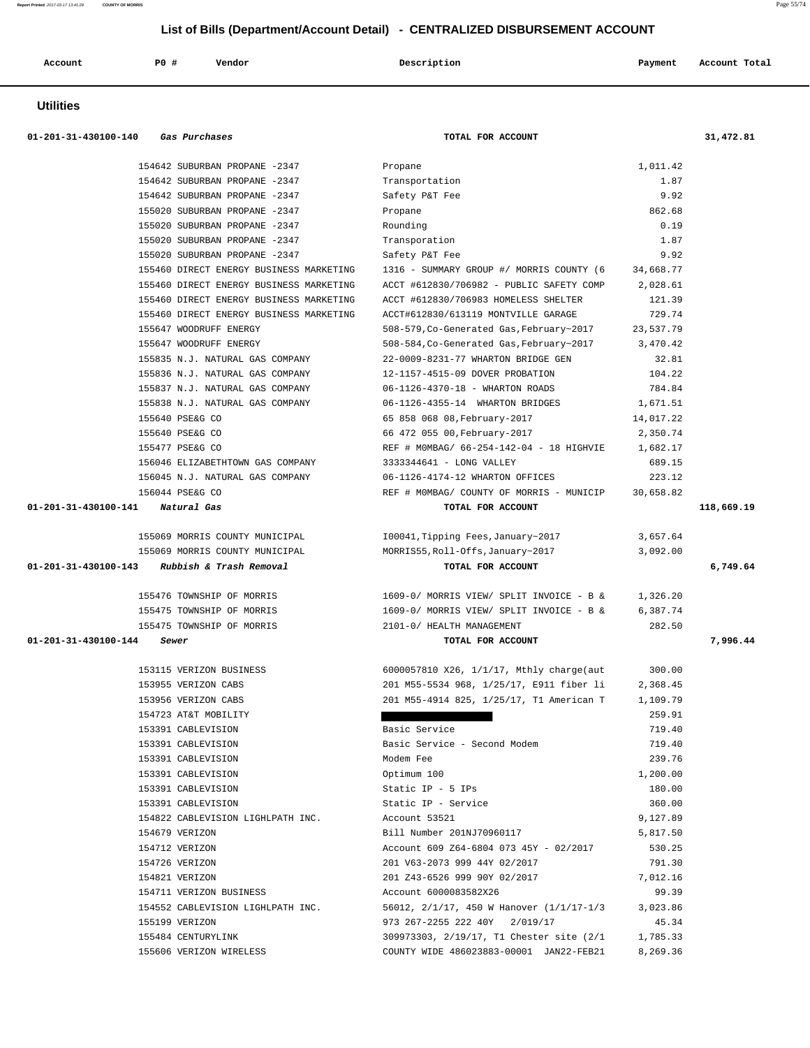| Account<br>. | PO# | Vendor<br>. | Description | Payment | Account Total |
|--------------|-----|-------------|-------------|---------|---------------|
|              |     |             |             |         |               |

## **Utilities**

| 01-201-31-430100-140 | Gas Purchases                                 | TOTAL FOR ACCOUNT                                                                   |                      | 31,472.81  |
|----------------------|-----------------------------------------------|-------------------------------------------------------------------------------------|----------------------|------------|
|                      | 154642 SUBURBAN PROPANE -2347                 | Propane                                                                             | 1,011.42             |            |
|                      | 154642 SUBURBAN PROPANE -2347                 | Transportation                                                                      | 1.87                 |            |
|                      | 154642 SUBURBAN PROPANE -2347                 | Safety P&T Fee                                                                      | 9.92                 |            |
|                      | 155020 SUBURBAN PROPANE -2347                 | Propane                                                                             | 862.68               |            |
|                      | 155020 SUBURBAN PROPANE -2347                 | Rounding                                                                            | 0.19                 |            |
|                      | 155020 SUBURBAN PROPANE -2347                 | Transporation                                                                       | 1.87                 |            |
|                      | 155020 SUBURBAN PROPANE -2347                 | Safety P&T Fee                                                                      | 9.92                 |            |
|                      | 155460 DIRECT ENERGY BUSINESS MARKETING       | 1316 - SUMMARY GROUP #/ MORRIS COUNTY (6                                            | 34,668.77            |            |
|                      | 155460 DIRECT ENERGY BUSINESS MARKETING       | ACCT #612830/706982 - PUBLIC SAFETY COMP                                            | 2,028.61             |            |
|                      | 155460 DIRECT ENERGY BUSINESS MARKETING       | ACCT #612830/706983 HOMELESS SHELTER                                                | 121.39               |            |
|                      | 155460 DIRECT ENERGY BUSINESS MARKETING       | ACCT#612830/613119 MONTVILLE GARAGE                                                 | 729.74               |            |
|                      | 155647 WOODRUFF ENERGY                        | 508-579, Co-Generated Gas, February~2017                                            | 23,537.79            |            |
|                      | 155647 WOODRUFF ENERGY                        | 508-584, Co-Generated Gas, February~2017                                            | 3,470.42             |            |
|                      | 155835 N.J. NATURAL GAS COMPANY               | 22-0009-8231-77 WHARTON BRIDGE GEN                                                  | 32.81                |            |
|                      | 155836 N.J. NATURAL GAS COMPANY               | 12-1157-4515-09 DOVER PROBATION                                                     | 104.22               |            |
|                      | 155837 N.J. NATURAL GAS COMPANY               | 06-1126-4370-18 - WHARTON ROADS                                                     | 784.84               |            |
|                      | 155838 N.J. NATURAL GAS COMPANY               | 06-1126-4355-14 WHARTON BRIDGES                                                     | 1,671.51             |            |
|                      | 155640 PSE&G CO                               | 65 858 068 08, February-2017                                                        | 14,017.22            |            |
|                      | 155640 PSE&G CO                               | 66 472 055 00, February-2017                                                        | 2,350.74             |            |
|                      | 155477 PSE&G CO                               | REF # MOMBAG/ 66-254-142-04 - 18 HIGHVIE                                            | 1,682.17             |            |
|                      | 156046 ELIZABETHTOWN GAS COMPANY              | 3333344641 - LONG VALLEY                                                            | 689.15               |            |
|                      | 156045 N.J. NATURAL GAS COMPANY               | 06-1126-4174-12 WHARTON OFFICES                                                     | 223.12               |            |
|                      | 156044 PSE&G CO                               | REF # MOMBAG/ COUNTY OF MORRIS - MUNICIP                                            | 30,658.82            |            |
| 01-201-31-430100-141 | Natural Gas                                   | TOTAL FOR ACCOUNT                                                                   |                      | 118,669.19 |
|                      |                                               |                                                                                     |                      |            |
|                      | 155069 MORRIS COUNTY MUNICIPAL                | 100041, Tipping Fees, January~2017                                                  | 3,657.64             |            |
|                      | 155069 MORRIS COUNTY MUNICIPAL                | MORRIS55, Roll-Offs, January~2017                                                   | 3,092.00             |            |
| 01-201-31-430100-143 | Rubbish & Trash Removal                       | TOTAL FOR ACCOUNT                                                                   |                      | 6,749.64   |
|                      | 155476 TOWNSHIP OF MORRIS                     | 1609-0/ MORRIS VIEW/ SPLIT INVOICE - B &                                            | 1,326.20             |            |
|                      | 155475 TOWNSHIP OF MORRIS                     | 1609-0/ MORRIS VIEW/ SPLIT INVOICE - B &                                            | 6,387.74             |            |
|                      | 155475 TOWNSHIP OF MORRIS                     | 2101-0/ HEALTH MANAGEMENT                                                           |                      |            |
|                      |                                               |                                                                                     | 282.50               |            |
|                      | Sewer                                         | TOTAL FOR ACCOUNT                                                                   |                      |            |
|                      |                                               |                                                                                     |                      |            |
|                      | 153115 VERIZON BUSINESS                       | 6000057810 X26, 1/1/17, Mthly charge(aut                                            | 300.00               |            |
|                      | 153955 VERIZON CABS                           | 201 M55-5534 968, 1/25/17, E911 fiber li                                            | 2,368.45             |            |
|                      | 153956 VERIZON CABS                           | 201 M55-4914 825, 1/25/17, T1 American T                                            | 1,109.79             |            |
|                      | 154723 AT&T MOBILITY                          |                                                                                     | 259.91               |            |
| 01-201-31-430100-144 | 153391 CABLEVISION                            | Basic Service                                                                       | 719.40               |            |
|                      | 153391 CABLEVISION                            | Basic Service - Second Modem                                                        | 719.40               |            |
|                      | 153391 CABLEVISION                            | Modem Fee                                                                           | 239.76               |            |
|                      | 153391 CABLEVISION                            | Optimum 100                                                                         | 1,200.00             |            |
|                      | 153391 CABLEVISION                            | Static IP - $5$ IPs                                                                 | 180.00               |            |
|                      | 153391 CABLEVISION                            | Static IP - Service                                                                 | 360.00               |            |
|                      | 154822 CABLEVISION LIGHLPATH INC.             | Account 53521                                                                       | 9,127.89             |            |
|                      | 154679 VERIZON                                | Bill Number 201NJ70960117                                                           | 5,817.50             |            |
|                      | 154712 VERIZON                                | Account 609 Z64-6804 073 45Y - 02/2017                                              | 530.25               |            |
|                      | 154726 VERIZON                                | 201 V63-2073 999 44Y 02/2017                                                        | 791.30               |            |
|                      | 154821 VERIZON                                | 201 Z43-6526 999 90Y 02/2017                                                        | 7,012.16             |            |
|                      | 154711 VERIZON BUSINESS                       | Account 6000083582X26                                                               | 99.39                |            |
|                      | 154552 CABLEVISION LIGHLPATH INC.             | 56012, 2/1/17, 450 W Hanover (1/1/17-1/3                                            | 3,023.86             | 7,996.44   |
|                      | 155199 VERIZON                                | 973 267-2255 222 40Y 2/019/17                                                       | 45.34                |            |
|                      | 155484 CENTURYLINK<br>155606 VERIZON WIRELESS | 309973303, 2/19/17, T1 Chester site (2/1<br>COUNTY WIDE 486023883-00001 JAN22-FEB21 | 1,785.33<br>8,269.36 |            |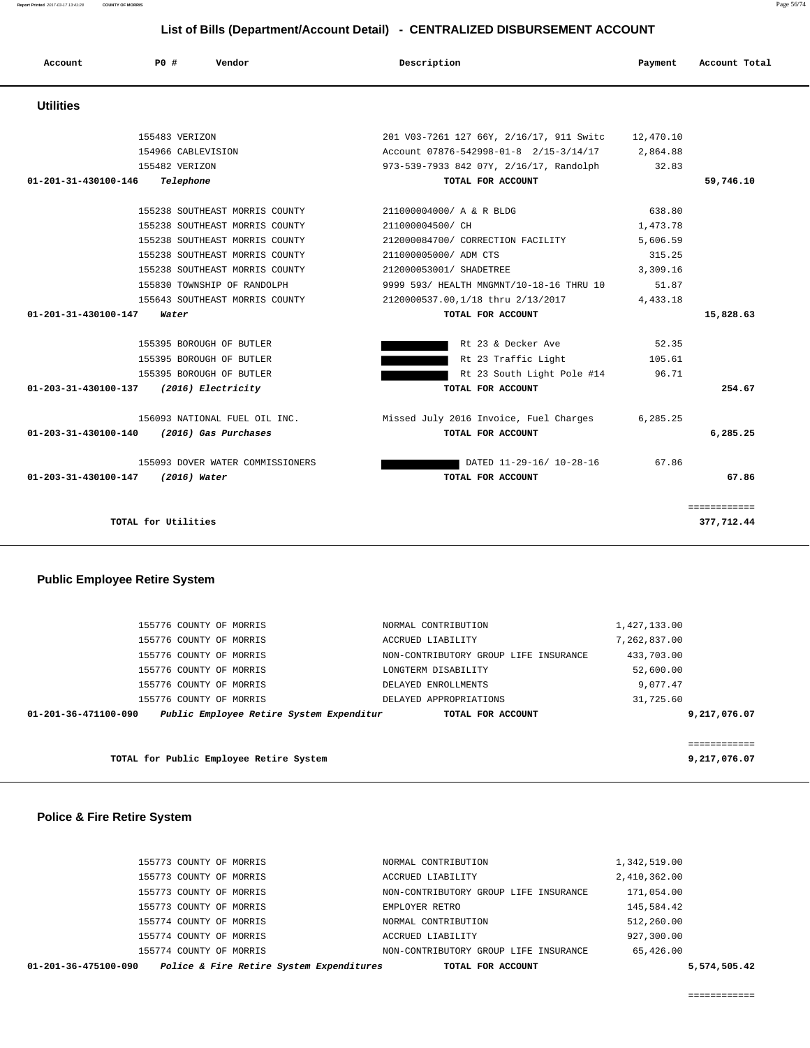| 01-201-36-475100-090    | Police & Fire Retire System Expenditures | TOTAL FOR ACCOUNT                     |              | 5,574,505.42 |
|-------------------------|------------------------------------------|---------------------------------------|--------------|--------------|
| 155774 COUNTY OF MORRIS |                                          | NON-CONTRIBUTORY GROUP LIFE INSURANCE | 65,426.00    |              |
| 155774 COUNTY OF MORRIS |                                          | ACCRUED LIABILITY                     | 927,300.00   |              |
| 155774 COUNTY OF MORRIS |                                          | NORMAL CONTRIBUTION                   | 512,260.00   |              |
| 155773 COUNTY OF MORRIS |                                          | EMPLOYER RETRO                        | 145,584.42   |              |
| 155773 COUNTY OF MORRIS |                                          | NON-CONTRIBUTORY GROUP LIFE INSURANCE | 171,054.00   |              |
| 155773 COUNTY OF MORRIS |                                          | ACCRUED LIABILITY                     | 2,410,362.00 |              |
| 155773 COUNTY OF MORRIS |                                          | NORMAL CONTRIBUTION                   | 1,342,519.00 |              |
|                         |                                          |                                       |              |              |

|  | <b>Police &amp; Fire Retire System</b> |  |
|--|----------------------------------------|--|
|--|----------------------------------------|--|

| TOTAL for Public Employee Retire System                          | 9,217,076.07                          |              |
|------------------------------------------------------------------|---------------------------------------|--------------|
|                                                                  |                                       | ============ |
| Public Employee Retire System Expenditur<br>01-201-36-471100-090 | TOTAL FOR ACCOUNT                     | 9,217,076.07 |
| 155776 COUNTY OF MORRIS                                          | DELAYED APPROPRIATIONS                | 31,725.60    |
| 155776 COUNTY OF MORRIS                                          | DELAYED ENROLLMENTS                   | 9,077.47     |
| 155776 COUNTY OF MORRIS                                          | LONGTERM DISABILITY                   | 52,600.00    |
| 155776 COUNTY OF MORRIS                                          | NON-CONTRIBUTORY GROUP LIFE INSURANCE | 433,703.00   |
| 155776 COUNTY OF MORRIS                                          | ACCRUED LIABILITY                     | 7,262,837.00 |
| 155776 COUNTY OF MORRIS                                          | NORMAL CONTRIBUTION                   | 1,427,133.00 |
|                                                                  |                                       |              |

**TOTAL for Utilities** 377,712.44

# **Public Employee Retire System**

| <b>Utilities</b>                          |                                  |                                                    |          |              |
|-------------------------------------------|----------------------------------|----------------------------------------------------|----------|--------------|
|                                           | 155483 VERIZON                   | 201 V03-7261 127 66Y, 2/16/17, 911 Switc 12,470.10 |          |              |
|                                           | 154966 CABLEVISION               | Account 07876-542998-01-8 2/15-3/14/17 2,864.88    |          |              |
|                                           | 155482 VERIZON                   | 973-539-7933 842 07Y, 2/16/17, Randolph            | 32.83    |              |
| 01-201-31-430100-146                      | Telephone                        | TOTAL FOR ACCOUNT                                  |          | 59,746.10    |
|                                           | 155238 SOUTHEAST MORRIS COUNTY   | 211000004000/ A & R BLDG                           | 638.80   |              |
|                                           | 155238 SOUTHEAST MORRIS COUNTY   | 211000004500/ CH                                   | 1,473.78 |              |
|                                           | 155238 SOUTHEAST MORRIS COUNTY   | 212000084700/ CORRECTION FACILITY                  | 5,606.59 |              |
|                                           | 155238 SOUTHEAST MORRIS COUNTY   | 211000005000/ ADM CTS                              | 315.25   |              |
|                                           | 155238 SOUTHEAST MORRIS COUNTY   | 212000053001/ SHADETREE                            | 3,309.16 |              |
|                                           | 155830 TOWNSHIP OF RANDOLPH      | 9999 593/ HEALTH MNGMNT/10-18-16 THRU 10           | 51.87    |              |
|                                           | 155643 SOUTHEAST MORRIS COUNTY   | 2120000537.00,1/18 thru 2/13/2017                  | 4,433.18 |              |
| 01-201-31-430100-147                      | Water                            | TOTAL FOR ACCOUNT                                  |          | 15,828.63    |
|                                           | 155395 BOROUGH OF BUTLER         | Rt 23 & Decker Ave                                 | 52.35    |              |
|                                           | 155395 BOROUGH OF BUTLER         | Rt 23 Traffic Light                                | 105.61   |              |
|                                           | 155395 BOROUGH OF BUTLER         | Rt 23 South Light Pole #14                         | 96.71    |              |
| 01-203-31-430100-137 (2016) Electricity   |                                  | TOTAL FOR ACCOUNT                                  |          | 254.67       |
|                                           | 156093 NATIONAL FUEL OIL INC.    | Missed July 2016 Invoice, Fuel Charges 6,285.25    |          |              |
| 01-203-31-430100-140 (2016) Gas Purchases |                                  | TOTAL FOR ACCOUNT                                  |          | 6, 285, 25   |
|                                           | 155093 DOVER WATER COMMISSIONERS | DATED 11-29-16/ 10-28-16                           | 67.86    |              |
| 01-203-31-430100-147 (2016) Water         |                                  | TOTAL FOR ACCOUNT                                  |          | 67.86        |
|                                           |                                  |                                                    |          | ============ |

|         |     |        | List of Bills (Department/Account Detail) - CENTRALIZED DISBURSEMENT ACCOUNT |         |               |
|---------|-----|--------|------------------------------------------------------------------------------|---------|---------------|
| Account | P0# | Vendor | Description                                                                  | Payment | Account Total |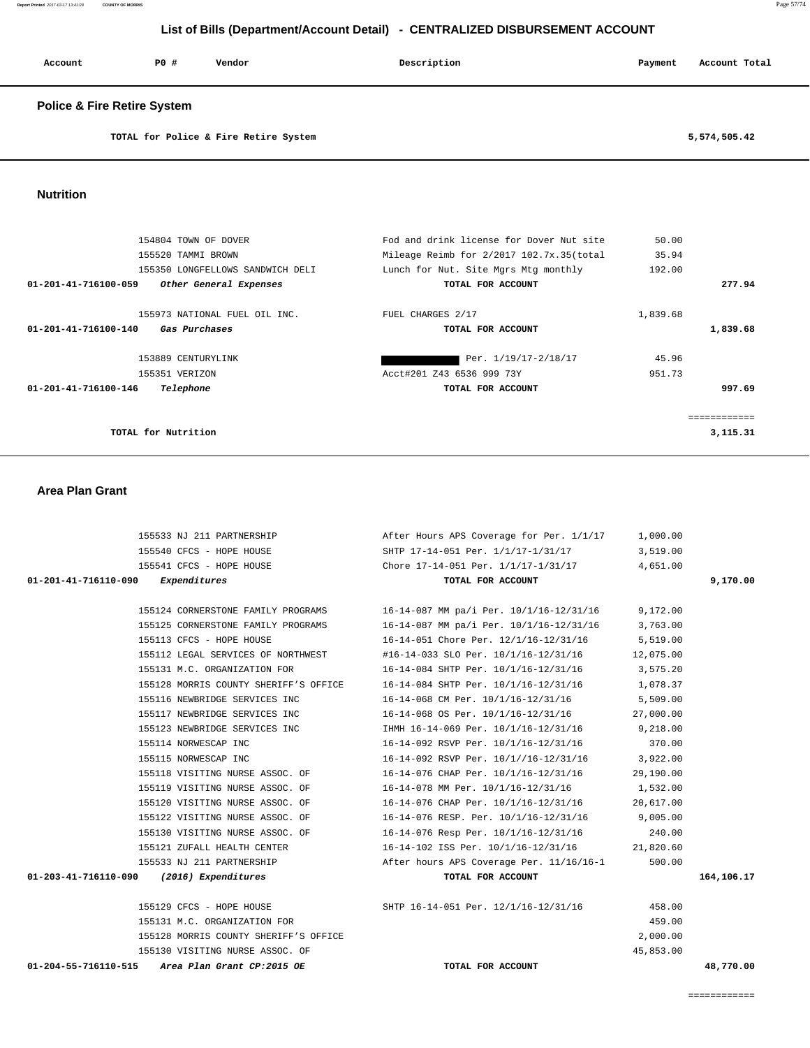| Account<br>. | PO# | Vendor | Description | Payment | Account Total |
|--------------|-----|--------|-------------|---------|---------------|
|              |     |        |             |         |               |

## **Police & Fire Retire System**

**TOTAL for Police & Fire Retire System 5,574,505.42**

 **Nutrition** 

|                      | 154804 TOWN OF DOVER             | Fod and drink license for Dover Nut site | 50.00    |            |
|----------------------|----------------------------------|------------------------------------------|----------|------------|
|                      | 155520 TAMMI BROWN               | Mileage Reimb for 2/2017 102.7x.35(total | 35.94    |            |
|                      | 155350 LONGFELLOWS SANDWICH DELI | Lunch for Nut. Site Mgrs Mtg monthly     | 192.00   |            |
| 01-201-41-716100-059 | Other General Expenses           | TOTAL FOR ACCOUNT                        |          | 277.94     |
|                      | 155973 NATIONAL FUEL OIL INC.    | FUEL CHARGES 2/17                        | 1,839.68 |            |
| 01-201-41-716100-140 | Gas Purchases                    | TOTAL FOR ACCOUNT                        |          | 1,839.68   |
|                      | 153889 CENTURYLINK               | Per. 1/19/17-2/18/17                     | 45.96    |            |
|                      | 155351 VERIZON                   | Acct#201 Z43 6536 999 73Y                | 951.73   |            |
| 01-201-41-716100-146 | Telephone                        | TOTAL FOR ACCOUNT                        |          | 997.69     |
|                      |                                  |                                          |          |            |
|                      | TOTAL for Nutrition              |                                          |          | 3, 115, 31 |

## **Area Plan Grant**

|                                                 | 155533 NJ 211 PARTNERSHIP After Hours APS Coverage for Per. 1/1/17 1,000.00         |           |            |
|-------------------------------------------------|-------------------------------------------------------------------------------------|-----------|------------|
| 155540 CFCS - HOPE HOUSE                        | SHTP 17-14-051 Per. 1/1/17-1/31/17 3,519.00                                         |           |            |
|                                                 | 155541 CFCS - HOPE HOUSE Chore 17-14-051 Per. 1/1/17-1/31/17 4,651.00               |           |            |
| $01 - 201 - 41 - 716110 - 090$ Expenditures     | TOTAL FOR ACCOUNT                                                                   |           | 9,170.00   |
|                                                 | 155124 CORNERSTONE FAMILY PROGRAMS 16-14-087 MM pa/i Per. 10/1/16-12/31/16 9,172.00 |           |            |
|                                                 | 155125 CORNERSTONE FAMILY PROGRAMS 16-14-087 MM pa/i Per. 10/1/16-12/31/16 3,763.00 |           |            |
| 155113 CFCS - HOPE HOUSE                        | 16-14-051 Chore Per. 12/1/16-12/31/16 5,519.00                                      |           |            |
|                                                 | 155112 LEGAL SERVICES OF NORTHWEST #16-14-033 SLO Per. $10/1/16-12/31/16$ 12,075.00 |           |            |
|                                                 |                                                                                     |           |            |
| 155131 M.C. ORGANIZATION FOR                    | $16-14-084$ SHTP Per. $10/1/16-12/31/16$ 3,575.20                                   |           |            |
|                                                 | 155128 MORRIS COUNTY SHERIFF'S OFFICE 16-14-084 SHTP Per. 10/1/16-12/31/16 1,078.37 |           |            |
| 155116 NEWBRIDGE SERVICES INC                   | 16-14-068 CM Per. 10/1/16-12/31/16 5,509.00                                         |           |            |
|                                                 | 155117 NEWBRIDGE SERVICES INC 16-14-068 OS Per. $10/1/16-12/31/16$ 27,000.00        |           |            |
|                                                 | 155123 NEWBRIDGE SERVICES INC THMH 16-14-069 Per. $10/1/16-12/31/16$ 9,218.00       |           |            |
| 155114 NORWESCAP INC                            | $16-14-092$ RSVP Per. $10/1/16-12/31/16$ 370.00                                     |           |            |
| 155115 NORWESCAP INC                            | 16-14-092 RSVP Per. 10/1//16-12/31/16 3,922.00                                      |           |            |
|                                                 | 155118 VISITING NURSE ASSOC. OF 16-14-076 CHAP Per. $10/1/16-12/31/16$ 29,190.00    |           |            |
| 155119 VISITING NURSE ASSOC. OF                 | 16-14-078 MM Per. 10/1/16-12/31/16                                                  | 1,532.00  |            |
| 155120 VISITING NURSE ASSOC. OF                 | 16-14-076 CHAP Per. 10/1/16-12/31/16                                                | 20,617.00 |            |
| 155122 VISITING NURSE ASSOC. OF                 | $16-14-076$ RESP. Per. $10/1/16-12/31/16$ 9,005.00                                  |           |            |
|                                                 | 155130 VISITING NURSE ASSOC. OF 16-14-076 Resp Per. 10/1/16-12/31/16 240.00         |           |            |
| 155121 ZUFALL HEALTH CENTER                     | 16-14-102 ISS Per. 10/1/16-12/31/16 21,820.60                                       |           |            |
|                                                 | 155533 NJ 211 PARTNERSHIP 300.00 After hours APS Coverage Per. 11/16/16-1 500.00    |           |            |
| 01-203-41-716110-090 (2016) Expenditures        | TOTAL FOR ACCOUNT                                                                   |           | 164,106.17 |
|                                                 | 155129 CFCS - HOPE HOUSE 6. SHTP 16-14-051 Per. 12/1/16-12/31/16                    | 458.00    |            |
| 155131 M.C. ORGANIZATION FOR                    |                                                                                     | 459.00    |            |
| 155128 MORRIS COUNTY SHERIFF'S OFFICE           |                                                                                     | 2,000.00  |            |
| 155130 VISITING NURSE ASSOC. OF                 |                                                                                     | 45,853.00 |            |
| 01-204-55-716110-515 Area Plan Grant CP:2015 OE | TOTAL FOR ACCOUNT                                                                   |           | 48,770.00  |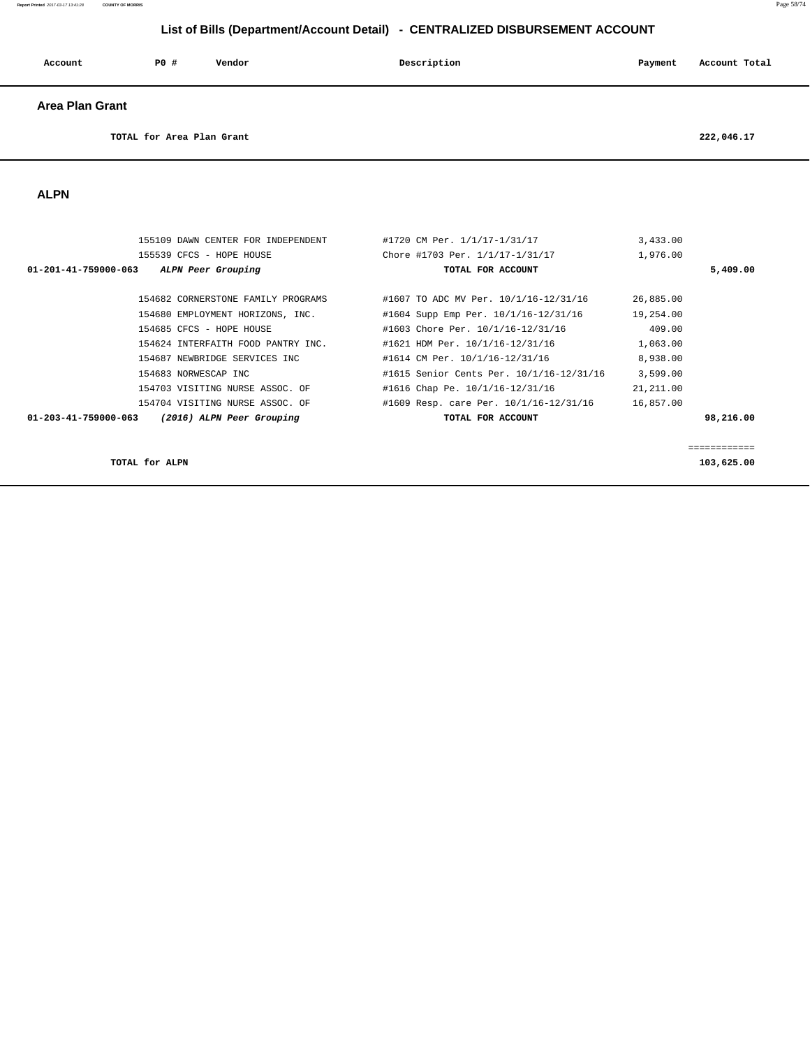#### **Report Printed** 2017-03-17 13:41:28 **COUNTY OF MORRIS** Page 58/74

# **List of Bills (Department/Account Detail) - CENTRALIZED DISBURSEMENT ACCOUNT**

| Account                   | P0 # | Vendor | Description | Payment | Account Total |
|---------------------------|------|--------|-------------|---------|---------------|
| <b>Area Plan Grant</b>    |      |        |             |         |               |
| TOTAL for Area Plan Grant |      |        |             |         | 222,046.17    |

 **ALPN** 

| 155109 DAWN CENTER FOR INDEPENDENT                | #1720 CM Per. 1/1/17-1/31/17             | 3,433.00   |              |
|---------------------------------------------------|------------------------------------------|------------|--------------|
| 155539 CFCS - HOPE HOUSE                          | Chore #1703 Per. 1/1/17-1/31/17          | 1,976.00   |              |
| ALPN Peer Grouping<br>01-201-41-759000-063        | TOTAL FOR ACCOUNT                        |            | 5,409.00     |
| 154682 CORNERSTONE FAMILY PROGRAMS                | #1607 TO ADC MV Per. 10/1/16-12/31/16    | 26,885.00  |              |
| 154680 EMPLOYMENT HORIZONS, INC.                  | #1604 Supp Emp Per. 10/1/16-12/31/16     | 19,254.00  |              |
| 154685 CFCS - HOPE HOUSE                          | #1603 Chore Per. 10/1/16-12/31/16        | 409.00     |              |
| 154624 INTERFAITH FOOD PANTRY INC.                | #1621 HDM Per. 10/1/16-12/31/16          | 1,063.00   |              |
| 154687 NEWBRIDGE SERVICES INC                     | #1614 CM Per. 10/1/16-12/31/16           | 8,938.00   |              |
| 154683 NORWESCAP INC                              | #1615 Senior Cents Per. 10/1/16-12/31/16 | 3,599.00   |              |
| 154703 VISITING NURSE ASSOC. OF                   | #1616 Chap Pe. 10/1/16-12/31/16          | 21, 211.00 |              |
| 154704 VISITING NURSE ASSOC. OF                   | #1609 Resp. care Per. 10/1/16-12/31/16   | 16,857.00  |              |
| 01-203-41-759000-063<br>(2016) ALPN Peer Grouping | TOTAL FOR ACCOUNT                        |            | 98,216.00    |
|                                                   |                                          |            | ------------ |
| TOTAL for ALPN                                    |                                          |            | 103,625.00   |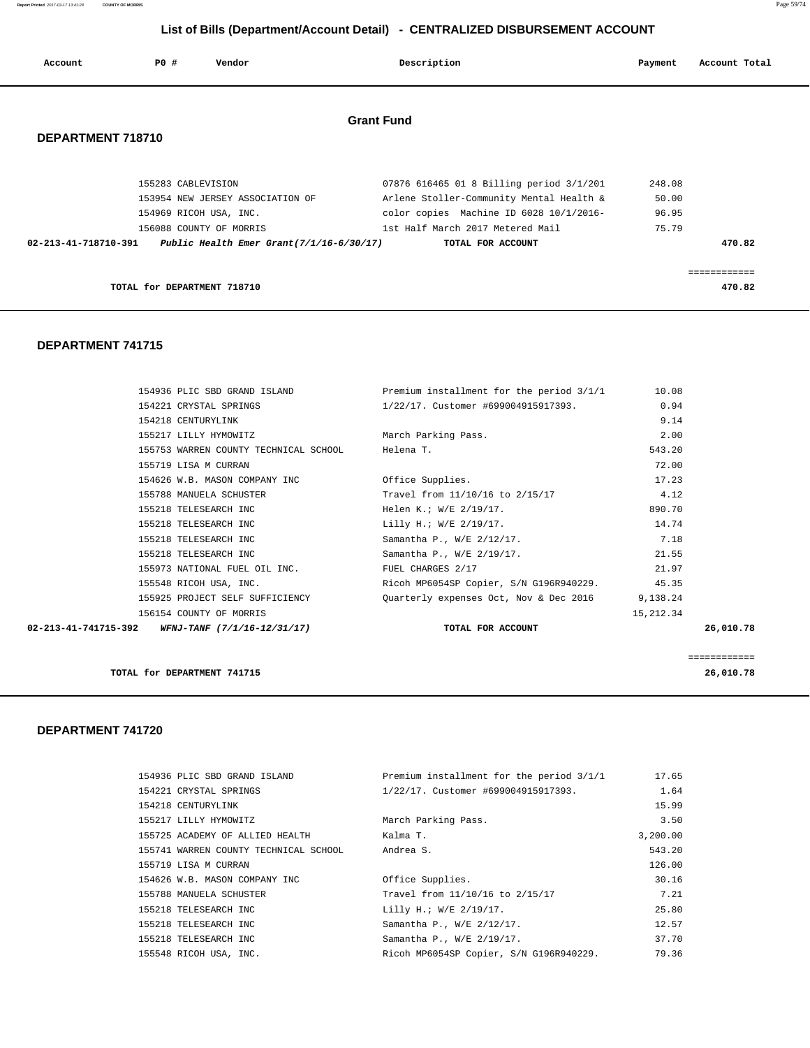**Report Printed** 2017-03-17 13:41:28 **COUNTY OF MORRIS** Page 59/74

# **List of Bills (Department/Account Detail) - CENTRALIZED DISBURSEMENT ACCOUNT**

| Account           | P0#                         | Vendor                           | Description                                                                             | Payment | Account Total |
|-------------------|-----------------------------|----------------------------------|-----------------------------------------------------------------------------------------|---------|---------------|
| DEPARTMENT 718710 |                             |                                  | <b>Grant Fund</b>                                                                       |         |               |
|                   |                             |                                  |                                                                                         |         |               |
|                   | 155283 CABLEVISION          |                                  | 07876 616465 01 8 Billing period 3/1/201                                                | 248.08  |               |
|                   |                             | 153954 NEW JERSEY ASSOCIATION OF | Arlene Stoller-Community Mental Health &                                                | 50.00   |               |
|                   |                             | 154969 RICOH USA, INC.           | color copies Machine ID 6028 10/1/2016-                                                 | 96.95   |               |
|                   |                             | 156088 COUNTY OF MORRIS          | 1st Half March 2017 Metered Mail                                                        | 75.79   |               |
|                   |                             |                                  | $02-213-41-718710-391$ Public Health Emer Grant $(7/1/16-6/30/17)$<br>TOTAL FOR ACCOUNT |         | 470.82        |
|                   |                             |                                  |                                                                                         |         |               |
|                   | TOTAL for DEPARTMENT 718710 |                                  |                                                                                         |         | 470.82        |

## **DEPARTMENT 741715**

| 154936 PLIC SBD GRAND ISLAND                     | Premium installment for the period 3/1/1        | 10.08      |              |
|--------------------------------------------------|-------------------------------------------------|------------|--------------|
| 154221 CRYSTAL SPRINGS                           | 1/22/17. Customer #699004915917393.             | 0.94       |              |
| 154218 CENTURYLINK                               |                                                 | 9.14       |              |
| 155217 LILLY HYMOWITZ                            | March Parking Pass.                             | 2.00       |              |
| 155753 WARREN COUNTY TECHNICAL SCHOOL Helena T.  |                                                 | 543.20     |              |
| 155719 LISA M CURRAN                             |                                                 | 72.00      |              |
| 154626 W.B. MASON COMPANY INC                    | Office Supplies.                                | 17.23      |              |
| 155788 MANUELA SCHUSTER                          | Travel from 11/10/16 to 2/15/17                 | 4.12       |              |
| 155218 TELESEARCH INC                            | Helen K.; W/E 2/19/17.                          | 890.70     |              |
| 155218 TELESEARCH INC                            | Lilly H.; W/E 2/19/17.                          | 14.74      |              |
| 155218 TELESEARCH INC                            | Samantha P., W/E 2/12/17.                       | 7.18       |              |
| 155218 TELESEARCH INC                            | Samantha P., W/E 2/19/17.                       | 21.55      |              |
| 155973 NATIONAL FUEL OIL INC.                    | FUEL CHARGES 2/17                               | 21.97      |              |
| 155548 RICOH USA, INC.                           | Ricoh MP6054SP Copier, S/N G196R940229. 45.35   |            |              |
| 155925 PROJECT SELF SUFFICIENCY                  | Quarterly expenses Oct, Nov & Dec 2016 9,138.24 |            |              |
| 156154 COUNTY OF MORRIS                          |                                                 | 15, 212.34 |              |
| 02-213-41-741715-392 WFNJ-TANF (7/1/16-12/31/17) | TOTAL FOR ACCOUNT                               |            | 26,010.78    |
|                                                  |                                                 |            | ============ |
| TOTAL for DEPARTMENT 741715                      |                                                 |            | 26,010.78    |

| 154936 PLIC SBD GRAND ISLAND          | Premium installment for the period 3/1/1 | 17.65    |
|---------------------------------------|------------------------------------------|----------|
| 154221 CRYSTAL SPRINGS                | 1/22/17. Customer #699004915917393.      | 1.64     |
| 154218 CENTURYLINK                    |                                          | 15.99    |
| 155217 LILLY HYMOWITZ                 | March Parking Pass.                      | 3.50     |
| 155725 ACADEMY OF ALLIED HEALTH       | Kalma T.                                 | 3,200.00 |
| 155741 WARREN COUNTY TECHNICAL SCHOOL | Andrea S.                                | 543.20   |
| 155719 LISA M CURRAN                  |                                          | 126.00   |
| 154626 W.B. MASON COMPANY INC         | Office Supplies.                         | 30.16    |
| 155788 MANUELA SCHUSTER               | Travel from 11/10/16 to 2/15/17          | 7.21     |
| 155218 TELESEARCH INC                 | Lilly H.; W/E 2/19/17.                   | 25.80    |
| 155218 TELESEARCH INC                 | Samantha P., W/E 2/12/17.                | 12.57    |
| 155218 TELESEARCH INC                 | Samantha P., W/E 2/19/17.                | 37.70    |
| 155548 RICOH USA, INC.                | Ricoh MP6054SP Copier, S/N G196R940229.  | 79.36    |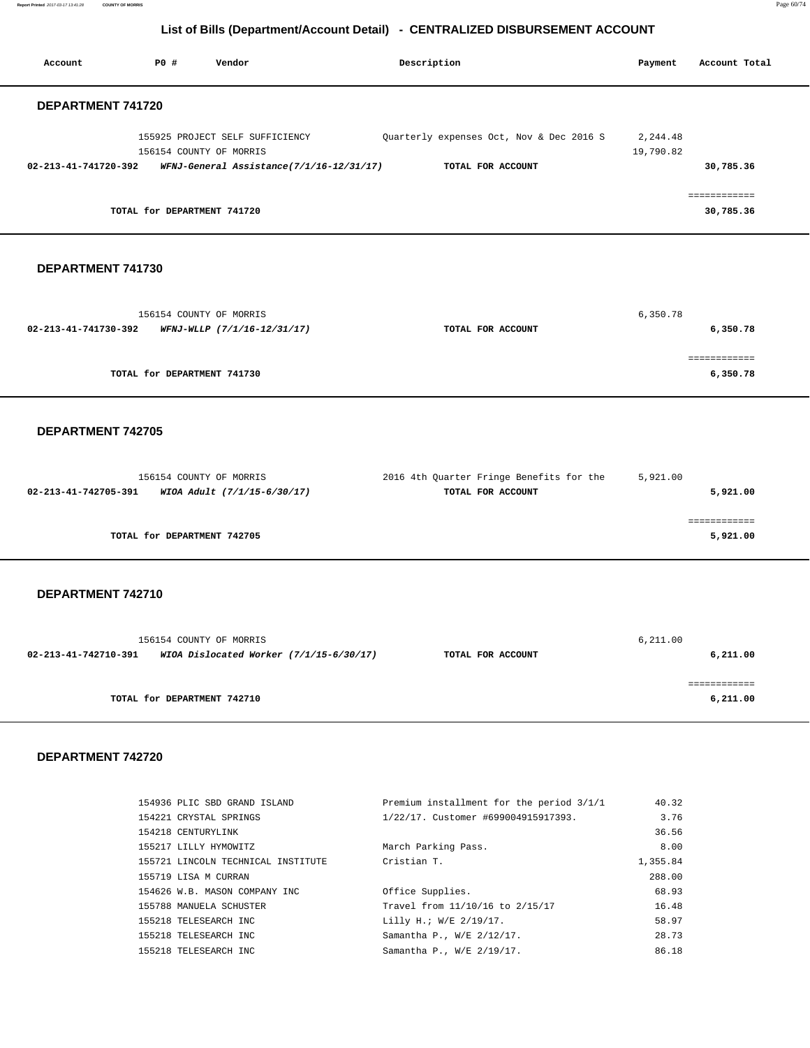**Report Printed** 2017-03-17 13:41:28 **COUNTY OF MORRIS** Page 60/74

# **List of Bills (Department/Account Detail) - CENTRALIZED DISBURSEMENT ACCOUNT**

| Account              | PO#                         | Vendor                                   | Description                              | Payment               | Account Total             |
|----------------------|-----------------------------|------------------------------------------|------------------------------------------|-----------------------|---------------------------|
| DEPARTMENT 741720    |                             |                                          |                                          |                       |                           |
|                      | 156154 COUNTY OF MORRIS     | 155925 PROJECT SELF SUFFICIENCY          | Quarterly expenses Oct, Nov & Dec 2016 S | 2,244.48<br>19,790.82 |                           |
| 02-213-41-741720-392 |                             | WFNJ-General Assistance(7/1/16-12/31/17) | TOTAL FOR ACCOUNT                        |                       | 30,785.36                 |
|                      | TOTAL for DEPARTMENT 741720 |                                          |                                          |                       | ============<br>30,785.36 |

## **DEPARTMENT 741730**

| 156154 COUNTY OF MORRIS                             |                   | 6,350.78 |
|-----------------------------------------------------|-------------------|----------|
| 02-213-41-741730-392<br>WFNJ-WLLP (7/1/16-12/31/17) | TOTAL FOR ACCOUNT | 6,350.78 |
|                                                     |                   |          |
| TOTAL for DEPARTMENT 741730                         |                   | 6,350.78 |
|                                                     |                   |          |

## **DEPARTMENT 742705**

| 156154 COUNTY OF MORRIS                             | 2016 4th Quarter Fringe Benefits for the | 5,921.00 |
|-----------------------------------------------------|------------------------------------------|----------|
| WIOA Adult (7/1/15-6/30/17)<br>02-213-41-742705-391 | TOTAL FOR ACCOUNT                        | 5,921.00 |
|                                                     |                                          |          |
|                                                     |                                          |          |
| TOTAL for DEPARTMENT 742705                         |                                          | 5,921.00 |
|                                                     |                                          |          |

## **DEPARTMENT 742710**

|                      | 156154 COUNTY OF MORRIS                   |                   | 6, 211.00 |
|----------------------|-------------------------------------------|-------------------|-----------|
| 02-213-41-742710-391 | WIOA Dislocated Worker $(7/1/15-6/30/17)$ | TOTAL FOR ACCOUNT | 6,211.00  |
|                      | TOTAL for DEPARTMENT 742710               |                   | 6,211.00  |

| 154936 PLIC SBD GRAND ISLAND       | Premium installment for the period 3/1/1 | 40.32    |
|------------------------------------|------------------------------------------|----------|
| 154221 CRYSTAL SPRINGS             | 1/22/17. Customer #699004915917393.      | 3.76     |
| 154218 CENTURYLINK                 |                                          | 36.56    |
| 155217 LILLY HYMOWITZ              | March Parking Pass.                      | 8.00     |
| 155721 LINCOLN TECHNICAL INSTITUTE | Cristian T.                              | 1,355.84 |
| 155719 LISA M CURRAN               |                                          | 288.00   |
| 154626 W.B. MASON COMPANY INC      | Office Supplies.                         | 68.93    |
| 155788 MANUELA SCHUSTER            | Travel from 11/10/16 to 2/15/17          | 16.48    |
| 155218 TELESEARCH INC              | Lilly H.; W/E 2/19/17.                   | 58.97    |
| 155218 TELESEARCH INC              | Samantha P., W/E 2/12/17.                | 28.73    |
| 155218 TELESEARCH INC              | Samantha P., W/E 2/19/17.                | 86.18    |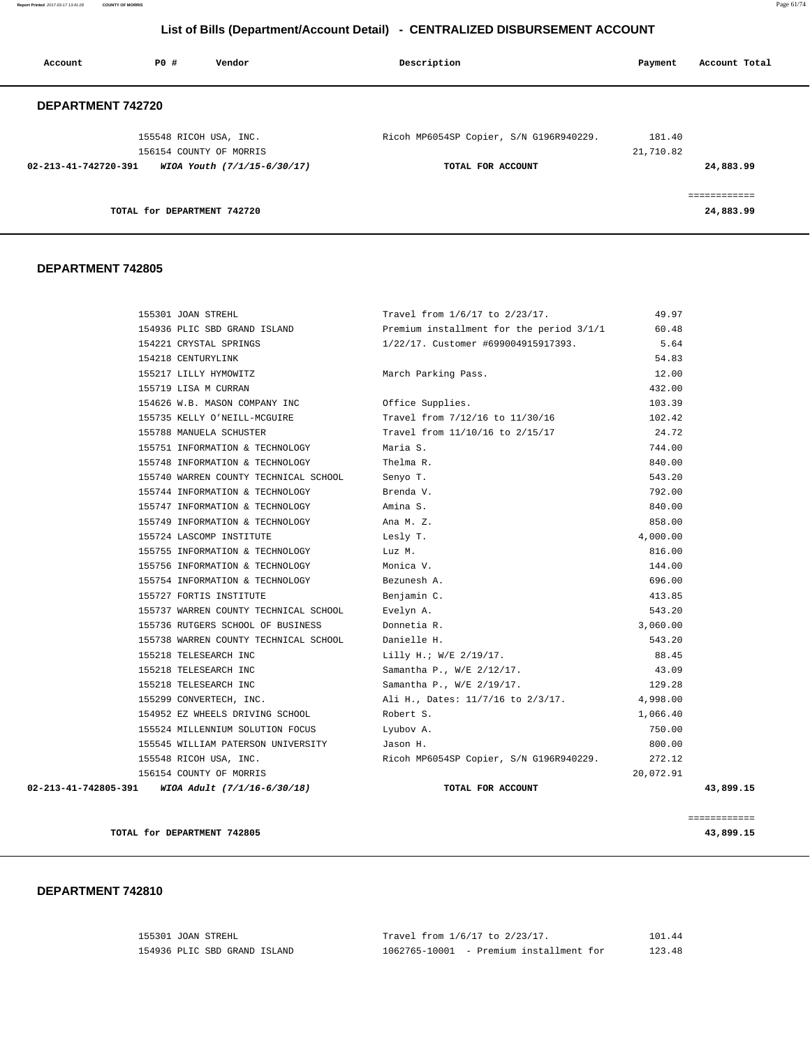| Account                        | PO#                         | Vendor                      | Description                             | Payment             | Account Total             |
|--------------------------------|-----------------------------|-----------------------------|-----------------------------------------|---------------------|---------------------------|
| DEPARTMENT 742720              |                             |                             |                                         |                     |                           |
|                                | 155548 RICOH USA, INC.      | 156154 COUNTY OF MORRIS     | Ricoh MP6054SP Copier, S/N G196R940229. | 181.40<br>21,710.82 |                           |
| $02 - 213 - 41 - 742720 - 391$ |                             | WIOA Youth (7/1/15-6/30/17) | TOTAL FOR ACCOUNT                       |                     | 24,883.99                 |
|                                | TOTAL for DEPARTMENT 742720 |                             |                                         |                     | ============<br>24,883.99 |

#### **DEPARTMENT 742805**

| 155301 JOAN STREHL                               | Travel from 1/6/17 to 2/23/17.                                                                  | 49.97     |           |
|--------------------------------------------------|-------------------------------------------------------------------------------------------------|-----------|-----------|
|                                                  | 154936 PLIC SBD GRAND ISLAND <b>Example 20 Fremium</b> installment for the period $3/1/1$ 60.48 |           |           |
| 154221 CRYSTAL SPRINGS                           | 1/22/17. Customer #699004915917393.                                                             | 5.64      |           |
| 154218 CENTURYLINK                               |                                                                                                 | 54.83     |           |
| 155217 LILLY HYMOWITZ                            | March Parking Pass.                                                                             | 12.00     |           |
| 155719 LISA M CURRAN                             |                                                                                                 | 432.00    |           |
| 154626 W.B. MASON COMPANY INC                    | Office Supplies.                                                                                | 103.39    |           |
| 155735 KELLY O'NEILL-MCGUIRE                     | Travel from 7/12/16 to 11/30/16                                                                 | 102.42    |           |
| 155788 MANUELA SCHUSTER                          | Travel from 11/10/16 to 2/15/17                                                                 | 24.72     |           |
| 155751 INFORMATION & TECHNOLOGY                  | Maria S.                                                                                        | 744.00    |           |
| 155748 INFORMATION & TECHNOLOGY                  | Thelma R.                                                                                       | 840.00    |           |
| 155740 WARREN COUNTY TECHNICAL SCHOOL            | Senyo T.                                                                                        | 543.20    |           |
| 155744 INFORMATION & TECHNOLOGY                  | Brenda V.                                                                                       | 792.00    |           |
| 155747 INFORMATION & TECHNOLOGY                  | Amina S.                                                                                        | 840.00    |           |
| 155749 INFORMATION & TECHNOLOGY                  | Ana M. Z.                                                                                       | 858.00    |           |
| 155724 LASCOMP INSTITUTE                         | Lesly T.                                                                                        | 4,000.00  |           |
| 155755 INFORMATION & TECHNOLOGY                  | Luz M.                                                                                          | 816.00    |           |
| 155756 INFORMATION & TECHNOLOGY                  | Monica V.                                                                                       | 144.00    |           |
| 155754 INFORMATION & TECHNOLOGY                  | Bezunesh A.                                                                                     | 696.00    |           |
| 155727 FORTIS INSTITUTE                          | Benjamin C.                                                                                     | 413.85    |           |
| 155737 WARREN COUNTY TECHNICAL SCHOOL            | Evelyn A.                                                                                       | 543.20    |           |
| 155736 RUTGERS SCHOOL OF BUSINESS                | Donnetia R.                                                                                     | 3,060.00  |           |
| 155738 WARREN COUNTY TECHNICAL SCHOOL            | Danielle H.                                                                                     | 543.20    |           |
| 155218 TELESEARCH INC                            | Lilly H.; W/E 2/19/17.                                                                          | 88.45     |           |
| 155218 TELESEARCH INC                            | Samantha P., W/E 2/12/17.                                                                       | 43.09     |           |
| 155218 TELESEARCH INC                            | Samantha P., W/E 2/19/17.                                                                       | 129.28    |           |
| 155299 CONVERTECH, INC.                          | Ali H., Dates: 11/7/16 to 2/3/17.                                                               | 4,998.00  |           |
| 154952 EZ WHEELS DRIVING SCHOOL                  | Robert S.                                                                                       | 1,066.40  |           |
| 155524 MILLENNIUM SOLUTION FOCUS                 | Lyubov A.                                                                                       | 750.00    |           |
| 155545 WILLIAM PATERSON UNIVERSITY               | Jason H.                                                                                        | 800.00    |           |
| 155548 RICOH USA, INC.                           | Ricoh MP6054SP Copier, S/N G196R940229.                                                         | 272.12    |           |
| 156154 COUNTY OF MORRIS                          |                                                                                                 | 20,072.91 |           |
| 02-213-41-742805-391 WIOA Adult (7/1/16-6/30/18) | TOTAL FOR ACCOUNT                                                                               |           | 43,899.15 |
|                                                  |                                                                                                 |           |           |

**TOTAL for DEPARTMENT 742805 43,899.15**

============

| 155301 JOAN STREHL |                              |               | Travel from 1/6/17 to 2/23/17. | 101.44 |
|--------------------|------------------------------|---------------|--------------------------------|--------|
|                    | 154936 PLIC SBD GRAND ISLAND | 1062765-10001 | - Premium installment for      | 123.48 |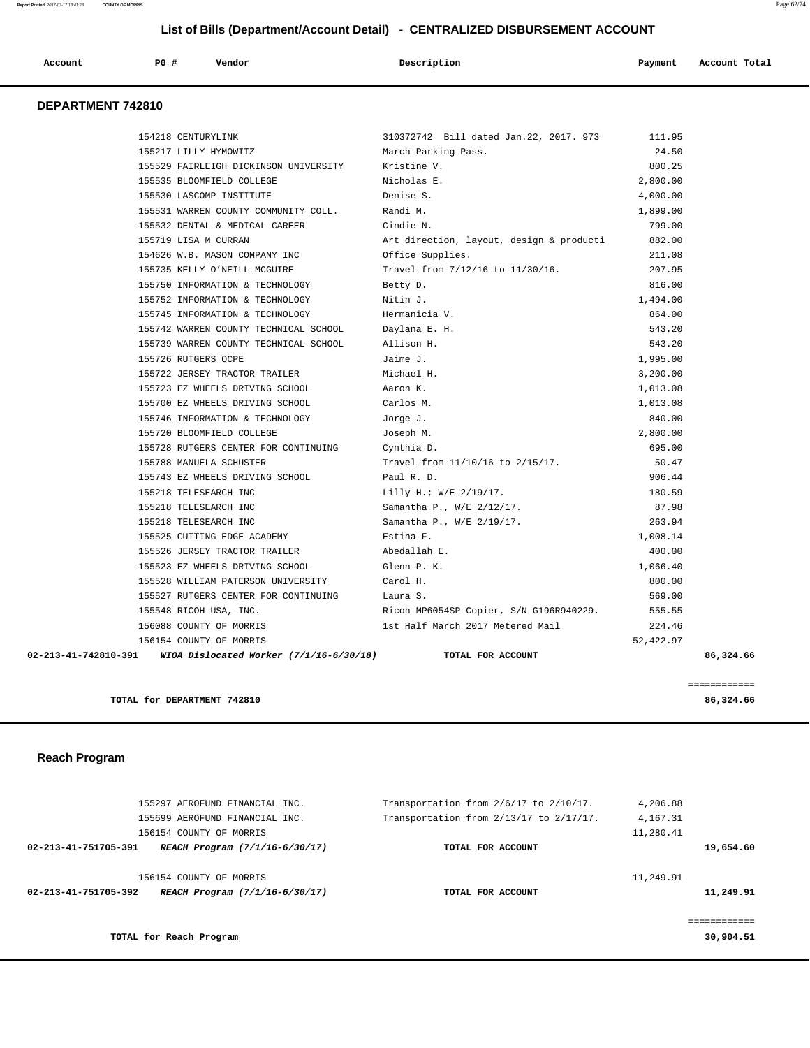| Account           | PO# | Vendor | Description | Payment | Account Total |
|-------------------|-----|--------|-------------|---------|---------------|
| DEPARTMENT 742810 |     |        |             |         |               |

|                                | 154218 CENTURYLINK                      | 310372742 Bill dated Jan.22, 2017. 973   | 111.95    |
|--------------------------------|-----------------------------------------|------------------------------------------|-----------|
|                                | 155217 LILLY HYMOWITZ                   | March Parking Pass.                      | 24.50     |
|                                | 155529 FAIRLEIGH DICKINSON UNIVERSITY   | Kristine V.                              | 800.25    |
|                                | 155535 BLOOMFIELD COLLEGE               | Nicholas E.                              | 2,800.00  |
|                                | 155530 LASCOMP INSTITUTE                | Denise S.                                | 4,000.00  |
|                                | 155531 WARREN COUNTY COMMUNITY COLL.    | Randi M.                                 | 1,899.00  |
|                                | 155532 DENTAL & MEDICAL CAREER          | Cindie N.                                | 799.00    |
|                                | 155719 LISA M CURRAN                    | Art direction, layout, design & producti | 882.00    |
|                                | 154626 W.B. MASON COMPANY INC           | Office Supplies.                         | 211.08    |
|                                | 155735 KELLY O'NEILL-MCGUIRE            | Travel from 7/12/16 to 11/30/16.         | 207.95    |
|                                | 155750 INFORMATION & TECHNOLOGY         | Betty D.                                 | 816.00    |
|                                | 155752 INFORMATION & TECHNOLOGY         | Nitin J.                                 | 1,494.00  |
|                                | 155745 INFORMATION & TECHNOLOGY         | Hermanicia V.                            | 864.00    |
|                                | 155742 WARREN COUNTY TECHNICAL SCHOOL   | Daylana E. H.                            | 543.20    |
|                                | 155739 WARREN COUNTY TECHNICAL SCHOOL   | Allison H.                               | 543.20    |
|                                | 155726 RUTGERS OCPE                     | Jaime J.                                 | 1,995.00  |
|                                | 155722 JERSEY TRACTOR TRAILER           | Michael H.                               | 3,200.00  |
|                                | 155723 EZ WHEELS DRIVING SCHOOL         | Aaron K.                                 | 1,013.08  |
|                                | 155700 EZ WHEELS DRIVING SCHOOL         | Carlos M.                                | 1,013.08  |
|                                | 155746 INFORMATION & TECHNOLOGY         | Jorge J.                                 | 840.00    |
|                                | 155720 BLOOMFIELD COLLEGE               | Joseph M.                                | 2,800.00  |
|                                | 155728 RUTGERS CENTER FOR CONTINUING    | Cynthia D.                               | 695.00    |
|                                | 155788 MANUELA SCHUSTER                 | Travel from 11/10/16 to 2/15/17.         | 50.47     |
|                                | 155743 EZ WHEELS DRIVING SCHOOL         | Paul R. D.                               | 906.44    |
|                                | 155218 TELESEARCH INC                   | Lilly H.; W/E 2/19/17.                   | 180.59    |
|                                | 155218 TELESEARCH INC                   | Samantha P., W/E 2/12/17.                | 87.98     |
|                                | 155218 TELESEARCH INC                   | Samantha P., W/E 2/19/17.                | 263.94    |
|                                | 155525 CUTTING EDGE ACADEMY             | Estina F.                                | 1,008.14  |
|                                | 155526 JERSEY TRACTOR TRAILER           | Abedallah E.                             | 400.00    |
|                                | 155523 EZ WHEELS DRIVING SCHOOL         | Glenn P. K.                              | 1,066.40  |
|                                | 155528 WILLIAM PATERSON UNIVERSITY      | Carol H.                                 | 800.00    |
|                                | 155527 RUTGERS CENTER FOR CONTINUING    | Laura S.                                 | 569.00    |
|                                | 155548 RICOH USA, INC.                  | Ricoh MP6054SP Copier, S/N G196R940229.  | 555.55    |
|                                | 156088 COUNTY OF MORRIS                 | 1st Half March 2017 Metered Mail         | 224.46    |
|                                | 156154 COUNTY OF MORRIS                 |                                          | 52,422.97 |
| $02 - 213 - 41 - 742810 - 391$ | WIOA Dislocated Worker (7/1/16-6/30/18) | TOTAL FOR ACCOUNT                        | 86,324.66 |
|                                |                                         |                                          |           |

**TOTAL for DEPARTMENT 742810 86,324.66**

============

## **Reach Program**

|                      | 155297 AEROFUND FINANCIAL INC. | Transportation from 2/6/17 to 2/10/17.  | 4,206.88  |              |
|----------------------|--------------------------------|-----------------------------------------|-----------|--------------|
|                      | 155699 AEROFUND FINANCIAL INC. | Transportation from 2/13/17 to 2/17/17. | 4,167.31  |              |
|                      | 156154 COUNTY OF MORRIS        |                                         | 11,280.41 |              |
| 02-213-41-751705-391 | REACH Program (7/1/16-6/30/17) | TOTAL FOR ACCOUNT                       |           | 19,654.60    |
|                      | 156154 COUNTY OF MORRIS        |                                         | 11,249.91 |              |
| 02-213-41-751705-392 | REACH Program (7/1/16-6/30/17) | TOTAL FOR ACCOUNT                       |           | 11,249.91    |
|                      |                                |                                         |           | ============ |
|                      | TOTAL for Reach Program        |                                         |           | 30,904.51    |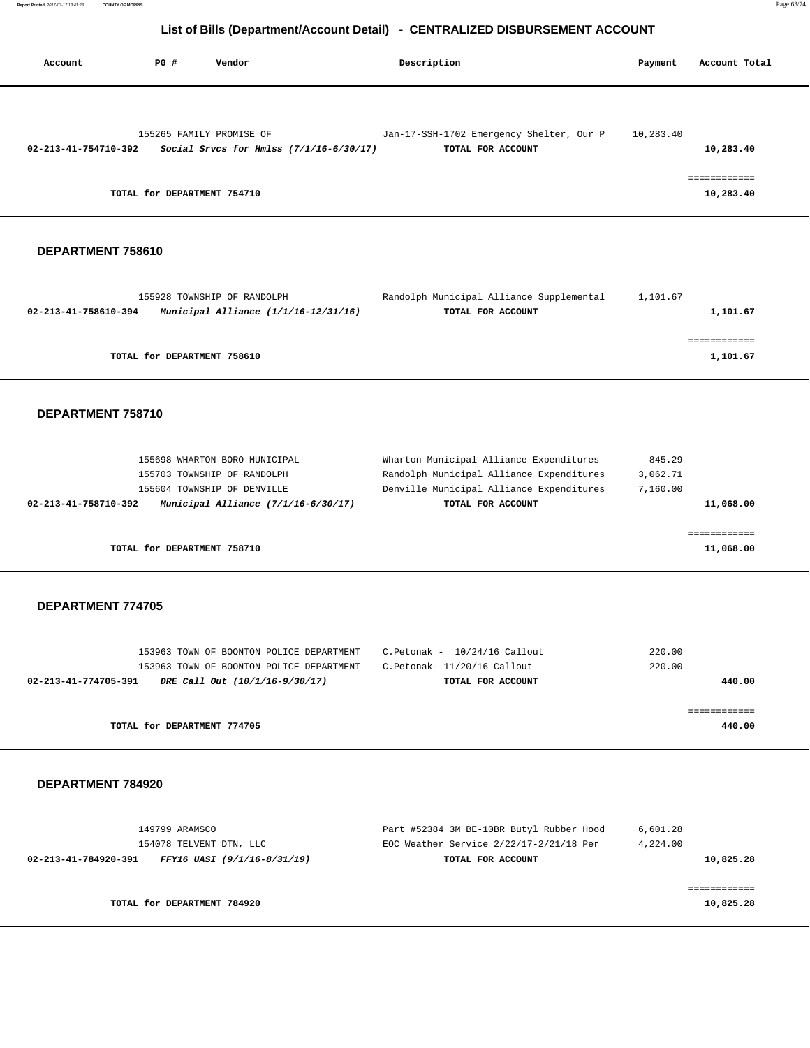**Report Printed** 2017-03-17 13:41:28 **COUNTY OF MORRIS** Page 63/74

# **List of Bills (Department/Account Detail) - CENTRALIZED DISBURSEMENT ACCOUNT**

| Account              | PO#                         | Vendor                                    | Description                              | Payment   | Account Total             |
|----------------------|-----------------------------|-------------------------------------------|------------------------------------------|-----------|---------------------------|
|                      |                             |                                           |                                          |           |                           |
|                      | 155265 FAMILY PROMISE OF    |                                           | Jan-17-SSH-1702 Emergency Shelter, Our P | 10,283.40 |                           |
| 02-213-41-754710-392 |                             | Social Srvcs for Hmlss $(7/1/16-6/30/17)$ | TOTAL FOR ACCOUNT                        |           | 10,283.40                 |
|                      | TOTAL for DEPARTMENT 754710 |                                           |                                          |           | :===========<br>10,283.40 |

## **DEPARTMENT 758610**

| 155928 TOWNSHIP OF RANDOLPH                                      | Randolph Municipal Alliance Supplemental | 1,101.67 |
|------------------------------------------------------------------|------------------------------------------|----------|
| Municipal Alliance $(1/1/16 - 12/31/16)$<br>02-213-41-758610-394 | TOTAL FOR ACCOUNT                        | 1,101.67 |
|                                                                  |                                          |          |
|                                                                  |                                          |          |
| TOTAL for DEPARTMENT 758610                                      |                                          | 1,101.67 |
|                                                                  |                                          |          |

#### **DEPARTMENT 758710**

| 155703 TOWNSHIP OF RANDOLPH                                 | Randolph Municipal Alliance Expenditures | 3,062.71  |
|-------------------------------------------------------------|------------------------------------------|-----------|
| 155604 TOWNSHIP OF DENVILLE                                 | Denville Municipal Alliance Expenditures | 7,160.00  |
| Municipal Alliance (7/1/16-6/30/17)<br>02-213-41-758710-392 | TOTAL FOR ACCOUNT                        | 11,068.00 |
|                                                             |                                          |           |
|                                                             |                                          |           |
|                                                             |                                          |           |

## **DEPARTMENT 774705**

| 153963 TOWN OF BOONTON POLICE DEPARTMENT               | C.Petonak - 10/24/16 Callout | 220.00 |
|--------------------------------------------------------|------------------------------|--------|
| 153963 TOWN OF BOONTON POLICE DEPARTMENT               | C.Petonak- 11/20/16 Callout  | 220.00 |
| 02-213-41-774705-391<br>DRE Call Out (10/1/16-9/30/17) | TOTAL FOR ACCOUNT            | 440.00 |
|                                                        |                              |        |
|                                                        |                              |        |
| TOTAL for DEPARTMENT 774705                            |                              | 440.00 |
|                                                        |                              |        |

| TOTAL for DEPARTMENT 784920                         |                                          | 10,825.28 |
|-----------------------------------------------------|------------------------------------------|-----------|
|                                                     |                                          |           |
| 02-213-41-784920-391<br>FFY16 UASI (9/1/16-8/31/19) | TOTAL FOR ACCOUNT                        | 10,825.28 |
| 154078 TELVENT DTN, LLC                             | EOC Weather Service 2/22/17-2/21/18 Per  | 4,224.00  |
| 149799 ARAMSCO                                      | Part #52384 3M BE-10BR Butyl Rubber Hood | 6,601.28  |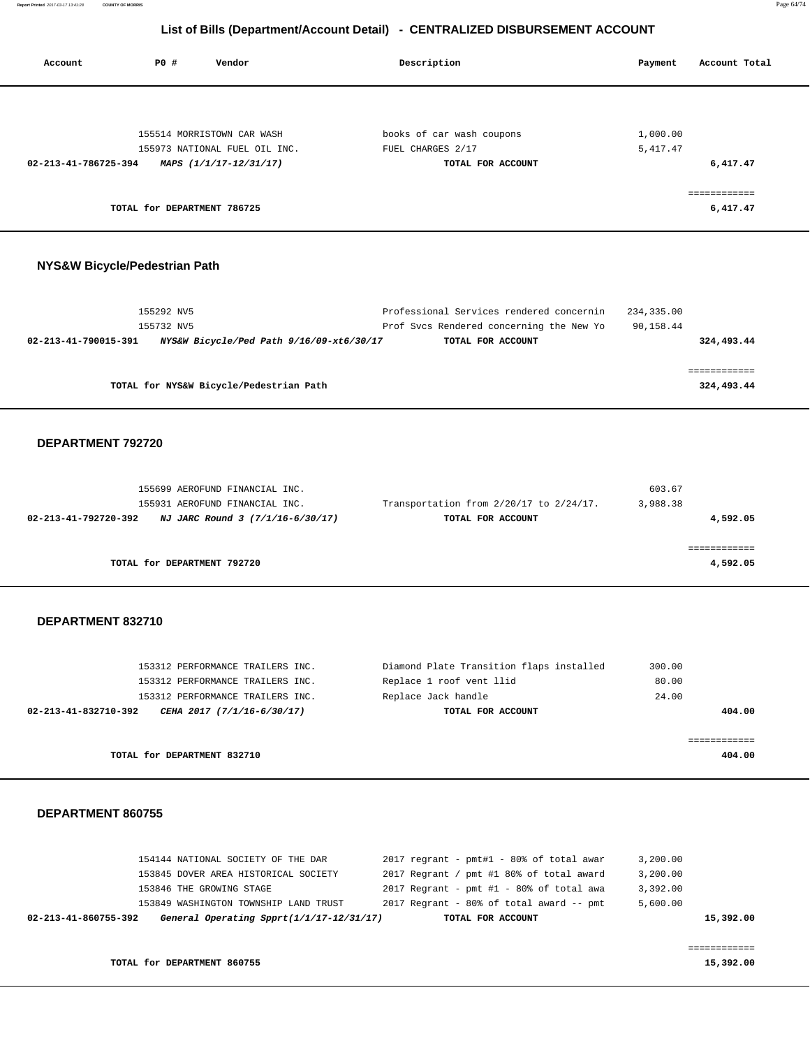| Account                       | <b>PO #</b>                 | Vendor                                                  | Description                            | Account Total<br>Payment |
|-------------------------------|-----------------------------|---------------------------------------------------------|----------------------------------------|--------------------------|
|                               |                             |                                                         |                                        |                          |
|                               |                             | 155514 MORRISTOWN CAR WASH                              | books of car wash coupons              | 1,000.00                 |
| 02-213-41-786725-394          |                             | 155973 NATIONAL FUEL OIL INC.<br>MAPS (1/1/17-12/31/17) | FUEL CHARGES 2/17<br>TOTAL FOR ACCOUNT | 5, 417.47<br>6,417.47    |
|                               | TOTAL for DEPARTMENT 786725 |                                                         |                                        | <br>6,417.47             |
| NYS&W Bicycle/Pedestrian Path |                             |                                                         |                                        |                          |

| 155292 NV5                                                       | Professional Services rendered concernin | 234,335.00 |
|------------------------------------------------------------------|------------------------------------------|------------|
| 155732 NV5                                                       | Prof Svcs Rendered concerning the New Yo | 90,158.44  |
| NYS&W Bicycle/Ped Path 9/16/09-xt6/30/17<br>02-213-41-790015-391 | TOTAL FOR ACCOUNT                        | 324,493.44 |
|                                                                  |                                          |            |
|                                                                  |                                          |            |
| TOTAL for NYS&W Bicycle/Pedestrian Path                          |                                          | 324,493.44 |
|                                                                  |                                          |            |

## **DEPARTMENT 792720**

| 155699 AEROFUND FINANCIAL INC.                           |                                         | 603.67   |
|----------------------------------------------------------|-----------------------------------------|----------|
| 155931 AEROFUND FINANCIAL INC.                           | Transportation from 2/20/17 to 2/24/17. | 3,988.38 |
| NJ JARC Round 3 (7/1/16-6/30/17)<br>02-213-41-792720-392 | TOTAL FOR ACCOUNT                       | 4,592.05 |
|                                                          |                                         |          |
|                                                          |                                         |          |
| TOTAL for DEPARTMENT 792720                              |                                         | 4,592.05 |
|                                                          |                                         |          |

## **DEPARTMENT 832710**

| 153312 PERFORMANCE TRAILERS INC.                   | Diamond Plate Transition flaps installed | 300.00 |
|----------------------------------------------------|------------------------------------------|--------|
| 153312 PERFORMANCE TRAILERS INC.                   | Replace 1 roof vent llid                 | 80.00  |
| 153312 PERFORMANCE TRAILERS INC.                   | Replace Jack handle                      | 24.00  |
| 02-213-41-832710-392<br>CEHA 2017 (7/1/16-6/30/17) | TOTAL FOR ACCOUNT                        | 404.00 |
|                                                    |                                          |        |
|                                                    |                                          |        |
| TOTAL for DEPARTMENT 832710                        |                                          | 404.00 |

## **DEPARTMENT 860755**

| 02-213-41-860755-392 | General Operating Spprt(1/1/17-12/31/17) | TOTAL FOR ACCOUNT                          | 15,392.00 |
|----------------------|------------------------------------------|--------------------------------------------|-----------|
|                      | 153849 WASHINGTON TOWNSHIP LAND TRUST    | 2017 Regrant - 80% of total award -- pmt   | 5,600.00  |
|                      | 153846 THE GROWING STAGE                 | $2017$ Regrant - pmt #1 - 80% of total awa | 3,392.00  |
|                      | 153845 DOVER AREA HISTORICAL SOCIETY     | 2017 Regrant / pmt #1 80% of total award   | 3,200.00  |
|                      | 154144 NATIONAL SOCIETY OF THE DAR       | $2017$ regrant - pmt#1 - 80% of total awar | 3,200.00  |
|                      |                                          |                                            |           |

**TOTAL for DEPARTMENT 860755 15,392.00 15,392.00**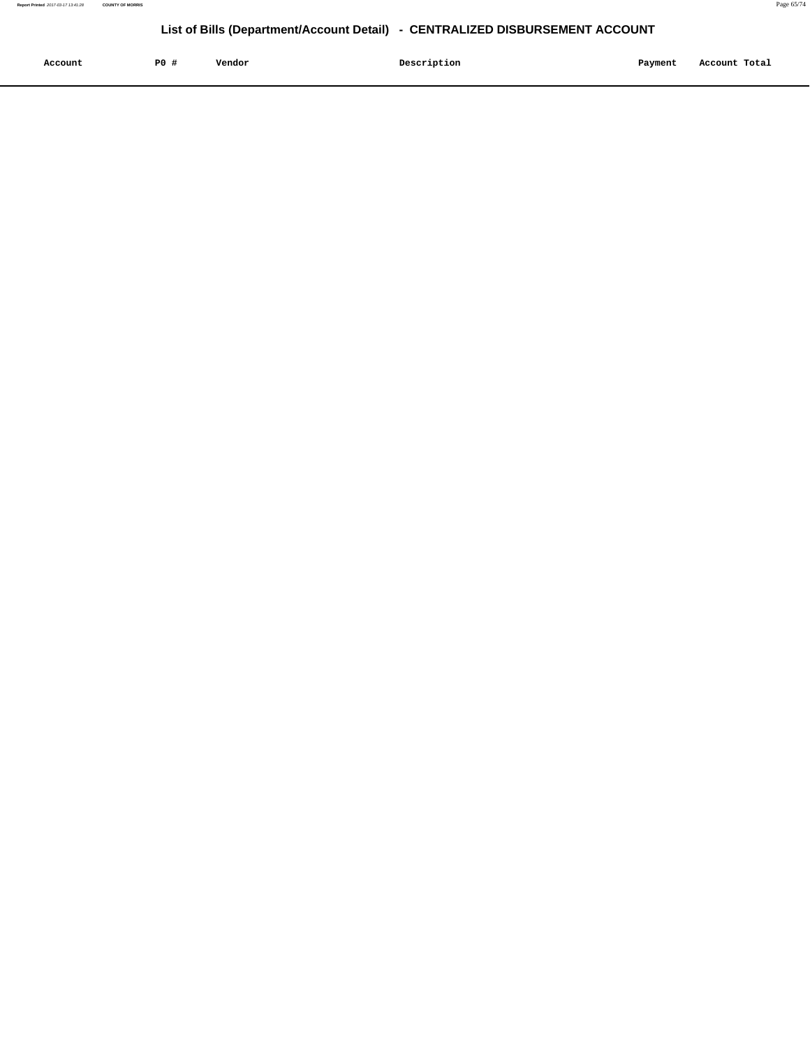| Account<br>. | P <sub>0</sub> | Vendor | Description | Payment | Account Total |
|--------------|----------------|--------|-------------|---------|---------------|
|              |                |        |             |         |               |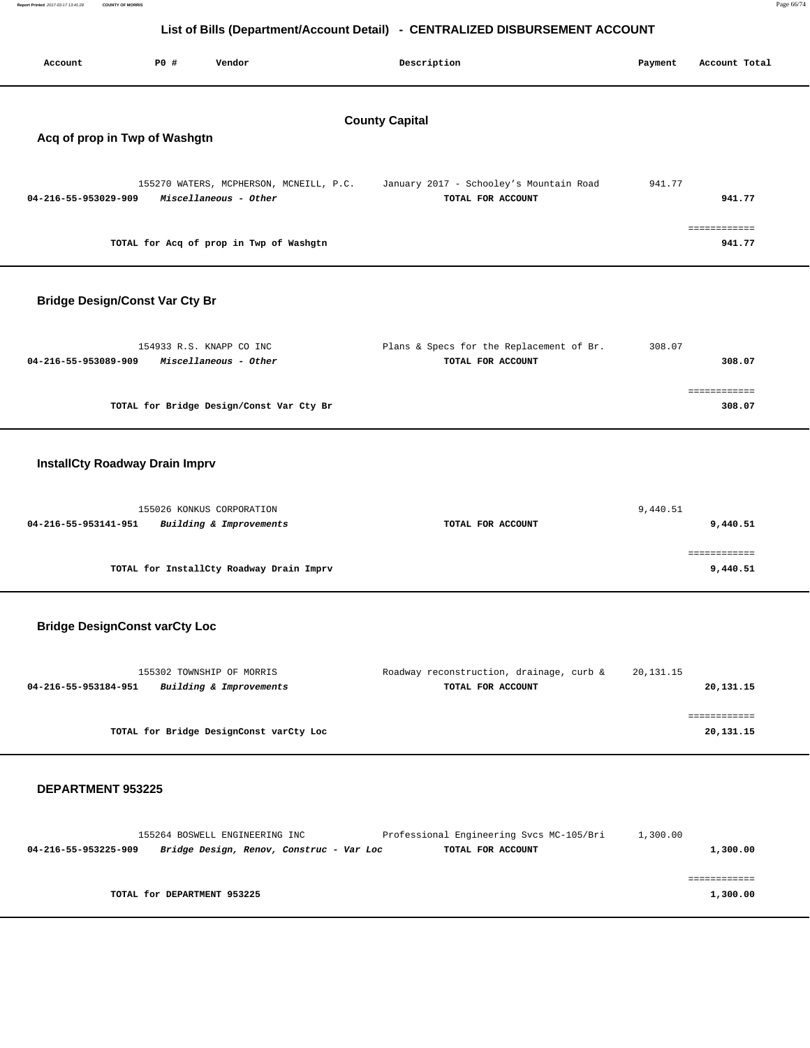| Report Printed 2017-03-17 13:41:28 | COUNTY OF MORRIS |                                                                              | Page 66/74 |
|------------------------------------|------------------|------------------------------------------------------------------------------|------------|
|                                    |                  |                                                                              |            |
|                                    |                  | List of Bills (Department/Account Detail) - CENTRALIZED DISBURSEMENT ACCOUNT |            |

| Account                                                | P0 #<br>Vendor                                       |                                         | Description                                                   | Payment     | Account Total             |
|--------------------------------------------------------|------------------------------------------------------|-----------------------------------------|---------------------------------------------------------------|-------------|---------------------------|
| <b>County Capital</b><br>Acq of prop in Twp of Washgtn |                                                      |                                         |                                                               |             |                           |
| 04-216-55-953029-909                                   | Miscellaneous - Other                                | 155270 WATERS, MCPHERSON, MCNEILL, P.C. | January 2017 - Schooley's Mountain Road<br>TOTAL FOR ACCOUNT  | 941.77      | 941.77                    |
|                                                        | TOTAL for Acq of prop in Twp of Washgtn              |                                         |                                                               |             | ============<br>941.77    |
|                                                        | <b>Bridge Design/Const Var Cty Br</b>                |                                         |                                                               |             |                           |
| 04-216-55-953089-909                                   | 154933 R.S. KNAPP CO INC<br>Miscellaneous - Other    |                                         | Plans & Specs for the Replacement of Br.<br>TOTAL FOR ACCOUNT | 308.07      | 308.07                    |
|                                                        | TOTAL for Bridge Design/Const Var Cty Br             |                                         |                                                               |             | ============<br>308.07    |
|                                                        | <b>InstallCty Roadway Drain Imprv</b>                |                                         |                                                               |             |                           |
| 04-216-55-953141-951                                   | 155026 KONKUS CORPORATION<br>Building & Improvements |                                         | TOTAL FOR ACCOUNT                                             | 9,440.51    | 9,440.51                  |
|                                                        | TOTAL for InstallCty Roadway Drain Imprv             |                                         |                                                               |             | ============<br>9,440.51  |
|                                                        | <b>Bridge DesignConst varCty Loc</b>                 |                                         |                                                               |             |                           |
| 04-216-55-953184-951                                   | 155302 TOWNSHIP OF MORRIS<br>Building & Improvements |                                         | Roadway reconstruction, drainage, curb &<br>TOTAL FOR ACCOUNT | 20, 131. 15 | 20,131.15                 |
|                                                        | TOTAL for Bridge DesignConst varCty Loc              |                                         |                                                               |             | ============<br>20,131.15 |
|                                                        |                                                      |                                         |                                                               |             |                           |

| 155264 BOSWELL ENGINEERING INC                                   | Professional Engineering Svcs MC-105/Bri | 1,300.00 |
|------------------------------------------------------------------|------------------------------------------|----------|
| Bridge Design, Renov, Construc - Var Loc<br>04-216-55-953225-909 | TOTAL FOR ACCOUNT                        | 1,300.00 |
|                                                                  |                                          |          |
|                                                                  |                                          |          |
| TOTAL for DEPARTMENT 953225                                      |                                          | 1,300.00 |
|                                                                  |                                          |          |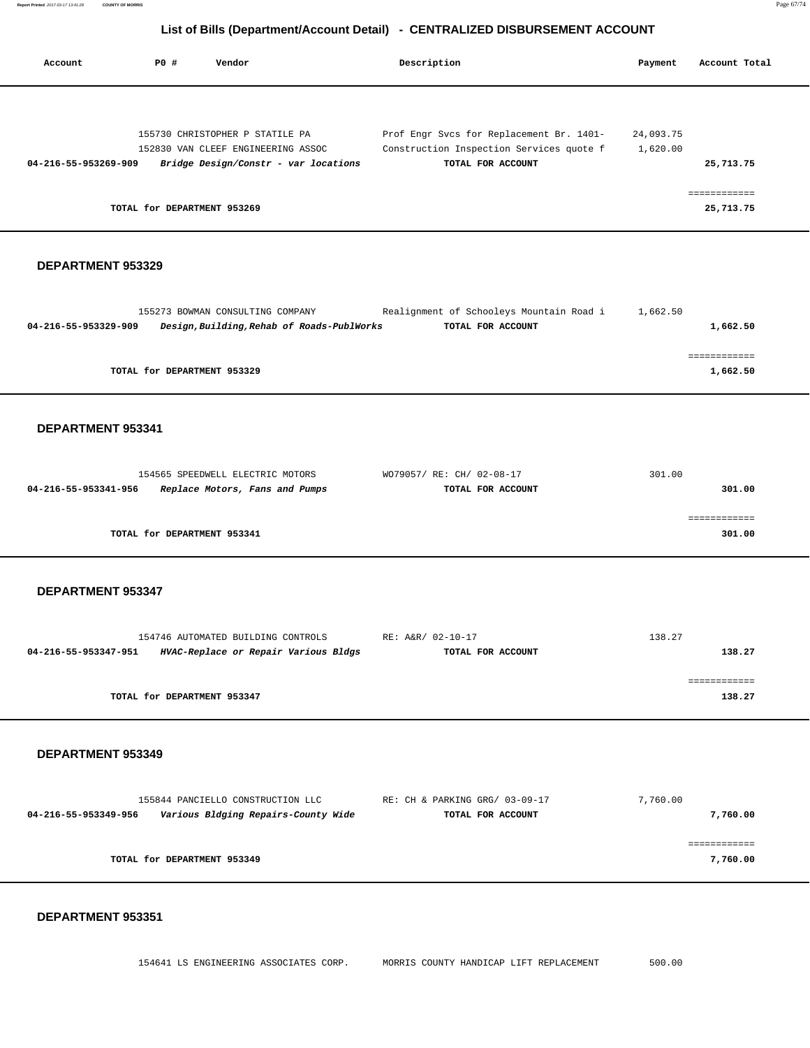| <b>PO #</b><br>Vendor<br>Description<br>Account                                                                                                                                                                                                                                   | Payment               | Account Total                          |
|-----------------------------------------------------------------------------------------------------------------------------------------------------------------------------------------------------------------------------------------------------------------------------------|-----------------------|----------------------------------------|
| 155730 CHRISTOPHER P STATILE PA<br>Prof Engr Svcs for Replacement Br. 1401-<br>Construction Inspection Services quote f<br>152830 VAN CLEEF ENGINEERING ASSOC<br>04-216-55-953269-909<br>Bridge Design/Constr - var locations<br>TOTAL FOR ACCOUNT<br>TOTAL for DEPARTMENT 953269 | 24,093.75<br>1,620.00 | 25,713.75<br>============<br>25,713.75 |
| DEPARTMENT 953329                                                                                                                                                                                                                                                                 |                       |                                        |
| Realignment of Schooleys Mountain Road i<br>155273 BOWMAN CONSULTING COMPANY<br>04-216-55-953329-909<br>Design, Building, Rehab of Roads-PublWorks<br>TOTAL FOR ACCOUNT                                                                                                           | 1,662.50              | 1,662.50                               |
| TOTAL for DEPARTMENT 953329                                                                                                                                                                                                                                                       |                       | ============<br>1,662.50               |
| DEPARTMENT 953341                                                                                                                                                                                                                                                                 |                       |                                        |
| 154565 SPEEDWELL ELECTRIC MOTORS<br>WO79057/ RE: CH/ 02-08-17<br>04-216-55-953341-956<br>Replace Motors, Fans and Pumps<br>TOTAL FOR ACCOUNT                                                                                                                                      | 301.00                | 301.00                                 |
| TOTAL for DEPARTMENT 953341                                                                                                                                                                                                                                                       |                       | ============<br>301.00                 |
| DEPARTMENT 953347                                                                                                                                                                                                                                                                 |                       |                                        |
| RE: A&R/ 02-10-17<br>154746 AUTOMATED BUILDING CONTROLS<br>HVAC-Replace or Repair Various Bldgs<br>04-216-55-953347-951<br>TOTAL FOR ACCOUNT                                                                                                                                      | 138.27                | 138.27                                 |
| TOTAL for DEPARTMENT 953347                                                                                                                                                                                                                                                       |                       | ============<br>138.27                 |
| DEPARTMENT 953349                                                                                                                                                                                                                                                                 |                       |                                        |
| 155844 PANCIELLO CONSTRUCTION LLC<br>RE: CH & PARKING GRG/ 03-09-17<br>04-216-55-953349-956<br>Various Bldging Repairs-County Wide<br>TOTAL FOR ACCOUNT                                                                                                                           | 7,760.00              | 7,760.00                               |
| TOTAL for DEPARTMENT 953349                                                                                                                                                                                                                                                       |                       | 7,760.00                               |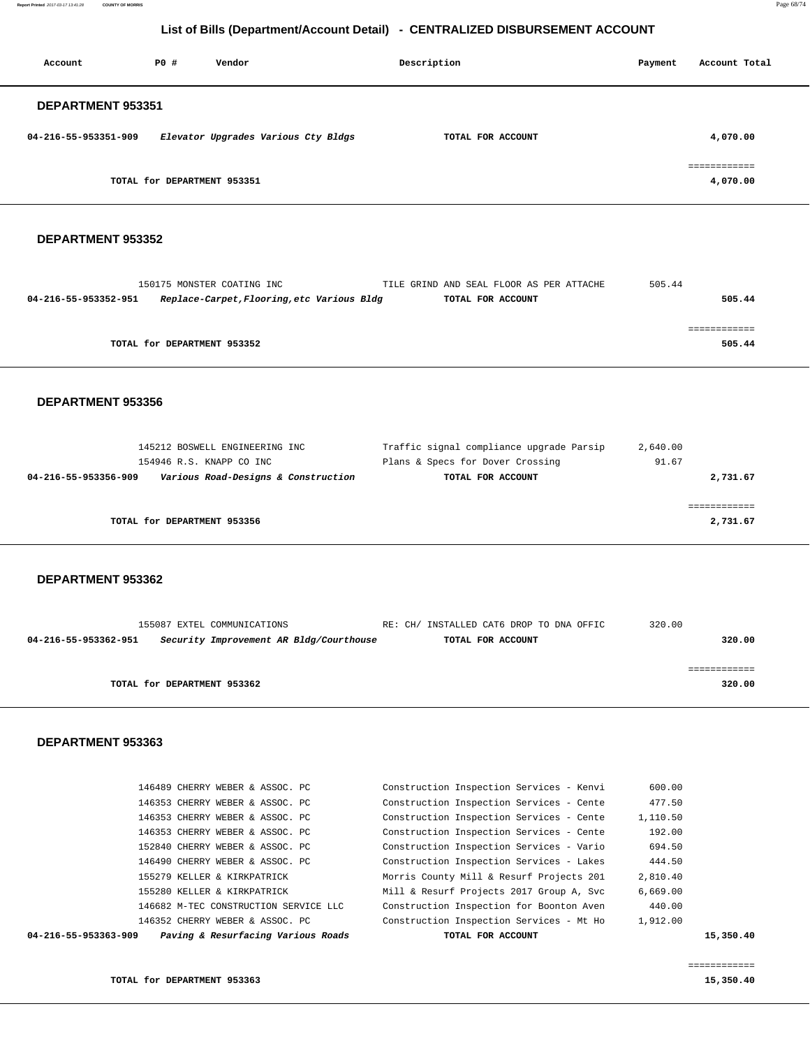**Report Printed** 2017-03-17 13:41:28 **COUNTY OF MORRIS** Page 68/74

# **List of Bills (Department/Account Detail) - CENTRALIZED DISBURSEMENT ACCOUNT**

| Account              | PO#                         | Vendor                              | Description       | Payment | Account Total |
|----------------------|-----------------------------|-------------------------------------|-------------------|---------|---------------|
| DEPARTMENT 953351    |                             |                                     |                   |         |               |
| 04-216-55-953351-909 |                             | Elevator Upgrades Various Cty Bldgs | TOTAL FOR ACCOUNT |         | 4,070.00      |
|                      | TOTAL for DEPARTMENT 953351 |                                     |                   |         | 4,070.00      |

### **DEPARTMENT 953352**

| 150175 MONSTER COATING INC  |                                            |                   | TILE GRIND AND SEAL FLOOR AS PER ATTACHE | 505.44 |
|-----------------------------|--------------------------------------------|-------------------|------------------------------------------|--------|
| 04-216-55-953352-951        | Replace-Carpet, Flooring, etc Various Bldg | TOTAL FOR ACCOUNT |                                          | 505.44 |
|                             |                                            |                   |                                          |        |
|                             |                                            |                   |                                          |        |
| TOTAL for DEPARTMENT 953352 |                                            |                   |                                          | 505.44 |

#### **DEPARTMENT 953356**

|                      | 145212 BOSWELL ENGINEERING INC      | Traffic signal compliance upgrade Parsip | 2,640.00 |
|----------------------|-------------------------------------|------------------------------------------|----------|
|                      | 154946 R.S. KNAPP CO INC            | Plans & Specs for Dover Crossing         | 91.67    |
| 04-216-55-953356-909 | Various Road-Designs & Construction | TOTAL FOR ACCOUNT                        | 2,731.67 |
|                      |                                     |                                          |          |
|                      |                                     |                                          |          |
|                      |                                     |                                          |          |
|                      | TOTAL for DEPARTMENT 953356         |                                          | 2,731.67 |
|                      |                                     |                                          |          |

#### **DEPARTMENT 953362**

|                             | 155087 EXTEL COMMUNICATIONS             | RE: CH/ INSTALLED CAT6 DROP TO DNA OFFIC | 320.00 |
|-----------------------------|-----------------------------------------|------------------------------------------|--------|
| 04-216-55-953362-951        | Security Improvement AR Bldg/Courthouse | TOTAL FOR ACCOUNT                        | 320.00 |
|                             |                                         |                                          |        |
|                             |                                         |                                          |        |
| TOTAL for DEPARTMENT 953362 |                                         |                                          | 320.00 |
|                             |                                         |                                          |        |

## **DEPARTMENT 953363**

| Paving & Resurfacing Various Roads<br>04-216-55-953363-909 | TOTAL FOR ACCOUNT                        |          | 15,350.40 |
|------------------------------------------------------------|------------------------------------------|----------|-----------|
| 146352 CHERRY WEBER & ASSOC. PC                            | Construction Inspection Services - Mt Ho | 1,912.00 |           |
| 146682 M-TEC CONSTRUCTION SERVICE LLC                      | Construction Inspection for Boonton Aven | 440.00   |           |
| 155280 KELLER & KIRKPATRICK                                | Mill & Resurf Projects 2017 Group A, Svc | 6.669.00 |           |
| 155279 KELLER & KIRKPATRICK                                | Morris County Mill & Resurf Projects 201 | 2,810.40 |           |
| 146490 CHERRY WEBER & ASSOC. PC                            | Construction Inspection Services - Lakes | 444.50   |           |
| 152840 CHERRY WEBER & ASSOC. PC                            | Construction Inspection Services - Vario | 694.50   |           |
| 146353 CHERRY WEBER & ASSOC. PC                            | Construction Inspection Services - Cente | 192.00   |           |
| 146353 CHERRY WEBER & ASSOC. PC                            | Construction Inspection Services - Cente | 1,110.50 |           |
| 146353 CHERRY WEBER & ASSOC. PC                            | Construction Inspection Services - Cente | 477.50   |           |
| 146489 CHERRY WEBER & ASSOC. PC                            | Construction Inspection Services - Kenvi | 600.00   |           |
|                                                            |                                          |          |           |

============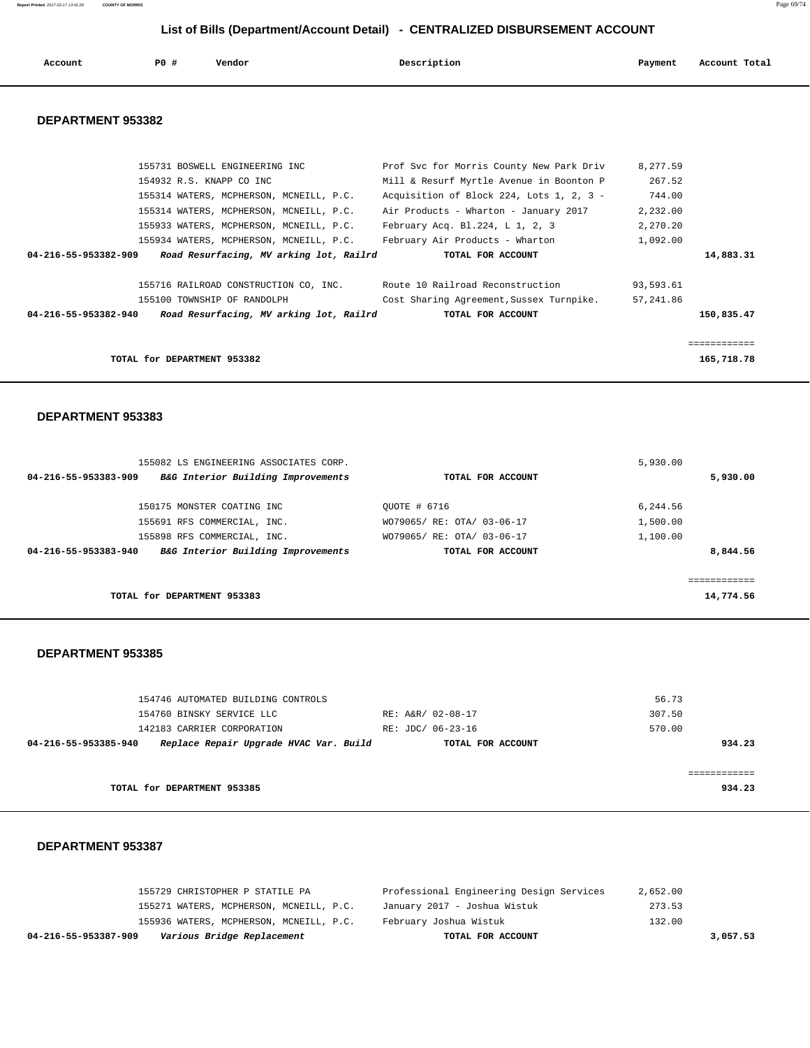**Report Printed** 2017-03-17 13:41:28 **COUNTY OF MORRIS** Page 69/74

 **List of Bills (Department/Account Detail) - CENTRALIZED DISBURSEMENT ACCOUNT**

| Account | $PO+$ | Vendor | Description<br>$\sim$ $\sim$ | Payment<br>. | Account Total<br>.<br>. |
|---------|-------|--------|------------------------------|--------------|-------------------------|
|         |       |        |                              |              |                         |

## **DEPARTMENT 953382**

| 155731 BOSWELL ENGINEERING INC                                  | Prof Svc for Morris County New Park Driv | 8,277.59  |            |
|-----------------------------------------------------------------|------------------------------------------|-----------|------------|
| 154932 R.S. KNAPP CO INC                                        | Mill & Resurf Myrtle Avenue in Boonton P | 267.52    |            |
| 155314 WATERS, MCPHERSON, MCNEILL, P.C.                         | Acquisition of Block 224, Lots 1, 2, 3 - | 744.00    |            |
| 155314 WATERS, MCPHERSON, MCNEILL, P.C.                         | Air Products - Wharton - January 2017    | 2,232.00  |            |
| 155933 WATERS, MCPHERSON, MCNEILL, P.C.                         | February Acq. Bl. $224, L1, 2, 3$        | 2,270.20  |            |
| 155934 WATERS, MCPHERSON, MCNEILL, P.C.                         | February Air Products - Wharton          | 1,092.00  |            |
| 04-216-55-953382-909<br>Road Resurfacing, MV arking lot, Railrd | TOTAL FOR ACCOUNT                        |           | 14,883.31  |
|                                                                 |                                          |           |            |
| 155716 RAILROAD CONSTRUCTION CO, INC.                           | Route 10 Railroad Reconstruction         | 93,593.61 |            |
| 155100 TOWNSHIP OF RANDOLPH                                     | Cost Sharing Agreement, Sussex Turnpike. | 57,241.86 |            |
| Road Resurfacing, MV arking lot, Railrd<br>04-216-55-953382-940 | TOTAL FOR ACCOUNT                        |           | 150,835.47 |
|                                                                 |                                          |           |            |
|                                                                 |                                          |           |            |
| TOTAL for DEPARTMENT 953382                                     |                                          |           | 165,718.78 |
|                                                                 |                                          |           |            |

## **DEPARTMENT 953383**

| 155082 LS ENGINEERING ASSOCIATES CORP.                     |                            | 5,930.00  |
|------------------------------------------------------------|----------------------------|-----------|
| 04-216-55-953383-909<br>B&G Interior Building Improvements | TOTAL FOR ACCOUNT          | 5,930.00  |
| 150175 MONSTER COATING INC                                 | OUOTE # 6716               | 6,244.56  |
| 155691 RFS COMMERCIAL, INC.                                | WO79065/ RE: OTA/ 03-06-17 | 1,500.00  |
| 155898 RFS COMMERCIAL, INC.                                | WO79065/ RE: OTA/ 03-06-17 | 1,100.00  |
| B&G Interior Building Improvements<br>04-216-55-953383-940 | TOTAL FOR ACCOUNT          | 8,844.56  |
|                                                            |                            |           |
| TOTAL for DEPARTMENT 953383                                |                            | 14,774.56 |

#### **DEPARTMENT 953385**

|                      | 154746 AUTOMATED BUILDING CONTROLS     |                   | 56.73  |
|----------------------|----------------------------------------|-------------------|--------|
|                      | 154760 BINSKY SERVICE LLC              | RE: A&R/ 02-08-17 | 307.50 |
|                      | 142183 CARRIER CORPORATION             | RE: JDC/ 06-23-16 | 570.00 |
| 04-216-55-953385-940 | Replace Repair Upgrade HVAC Var. Build | TOTAL FOR ACCOUNT | 934.23 |
|                      |                                        |                   |        |
|                      |                                        |                   |        |
|                      | TOTAL for DEPARTMENT 953385            |                   | 934.23 |
|                      |                                        |                   |        |

| Various Bridge Replacement<br>04-216-55-953387-909 | TOTAL FOR ACCOUNT                        | 3,057.53 |
|----------------------------------------------------|------------------------------------------|----------|
| 155936 WATERS, MCPHERSON, MCNEILL, P.C.            | February Joshua Wistuk                   | 132.00   |
| 155271 WATERS, MCPHERSON, MCNEILL, P.C.            | January 2017 - Joshua Wistuk             | 273.53   |
| 155729 CHRISTOPHER P STATILE PA                    | Professional Engineering Design Services | 2,652.00 |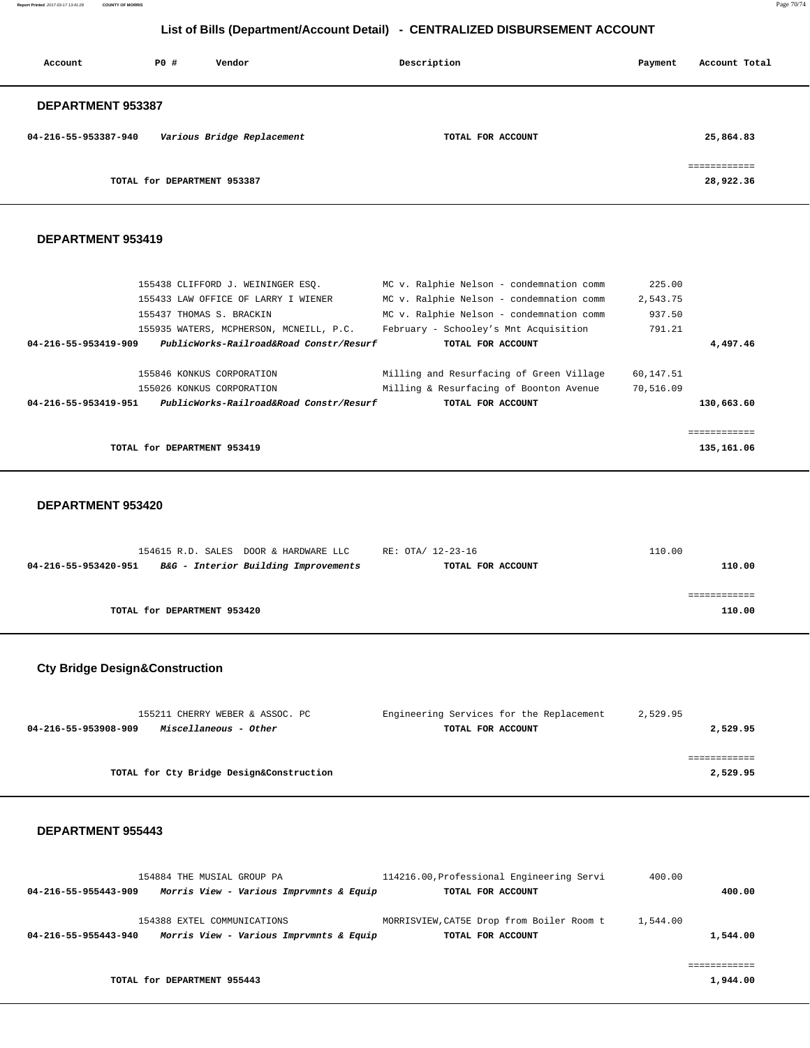**Report Printed** 2017-03-17 13:41:28 **COUNTY OF MORRIS** Page 70/74

# **List of Bills (Department/Account Detail) - CENTRALIZED DISBURSEMENT ACCOUNT**

| Account              | PO#                         | Vendor                     | Description       | Payment | Account Total |
|----------------------|-----------------------------|----------------------------|-------------------|---------|---------------|
| DEPARTMENT 953387    |                             |                            |                   |         |               |
| 04-216-55-953387-940 |                             | Various Bridge Replacement | TOTAL FOR ACCOUNT |         | 25,864.83     |
|                      |                             |                            |                   |         | eessessesses  |
|                      | TOTAL for DEPARTMENT 953387 |                            |                   |         | 28,922.36     |

### **DEPARTMENT 953419**

|                      | 155438 CLIFFORD J. WEININGER ESO.       | MC v. Ralphie Nelson - condemnation comm | 225.00    |             |
|----------------------|-----------------------------------------|------------------------------------------|-----------|-------------|
|                      | 155433 LAW OFFICE OF LARRY I WIENER     | MC v. Ralphie Nelson - condemnation comm | 2,543.75  |             |
|                      | 155437 THOMAS S. BRACKIN                | MC v. Ralphie Nelson - condemnation comm | 937.50    |             |
|                      | 155935 WATERS, MCPHERSON, MCNEILL, P.C. | February - Schooley's Mnt Acquisition    | 791.21    |             |
| 04-216-55-953419-909 | PublicWorks-Railroad&Road Constr/Resurf | TOTAL FOR ACCOUNT                        |           | 4,497.46    |
|                      |                                         |                                          |           |             |
|                      | 155846 KONKUS CORPORATION               | Milling and Resurfacing of Green Village | 60,147.51 |             |
|                      | 155026 KONKUS CORPORATION               | Milling & Resurfacing of Boonton Avenue  | 70,516.09 |             |
| 04-216-55-953419-951 | PublicWorks-Railroad&Road Constr/Resurf | TOTAL FOR ACCOUNT                        |           | 130,663.60  |
|                      |                                         |                                          |           |             |
|                      |                                         |                                          |           | eeeeeeeeeee |
|                      | TOTAL for DEPARTMENT 953419             |                                          |           | 135,161.06  |
|                      |                                         |                                          |           |             |

## **DEPARTMENT 953420**

| 154615 R.D. SALES DOOR & HARDWARE LLC                        | RE: OTA/ 12-23-16 | 110.00 |
|--------------------------------------------------------------|-------------------|--------|
| B&G - Interior Building Improvements<br>04-216-55-953420-951 | TOTAL FOR ACCOUNT | 110.00 |
|                                                              |                   |        |
|                                                              |                   |        |
| TOTAL for DEPARTMENT 953420                                  |                   | 110.00 |
|                                                              |                   |        |

# **Cty Bridge Design&Construction**

| 155211 CHERRY WEBER & ASSOC. PC               | Engineering Services for the Replacement | 2,529.95 |
|-----------------------------------------------|------------------------------------------|----------|
| Miscellaneous - Other<br>04-216-55-953908-909 | TOTAL FOR ACCOUNT                        | 2,529.95 |
|                                               |                                          |          |
|                                               |                                          |          |
| TOTAL for Cty Bridge Design&Construction      |                                          | 2,529.95 |

|                      | 154884 THE MUSIAL GROUP PA              | 114216.00, Professional Engineering Servi | 400.00   |
|----------------------|-----------------------------------------|-------------------------------------------|----------|
| 04-216-55-955443-909 | Morris View - Various Imprymnts & Equip | TOTAL FOR ACCOUNT                         | 400.00   |
|                      |                                         |                                           |          |
|                      | 154388 EXTEL COMMUNICATIONS             | MORRISVIEW, CAT5E Drop from Boiler Room t | 1,544.00 |
| 04-216-55-955443-940 | Morris View - Various Imprvmnts & Equip | TOTAL FOR ACCOUNT                         | 1,544.00 |
|                      |                                         |                                           |          |
|                      |                                         |                                           |          |
|                      | TOTAL for DEPARTMENT 955443             |                                           | 1,944.00 |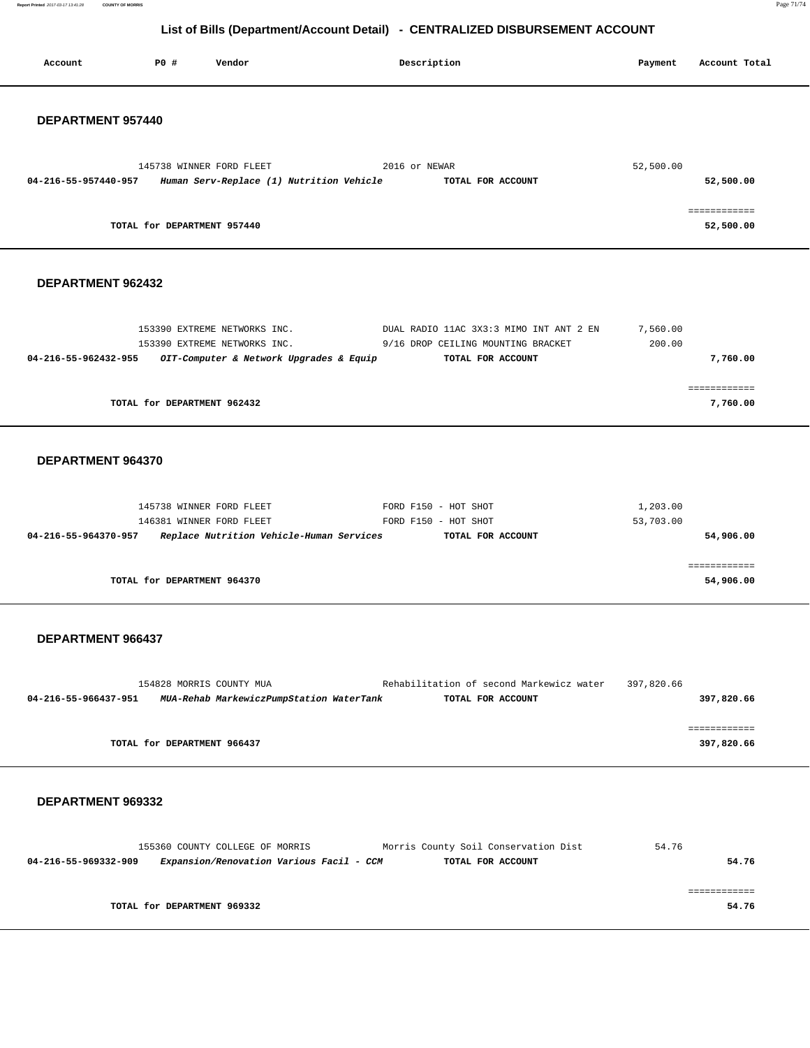**Report Printed** 2017-03-17 13:41:28 **COUNTY OF MORRIS** Page 71/74

# **List of Bills (Department/Account Detail) - CENTRALIZED DISBURSEMENT ACCOUNT**

| Account              | P0 #                        | Vendor                                                               | Description                                                   | Payment    | Account Total              |
|----------------------|-----------------------------|----------------------------------------------------------------------|---------------------------------------------------------------|------------|----------------------------|
|                      |                             |                                                                      |                                                               |            |                            |
|                      |                             |                                                                      |                                                               |            |                            |
| DEPARTMENT 957440    |                             |                                                                      |                                                               |            |                            |
|                      |                             |                                                                      |                                                               |            |                            |
| 04-216-55-957440-957 |                             | 145738 WINNER FORD FLEET<br>Human Serv-Replace (1) Nutrition Vehicle | 2016 or NEWAR<br>TOTAL FOR ACCOUNT                            | 52,500.00  | 52,500.00                  |
|                      |                             |                                                                      |                                                               |            |                            |
|                      |                             |                                                                      |                                                               |            | ============               |
|                      | TOTAL for DEPARTMENT 957440 |                                                                      |                                                               |            | 52,500.00                  |
|                      |                             |                                                                      |                                                               |            |                            |
| DEPARTMENT 962432    |                             |                                                                      |                                                               |            |                            |
|                      |                             |                                                                      |                                                               |            |                            |
|                      |                             | 153390 EXTREME NETWORKS INC.                                         | DUAL RADIO 11AC 3X3:3 MIMO INT ANT 2 EN                       | 7,560.00   |                            |
|                      |                             | 153390 EXTREME NETWORKS INC.                                         | 9/16 DROP CEILING MOUNTING BRACKET                            | 200.00     |                            |
| 04-216-55-962432-955 |                             | OIT-Computer & Network Upgrades & Equip                              | TOTAL FOR ACCOUNT                                             |            | 7,760.00                   |
|                      |                             |                                                                      |                                                               |            | ============               |
|                      |                             | TOTAL for DEPARTMENT 962432                                          |                                                               |            | 7,760.00                   |
|                      |                             |                                                                      |                                                               |            |                            |
| DEPARTMENT 964370    |                             |                                                                      |                                                               |            |                            |
|                      |                             |                                                                      |                                                               |            |                            |
|                      |                             | 145738 WINNER FORD FLEET                                             | FORD F150 - HOT SHOT                                          | 1,203.00   |                            |
|                      |                             | 146381 WINNER FORD FLEET                                             | FORD F150 - HOT SHOT                                          | 53,703.00  |                            |
| 04-216-55-964370-957 |                             | Replace Nutrition Vehicle-Human Services                             | TOTAL FOR ACCOUNT                                             |            | 54,906.00                  |
|                      |                             |                                                                      |                                                               |            | ============               |
|                      |                             | TOTAL for DEPARTMENT 964370                                          |                                                               |            | 54,906.00                  |
|                      |                             |                                                                      |                                                               |            |                            |
| DEPARTMENT 966437    |                             |                                                                      |                                                               |            |                            |
|                      |                             |                                                                      |                                                               |            |                            |
|                      |                             |                                                                      |                                                               |            |                            |
| 04-216-55-966437-951 |                             | 154828 MORRIS COUNTY MUA<br>MUA-Rehab MarkewiczPumpStation WaterTank | Rehabilitation of second Markewicz water<br>TOTAL FOR ACCOUNT | 397,820.66 | 397,820.66                 |
|                      |                             |                                                                      |                                                               |            |                            |
|                      |                             | TOTAL for DEPARTMENT 966437                                          |                                                               |            | ============<br>397,820.66 |
|                      |                             |                                                                      |                                                               |            |                            |
|                      |                             |                                                                      |                                                               |            |                            |
| DEPARTMENT 969332    |                             |                                                                      |                                                               |            |                            |
|                      |                             |                                                                      |                                                               |            |                            |
|                      |                             | 155360 COUNTY COLLEGE OF MORRIS                                      | Morris County Soil Conservation Dist                          | 54.76      |                            |
| 04-216-55-969332-909 |                             | Expansion/Renovation Various Facil - CCM                             | TOTAL FOR ACCOUNT                                             |            | 54.76                      |
|                      |                             |                                                                      |                                                               |            | essessessess               |
|                      |                             | TOTAL for DEPARTMENT 969332                                          |                                                               |            | 54.76                      |
|                      |                             |                                                                      |                                                               |            |                            |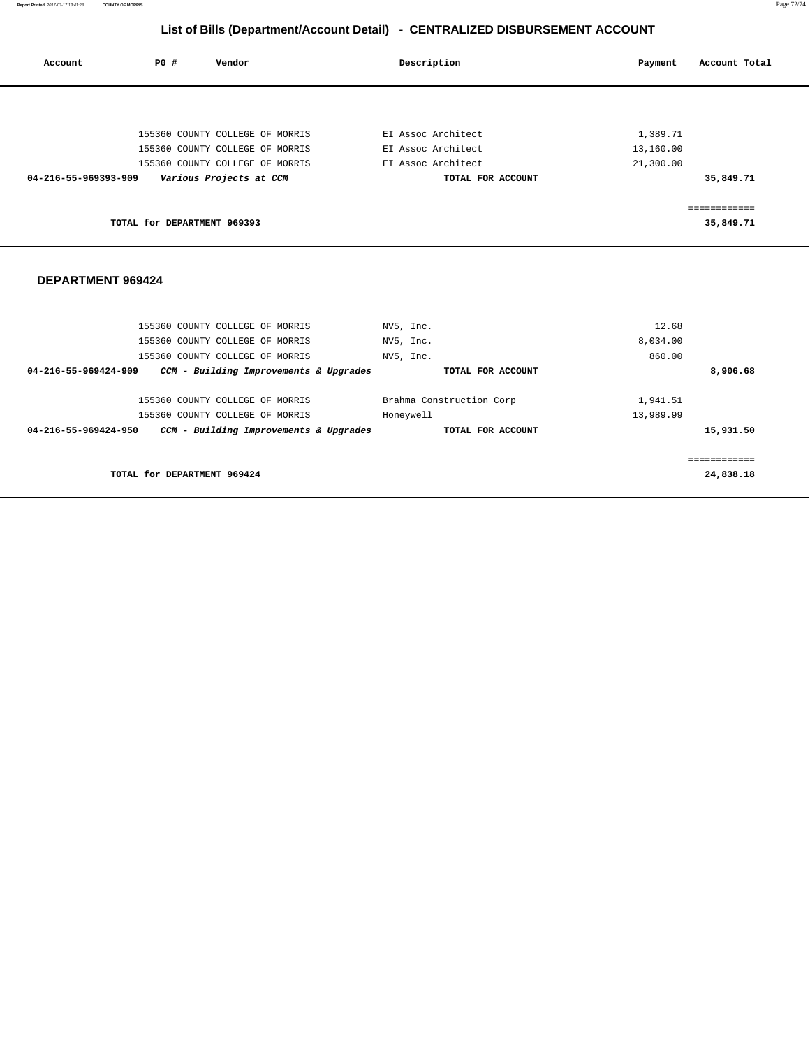**Report Printed** 2017-03-17 13:41:28 **COUNTY OF MORRIS** Page 72/74

# **List of Bills (Department/Account Detail) - CENTRALIZED DISBURSEMENT ACCOUNT**

| Account              | P0 #                        | Vendor                          | Description        | Account Total<br>Payment |
|----------------------|-----------------------------|---------------------------------|--------------------|--------------------------|
|                      |                             |                                 |                    |                          |
|                      |                             | 155360 COUNTY COLLEGE OF MORRIS | EI Assoc Architect | 1,389.71                 |
|                      |                             | 155360 COUNTY COLLEGE OF MORRIS | EI Assoc Architect | 13,160.00                |
|                      |                             | 155360 COUNTY COLLEGE OF MORRIS | EI Assoc Architect | 21,300.00                |
| 04-216-55-969393-909 |                             | Various Projects at CCM         | TOTAL FOR ACCOUNT  | 35,849.71                |
|                      |                             |                                 |                    | ;==========              |
|                      | TOTAL for DEPARTMENT 969393 |                                 |                    | 35,849.71                |
|                      |                             |                                 |                    |                          |

| 155360 COUNTY COLLEGE OF MORRIS                                | NV5, Inc.                | 12.68     |
|----------------------------------------------------------------|--------------------------|-----------|
| 155360 COUNTY COLLEGE OF MORRIS                                | NV5, Inc.                | 8,034.00  |
| 155360 COUNTY COLLEGE OF MORRIS                                | NV5, Inc.                | 860.00    |
| 04-216-55-969424-909<br>CCM - Building Improvements & Upgrades | TOTAL FOR ACCOUNT        | 8,906.68  |
|                                                                |                          |           |
| 155360 COUNTY COLLEGE OF MORRIS                                | Brahma Construction Corp | 1,941.51  |
| 155360 COUNTY COLLEGE OF MORRIS                                | Honeywell                | 13,989.99 |
| CCM - Building Improvements & Upgrades<br>04-216-55-969424-950 | TOTAL FOR ACCOUNT        | 15,931.50 |
|                                                                |                          |           |
|                                                                |                          |           |
| TOTAL for DEPARTMENT 969424                                    |                          | 24,838.18 |
|                                                                |                          |           |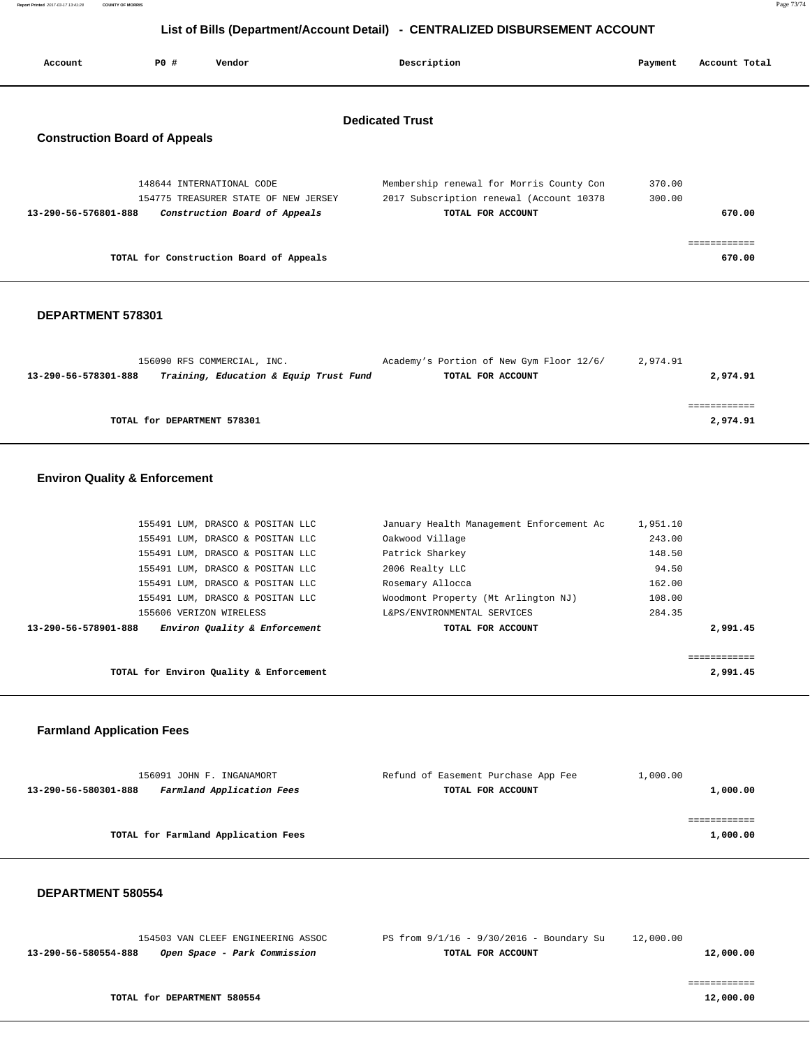# **List of Bills (Department/Account Detail) - CENTRALIZED DISBURSEMENT ACCOUNT**

| Account                                                        | PO# | Vendor                                                                   | Description                                                                                               | Payment          | Account Total          |  |
|----------------------------------------------------------------|-----|--------------------------------------------------------------------------|-----------------------------------------------------------------------------------------------------------|------------------|------------------------|--|
| <b>Dedicated Trust</b><br><b>Construction Board of Appeals</b> |     |                                                                          |                                                                                                           |                  |                        |  |
| 13-290-56-576801-888                                           |     | 148644 INTERNATIONAL CODE<br>154775 TREASURER STATE OF NEW JERSEY        | Membership renewal for Morris County Con<br>2017 Subscription renewal (Account 10378<br>TOTAL FOR ACCOUNT | 370.00<br>300.00 | 670.00                 |  |
|                                                                |     | Construction Board of Appeals<br>TOTAL for Construction Board of Appeals |                                                                                                           |                  | ============<br>670.00 |  |

#### **DEPARTMENT 578301**

| 156090 RFS COMMERCIAL, INC.                                    | Academy's Portion of New Gym Floor 12/6/ | 2,974.91 |
|----------------------------------------------------------------|------------------------------------------|----------|
| Training, Education & Equip Trust Fund<br>13-290-56-578301-888 | TOTAL FOR ACCOUNT                        | 2,974.91 |
|                                                                |                                          |          |
|                                                                |                                          |          |
| TOTAL for DEPARTMENT 578301                                    |                                          | 2,974.91 |
|                                                                |                                          |          |

## **Environ Quality & Enforcement**

| 155491 LUM, DRASCO & POSITAN LLC                      | January Health Management Enforcement Ac | 1,951.10 |
|-------------------------------------------------------|------------------------------------------|----------|
| 155491 LUM, DRASCO & POSITAN LLC                      | Oakwood Village                          | 243.00   |
| 155491 LUM, DRASCO & POSITAN LLC                      | Patrick Sharkey                          | 148.50   |
| 155491 LUM, DRASCO & POSITAN LLC                      | 2006 Realty LLC                          | 94.50    |
| 155491 LUM, DRASCO & POSITAN LLC                      | Rosemary Allocca                         | 162.00   |
| 155491 LUM, DRASCO & POSITAN LLC                      | Woodmont Property (Mt Arlington NJ)      | 108.00   |
| 155606 VERIZON WIRELESS                               | L&PS/ENVIRONMENTAL SERVICES              | 284.35   |
| Environ Quality & Enforcement<br>13-290-56-578901-888 | TOTAL FOR ACCOUNT                        | 2,991.45 |
|                                                       |                                          |          |
|                                                       |                                          |          |
| TOTAL for Environ Quality & Enforcement               | 2,991.45                                 |          |

### **Farmland Application Fees**

| 156091 JOHN F. INGANAMORT                         | Refund of Easement Purchase App Fee | 1,000.00 |
|---------------------------------------------------|-------------------------------------|----------|
| Farmland Application Fees<br>13-290-56-580301-888 | TOTAL FOR ACCOUNT                   | 1,000.00 |
|                                                   |                                     |          |
|                                                   |                                     |          |
| TOTAL for Farmland Application Fees               |                                     | 1,000.00 |
|                                                   |                                     |          |

### **DEPARTMENT 580554**

|                      | 154503 VAN CLEEF ENGINEERING ASSOC | PS from 9/1/16 - 9/30/2016 - Boundary Su | 12,000.00 |
|----------------------|------------------------------------|------------------------------------------|-----------|
| 13-290-56-580554-888 | Open Space - Park Commission       | TOTAL FOR ACCOUNT                        | 12,000.00 |
|                      |                                    |                                          |           |
|                      |                                    |                                          |           |
|                      |                                    |                                          |           |